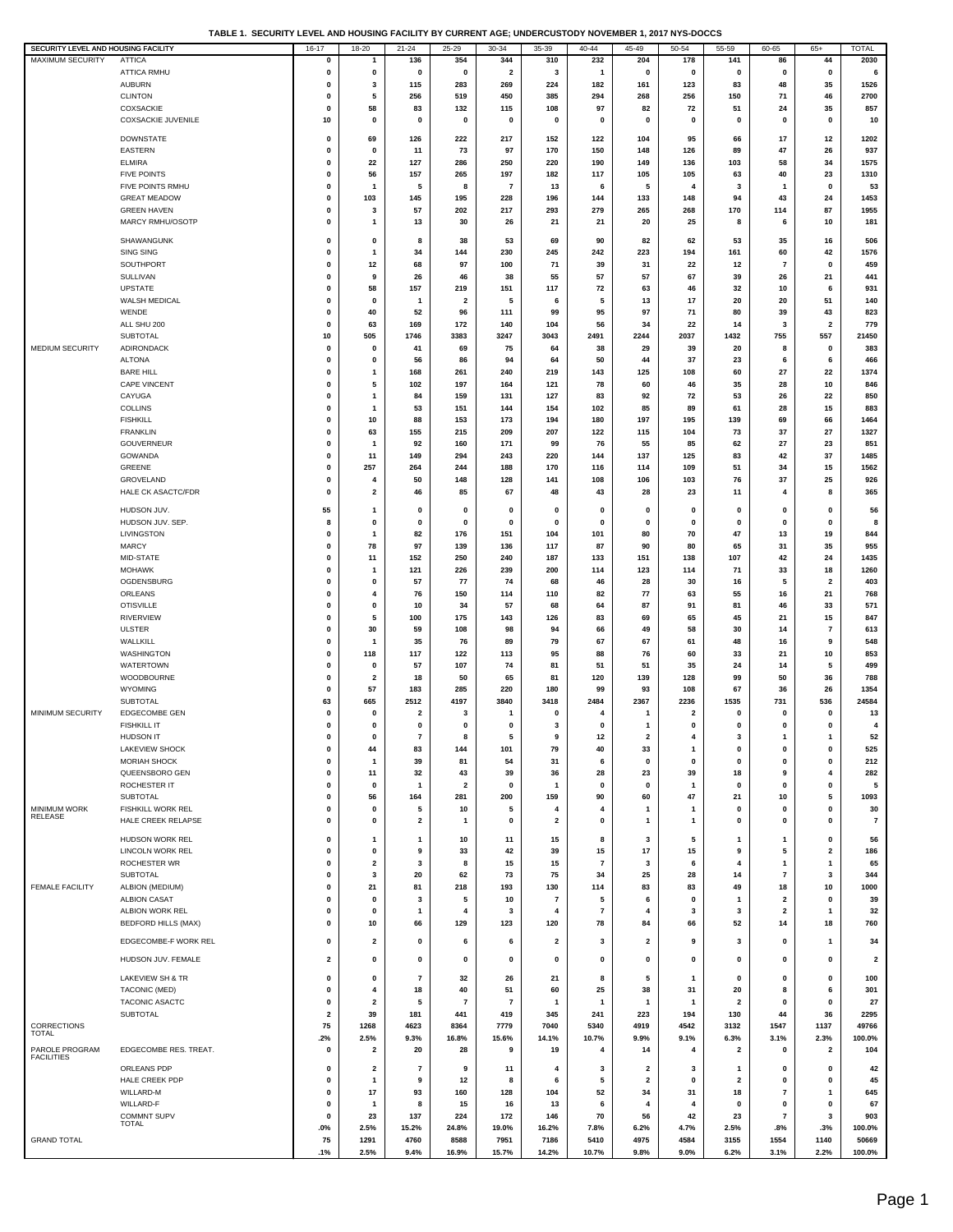|  |  | TABLE 1. SECURITY LEVEL AND HOUSING FACILITY BY CURRENT AGE: UNDERCUSTODY NOVEMBER 1. 2017 NYS-DOCCS |
|--|--|------------------------------------------------------------------------------------------------------|
|  |  |                                                                                                      |

| SECURITY LEVEL AND HOUSING FACILITY |                                    | 16-17        | 18-20                   | 21-24                   | 25-29                   | 30-34                   | 35-39          | $40 - 44$               | 45-49                   | 50-54                   | 55-59                   | 60-65          | $65+$                   | <b>TOTAL</b>   |
|-------------------------------------|------------------------------------|--------------|-------------------------|-------------------------|-------------------------|-------------------------|----------------|-------------------------|-------------------------|-------------------------|-------------------------|----------------|-------------------------|----------------|
| MAXIMUM SECURITY                    | <b>ATTICA</b>                      | 0            | $\mathbf{1}$            | 136                     | 354                     | 344                     | 310            | 232                     | 204                     | 178                     | 141                     | 86             | 44                      | 2030           |
|                                     | ATTICA RMHU                        | 0            | 0                       | 0                       | $\mathbf 0$             | $\overline{\mathbf{2}}$ | 3              | $\overline{\mathbf{1}}$ | $\mathbf 0$             | $\mathbf 0$             | $\mathbf 0$             | 0              | $\mathbf 0$             | 6              |
|                                     |                                    |              |                         |                         |                         |                         |                |                         |                         |                         |                         |                |                         |                |
|                                     | <b>AUBURN</b>                      | 0            | 3                       | 115                     | 283                     | 269                     | 224            | 182                     | 161                     | 123                     | 83                      | 48             | 35                      | 1526           |
|                                     | <b>CLINTON</b>                     | 0            | 5                       | 256                     | 519                     | 450                     | 385            | 294                     | 268                     | 256                     | 150                     | 71             | 46                      | 2700           |
|                                     | COXSACKIE                          | $\mathbf 0$  | 58                      | 83                      | 132                     | 115                     | 108            | 97                      | 82                      | 72                      | 51                      | 24             | 35                      | 857            |
|                                     | <b>COXSACKIE JUVENILE</b>          | 10           | $\pmb{0}$               | 0                       | 0                       | 0                       | 0              | $\mathbf 0$             | 0                       | 0                       | 0                       | $\mathbf 0$    | $\pmb{0}$               | 10             |
|                                     |                                    |              |                         |                         |                         |                         |                |                         |                         |                         |                         |                |                         |                |
|                                     | <b>DOWNSTATE</b>                   | 0            | 69                      | 126                     | 222                     | 217                     | 152            | 122                     | 104                     | 95                      | 66                      | 17             | 12                      | 1202           |
|                                     | <b>EASTERN</b>                     | 0            | $\mathbf{0}$            | 11                      | 73                      | 97                      | 170            | 150                     | 148                     | 126                     | 89                      | 47             | 26                      | 937            |
|                                     | <b>ELMIRA</b>                      | 0            | 22                      | 127                     | 286                     | 250                     | 220            | 190                     | 149                     | 136                     | 103                     | 58             | 34                      | 1575           |
|                                     | <b>FIVE POINTS</b>                 | 0            | 56                      | 157                     | 265                     | 197                     | 182            | 117                     | 105                     | 105                     | 63                      | 40             | 23                      | 1310           |
|                                     | FIVE POINTS RMHU                   | 0            | $\mathbf{1}$            | 5                       | 8                       | $\bf 7$                 | 13             | 6                       | 5                       | 4                       | 3                       | 1              | $\mathbf 0$             | 53             |
|                                     |                                    |              |                         |                         |                         |                         |                |                         |                         |                         |                         |                |                         |                |
|                                     | <b>GREAT MEADOW</b>                | 0            | 103                     | 145                     | 195                     | 228                     | 196            | 144                     | 133                     | 148                     | 94                      | 43             | 24                      | 1453           |
|                                     | <b>GREEN HAVEN</b>                 | 0            | 3                       | 57                      | 202                     | 217                     | 293            | 279                     | 265                     | 268                     | 170                     | 114            | 87                      | 1955           |
|                                     | MARCY RMHU/OSOTP                   | 0            | $\mathbf{1}$            | 13                      | 30                      | 26                      | 21             | 21                      | 20                      | 25                      | 8                       | 6              | 10                      | 181            |
|                                     |                                    |              |                         |                         |                         |                         |                |                         |                         |                         |                         |                |                         |                |
|                                     | SHAWANGUNK                         | 0            | 0                       | 8                       | 38                      | 53                      | 69             | 90                      | 82                      | 62                      | 53                      | 35             | 16                      | 506            |
|                                     | <b>SING SING</b>                   | $\mathbf 0$  | $\mathbf{1}$            | 34                      | 144                     | 230                     | 245            | 242                     | 223                     | 194                     | 161                     | 60             | 42                      | 1576           |
|                                     | SOUTHPORT                          | $\mathbf 0$  | 12                      | 68                      | 97                      | 100                     | 71             | 39                      | 31                      | 22                      | 12                      | $\overline{7}$ | $\mathbf 0$             | 459            |
|                                     | SULLIVAN                           | $\mathbf 0$  | 9                       | 26                      | 46                      | 38                      | 55             | 57                      | 57                      | 67                      | 39                      | 26             | 21                      | 441            |
|                                     | <b>UPSTATE</b>                     | 0            | 58                      | 157                     | 219                     | 151                     | 117            | 72                      | 63                      | 46                      | 32                      | 10             | 6                       | 931            |
|                                     |                                    |              | $\mathbf 0$             | $\mathbf{1}$            |                         | 5                       | 6              | 5                       |                         |                         | 20                      |                | 51                      |                |
|                                     | WALSH MEDICAL                      | 0            |                         |                         | $\overline{\mathbf{2}}$ |                         |                |                         | 13                      | 17                      |                         | 20             |                         | 140            |
|                                     | WENDE                              | 0            | 40                      | 52                      | 96                      | 111                     | 99             | 95                      | 97                      | 71                      | 80                      | 39             | 43                      | 823            |
|                                     | ALL SHU 200                        | 0            | 63                      | 169                     | 172                     | 140                     | 104            | 56                      | 34                      | 22                      | 14                      | 3              | $\overline{\mathbf{2}}$ | 779            |
|                                     | SUBTOTAL                           | 10           | 505                     | 1746                    | 3383                    | 3247                    | 3043           | 2491                    | 2244                    | 2037                    | 1432                    | 755            | 557                     | 21450          |
| <b>MEDIUM SECURITY</b>              | ADIRONDACK                         | $\mathbf 0$  | $\mathbf 0$             | 41                      | 69                      | 75                      | 64             | 38                      | 29                      | 39                      | 20                      | 8              | $\mathbf 0$             | 383            |
|                                     | <b>ALTONA</b>                      | $\mathbf 0$  | $\mathbf 0$             | 56                      | 86                      | 94                      | 64             | 50                      | 44                      | 37                      | 23                      | 6              | 6                       | 466            |
|                                     | <b>BARE HILL</b>                   | 0            | 1                       | 168                     | 261                     | 240                     | 219            | 143                     | 125                     | 108                     | 60                      | 27             | 22                      | 1374           |
|                                     |                                    |              |                         | 102                     | 197                     |                         | 121            | 78                      | 60                      | 46                      | 35                      | 28             | 10                      | 846            |
|                                     | CAPE VINCENT                       | 0            | 5                       |                         |                         | 164                     |                |                         |                         |                         |                         |                |                         |                |
|                                     | CAYUGA                             | 0            | $\mathbf{1}$            | 84                      | 159                     | 131                     | 127            | 83                      | 92                      | 72                      | 53                      | 26             | 22                      | 850            |
|                                     | <b>COLLINS</b>                     | 0            | $\mathbf{1}$            | 53                      | 151                     | 144                     | 154            | 102                     | 85                      | 89                      | 61                      | 28             | 15                      | 883            |
|                                     | <b>FISHKILL</b>                    | 0            | 10                      | 88                      | 153                     | 173                     | 194            | 180                     | 197                     | 195                     | 139                     | 69             | 66                      | 1464           |
|                                     | <b>FRANKLIN</b>                    | 0            | 63                      | 155                     | 215                     | 209                     | 207            | 122                     | 115                     | 104                     | 73                      | 37             | 27                      | 1327           |
|                                     | <b>GOUVERNEUR</b>                  | $\mathbf 0$  | $\mathbf{1}$            | 92                      | 160                     | 171                     | 99             | 76                      | 55                      | 85                      | 62                      | 27             | 23                      | 851            |
|                                     | <b>GOWANDA</b>                     | 0            | 11                      | 149                     | 294                     | 243                     | 220            | 144                     | 137                     | 125                     | 83                      | 42             | 37                      | 1485           |
|                                     |                                    |              |                         |                         |                         |                         |                |                         |                         |                         |                         |                |                         |                |
|                                     | GREENE                             | 0            | 257                     | 264                     | 244                     | 188                     | 170            | 116                     | 114                     | 109                     | 51                      | 34             | 15                      | 1562           |
|                                     | GROVELAND                          | 0            | 4                       | 50                      | 148                     | 128                     | 141            | 108                     | 106                     | 103                     | 76                      | 37             | 25                      | 926            |
|                                     | <b>HALE CK ASACTC/FDR</b>          | 0            | $\overline{\mathbf{2}}$ | 46                      | 85                      | 67                      | 48             | 43                      | 28                      | 23                      | 11                      | 4              | 8                       | 365            |
|                                     |                                    |              |                         |                         |                         |                         |                |                         |                         |                         |                         |                |                         |                |
|                                     | HUDSON JUV.                        | 55           | $\mathbf{1}$            | 0                       | $\mathbf 0$             | 0                       | $\mathbf 0$    | $\mathbf 0$             | 0                       | 0                       | 0                       | 0              | 0                       | 56             |
|                                     | HUDSON JUV. SEP.                   | 8            | 0                       | 0                       | 0                       | 0                       | 0              | $\mathbf 0$             | 0                       | 0                       | 0                       | 0              | $\pmb{0}$               | 8              |
|                                     | LIVINGSTON                         | 0            | $\mathbf{1}$            | 82                      | 176                     | 151                     | 104            | 101                     | 80                      | 70                      | 47                      | 13             | 19                      | 844            |
|                                     | <b>MARCY</b>                       | 0            | 78                      | 97                      | 139                     | 136                     | 117            | 87                      | 90                      | 80                      | 65                      | 31             | 35                      | 955            |
|                                     | MID-STATE                          | 0            | 11                      | 152                     | 250                     | 240                     | 187            | 133                     | 151                     | 138                     | 107                     | 42             | 24                      | 1435           |
|                                     | <b>MOHAWK</b>                      | $\mathbf 0$  | $\mathbf{1}$            | 121                     | 226                     | 239                     | 200            | 114                     | 123                     | 114                     | 71                      | 33             | 18                      | 1260           |
|                                     |                                    |              |                         |                         |                         |                         |                |                         |                         |                         |                         |                |                         |                |
|                                     | OGDENSBURG                         | $\mathbf 0$  | 0                       | 57                      | 77                      | 74                      | 68             | 46                      | 28                      | 30                      | 16                      | 5              | $\overline{\mathbf{2}}$ | 403            |
|                                     | ORLEANS                            | 0            | 4                       | 76                      | 150                     | 114                     | 110            | 82                      | 77                      | 63                      | 55                      | 16             | 21                      | 768            |
|                                     | <b>OTISVILLE</b>                   | 0            | $\pmb{0}$               | 10                      | 34                      | 57                      | 68             | 64                      | 87                      | 91                      | 81                      | 46             | 33                      | 571            |
|                                     | <b>RIVERVIEW</b>                   | 0            | 5                       | 100                     | 175                     | 143                     | 126            | 83                      | 69                      | 65                      | 45                      | 21             | 15                      | 847            |
|                                     | <b>ULSTER</b>                      | 0            | 30                      | 59                      | 108                     | 98                      | 94             | 66                      | 49                      | 58                      | 30                      | 14             | $\overline{7}$          | 613            |
|                                     | WALLKILL                           | 0            | $\overline{\mathbf{1}}$ | 35                      | 76                      | 89                      | 79             | 67                      | 67                      | 61                      | 48                      | 16             | 9                       | 548            |
|                                     |                                    |              |                         |                         |                         |                         |                |                         |                         |                         |                         |                |                         |                |
|                                     | WASHINGTON                         | 0            | 118                     | 117                     | 122                     | 113                     | 95             | 88                      | 76                      | 60                      | 33                      | 21             | 10                      | 853            |
|                                     | <b>WATERTOWN</b>                   | $\mathbf 0$  | $\mathbf 0$             | 57                      | 107                     | 74                      | 81             | 51                      | 51                      | 35                      | 24                      | 14             | 5                       | 499            |
|                                     | WOODBOURNE                         | $\mathbf 0$  | $\overline{\mathbf{2}}$ | 18                      | 50                      | 65                      | 81             | 120                     | 139                     | 128                     | 99                      | 50             | 36                      | 788            |
|                                     | WYOMING                            | 0            | 57                      | 183                     | 285                     | 220                     | 180            | 99                      | 93                      | 108                     | 67                      | 36             | 26                      | 1354           |
|                                     | <b>SUBTOTAL</b>                    | 63           | 665                     | 2512                    | 4197                    | 3840                    | 3418           | 2484                    | 2367                    | 2236                    | 1535                    | 731            | 536                     | 24584          |
| MINIMUM SECURITY                    | <b>EDGECOMBE GEN</b>               | 0            | 0                       | $\overline{\mathbf{2}}$ | 3                       | 1                       | 0              | 4                       | -1                      | $\overline{\mathbf{2}}$ | 0                       | 0              | 0                       | 13             |
|                                     | <b>FISHKILL IT</b>                 | 0            | 0                       | 0                       | 0                       | $\mathbf 0$             | 3              | $\mathbf 0$             | $\mathbf{1}$            | 0                       | 0                       | 0              | 0                       | 4              |
|                                     |                                    |              |                         |                         |                         |                         |                |                         |                         |                         |                         |                |                         |                |
|                                     | <b>HUDSON IT</b>                   |              |                         |                         |                         |                         |                | 12                      |                         |                         |                         |                |                         | 52             |
|                                     | LAKEVIEW SHOCK                     | 0            | 44                      | 83                      | 144                     | 101                     | 79             | 40                      | 33                      | $\mathbf{1}$            | 0                       | 0              | 0                       | 525            |
|                                     | <b>MORIAH SHOCK</b>                | $\mathbf 0$  | $\mathbf{1}$            | 39                      | 81                      | 54                      | 31             | 6                       | 0                       | 0                       | 0                       | $\mathbf 0$    | $\pmb{0}$               | 212            |
|                                     | QUEENSBORO GEN                     | 0            | 11                      | 32                      | 43                      | 39                      | 36             | 28                      | 23                      | 39                      | 18                      | 9              | 4                       | 282            |
|                                     | ROCHESTER IT                       | 0            | $\mathbf 0$             | $\mathbf{1}$            | $\overline{\mathbf{2}}$ | $\mathbf{0}$            | 1              | $\mathbf 0$             | $\mathbf 0$             | $\mathbf{1}$            | $\mathbf 0$             | $\mathbf{0}$   | $\pmb{0}$               | 5              |
|                                     | SUBTOTAL                           | 0            | 56                      | 164                     | 281                     | 200                     | 159            | 90                      | 60                      | 47                      | 21                      | 10             | 5                       | 1093           |
| MINIMUM WORK                        | FISHKILL WORK REL                  | 0            | $\pmb{0}$               | 5                       | 10                      | 5                       | 4              | $\overline{4}$          | $\mathbf{1}$            | -1                      | 0                       | 0              | $\pmb{0}$               | 30             |
| RELEASE                             |                                    |              |                         | $\overline{\mathbf{2}}$ |                         |                         |                | $\mathbf 0$             | $\mathbf{1}$            |                         |                         |                | $\pmb{0}$               | $\overline{7}$ |
|                                     | HALE CREEK RELAPSE                 | 0            | 0                       |                         | $\mathbf{1}$            | 0                       | 2              |                         |                         | 1                       | 0                       | 0              |                         |                |
|                                     | HUDSON WORK REL                    | 0            | 1                       | 1                       | 10                      | 11                      | 15             | 8                       | 3                       | 5                       | 1                       | 1              | 0                       | 56             |
|                                     | LINCOLN WORK REL                   | 0            | 0                       | 9                       | 33                      | 42                      | 39             | 15                      | 17                      | 15                      | 9                       | 5              | $\overline{\mathbf{2}}$ | 186            |
|                                     | ROCHESTER WR                       | 0            | 2                       | 3                       | 8                       | 15                      | 15             | $\overline{7}$          | 3                       | 6                       | 4                       | 1              | $\mathbf{1}$            | 65             |
|                                     |                                    |              |                         |                         |                         |                         |                |                         |                         |                         |                         |                |                         |                |
|                                     | <b>SUBTOTAL</b>                    | 0            | 3                       | 20                      | 62                      | 73                      | 75             | 34                      | 25                      | 28                      | 14                      | $\overline{7}$ | 3                       | 344            |
| <b>FEMALE FACILITY</b>              | ALBION (MEDIUM)                    | $\mathbf 0$  | 21                      | 81                      | 218                     | 193                     | 130            | 114                     | 83                      | 83                      | 49                      | 18             | 10                      | 1000           |
|                                     | <b>ALBION CASAT</b>                | 0            | $\mathbf 0$             | 3                       | 5                       | 10                      | $\overline{7}$ | 5                       | 6                       | 0                       | 1                       | $\mathbf{2}$   | $\mathbf 0$             | 39             |
|                                     | ALBION WORK REL                    | 0            | 0                       | -1                      | 4                       | 3                       | $\overline{4}$ | $\overline{7}$          | $\overline{4}$          | 3                       | 3                       | $\mathbf{2}$   | $\mathbf{1}$            | 32             |
|                                     | <b>BEDFORD HILLS (MAX)</b>         | 0            | 10                      | 66                      | 129                     | 123                     | 120            | 78                      | 84                      | 66                      | 52                      | 14             | 18                      | 760            |
|                                     |                                    |              |                         |                         |                         |                         |                |                         |                         |                         |                         |                |                         |                |
|                                     | EDGECOMBE-F WORK REL               | 0            | $\overline{\mathbf{2}}$ | $\pmb{0}$               | 6                       | 6                       | $\overline{2}$ | 3                       | $\mathbf{2}$            | 9                       | 3                       | 0              | $\overline{1}$          | 34             |
|                                     |                                    |              |                         |                         |                         |                         |                |                         |                         |                         |                         |                |                         |                |
|                                     | HUDSON JUV. FEMALE                 | 2            | 0                       | 0                       | 0                       | 0                       | 0              | $\mathbf 0$             | 0                       | 0                       | 0                       | 0              | 0                       | $\mathbf{2}$   |
|                                     | <b>LAKEVIEW SH &amp; TR</b>        | 0            | 0                       | $\overline{7}$          | 32                      | 26                      | 21             | 8                       | 5                       | $\mathbf{1}$            | 0                       | 0              | $\mathbf 0$             | 100            |
|                                     |                                    |              |                         |                         |                         |                         |                |                         |                         |                         |                         |                |                         |                |
|                                     | TACONIC (MED)                      | $\mathbf 0$  | $\overline{\mathbf{4}}$ | 18                      | 40                      | 51                      | 60             | 25                      | 38                      | 31                      | 20                      | 8              | 6                       | 301            |
|                                     | TACONIC ASACTC                     | 0            | $\overline{\mathbf{2}}$ | 5                       | $\overline{7}$          | $\overline{\mathbf{r}}$ | $\mathbf{1}$   | $\overline{1}$          | $\overline{1}$          | $\mathbf{1}$            | $\mathbf 2$             | 0              | $\pmb{0}$               | 27             |
|                                     | SUBTOTAL                           | $\mathbf{2}$ | 39                      | 181                     | 441                     | 419                     | 345            | 241                     | 223                     | 194                     | 130                     | 44             | 36                      | 2295           |
| CORRECTIONS                         |                                    | 75           | 1268                    | 4623                    | 8364                    | 7779                    | 7040           | 5340                    | 4919                    | 4542                    | 3132                    | 1547           | 1137                    | 49766          |
| TOTAL                               |                                    | .2%          | 2.5%                    | 9.3%                    | 16.8%                   | 15.6%                   | 14.1%          | 10.7%                   | 9.9%                    | 9.1%                    | 6.3%                    | 3.1%           | 2.3%                    | 100.0%         |
| PAROLE PROGRAM                      | EDGECOMBE RES. TREAT.              | 0            | $\overline{\mathbf{2}}$ | 20                      | 28                      | 9                       | 19             | $\overline{4}$          | 14                      | 4                       | 2                       | $\mathbf 0$    | 2                       | 104            |
| <b>FACILITIES</b>                   |                                    |              |                         |                         |                         |                         |                |                         |                         |                         |                         |                |                         |                |
|                                     | ORLEANS PDP                        | 0            | 2                       | 7                       | 9                       | 11                      | 4              | 3                       | 2                       | 3                       | 1                       | 0              | 0                       | 42             |
|                                     | HALE CREEK PDP                     | 0            | $\mathbf{1}$            | 9                       | 12                      | 8                       | 6              | 5                       | $\overline{\mathbf{2}}$ | 0                       | $\overline{\mathbf{2}}$ | $\mathbf 0$    | $\mathbf 0$             | 45             |
|                                     | WILLARD-M                          | 0            | 17                      | 93                      | 160                     | 128                     | 104            | 52                      | 34                      | 31                      | 18                      | $\overline{7}$ | $\mathbf{1}$            | 645            |
|                                     |                                    |              |                         |                         |                         |                         |                |                         |                         |                         |                         |                |                         |                |
|                                     | WILLARD-F                          | $\mathbf 0$  | $\mathbf{1}$            | 8                       | 15                      | 16                      | 13             | 6                       | 4                       | $\overline{4}$          | 0                       | 0              | $\mathbf 0$             | 67             |
|                                     | <b>COMMNT SUPV</b><br><b>TOTAL</b> | $\mathbf 0$  | 23                      | 137                     | 224                     | 172                     | 146            | 70                      | 56                      | 42                      | 23                      | 7              | 3                       | 903            |
|                                     |                                    | $.0\%$       | 2.5%                    | 15.2%                   | 24.8%                   | 19.0%                   | 16.2%          | 7.8%                    | 6.2%                    | 4.7%                    | 2.5%                    | .8%            | .3%                     | 100.0%         |
| <b>GRAND TOTAL</b>                  |                                    | 75           | 1291                    | 4760                    | 8588                    | 7951                    | 7186           | 5410                    | 4975                    | 4584                    | 3155                    | 1554           | 1140                    | 50669          |
|                                     |                                    | .1%          | 2.5%                    | 9.4%                    | 16.9%                   | 15.7%                   | 14.2%          | 10.7%                   | 9.8%                    | 9.0%                    | 6.2%                    | 3.1%           | 2.2%                    | 100.0%         |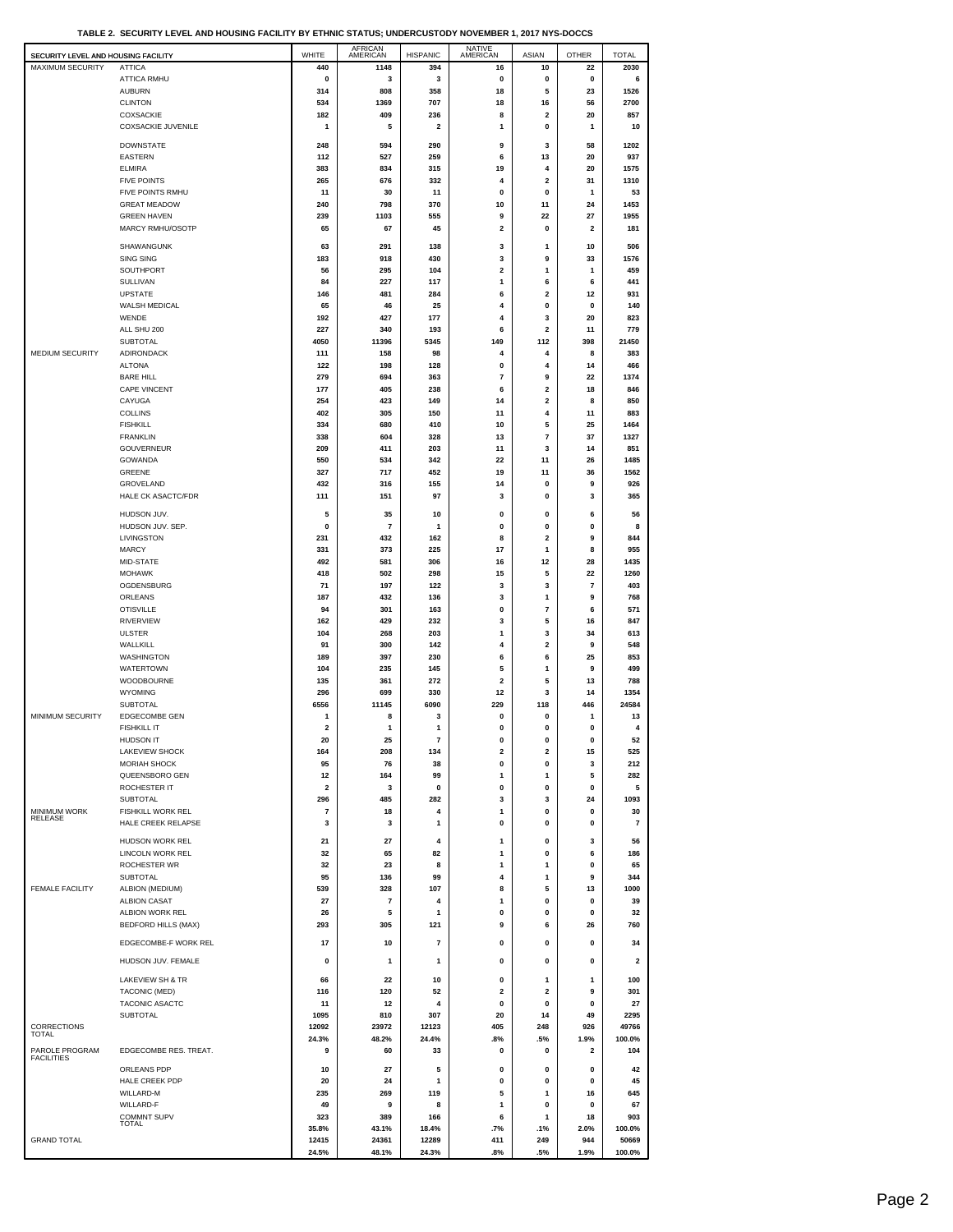**TABLE 2. SECURITY LEVEL AND HOUSING FACILITY BY ETHNIC STATUS; UNDERCUSTODY NOVEMBER 1, 2017 NYS-DOCCS**

| SECURITY LEVEL AND HOUSING FACILITY |                                         | WHITE                   | AFRICAN<br>AMERICAN           | <b>HISPANIC</b>         | NATIVE<br>AMERICAN      | <b>ASIAN</b>        | <b>OTHER</b>            | <b>TOTAL</b>            |
|-------------------------------------|-----------------------------------------|-------------------------|-------------------------------|-------------------------|-------------------------|---------------------|-------------------------|-------------------------|
| MAXIMUM SECURITY                    | <b>ATTICA</b>                           | 440                     | 1148                          | 394                     | 16                      | 10                  | 22                      | 2030                    |
|                                     | ATTICA RMHU                             | 0                       | 3                             | 3                       | $\pmb{0}$               | $\pmb{0}$           | 0                       | 6                       |
|                                     | <b>AUBURN</b><br><b>CLINTON</b>         | 314<br>534              | 808<br>1369                   | 358<br>707              | 18<br>18                | 5<br>16             | 23<br>56                | 1526<br>2700            |
|                                     | COXSACKIE                               | 182                     | 409                           | 236                     | 8                       | 2                   | 20                      | 857                     |
|                                     | <b>COXSACKIE JUVENILE</b>               | 1                       | 5                             | $\overline{\mathbf{2}}$ | 1                       | 0                   | 1                       | 10                      |
|                                     | <b>DOWNSTATE</b>                        | 248                     | 594                           | 290                     | 9                       | 3                   | 58                      | 1202                    |
|                                     | <b>EASTERN</b>                          | 112                     | 527                           | 259                     | 6                       | 13                  | 20                      | 937                     |
|                                     | <b>ELMIRA</b>                           | 383                     | 834                           | 315                     | 19                      | 4                   | 20                      | 1575                    |
|                                     | <b>FIVE POINTS</b>                      | 265                     | 676                           | 332                     | 4                       | 2                   | 31                      | 1310                    |
|                                     | FIVE POINTS RMHU<br><b>GREAT MEADOW</b> | 11<br>240               | 30<br>798                     | 11<br>370               | 0<br>10                 | 0<br>11             | 1<br>24                 | 53<br>1453              |
|                                     | <b>GREEN HAVEN</b>                      | 239                     | 1103                          | 555                     | 9                       | 22                  | 27                      | 1955                    |
|                                     | MARCY RMHU/OSOTP                        | 65                      | 67                            | 45                      | $\overline{\mathbf{2}}$ | 0                   | $\overline{\mathbf{2}}$ | 181                     |
|                                     | SHAWANGUNK                              | 63                      | 291                           | 138                     | 3                       | 1                   | 10                      | 506                     |
|                                     | <b>SING SING</b>                        | 183                     | 918                           | 430                     | 3                       | 9                   | 33                      | 1576                    |
|                                     | SOUTHPORT                               | 56                      | 295                           | 104                     | $\overline{\mathbf{2}}$ | 1                   | 1                       | 459                     |
|                                     | <b>SULLIVAN</b>                         | 84<br>146               | 227<br>481                    | 117                     | $\mathbf{1}$<br>6       | 6<br>2              | 6                       | 441                     |
|                                     | <b>UPSTATE</b><br>WALSH MEDICAL         | 65                      | 46                            | 284<br>25               | 4                       | 0                   | 12<br>$\mathbf 0$       | 931<br>140              |
|                                     | WENDE                                   | 192                     | 427                           | 177                     | 4                       | 3                   | 20                      | 823                     |
|                                     | ALL SHU 200                             | 227                     | 340                           | 193                     | 6                       | 2                   | 11                      | 779                     |
|                                     | <b>SUBTOTAL</b>                         | 4050                    | 11396                         | 5345                    | 149                     | 112                 | 398                     | 21450                   |
| <b>MEDIUM SECURITY</b>              | ADIRONDACK<br><b>ALTONA</b>             | 111<br>122              | 158<br>198                    | 98<br>128               | 4<br>0                  | 4<br>4              | 8<br>14                 | 383<br>466              |
|                                     | <b>BARE HILL</b>                        | 279                     | 694                           | 363                     | $\overline{7}$          | 9                   | 22                      | 1374                    |
|                                     | <b>CAPE VINCENT</b>                     | 177                     | 405                           | 238                     | 6                       | 2                   | 18                      | 846                     |
|                                     | CAYUGA                                  | 254                     | 423                           | 149                     | 14                      | 2                   | 8                       | 850                     |
|                                     | <b>COLLINS</b>                          | 402                     | 305                           | 150                     | 11                      | 4                   | 11<br>25                | 883                     |
|                                     | <b>FISHKILL</b><br><b>FRANKLIN</b>      | 334<br>338              | 680<br>604                    | 410<br>328              | 10<br>13                | 5<br>$\overline{7}$ | 37                      | 1464<br>1327            |
|                                     | GOUVERNEUR                              | 209                     | 411                           | 203                     | 11                      | 3                   | 14                      | 851                     |
|                                     | GOWANDA                                 | 550                     | 534                           | 342                     | 22                      | 11                  | 26                      | 1485                    |
|                                     | GREENE                                  | 327                     | 717                           | 452                     | 19                      | 11                  | 36                      | 1562                    |
|                                     | GROVELAND<br>HALE CK ASACTC/FDR         | 432<br>111              | 316<br>151                    | 155<br>97               | 14<br>3                 | 0<br>0              | 9<br>3                  | 926<br>365              |
|                                     |                                         |                         |                               |                         |                         |                     |                         |                         |
|                                     | HUDSON JUV.<br>HUDSON JUV. SEP.         | 5<br>0                  | 35<br>$\overline{\mathbf{r}}$ | 10<br>1                 | 0<br>0                  | 0<br>0              | 6<br>0                  | 56<br>8                 |
|                                     | LIVINGSTON                              | 231                     | 432                           | 162                     | 8                       | 2                   | 9                       | 844                     |
|                                     | <b>MARCY</b>                            | 331                     | 373                           | 225                     | 17                      | 1                   | 8                       | 955                     |
|                                     | MID-STATE                               | 492                     | 581                           | 306                     | 16                      | 12                  | 28                      | 1435                    |
|                                     | <b>MOHAWK</b>                           | 418                     | 502                           | 298                     | 15                      | 5                   | 22                      | 1260                    |
|                                     | OGDENSBURG<br>ORLEANS                   | 71<br>187               | 197<br>432                    | 122<br>136              | 3<br>3                  | 3<br>1              | 7<br>9                  | 403<br>768              |
|                                     | <b>OTISVILLE</b>                        | 94                      | 301                           | 163                     | 0                       | $\overline{7}$      | 6                       | 571                     |
|                                     | <b>RIVERVIEW</b>                        | 162                     | 429                           | 232                     | 3                       | 5                   | 16                      | 847                     |
|                                     | <b>ULSTER</b>                           | 104                     | 268                           | 203                     | 1                       | 3                   | 34                      | 613                     |
|                                     | WALLKILL<br><b>WASHINGTON</b>           | 91<br>189               | 300<br>397                    | 142<br>230              | 4<br>6                  | 2<br>6              | 9<br>25                 | 548<br>853              |
|                                     | WATERTOWN                               | 104                     | 235                           | 145                     | 5                       | 1                   | 9                       | 499                     |
|                                     | <b>WOODBOURNE</b>                       | 135                     | 361                           | 272                     | $\overline{\mathbf{2}}$ | 5                   | 13                      | 788                     |
|                                     | <b>WYOMING</b>                          | 296                     | 699                           | 330                     | 12                      | 3                   | 14                      | 1354                    |
| MINIMUM SECURITY                    | <b>SUBTOTAL</b><br><b>EDGECOMBE GEN</b> | 6556<br>-1              | 11145<br>8                    | 6090<br>3               | 229<br>$\mathbf 0$      | 118<br>0            | 446<br>1                | 24584                   |
|                                     | <b>FISHKILL IT</b>                      | $\overline{\mathbf{2}}$ | 1                             | 1                       | $\pmb{0}$               | 0                   | $\mathbf{0}$            | 13<br>4                 |
|                                     | HUDSON IT                               | 20                      | 25                            | $\overline{7}$          | $\mathbf{0}$            | $\mathbf{0}$        | $\mathbf 0$             | 52                      |
|                                     | LAKEVIEW SHOCK                          | 164                     | 208                           | 134                     | $\overline{\mathbf{2}}$ | 2                   | 15                      | 525                     |
|                                     | MORIAH SHOCK<br>QUEENSBORO GEN          | 95<br>12                | 76<br>164                     | 38<br>99                | 0<br>1                  | 0<br>1              | 3<br>5                  | 212<br>282              |
|                                     | ROCHESTER IT                            | $\overline{\mathbf{2}}$ | 3                             | 0                       | 0                       | 0                   | 0                       | 5                       |
|                                     | SUBTOTAL                                | 296                     | 485                           | 282                     | 3                       | 3                   | 24                      | 1093                    |
| MINIMUM WORK<br>RELEASE             | <b>FISHKILL WORK REL</b>                | $\overline{7}$          | 18                            | 4                       | 1                       | 0                   | 0                       | 30                      |
|                                     | HALE CREEK RELAPSE                      | 3                       | 3                             | $\mathbf{1}$            | 0                       | 0                   | 0                       | $\overline{7}$          |
|                                     | HUDSON WORK REL                         | 21                      | 27                            | 4                       | 1                       | 0                   | 3                       | 56                      |
|                                     | LINCOLN WORK REL<br><b>ROCHESTER WR</b> | 32                      | 65                            | 82                      | 1                       | 0                   | 6                       | 186                     |
|                                     | <b>SUBTOTAL</b>                         | 32<br>95                | 23<br>136                     | 8<br>99                 | 1<br>4                  | 1<br>1              | 0<br>9                  | 65<br>344               |
| <b>FEMALE FACILITY</b>              | ALBION (MEDIUM)                         | 539                     | 328                           | 107                     | 8                       | 5                   | 13                      | 1000                    |
|                                     | <b>ALBION CASAT</b>                     | 27                      | $\overline{\mathbf{r}}$       | 4                       | 1                       | 0                   | $\Omega$                | 39                      |
|                                     | ALBION WORK REL                         | 26                      | 5                             | 1                       | 0                       | 0                   | $\mathbf 0$             | 32                      |
|                                     | BEDFORD HILLS (MAX)                     | 293                     | 305                           | 121                     | 9                       | 6                   | 26                      | 760                     |
|                                     | EDGECOMBE-F WORK REL                    | 17                      | 10                            | $\overline{7}$          | 0                       | $\bf{0}$            | 0                       | 34                      |
|                                     | HUDSON JUV. FEMALE                      | $\mathbf{0}$            | 1                             | $\mathbf{1}$            | 0                       | 0                   | 0                       | $\overline{\mathbf{2}}$ |
|                                     | LAKEVIEW SH & TR                        | 66                      | 22                            | 10                      | 0                       | 1                   | 1                       | 100                     |
|                                     | TACONIC (MED)                           | 116                     | 120                           | 52                      | $\overline{\mathbf{2}}$ | 2                   | 9                       | 301                     |
|                                     | TACONIC ASACTC                          | 11                      | 12                            | $\overline{\mathbf{4}}$ | 0                       | $\mathbf{0}$        | $\mathbf 0$             | 27                      |
|                                     | <b>SUBTOTAL</b>                         | 1095                    | 810                           | 307                     | 20                      | 14                  | 49                      | 2295                    |
| CORRECTIONS<br>TOTAL                |                                         | 12092<br>24.3%          | 23972<br>48.2%                | 12123<br>24.4%          | 405<br>.8%              | 248<br>.5%          | 926<br>1.9%             | 49766<br>100.0%         |
| PAROLE PROGRAM                      | EDGECOMBE RES. TREAT.                   | 9                       | 60                            | 33                      | 0                       | 0                   | $\overline{\mathbf{c}}$ | 104                     |
| <b>FACILITIES</b>                   |                                         |                         |                               | 5                       |                         |                     | $\mathbf 0$             |                         |
|                                     | ORLEANS PDP<br>HALE CREEK PDP           | 10<br>20                | 27<br>24                      | 1                       | 0<br>0                  | 0<br>0              | 0                       | 42<br>45                |
|                                     | WILLARD-M                               | 235                     | 269                           | 119                     | 5                       | 1                   | 16                      | 645                     |
|                                     | WILLARD-F                               | 49                      | 9                             | 8                       | 1                       | 0                   | 0                       | 67                      |
|                                     | <b>COMMNT SUPV</b><br><b>TOTAL</b>      | 323<br>35.8%            | 389<br>43.1%                  | 166<br>18.4%            | 6<br>.7%                | 1<br>.1%            | 18<br>2.0%              | 903<br>100.0%           |
| <b>GRAND TOTAL</b>                  |                                         | 12415                   | 24361                         | 12289                   | 411                     | 249                 | 944                     | 50669                   |
|                                     |                                         | 24.5%                   | 48.1%                         | 24.3%                   | .8%                     | .5%                 | 1.9%                    | 100.0%                  |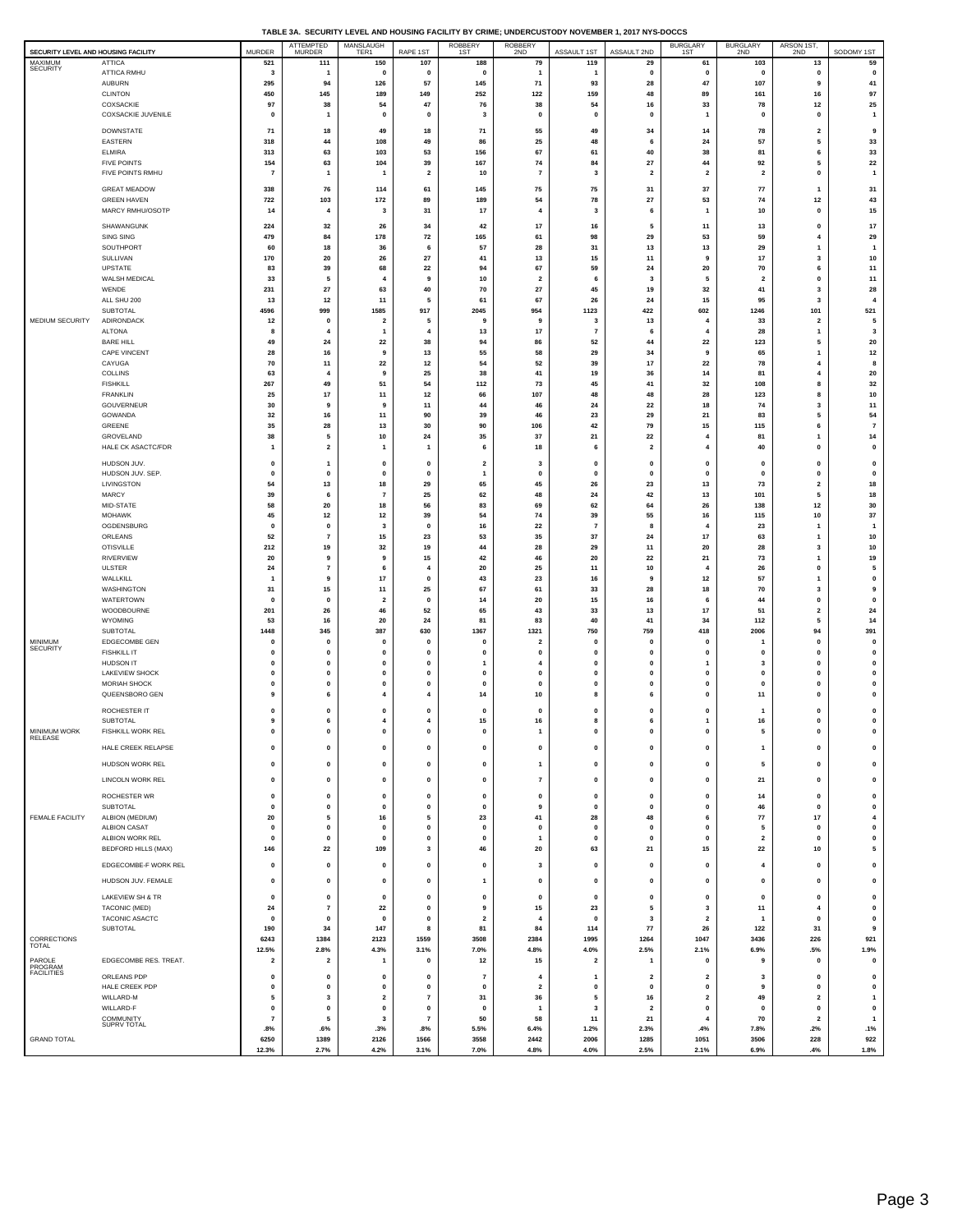|  | TABLE 3A. SECURITY LEVEL AND HOUSING FACILITY BY CRIME: UNDERCUSTODY NOVEMBER 1, 2017 NYS-DOCCS |  |
|--|-------------------------------------------------------------------------------------------------|--|

|                                                |                                           |                                  | <b>ATTEMPTED</b>                | MANSLAUGH                  |                          | .<br>ROBBERY<br>1ST     | ROBBERY                                   | <u> JDINOVERIDEN I, ZUITINIU</u> |                              | <b>BURGLARY</b>         | <b>BURGLARY</b>         | ARSON 1ST,                   |                        |
|------------------------------------------------|-------------------------------------------|----------------------------------|---------------------------------|----------------------------|--------------------------|-------------------------|-------------------------------------------|----------------------------------|------------------------------|-------------------------|-------------------------|------------------------------|------------------------|
| SECURITY LEVEL AND HOUSING FACILITY<br>MAXIMUM | <b>ATTICA</b>                             | <b>MURDER</b><br>521             | <b>MURDER</b><br>111            | TER1<br>150                | RAPE 1ST<br>107          | 188                     | 2ND<br>79                                 | ASSAULT 1ST<br>119               | ASSAULT 2ND<br>29            | 1ST<br>61               | 2ND<br>103              | 2ND<br>13                    | SODOMY 1ST<br>59       |
| <b>SECURITY</b>                                | ATTICA RMHU                               | 3                                |                                 | $\mathbf 0$                | $\mathbf 0$              | 0                       | 1                                         | -1                               | 0                            | $\mathbf 0$             | $\mathbf 0$             | $\mathbf 0$                  | $\mathbf 0$            |
|                                                | AUBURN                                    | 295                              | 94                              | 126                        | 57                       | 145                     | 71                                        | 93                               | 28                           | 47                      | 107                     | 9                            | 41                     |
|                                                | <b>CLINTON</b>                            | 450                              | 145                             | 189                        | 149                      | 252                     | 122                                       | 159                              | 48                           | 89                      | 161                     | 16                           | 97                     |
|                                                | COXSACKIE                                 | 97                               | 38                              | 54                         | 47                       | 76                      | 38                                        | 54                               | 16                           | 33                      | 78                      | $12$                         | 25                     |
|                                                | COXSACKIE JUVENILE                        | $\mathbf 0$                      | $\overline{1}$                  | $\mathbf 0$                | $\mathbf 0$              | 3                       | $\pmb{0}$                                 | $\mathbf 0$                      | 0                            | $\mathbf{1}$            | $\mathbf 0$             | $\mathbf 0$                  | $\mathbf{1}$           |
|                                                | <b>DOWNSTATE</b>                          | 71                               | 18                              | 49                         | 18                       | 71                      | 55                                        | 49                               | 34                           | 14                      | 78                      | $\overline{\mathbf{2}}$      | 9                      |
|                                                | EASTERN                                   | 318                              | 44                              | 108                        | 49                       | 86                      | 25                                        | 48                               | 6                            | 24                      | 57                      | 5                            | 33                     |
|                                                | <b>ELMIRA</b><br><b>FIVE POINTS</b>       | 313<br>154                       | 63<br>63                        | 103<br>104                 | 53<br>39                 | 156<br>167              | 67<br>74                                  | 61<br>84                         | 40<br>27                     | 38<br>44                | 81<br>92                | 6<br>5                       | 33<br>22               |
|                                                | FIVE POINTS RMHU                          | 7                                | $\overline{\mathbf{1}}$         | -1                         | $\overline{\mathbf{2}}$  | 10                      | $\overline{7}$                            | 3                                | $\overline{\mathbf{2}}$      | $\overline{2}$          | $\overline{2}$          | $\mathbf 0$                  | $\mathbf{1}$           |
|                                                |                                           |                                  |                                 |                            |                          |                         |                                           |                                  |                              |                         |                         |                              |                        |
|                                                | <b>GREAT MEADOW</b><br><b>GREEN HAVEN</b> | 338<br>722                       | 76<br>103                       | 114<br>172                 | 61<br>89                 | 145<br>189              | 75<br>54                                  | 75<br>78                         | 31<br>27                     | 37<br>53                | 77<br>74                | $\mathbf{1}$<br>$12$         | 31<br>43               |
|                                                | MARCY RMHU/OSOTP                          | 14                               | $\overline{4}$                  | 3                          | 31                       | 17                      | $\overline{4}$                            | 3                                | 6                            | $\mathbf{1}$            | 10                      | $\mathbf 0$                  | 15                     |
|                                                | SHAWANGUNK                                |                                  | 32                              |                            |                          | 42                      | 17                                        |                                  | 5                            | 11                      |                         | 0                            | 17                     |
|                                                | SING SING                                 | 224<br>479                       | 84                              | 26<br>178                  | 34<br>72                 | 165                     | 61                                        | 16<br>98                         | 29                           | 53                      | 13<br>59                | 4                            | 29                     |
|                                                | SOUTHPORT                                 | 60                               | 18                              | 36                         | 6                        | 57                      | 28                                        | 31                               | 13                           | 13                      | 29                      | $\overline{1}$               | $\overline{1}$         |
|                                                | SULLIVAN                                  | 170                              | 20                              | 26                         | 27                       | 41                      | 13                                        | 15                               | 11                           | -9                      | 17                      | 3                            | 10                     |
|                                                | UPSTATE                                   | 83                               | 39                              | 68                         | 22                       | 94                      | 67                                        | 59                               | 24                           | 20                      | 70                      | 6                            | 11                     |
|                                                | WALSH MEDICAL<br>WENDE                    | 33<br>231                        | 5<br>27                         | $\boldsymbol{4}$<br>63     | 9<br>40                  | 10<br>70                | $\overline{2}$<br>27                      | 6<br>45                          | 3<br>19                      | 5<br>32                 | $\overline{2}$<br>41    | $\mathbf{0}$<br>3            | 11<br>28               |
|                                                | ALL SHU 200                               | 13                               | 12                              | 11                         | 5                        | 61                      | 67                                        | 26                               | 24                           | 15                      | 95                      | 3                            | $\overline{4}$         |
|                                                | SUBTOTAL                                  | 4596                             | 999                             | 1585                       | 917                      | 2045                    | 954                                       | 1123                             | 422                          | 602                     | 1246                    | 101                          | 521                    |
| MEDIUM SECURITY                                | ADIRONDACK                                | 12                               | 0                               | $\overline{\mathbf{2}}$    | 5                        | 9                       | 9                                         | 3                                | 13                           | $\overline{4}$          | 33                      | $\overline{\mathbf{2}}$      | 5                      |
|                                                | <b>ALTONA</b><br><b>BARE HILL</b>         | 8<br>49                          | 4<br>24                         | -1<br>22                   | $\overline{4}$<br>38     | 13<br>94                | 17<br>86                                  | $\overline{7}$<br>52             | 6<br>44                      | $\overline{4}$<br>-22   | 28<br>123               | $\mathbf{1}$<br>5            | 3<br>20                |
|                                                | CAPE VINCENT                              | 28                               | 16                              | 9                          | 13                       | 55                      | 58                                        | 29                               | 34                           | 9                       | 65                      | $\mathbf{1}$                 | 12                     |
|                                                | CAYUGA                                    | 70                               | 11                              | 22                         | 12                       | 54                      | 52                                        | 39                               | 17                           | 22                      | 78                      | 4                            | 8                      |
|                                                | COLLINS                                   | 63                               | 4                               | 9                          | 25                       | 38                      | 41                                        | 19                               | 36                           | 14                      | 81                      | $\overline{4}$               | 20                     |
|                                                | <b>FISHKILL</b>                           | 267                              | 49                              | 51                         | 54                       | 112                     | 73                                        | 45                               | 41                           | 32                      | 108                     | 8                            | 32                     |
|                                                | <b>FRANKLIN</b><br>GOUVERNEUR             | 25<br>30                         | 17<br>9                         | 11<br>9                    | 12<br>$11$               | 66<br>44                | 107<br>46                                 | 48<br>24                         | 48<br>22                     | 28<br>18                | 123<br>74               | 8<br>3                       | 10<br>$11$             |
|                                                | GOWANDA                                   | 32                               | 16                              | 11                         | 90                       | 39                      | 46                                        | 23                               | 29                           | 21                      | 83                      | 5                            | 54                     |
|                                                | GREENE                                    | 35                               | 28                              | 13                         | 30                       | 90                      | 106                                       | 42                               | 79                           | 15                      | 115                     | 6                            | $\overline{7}$         |
|                                                | GROVELAND                                 | 38                               | 5                               | 10                         | 24                       | 35                      | 37                                        | 21                               | 22                           |                         | 81                      | $\mathbf{1}$                 | 14                     |
|                                                | HALE CK ASACTC/FDR                        | $\overline{1}$                   | $\overline{\mathbf{2}}$         | $\mathbf{1}$               | $\mathbf{1}$             | 6                       | 18                                        | 6                                | $\overline{\mathbf{2}}$      | 4                       | 40                      | 0                            | 0                      |
|                                                | HUDSON JUV.                               | $\mathbf 0$                      | $\mathbf{1}$                    | $\mathbf 0$                | $\mathbf{0}$             | $\overline{2}$          | 3                                         | $\mathbf{0}$                     | $\mathbf 0$                  | $\mathbf{0}$            | $\mathbf 0$             | $\mathbf{0}$                 | $\pmb{0}$              |
|                                                | HUDSON JUV. SEP.                          | $\mathbf 0$                      | 0                               | $\mathbf 0$                | $\mathbf{0}$             | 1                       | 0                                         | $\mathbf{0}$                     | 0                            | $\mathbf 0$             | $\Omega$                | 0                            | 0                      |
|                                                | LIVINGSTON<br>MARCY                       | 54<br>39                         | 13<br>6                         | 18<br>$\overline{7}$       | 29<br>25                 | 65<br>62                | 45<br>48                                  | 26<br>24                         | 23<br>42                     | 13<br>13                | 73<br>101               | $\overline{\mathbf{2}}$<br>5 | 18<br>18               |
|                                                | MID-STATE                                 | 58                               | 20                              | 18                         | 56                       | 83                      | 69                                        | 62                               | 64                           | 26                      | 138                     | 12                           | 30                     |
|                                                | <b>MOHAWK</b>                             | 45                               | 12                              | 12                         | 39                       | 54                      | 74                                        | 39                               | 55                           | 16                      | 115                     | 10                           | 37                     |
|                                                | OGDENSBURG                                | $\mathbf{0}$                     | $\pmb{0}$                       | 3                          | $\mathbf{0}$             | 16                      | 22                                        | $\overline{7}$                   | 8                            |                         | 23                      | $\mathbf{1}$                 | $\overline{1}$         |
|                                                | ORLEANS<br><b>OTISVILLE</b>               | 52<br>212                        | $\overline{7}$<br>19            | 15<br>32                   | 23<br>19                 | 53<br>44                | 35<br>28                                  | 37<br>29                         | 24<br>11                     | 17<br>20                | 63<br>28                | 1<br>3                       | 10<br>10               |
|                                                | <b>RIVERVIEW</b>                          | 20                               | 9                               | 9                          | 15                       | 42                      | 46                                        | 20                               | 22                           | 21                      | 73                      | $\mathbf{1}$                 | 19                     |
|                                                | ULSTER                                    | 24                               | $\overline{\mathbf{r}}$         | 6                          | 4                        | 20                      | 25                                        | 11                               | 10                           | 4                       | 26                      | $\mathbf{0}$                 | 5                      |
|                                                | WALLKILL                                  |                                  | 9                               | 17                         | $\mathbf{0}$             | 43                      | 23                                        | 16                               | 9                            | 12                      | 57                      | $\mathbf{1}$                 | 0                      |
|                                                | WASHINGTON                                | 31                               | 15                              | 11                         | 25                       | 67                      | 61                                        | 33                               | 28                           | 18                      | 70                      | 3                            | 9                      |
|                                                | WATERTOWN<br>WOODBOURNE                   | $\mathbf 0$<br>201               | $\mathbf 0$<br>26               | $\overline{2}$<br>46       | 0<br>52                  | 14<br>65                | 20<br>43                                  | 15<br>33                         | 16<br>13                     | 6<br>17                 | 44<br>51                | 0<br>$\overline{\mathbf{2}}$ | 0<br>24                |
|                                                | WYOMING                                   | 53                               | 16                              | 20                         | 24                       | 81                      | 83                                        | 40                               | 41                           | 34                      | 112                     | 5                            | 14                     |
|                                                | <b>SUBTOTAL</b>                           | 1448                             | 345                             | 387                        | 630                      | 1367                    | 1321                                      | 750                              | 759                          | 418                     | 2006                    | 94                           | 391                    |
| MINIMUM<br><b>SECURITY</b>                     | EDGECOMBE GEN                             | 0                                | $\mathbf 0$                     | $\mathbf 0$                | $\Omega$                 | 0                       | $\overline{\mathbf{2}}$                   | $\mathbf 0$                      | $\mathbf 0$                  | $\mathbf 0$             |                         | 0                            | 0                      |
|                                                | <b>FISHKILL IT</b><br><b>HUDSON IT</b>    | $\mathbf 0$<br>$\mathbf 0$       | $\pmb{0}$<br>0                  | $\mathbf 0$<br>$\mathbf 0$ | $\bf{0}$<br>$\mathbf{0}$ | $\mathbf 0$<br>1        | $\mathbf{o}$<br>4                         | $\mathbf{0}$<br>$\mathbf 0$      | $\mathbf 0$<br>0             | $\mathbf 0$             | $\mathbf 0$<br>3        | $\mathbf{0}$<br>0            | $\pmb{0}$<br>0         |
|                                                | LAKEVIEW SHOCK                            | $\mathbf 0$                      | $\pmb{0}$                       | 0                          | $\mathbf{0}$             | $\mathbf 0$             | $\mathbf 0$                               | $\mathbf{0}$                     | $\mathbf 0$                  | 0                       | $\mathbf 0$             | $\mathbf{0}$                 | $\pmb{0}$              |
|                                                | <b>MORIAH SHOCK</b>                       | 0                                | $\pmb{0}$                       | $\mathbf 0$                | $\mathbf{0}$             | 0                       | $\mathbf 0$                               | $\mathbf{0}$                     | 0                            | $\mathbf{0}$            | $\Omega$                | 0                            | 0                      |
|                                                | QUEENSBORO GEN                            | 9                                | 6                               | 4                          | 4                        | 14                      | 10                                        | 8                                | 6                            | 0                       | 11                      | 0                            | $\pmb{0}$              |
|                                                | ROCHESTER IT                              | $\mathbf 0$                      | $\mathbf 0$                     | $\mathbf{0}$               | $\mathbf{0}$             | $\mathbf 0$             | $\mathbf 0$                               | $\mathbf{0}$                     | $\mathbf 0$                  | $\mathbf 0$             | 1                       | $\mathbf{0}$                 | $\pmb{0}$              |
|                                                | <b>SUBTOTAL</b>                           | 9                                | 6                               | $\overline{4}$             | $\overline{4}$           | 15                      | 16                                        | 8                                | 6                            | $\mathbf{1}$            | 16                      | 0                            | 0                      |
| <b>MINIMUM WORK</b><br>RELEASE                 | <b>FISHKILL WORK REL</b>                  |                                  |                                 |                            |                          |                         |                                           |                                  |                              |                         |                         |                              | $\mathbf{0}$           |
|                                                | HALE CREEK RELAPSE                        | $\pmb{0}$                        | $\pmb{0}$                       | $\mathbf{0}$               | $\mathbf{0}$             | 0                       | $\pmb{0}$                                 | $\pmb{0}$                        | $\pmb{0}$                    | $\pmb{0}$               | -1                      | $\pmb{0}$                    | $\pmb{0}$              |
|                                                | HUDSON WORK REL                           | $\pmb{0}$                        | $\pmb{0}$                       | $\mathbf 0$                | $\mathbf 0$              | $\pmb{0}$               | $\mathbf{1}$                              | $\mathbf{0}$                     | 0                            | 0                       | 5                       | $\pmb{0}$                    | $\pmb{0}$              |
|                                                | LINCOLN WORK REL                          | $\pmb{0}$                        | $\pmb{0}$                       | $\mathbf{0}$               | $\mathbf{0}$             | $\mathbf 0$             | $\overline{7}$                            | $\pmb{0}$                        | $\pmb{0}$                    | $\mathbf{0}$            | 21                      | $\pmb{0}$                    | $\pmb{0}$              |
|                                                |                                           |                                  |                                 |                            |                          |                         |                                           |                                  |                              |                         |                         |                              |                        |
|                                                | ROCHESTER WR<br>SUBTOTAL                  | $\pmb{0}$<br>0                   | $\pmb{0}$<br>$\pmb{0}$          | 0<br>$\mathbf{0}$          | 0<br>$\pmb{0}$           | $\pmb{0}$<br>0          | $\pmb{0}$<br>9                            | $\pmb{0}$<br>$\mathbf 0$         | $\pmb{0}$<br>0               | $\pmb{0}$<br>0          | 14<br>46                | $\pmb{0}$<br>0               | $\pmb{0}$<br>$\pmb{0}$ |
| FEMALE FACILITY                                | ALBION (MEDIUM)                           | 20                               | 5                               | 16                         | 5                        | 23                      | 41                                        | 28                               | 48                           | 6                       | $77$                    | $17\,$                       | $\pmb{4}$              |
|                                                | <b>ALBION CASAT</b>                       | $\mathbf{o}$                     | $\pmb{0}$                       | $\mathbf 0$                | $\mathbf{0}$             | $\mathbf 0$             | $\mathbf 0$                               | $\mathbf{0}$                     | $\mathbf 0$                  | $\mathbf{0}$            | 5                       | $\mathbf 0$                  | $\pmb{0}$              |
|                                                | ALBION WORK REL                           | $\mathbf 0$                      | $\pmb{0}$                       | $\mathbf{0}$               | $\pmb{0}$                | 0                       | $\mathbf{1}$                              | $\pmb{0}$                        | $\pmb{0}$                    | $\mathbf{0}$            | $\overline{\mathbf{2}}$ | $\pmb{0}$                    | $\pmb{0}$              |
|                                                | BEDFORD HILLS (MAX)                       | 146                              | 22                              | 109                        | $\overline{\mathbf{3}}$  | 46                      | 20                                        | 63                               | 21                           | 15                      | 22                      | 10                           | 5                      |
|                                                | EDGECOMBE-F WORK REL                      | 0                                | 0                               | $\mathbf{0}$               | $\mathbf 0$              | 0                       | 3                                         | $\mathbf{0}$                     | 0                            | $\mathbf{0}$            | 4                       | 0                            | $\pmb{0}$              |
|                                                | HUDSON JUV. FEMALE                        | 0                                | 0                               | $\mathbf 0$                | $\mathbf{0}$             | 1                       | 0                                         | $\mathbf 0$                      | $\mathbf 0$                  | 0                       | 0                       | 0                            | $\pmb{0}$              |
|                                                |                                           | $\mathbf{o}$                     | 0                               | $\mathbf 0$                | $\mathbf{0}$             | 0                       | $\mathbf 0$                               | $\mathbf{0}$                     | 0                            | $\mathbf{0}$            | $\mathbf 0$             | $\mathbf 0$                  | 0                      |
|                                                | LAKEVIEW SH & TR<br>TACONIC (MED)         | 24                               | $\scriptstyle\rm 7$             | 22                         | $\pmb{0}$                | 9                       | 15                                        | 23                               | 5                            | 3                       | 11                      | $\pmb{4}$                    | $\pmb{0}$              |
|                                                | TACONIC ASACTC                            | $\mathbf{o}$                     | 0                               | 0                          | $\pmb{0}$                | $\overline{\mathbf{2}}$ | $\overline{4}$                            | $\mathbf{0}$                     | 3                            | $\overline{\mathbf{2}}$ | $\mathbf{1}$            | 0                            | $\pmb{0}$              |
|                                                | SUBTOTAL                                  | 190                              | 34                              | 147                        | 8                        | 81                      | 84                                        | 114                              | 77                           | 26                      | 122                     | 31                           | 9                      |
| CORRECTIONS<br>TOTAL                           |                                           | 6243                             | 1384                            | 2123                       | 1559                     | 3508                    | 2384                                      | 1995                             | 1264                         | 1047                    | 3436                    | 226                          | 921                    |
| PAROLE                                         | EDGECOMBE RES. TREAT.                     | 12.5%<br>$\overline{\mathbf{2}}$ | 2.8%<br>$\overline{\mathbf{2}}$ | 4.3%<br>1                  | 3.1%<br>0                | 7.0%<br>12              | 4.8%<br>15                                | 4.0%<br>$\overline{\mathbf{2}}$  | 2.5%<br>$\mathbf{1}$         | 2.1%<br>0               | 6.9%<br>9               | .5%<br>0                     | 1.9%<br>0              |
| PROGRAM<br>FACILITIES                          |                                           |                                  |                                 |                            |                          |                         |                                           |                                  |                              |                         |                         |                              |                        |
|                                                | ORLEANS PDP<br>HALE CREEK PDP             | $\pmb{0}$<br>0                   | $\pmb{0}$<br>0                  | $\mathbf 0$<br>0           | $\mathbf 0$<br>0         | $\overline{7}$<br>0     | $\overline{4}$<br>$\overline{\mathbf{2}}$ | $\mathbf{1}$<br>$\mathbf 0$      | $\overline{\mathbf{2}}$<br>0 | $\overline{2}$<br>0     | 3<br>9                  | $\pmb{0}$<br>0               | $\pmb{0}$<br>0         |
|                                                | WILLARD-M                                 | 5                                | 3                               | $\overline{\mathbf{2}}$    | $\overline{7}$           | 31                      | 36                                        | 5                                | 16                           | $\overline{2}$          | 49                      | $\overline{\mathbf{2}}$      | $\mathbf{1}$           |
|                                                | WILLARD-F                                 | 0                                | 0                               | 0                          | 0                        | $\mathbf 0$             | $\overline{1}$                            | 3                                | $\overline{\mathbf{2}}$      | 0                       | $\mathbf 0$             | $\mathbf 0$                  | 0                      |
|                                                | COMMUNITY<br>SUPRV TOTAL                  | $\overline{7}$                   | 5                               | 3                          | $\overline{7}$           | 50                      | 58                                        | 11                               | 21                           | $\overline{\bf{4}}$     | 70                      | $\overline{2}$               | $\mathbf{1}$           |
| <b>GRAND TOTAL</b>                             |                                           | .8%<br>6250                      | .6%<br>1389                     | .3%<br>2126                | .8%<br>1566              | 5.5%<br>3558            | 6.4%<br>2442                              | 1.2%<br>2006                     | 2.3%<br>1285                 | .4%<br>1051             | 7.8%<br>3506            | .2%<br>228                   | .1%<br>922             |
|                                                |                                           | 12.3%                            | 2.7%                            | 4.2%                       | 3.1%                     | 7.0%                    | 4.8%                                      | 4.0%                             | 2.5%                         | 2.1%                    | 6.9%                    | .4%                          | 1.8%                   |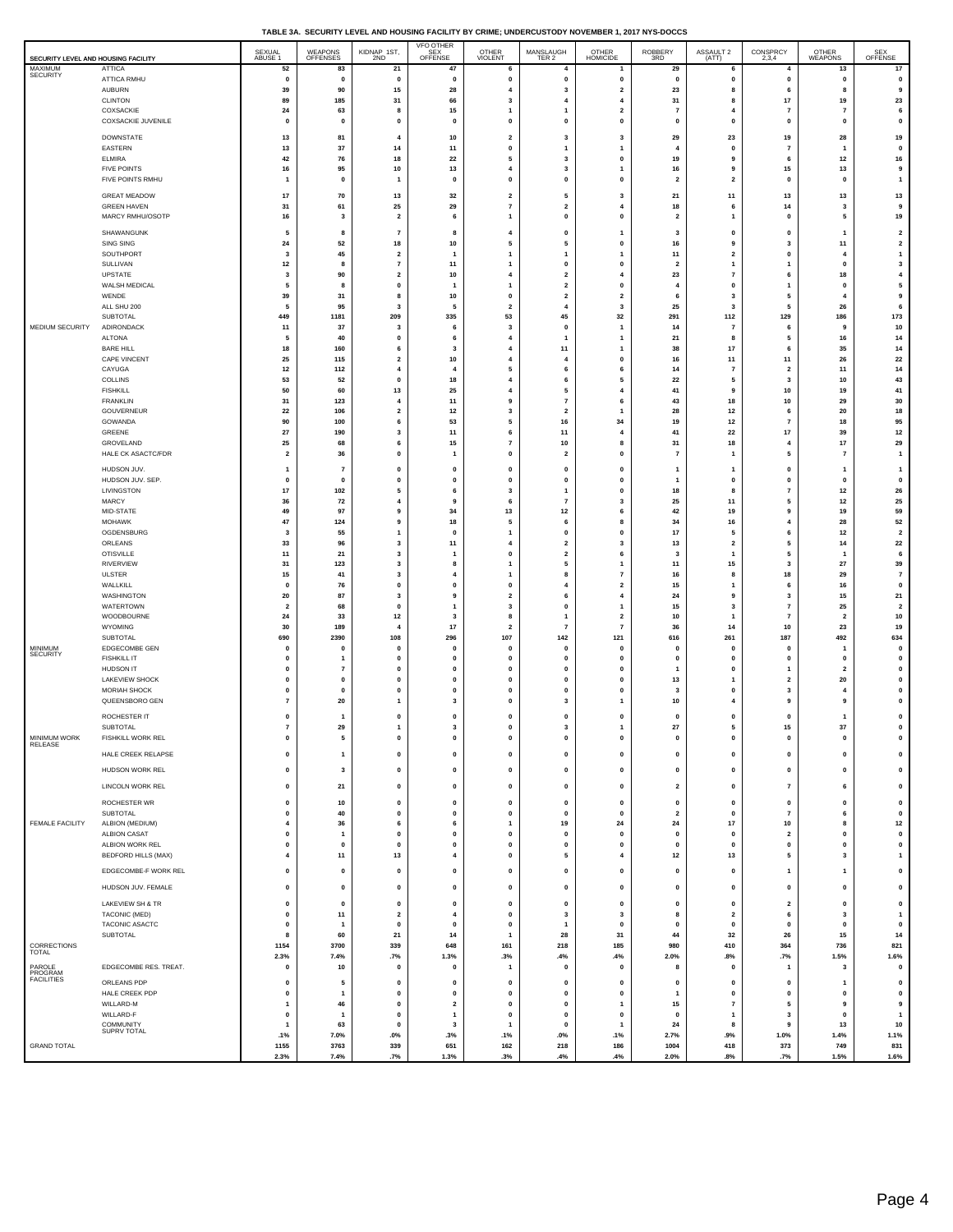|  | TABLE 3A. SECURITY LEVEL AND HOUSING FACILITY BY CRIME: UNDERCUSTODY NOVEMBER 1, 2017 NYS-DOCCS |  |  |
|--|-------------------------------------------------------------------------------------------------|--|--|
|  |                                                                                                 |  |  |

| SECURITY LEVEL AND HOUSING FACILITY |                                        | SEXUAL<br>ABUSE 1               | WEAPONS<br>OFFENSES           | KIDNAP 1ST,<br>2ND                        | VFO OTHER<br>SEX <sup>---</sup><br>OFFENSE | OTHER<br>VIOLENT             | MANSLAUGH<br>TER 2                                 | OTHER<br>HOMICIDE                                  | ROBBERY<br>3RD                 | ASSAULT 2<br>(ATT)                      | CONSPRCY<br>2,3,4                       | OTHER<br>WEAPONS     | SEX<br>OFFENSE              |
|-------------------------------------|----------------------------------------|---------------------------------|-------------------------------|-------------------------------------------|--------------------------------------------|------------------------------|----------------------------------------------------|----------------------------------------------------|--------------------------------|-----------------------------------------|-----------------------------------------|----------------------|-----------------------------|
| MAXIMUM<br><b>SECURITY</b>          | <b>ATTICA</b><br>ATTICA RMHU           | 52<br>$\pmb{\mathsf{o}}$        | 83<br>$\mathbf 0$             | 21<br>$\mathbf{0}$                        | 47<br>$\mathbf 0$                          | 6<br>0                       | 4<br>$\mathbf{0}$                                  | 1<br>$\pmb{0}$                                     | 29<br>$\pmb{0}$                | 6<br>$\mathbf{0}$                       | 4<br>$\mathbf{0}$                       | 13<br>$\mathbf 0$    | 17<br>$\mathbf 0$           |
|                                     | AUBURN                                 | 39                              | 90                            | 15                                        | 28                                         | 4                            | 3                                                  | $\overline{\mathbf{2}}$                            | 23                             | 8                                       | 6                                       | 8                    | 9                           |
|                                     | CLINTON                                | 89                              | 185                           | 31                                        | 66                                         | 3                            | $\overline{4}$                                     | $\overline{4}$                                     | 31                             | 8<br>$\overline{4}$                     | $17\,$                                  | 19                   | 23                          |
|                                     | COXSACKIE<br>COXSACKIE JUVENILE        | 24<br>$\mathbf{0}$              | 63<br>$\mathbf 0$             | 8<br>$\mathbf 0$                          | 15<br>$\mathbf 0$                          | 1<br>$\mathbf{0}$            | 1<br>$\mathbf{0}$                                  | $\overline{\mathbf{2}}$<br>$\mathbf{0}$            | $\overline{7}$<br>$\mathbf{0}$ | $\mathbf{0}$                            | $\overline{7}$<br>$\mathbf{0}$          | 7<br>$\mathbf{0}$    | 6<br>$\pmb{0}$              |
|                                     | <b>DOWNSTATE</b>                       | 13                              | 81                            | $\overline{4}$                            | 10                                         | $\overline{\mathbf{2}}$      | $\overline{\mathbf{3}}$                            | $\overline{\mathbf{3}}$                            | 29                             | 23                                      | 19                                      | 28                   | 19                          |
|                                     | <b>EASTERN</b>                         | 13                              | 37                            | 14                                        | 11                                         | 0                            | $\mathbf{1}$                                       | $\mathbf{1}$                                       | $\overline{4}$                 | 0                                       | $\overline{7}$                          | 1                    | 0                           |
|                                     | <b>ELMIRA</b><br><b>FIVE POINTS</b>    | 42<br>16                        | 76<br>95                      | 18<br>10                                  | 22<br>13                                   | 5<br>4                       | 3<br>3                                             | $\mathbf{0}$<br>1                                  | 19<br>16                       | 9<br>9                                  | 6<br>15                                 | 12<br>13             | 16<br>9                     |
|                                     | FIVE POINTS RMHU                       | $\mathbf{1}$                    | $\mathbf{0}$                  | 1                                         | $\mathbf 0$                                | $\mathbf{0}$                 | $\mathbf{0}$                                       | $\pmb{0}$                                          | $\overline{2}$                 | $\overline{2}$                          | $\mathbf{0}$                            | $\mathbf{0}$         | $\mathbf{1}$                |
|                                     | <b>GREAT MEADOW</b>                    | 17                              | 70                            | 13                                        | 32                                         | $\overline{\mathbf{2}}$      | 5                                                  | 3                                                  | 21                             | 11                                      | 13                                      | 13                   | 13                          |
|                                     | <b>GREEN HAVEN</b><br>MARCY RMHU/OSOTP | 31<br>16                        | 61<br>$\overline{\mathbf{3}}$ | 25<br>$\overline{\mathbf{2}}$             | 29<br>6                                    | 7<br>$\mathbf{1}$            | $\overline{\mathbf{2}}$<br>$\mathbf{0}$            | 4<br>$\pmb{0}$                                     | 18<br>$\overline{2}$           | 6<br>-1                                 | 14<br>$\mathbf{0}$                      | 3<br>5               | 9<br>19                     |
|                                     | SHAWANGUNK                             | 5                               | 8                             | $\overline{7}$                            | 8                                          | 4                            | 0                                                  | $\mathbf{1}$                                       | 3                              | 0                                       | $\pmb{0}$                               | 1                    | $\mathbf{2}$                |
|                                     | SING SING                              | 24                              | 52                            | 18                                        | 10                                         | 5                            | 5                                                  | 0                                                  | 16                             | 9                                       | 3                                       | 11                   | $\mathbf{2}$                |
|                                     | SOUTHPORT<br>SULLIVAN                  | $\overline{\mathbf{3}}$<br>$12$ | 45<br>8                       | $\overline{\mathbf{2}}$<br>$\overline{7}$ | $\mathbf{1}$<br>11                         | $\mathbf{1}$<br>1            | 1<br>0                                             | $\mathbf{1}$<br>0                                  | 11<br>$\overline{\mathbf{2}}$  | $\overline{2}$<br>$\mathbf{1}$          | $\mathbf{0}$<br>1                       | $\overline{4}$<br>0  | $\mathbf{1}$<br>$\mathbf 3$ |
|                                     | <b>UPSTATE</b>                         | $\overline{\mathbf{3}}$         | 90                            | $\overline{\mathbf{2}}$                   | 10                                         | $\overline{4}$               | $\overline{2}$                                     | $\overline{4}$                                     | 23                             | $\overline{7}$                          | 6                                       | 18                   | $\overline{\mathbf{4}}$     |
|                                     | WALSH MEDICAL<br>WENDE                 | 5<br>39                         | 8<br>31                       | 0<br>8                                    | 1<br>10                                    | $\mathbf{1}$<br>$\mathbf{0}$ | $\overline{\mathbf{2}}$<br>$\overline{\mathbf{2}}$ | 0<br>$\overline{\mathbf{2}}$                       | $\overline{4}$<br>6            | $\mathbf{0}$<br>$\overline{\mathbf{3}}$ | $\overline{1}$<br>5                     | $\mathbf{0}$<br>4    | 5<br>9                      |
|                                     | ALL SHU 200                            | 5                               | 95                            | 3                                         | 5                                          | $\overline{\mathbf{2}}$      | $\overline{4}$                                     | 3                                                  | 25                             | 3                                       | 5                                       | 26                   | 6                           |
| MEDIUM SECURITY                     | SUBTOTAL<br>ADIRONDACK                 | 449<br>$11$                     | 1181<br>37                    | 209<br>3                                  | 335<br>6                                   | 53<br>3                      | 45<br>0                                            | 32<br>$\overline{1}$                               | 291<br>14                      | 112<br>$\overline{7}$                   | 129<br>6                                | 186<br>g             | 173<br>10                   |
|                                     | <b>ALTONA</b>                          | 5                               | 40                            | $\mathbf 0$                               | 6                                          | $\overline{\mathbf{4}}$      | 1                                                  | $\overline{1}$                                     | 21                             | 8                                       | 5                                       | 16                   | 14                          |
|                                     | <b>BARE HILL</b><br>CAPE VINCENT       | 18<br>25                        | 160<br>115                    | 6<br>$\overline{\mathbf{2}}$              | 3<br>10                                    | 4<br>$\overline{4}$          | 11<br>4                                            | $\mathbf{1}$<br>$\mathbf{0}$                       | 38<br>16                       | 17<br>11                                | 6<br>11                                 | 35<br>26             | 14<br>22                    |
|                                     | CAYUGA                                 | $12$                            | 112                           | 4                                         | $\boldsymbol{\Delta}$                      | 5                            | 6                                                  | 6                                                  | 14                             | $\overline{7}$                          | $\overline{\mathbf{2}}$                 | 11                   | 14                          |
|                                     | COLLINS<br><b>FISHKILL</b>             | 53<br>50                        | 52<br>60                      | $\mathbf 0$<br>13                         | 18<br>25                                   | $\overline{\mathbf{4}}$<br>4 | 6<br>5                                             | 5<br>$\overline{\mathbf{4}}$                       | 22<br>41                       | 5<br>9                                  | 3<br>10                                 | 10<br>19             | 43<br>41                    |
|                                     | <b>FRANKLIN</b>                        | 31                              | 123                           | $\overline{4}$                            | 11                                         | 9                            | $\overline{7}$                                     | 6                                                  | 43                             | 18                                      | 10                                      | 29                   | 30                          |
|                                     | GOUVERNEUR<br>GOWANDA                  | 22<br>90                        | 106<br>100                    | $\overline{\mathbf{2}}$<br>6              | 12<br>53                                   | 3<br>5                       | $\overline{\mathbf{2}}$<br>16                      | $\mathbf{1}$<br>34                                 | 28<br>19                       | $12$<br>12                              | 6<br>$\overline{7}$                     | 20<br>18             | 18<br>95                    |
|                                     | GREENE                                 | 27                              | 190                           | 3                                         | 11                                         | 6                            | 11                                                 | $\overline{\mathbf{4}}$                            | 41                             | 22                                      | 17                                      | 39                   | 12                          |
|                                     | GROVELAND<br>HALE CK ASACTC/FDR        | 25<br>$\overline{\mathbf{2}}$   | 68<br>36                      | 6<br>0                                    | 15<br>$\mathbf{1}$                         | $\overline{7}$<br>0          | 10<br>$\overline{\mathbf{2}}$                      | 8<br>0                                             | 31<br>$\overline{7}$           | 18<br>$\mathbf{1}$                      | $\overline{\mathbf{4}}$<br>5            | 17<br>$\overline{7}$ | 29<br>$\mathbf{1}$          |
|                                     | HUDSON JUV.                            | $\mathbf{1}$                    | $\overline{7}$                | 0                                         | $\mathbf 0$                                | 0                            | $\mathbf 0$                                        | 0                                                  | $\overline{1}$                 | $\mathbf{1}$                            | $\mathbf 0$                             | 1                    | $\mathbf{1}$                |
|                                     | HUDSON JUV. SEP.                       | $\pmb{0}$                       | $\pmb{0}$                     | 0                                         | 0                                          | 0                            | 0                                                  | $\pmb{0}$                                          | $\overline{1}$                 | $\mathbf{0}$                            | $\mathbf 0$                             | $\mathbf{0}$         | $\mathbf 0$                 |
|                                     | LIVINGSTON<br>MARCY                    | 17<br>36                        | 102<br>72                     | 5<br>4                                    | 6<br>9                                     | 3<br>6                       | $\mathbf{1}$<br>$\overline{7}$                     | 0<br>3                                             | 18<br>25                       | 8<br>11                                 | $\overline{7}$<br>5                     | $12$<br>$12\,$       | 26<br>25                    |
|                                     | MID-STATE                              | 49                              | 97                            | 9                                         | 34                                         | 13                           | 12                                                 | 6                                                  | 42                             | 19                                      | 9                                       | 19                   | 59                          |
|                                     | <b>MOHAWK</b><br>OGDENSBURG            | 47<br>3                         | 124<br>55                     | 9<br>1                                    | 18<br>$\mathbf 0$                          | 5<br>1                       | 6<br>$\mathbf{0}$                                  | 8<br>$\mathbf{0}$                                  | 34<br>17                       | 16<br>5                                 | $\overline{\mathbf{4}}$<br>6            | 28<br>$12\,$         | 52<br>$\mathbf{2}$          |
|                                     | ORLEANS                                | 33                              | 96                            | 3                                         | 11                                         | 4                            | $\overline{\mathbf{2}}$                            | 3                                                  | 13                             | $\overline{\mathbf{2}}$                 | 5                                       | 14                   | 22                          |
|                                     | <b>OTISVILLE</b><br><b>RIVERVIEW</b>   | $11$<br>31                      | 21<br>123                     | 3<br>3                                    | $\mathbf{1}$<br>8                          | 0<br>1                       | $\overline{\mathbf{2}}$<br>5                       | 6<br>$\mathbf{1}$                                  | $\mathbf{3}$<br>11             | $\mathbf{1}$<br>15                      | 5<br>$\mathbf{3}$                       | -1<br>27             | $\bf{6}$<br>39              |
|                                     | ULSTER                                 | 15                              | 41                            | 3                                         | $\overline{4}$                             | 1                            | 8                                                  | $\overline{7}$                                     | 16                             | -8                                      | 18                                      | 29                   | $\pmb{7}$                   |
|                                     | WALLKILL<br>WASHINGTON                 | $\pmb{0}$<br>20                 | 76<br>87                      | 0<br>3                                    | $\mathbf 0$<br>9                           | 0<br>2                       | 4<br>6                                             | $\overline{\mathbf{2}}$<br>$\overline{\mathbf{4}}$ | 15<br>24                       | $\mathbf{1}$<br>9                       | 6<br>3                                  | 16<br>15             | $\mathbf 0$<br>21           |
|                                     | WATERTOWN                              | $\overline{\mathbf{2}}$         | 68                            | $\pmb{0}$                                 | 1                                          | 3                            | $\mathbf 0$                                        | $\overline{1}$                                     | 15                             | 3                                       | $\scriptstyle\rm 7$                     | 25                   | $\overline{\mathbf{2}}$     |
|                                     | WOODBOURNE<br>WYOMING                  | 24<br>30                        | 33<br>189                     | $12$<br>4                                 | -3<br>17                                   | 8<br>$\overline{\mathbf{2}}$ | $\mathbf{1}$<br>$\overline{7}$                     | $\overline{\mathbf{2}}$<br>$\overline{7}$          | 10<br>36                       | $\mathbf{1}$<br>14                      | $\overline{7}$<br>$10\,$                | $\overline{2}$<br>23 | $10\,$<br>19                |
|                                     | SUBTOTAL                               | 690                             | 2390                          | 108                                       | 296                                        | 107                          | 142                                                | 121                                                | 616                            | 261                                     | 187                                     | 492                  | 634                         |
| MINIMUM<br>SECURITY                 | EDGECOMBE GEN<br><b>FISHKILL IT</b>    | 0<br>$\mathbf{0}$               | $\mathbf 0$<br>$\mathbf{1}$   | 0<br>$\mathbf{0}$                         | $\mathbf 0$<br>$\Omega$                    | 0<br>0                       | 0<br>$\mathbf{0}$                                  | $\pmb{0}$<br>0                                     | $\mathbf{0}$<br>$\mathbf 0$    | $\mathbf{0}$<br>$\mathbf{0}$            | $\pmb{0}$<br>0                          | 1<br>$\Omega$        | $\mathbf 0$<br>$\mathbf 0$  |
|                                     | HUDSON IT                              | $\mathbf{0}$                    | $\overline{7}$                | 0                                         | $\mathbf 0$                                | 0                            | 0                                                  | $\pmb{0}$                                          | $\overline{1}$                 | $\mathbf{0}$                            | $\overline{1}$                          | $\overline{2}$       | $\mathbf 0$                 |
|                                     | <b>LAKEVIEW SHOCK</b><br>MORIAH SHOCK  | $\mathbf{0}$<br>0               | 0<br>0                        | 0<br>0                                    | $\mathbf 0$<br>$\mathbf 0$                 | 0<br>$\pmb{0}$               | 0<br>0                                             | 0<br>$\pmb{0}$                                     | 13<br>3                        | $\mathbf{1}$<br>$\mathbf 0$             | $\overline{\mathbf{2}}$<br>$\mathbf{3}$ | 20<br>4              | $\pmb{0}$<br>$\mathbf 0$    |
|                                     | QUEENSBORO GEN                         | $\overline{7}$                  | 20                            | $\mathbf{1}$                              | 3                                          | 0                            | 3                                                  | 1                                                  | 10                             | $\overline{\mathbf{4}}$                 | 9                                       | 9                    | $\pmb{0}$                   |
|                                     | ROCHESTER IT                           | $\mathbf 0$                     | $\overline{1}$                | 0                                         | 0                                          | 0                            | 0                                                  | 0                                                  | $\mathbf{0}$                   | $\mathbf{0}$                            | $\mathbf 0$                             | 1                    | $\pmb{0}$                   |
| <b>MINIMUM WORK</b>                 | SUBTOTAL<br><b>FISHKILL WORK REL</b>   | $\overline{7}$                  | 29                            | $\mathbf{1}$                              | 3                                          | 0<br>o                       | 3<br>o                                             | 1<br>Ω                                             | ${\bf 27}$                     | 5<br>$\Omega$                           | 15<br>0                                 | 37                   | $\mathbf 0$                 |
| RELEASE                             | HALE CREEK RELAPSE                     | $\pmb{0}$                       | $\mathbf{1}$                  | 0                                         | $\pmb{0}$                                  | 0                            | $\mathbf 0$                                        | 0                                                  | $\mathbf 0$                    | $\pmb{0}$                               | $\mathbf 0$                             | $\mathbf{0}$         | $\pmb{0}$                   |
|                                     | HUDSON WORK REL                        | $\mathbf 0$                     | 3                             | 0                                         | $\mathbf 0$                                | 0                            | $\mathbf{0}$                                       | $\pmb{0}$                                          | $\pmb{0}$                      | $\mathbf 0$                             | $\mathbf 0$                             | $\mathbf{0}$         | $\mathbf 0$                 |
|                                     | LINCOLN WORK REL                       | $\pmb{0}$                       | 21                            | $\pmb{0}$                                 | $\mathbf 0$                                | 0                            | $\mathbf{0}$                                       | $\pmb{0}$                                          | $\overline{\mathbf{2}}$        | $\mathbf{0}$                            | $\overline{7}$                          | 6                    | $\mathbf 0$                 |
|                                     | ROCHESTER WR                           | $\pmb{0}$                       | 10                            | $\mathbf 0$                               | $\mathbf{0}$                               | $\mathbf 0$                  | $\mathbf{0}$                                       | $\pmb{\mathsf{o}}$                                 | $\pmb{0}$                      | $\pmb{0}$                               | $\pmb{0}$                               | $\pmb{0}$            | $\mathbf 0$                 |
|                                     | SUBTOTAL                               | $\pmb{0}$                       | 40                            | 0                                         | 0                                          | 0                            | 0                                                  | $\mathbf 0$                                        | $\overline{\mathbf{2}}$        | 0                                       | $\overline{7}$                          | 6                    | $\mathbf 0$                 |
| FEMALE FACILITY                     | ALBION (MEDIUM)<br><b>ALBION CASAT</b> | $\overline{4}$<br>$\pmb{0}$     | 36<br>$\overline{1}$          | 6<br>0                                    | 6<br>$\pmb{0}$                             | $\mathbf{1}$<br>0            | 19<br>$\mathbf 0$                                  | 24<br>$\mathbf 0$                                  | 24<br>$\mathbf 0$              | $17\,$<br>$\pmb{0}$                     | 10<br>$\overline{\mathbf{2}}$           | 8<br>0               | 12<br>$\pmb{0}$             |
|                                     | ALBION WORK REL                        | $\pmb{0}$                       | $\pmb{0}$                     | $\mathbf 0$                               | $\mathbf{0}$                               | $\mathbf 0$                  | $\mathbf{0}$                                       | $\pmb{0}$                                          | $\pmb{0}$                      | $\pmb{0}$                               | $\pmb{0}$                               | $\pmb{0}$            | $\mathbf 0$                 |
|                                     | BEDFORD HILLS (MAX)                    | $\overline{4}$                  | 11                            | 13                                        | $\overline{4}$                             | 0                            | 5                                                  | 4                                                  | 12                             | 13                                      | 5                                       | 3                    | $\mathbf{1}$                |
|                                     | EDGECOMBE-F WORK REL                   | $\pmb{0}$                       | 0                             | 0                                         | $\pmb{0}$                                  | 0                            | $\mathbf 0$                                        | $\pmb{0}$                                          | $\mathbf 0$                    | 0                                       | $\mathbf{1}$                            | $\mathbf{1}$         | $\pmb{0}$                   |
|                                     | HUDSON JUV. FEMALE                     | $\pmb{0}$                       | 0                             | 0                                         | $\pmb{0}$                                  | 0                            | 0                                                  | 0                                                  | $\mathbf{0}$                   | 0                                       | $\mathbf 0$                             | 0                    | 0                           |
|                                     | LAKEVIEW SH & TR                       | $\pmb{0}$                       | 0                             | 0                                         | 0                                          | 0                            | $\mathbf 0$                                        | $\pmb{0}$                                          | $\pmb{0}$                      | $\pmb{0}$                               | $\overline{\mathbf{2}}$                 | 0                    | 0                           |
|                                     | TACONIC (MED)<br>TACONIC ASACTC        | $\pmb{0}$<br>$\pmb{0}$          | 11<br>1                       | $\overline{\mathbf{2}}$<br>0              | $\overline{4}$<br>0                        | $\mathbf 0$<br>0             | $\overline{\mathbf{3}}$<br>$\overline{1}$          | 3<br>$\pmb{0}$                                     | 8<br>$\mathbf{0}$              | $\overline{\mathbf{2}}$<br>$\mathbf{0}$ | 6<br>$\mathbf 0$                        | 3<br>$\mathbf{0}$    | $\mathbf{1}$<br>0           |
|                                     | SUBTOTAL                               | 8                               | 60                            | 21                                        | 14                                         | $\mathbf{1}$                 | 28                                                 | 31                                                 | 44                             | 32                                      | 26                                      | 15                   | 14                          |
| CORRECTIONS<br>TOTAL                |                                        | 1154<br>2.3%                    | 3700<br>7.4%                  | 339<br>.7%                                | 648<br>1.3%                                | 161<br>.3%                   | 218<br>.4%                                         | 185<br>.4%                                         | 980<br>2.0%                    | 410<br>.8%                              | 364<br>.7%                              | 736<br>1.5%          | 821<br>1.6%                 |
| PAROLE<br>PROGRAM                   | EDGECOMBE RES. TREAT.                  | $\pmb{0}$                       | 10                            | 0                                         | $\pmb{0}$                                  | 1                            | $\mathbf 0$                                        | $\pmb{0}$                                          | 8                              | 0                                       | $\overline{1}$                          | 3                    | 0                           |
| <b>FACILITIES</b>                   | ORLEANS PDP<br>HALE CREEK PDP          | $\pmb{0}$<br>$\pmb{0}$          | 5<br>$\overline{1}$           | 0<br>$\pmb{0}$                            | $\mathbf 0$<br>$\bf{0}$                    | 0<br>0                       | 0<br>$\mathbf 0$                                   | 0<br>$\pmb{0}$                                     | $\mathbf 0$<br>$\overline{1}$  | $\mathbf 0$<br>$\pmb{0}$                | $\mathbf 0$                             | $\mathbf{1}$<br>0    | 0<br>$\mathbf 0$            |
|                                     | WILLARD-M                              | $\mathbf{1}$                    | 46                            | $\mathbf{0}$                              | $\overline{2}$                             | 0                            | $\mathbf{0}$                                       | $\overline{1}$                                     | 15                             | $\overline{7}$                          | $\pmb{0}$<br>5                          | 9                    | 9                           |
|                                     | WILLARD-F<br><b>COMMUNITY</b>          | $\pmb{0}$<br>$\mathbf{1}$       | $\overline{1}$<br>63          | $\pmb{0}$                                 | 1<br>3                                     | 0                            | $\mathbf 0$<br>$\mathbf{0}$                        | $\pmb{0}$                                          | $\pmb{0}$                      | $\overline{1}$                          | $\mathbf{3}$<br>9                       | $\mathbf{0}$<br>13   | $\mathbf{1}$                |
|                                     | SUPRV TOTAL                            | .1%                             | 7.0%                          | 0<br>$.0\%$                               | .3%                                        | 1<br>.1%                     | $.0\%$                                             | $\overline{1}$<br>.1%                              | 24<br>2.7%                     | 8<br>.9%                                | 1.0%                                    | 1.4%                 | 10<br>1.1%                  |
| <b>GRAND TOTAL</b>                  |                                        | 1155<br>2.3%                    | 3763<br>7.4%                  | 339<br>.7%                                | 651<br>1.3%                                | 162<br>.3%                   | 218<br>.4%                                         | 186<br>.4%                                         | 1004<br>2.0%                   | 418<br>.8%                              | 373<br>.7%                              | 749<br>1.5%          | 831<br>1.6%                 |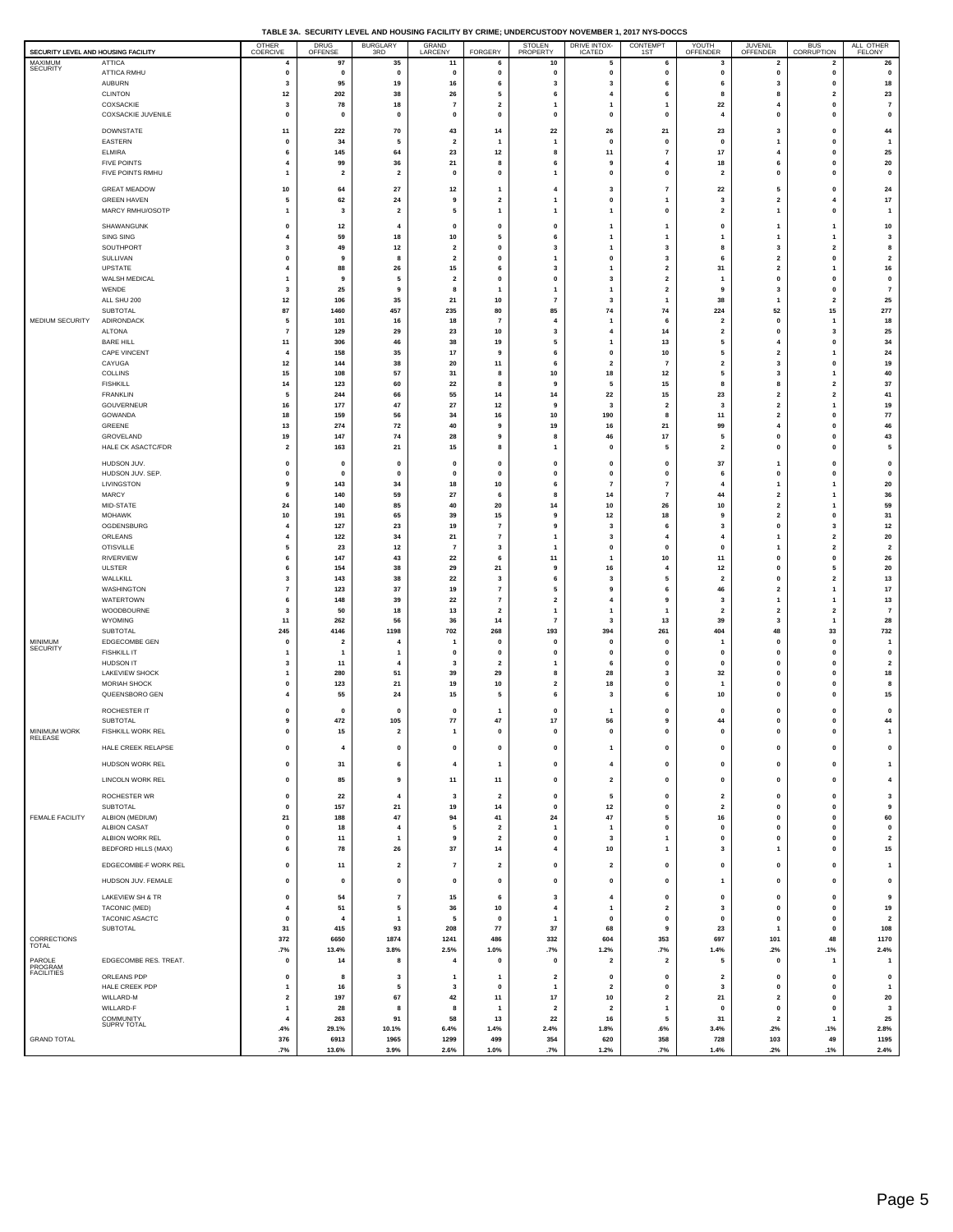| TABLE 3A. SECURITY LEVEL AND HOUSING FACILITY BY CRIME: UNDERCUSTODY NOVEMBER 1, 2017 NYS-DOCCS |  |
|-------------------------------------------------------------------------------------------------|--|
|                                                                                                 |  |

| SECURITY LEVEL AND HOUSING FACILITY |                                               | OTHER<br>COERCIVE                       | <b>DRUG</b><br>OFFENSE          | <b>BURGLARY</b><br>3RD        | GRAND<br>LARCENY              | FORGERY                          | STOLEN<br>PROPERTY                        | <b>DRIVE INTOX-</b><br><b>ICATED</b>      | CONTEMPT                                           | YOUTH<br>OFFENDER             | <b>JUVENIL</b><br>OFFENDER                         | BUS<br>CORRUPTION                       | ALL OTHER<br><b>FELONY</b>     |
|-------------------------------------|-----------------------------------------------|-----------------------------------------|---------------------------------|-------------------------------|-------------------------------|----------------------------------|-------------------------------------------|-------------------------------------------|----------------------------------------------------|-------------------------------|----------------------------------------------------|-----------------------------------------|--------------------------------|
| MAXIMUM                             | <b>ATTICA</b>                                 | 4                                       | 97                              | 35                            | 11                            | -6                               | 10                                        | 5                                         | 6                                                  | -3                            | $\overline{\mathbf{2}}$                            | $\overline{2}$                          | 26                             |
| <b>SECURITY</b>                     | ATTICA RMHU                                   | 0<br>3                                  | 0<br>95                         | 0<br>19                       | $\mathbf 0$<br>16             | 0<br>6                           | 0                                         | 0<br>$\overline{\mathbf{3}}$              | 0<br>6                                             | $\mathbf 0$<br>6              | $\mathbf 0$<br>$\overline{\mathbf{3}}$             | 0<br>$\pmb{0}$                          | $\mathbf 0$                    |
|                                     | <b>AUBURN</b><br><b>CLINTON</b>               | 12                                      | 202                             | 38                            | 26                            | 5                                | 3<br>6                                    | $\overline{\mathbf{4}}$                   | 6                                                  | 8                             | 8                                                  | $\overline{\mathbf{2}}$                 | 18<br>23                       |
|                                     | COXSACKIE                                     | 3                                       | 78                              | 18                            | $\overline{7}$                | $\overline{\mathbf{2}}$          | -1                                        | $\mathbf{1}$                              | -1                                                 | 22                            | $\overline{4}$                                     | $\mathbf{0}$                            | $\overline{7}$                 |
|                                     | COXSACKIE JUVENILE                            | 0                                       | 0                               | 0                             | 0                             | 0                                | $\mathbf 0$                               | $\mathbf 0$                               | 0                                                  | $\overline{4}$                | $\mathbf{0}$                                       | 0                                       | $\mathbf 0$                    |
|                                     | DOWNSTATE<br>EASTERN                          | 11<br>$\mathbf 0$                       | 222<br>34                       | 70<br>5                       | 43<br>$\overline{\mathbf{2}}$ | 14<br>$\mathbf{1}$               | 22<br>$\overline{1}$                      | 26<br>$\mathbf 0$                         | 21<br>$\mathbf{0}$                                 | 23<br>$\pmb{0}$               | 3<br>$\mathbf{1}$                                  | 0<br>$\mathbf{0}$                       | 44<br>$\overline{1}$           |
|                                     | <b>ELMIRA</b>                                 | 6                                       | 145                             | 64                            | 23                            | 12                               | 8                                         | 11                                        | $\overline{7}$                                     | 17                            | $\overline{4}$                                     | 0<br>$\mathbf{0}$                       | 25                             |
|                                     | <b>FIVE POINTS</b><br>FIVE POINTS RMHU        | $\overline{4}$<br>1                     | 99<br>$\overline{\mathbf{2}}$   | 36<br>$\overline{\mathbf{2}}$ | 21<br>$\pmb{0}$               | 8<br>0                           | 6<br>$\overline{1}$                       | 9<br>0                                    | $\overline{4}$<br>0                                | 18<br>$\overline{\mathbf{2}}$ | 6<br>$\mathbf 0$                                   | 0                                       | 20<br>$\mathbf 0$              |
|                                     | <b>GREAT MEADOW</b>                           | 10                                      | 64                              | 27                            | 12                            | $\mathbf{1}$                     | $\overline{4}$                            | 3                                         | $\overline{7}$                                     | 22                            | 5                                                  | 0                                       | 24                             |
|                                     | <b>GREEN HAVEN</b>                            | 5                                       | 62                              | 24                            | 9                             | $\mathbf 2$                      | $\overline{1}$                            | $\pmb{0}$                                 | $\overline{1}$                                     | $\overline{\mathbf{3}}$       | $\overline{2}$                                     | 4                                       | 17                             |
|                                     | MARCY RMHU/OSOTP                              | 1                                       | 3                               | $\overline{\mathbf{2}}$       | 5                             | $\mathbf{1}$                     | $\overline{1}$                            | $\mathbf{1}$                              | 0                                                  | $\overline{\mathbf{2}}$       | $\mathbf{1}$                                       | 0                                       | $\overline{1}$                 |
|                                     | SHAWANGUNK<br>SING SING                       | 0<br>4                                  | 12<br>59                        | $\overline{4}$<br>18          | $\pmb{0}$<br>10               | 0<br>5                           | $\mathbf 0$<br>6                          | $\mathbf{1}$<br>$\mathbf{1}$              | $\overline{1}$<br>-1                               | 0<br>1                        | 1<br>$\mathbf{1}$                                  | 1<br>$\mathbf{1}$                       | 10<br>$\overline{\mathbf{3}}$  |
|                                     | SOUTHPORT                                     | 3                                       | 49                              | 12                            | $\overline{\mathbf{2}}$       | 0                                | 3                                         | $\overline{1}$                            | 3                                                  | 8                             | 3                                                  | $\overline{\mathbf{2}}$                 | 8                              |
|                                     | SULLIVAN<br><b>UPSTATE</b>                    | $\mathbf 0$<br>$\overline{4}$           | 9<br>88                         | 8<br>26                       | $\overline{\mathbf{2}}$<br>15 | $\mathbf{0}$<br>6                | $\overline{1}$<br>3                       | $\mathbf 0$<br>$\mathbf{1}$               | $\overline{\mathbf{3}}$<br>$\overline{\mathbf{2}}$ | 6<br>31                       | $\overline{\mathbf{2}}$<br>$\overline{\mathbf{2}}$ | $\mathbf{0}$<br>1                       | $\overline{2}$<br>16           |
|                                     | WALSH MEDICAL                                 | $\mathbf{1}$                            | 9                               | 5                             | $\overline{\mathbf{2}}$       | $\mathbf{0}$                     | $\mathbf 0$                               | $\overline{\mathbf{3}}$                   | $\overline{2}$                                     | -1                            | $\mathbf 0$                                        | $\pmb{0}$                               | $\mathbf 0$                    |
|                                     | WENDE<br>ALL SHU 200                          | 3<br>12                                 | 25<br>106                       | 9<br>35                       | 8<br>21                       | $\overline{1}$<br>10             | $\overline{1}$<br>$\overline{7}$          | $\overline{1}$<br>$\overline{\mathbf{3}}$ | $\overline{\mathbf{2}}$<br>$\overline{1}$          | 9<br>38                       | 3<br>$\overline{1}$                                | 0<br>$\overline{\mathbf{2}}$            | $\overline{7}$<br>25           |
|                                     | SUBTOTAL                                      | 87<br>5                                 | 1460<br>101                     | 457<br>16                     | 235<br>18                     | 80<br>$\overline{7}$             | 85<br>$\overline{4}$                      | 74                                        | 74<br>6                                            | 224<br>$\overline{2}$         | 52<br>$\mathbf 0$                                  | 15                                      | 277                            |
| MEDIUM SECURITY                     | ADIRONDACK<br><b>ALTONA</b>                   | $\overline{7}$                          | 129                             | 29                            | 23                            | 10                               | 3                                         | $\mathbf{1}$<br>$\overline{\mathbf{4}}$   | 14                                                 | $\overline{\mathbf{2}}$       | $\mathbf 0$                                        | $\mathbf{1}$<br>3                       | 18<br>25                       |
|                                     | <b>BARE HILL</b><br>CAPE VINCENT              | 11<br>$\boldsymbol{4}$                  | 306<br>158                      | 46<br>35                      | 38<br>17                      | 19<br>9                          | 5<br>6                                    | $\mathbf{1}$<br>0                         | 13<br>10                                           | 5<br>5                        | $\overline{4}$<br>$\overline{\mathbf{2}}$          | $\mathbf 0$<br>1                        | 34<br>24                       |
|                                     | CAYUGA                                        | 12                                      | 144                             | 38                            | 20                            | 11                               | 6                                         | $\overline{\mathbf{2}}$                   | $\overline{7}$                                     | $\overline{2}$                | $\overline{\mathbf{3}}$                            | $\mathbf{0}$                            | 19                             |
|                                     | <b>COLLINS</b><br><b>FISHKILL</b>             | 15<br>14                                | 108<br>123                      | 57<br>60                      | 31<br>22                      | 8<br>8                           | 10<br>9                                   | 18<br>5                                   | $12$<br>15                                         | 5<br>8                        | 3<br>8                                             | 1<br>$\mathbf 2$                        | 40<br>37                       |
|                                     | <b>FRANKLIN</b>                               | 5                                       | 244                             | 66                            | 55                            | 14                               | 14                                        | 22                                        | 15                                                 | 23                            | $\overline{\mathbf{2}}$                            | $\overline{\mathbf{2}}$                 | 41                             |
|                                     | GOUVERNEUR<br>GOWANDA                         | 16<br>18                                | 177<br>159                      | 47<br>56                      | 27<br>34                      | 12<br>16                         | 9<br>10                                   | $\overline{\mathbf{3}}$<br>190            | $\overline{\mathbf{2}}$<br>8                       | $\overline{\mathbf{3}}$<br>11 | $\overline{\mathbf{2}}$<br>$\overline{\mathbf{2}}$ | $\overline{1}$<br>0                     | 19<br>77                       |
|                                     | GREENE                                        | 13                                      | 274                             | 72                            | 40                            | 9                                | 19                                        | 16                                        | 21                                                 | 99                            | $\overline{4}$                                     | $\mathbf{0}$                            | 46                             |
|                                     | GROVELAND<br>HALE CK ASACTC/FDR               | 19<br>$\overline{2}$                    | 147<br>163                      | 74<br>21                      | 28<br>15                      | 9<br>8                           | 8                                         | 46<br>$\mathbf{0}$                        | 17<br>5                                            | 5<br>$\overline{\mathbf{2}}$  | $\mathbf 0$<br>$\mathbf{0}$                        | 0<br>$\mathbf 0$                        | 43<br>5                        |
|                                     | HUDSON JUV.                                   | 0                                       | 0                               | 0                             | $\pmb{0}$                     | $\pmb{0}$                        | $\mathbf{0}$                              | $\pmb{0}$                                 | 0                                                  | 37                            | $\mathbf{1}$                                       | $\mathbf 0$                             | $\mathbf 0$                    |
|                                     | HUDSON JUV. SEP.                              | $\mathbf 0$                             | 0                               | $\mathbf 0$                   | $\mathbf 0$                   | $\mathbf{0}$                     | $\mathbf 0$                               | 0                                         | $\mathbf{0}$                                       | 6                             | $\mathbf 0$                                        | 0                                       | $\mathbf 0$                    |
|                                     | LIVINGSTON<br>MARCY                           | 9<br>6                                  | 143<br>140                      | 34<br>59                      | 18<br>27                      | 10<br>6                          | 6<br>8                                    | $\overline{7}$<br>14                      | $\scriptstyle\rm 7$<br>$\overline{7}$              | 4<br>44                       | 1<br>$\overline{\mathbf{2}}$                       | 1<br>$\mathbf{1}$                       | 20<br>36                       |
|                                     | MID-STATE                                     | 24                                      | 140                             | 85                            | 40                            | 20                               | 14                                        | 10                                        | 26                                                 | 10                            | $\overline{\mathbf{2}}$                            | 1                                       | 59                             |
|                                     | <b>MOHAWK</b><br>OGDENSBURG                   | 10<br>4                                 | 191<br>127                      | 65<br>23                      | 39<br>19                      | 15<br>$\overline{7}$             | 9<br>9                                    | 12<br>3                                   | 18<br>6                                            | 9<br>3                        | $\overline{2}$<br>$\mathbf 0$                      | 0<br>3                                  | 31<br>12                       |
|                                     | ORLEANS                                       | $\overline{4}$                          | 122                             | 34                            | 21                            | $\overline{7}$                   | -1                                        | 3                                         | $\overline{4}$                                     | 4                             | $\mathbf{1}$                                       | $\overline{\mathbf{2}}$                 | 20                             |
|                                     | <b>OTISVILLE</b><br>RIVERVIEW                 | 5<br>6                                  | 23<br>147                       | 12<br>43                      | 7<br>22                       | 3<br>6                           | $\overline{1}$<br>11                      | $\pmb{0}$<br>$\mathbf{1}$                 | $\mathbf{0}$<br>10                                 | $\mathbf{0}$<br>11            | $\mathbf{1}$<br>$\mathbf{0}$                       | $\mathbf 2$<br>0                        | $\overline{\mathbf{2}}$<br>26  |
|                                     | <b>ULSTER</b>                                 | 6                                       | 154                             | 38                            | 29                            | 21                               | 9                                         | $16\,$                                    | $\overline{4}$                                     | 12                            | $\mathbf 0$                                        | 5                                       | 20                             |
|                                     | WALLKILL<br>WASHINGTON                        | 3<br>$\overline{7}$                     | 143<br>123                      | 38<br>37                      | 22<br>19                      | 3<br>$\overline{7}$              | 6<br>5                                    | 3<br>9                                    | 5<br>6                                             | $\overline{\mathbf{2}}$<br>46 | $\mathbf 0$<br>$\overline{\mathbf{2}}$             | $\overline{\mathbf{2}}$<br>$\mathbf{1}$ | 13<br>17                       |
|                                     | WATERTOWN                                     | 6<br>3                                  | 148                             | 39                            | 22                            | $\overline{7}$<br>$\overline{2}$ | $\overline{\mathbf{2}}$<br>$\overline{1}$ | 4<br>$\overline{1}$                       | 9<br>$\overline{1}$                                | 3                             | $\mathbf{1}$<br>$\overline{\mathbf{2}}$            | 1                                       | 13                             |
|                                     | WOODBOURNE<br>WYOMING                         | $11$                                    | 50<br>262                       | 18<br>56                      | 13<br>36                      | 14                               | $\overline{7}$                            | 3                                         | 13                                                 | $\overline{\mathbf{2}}$<br>39 | 3                                                  | $\mathbf 2$<br>$\mathbf{1}$             | $\overline{7}$<br>28           |
| <b>MINIMUM</b>                      | SUBTOTAL<br>EDGECOMBE GEN                     | 245<br>$\Omega$                         | 4146<br>$\overline{\mathbf{2}}$ | 1198<br>$\overline{4}$        | 702<br>$\mathbf{1}$           | 268<br>$\mathbf{0}$              | 193<br>$\mathbf 0$                        | 394<br>$\mathbf{0}$                       | 261<br>$\mathbf 0$                                 | 404<br>$\overline{1}$         | 48<br>$\mathbf{0}$                                 | 33<br>0                                 | 732<br>$\overline{1}$          |
| SECURITY                            | <b>FISHKILL IT</b>                            |                                         | 1                               | 1                             | $\pmb{0}$                     | $\mathbf{0}$                     | $\mathbf{0}$                              | 0                                         | $\mathbf 0$                                        | $\mathbf 0$                   | $\mathbf 0$                                        | 0                                       | $\mathbf 0$                    |
|                                     | HUDSON IT<br>LAKEVIEW SHOCK                   | 3<br>1                                  | 11<br>280                       | $\overline{4}$<br>51          | 3<br>39                       | $\overline{\mathbf{2}}$<br>29    | 8                                         | 6<br>28                                   | $\mathbf{0}$<br>3                                  | $\mathbf{0}$<br>32            | $\mathbf 0$<br>$\mathbf 0$                         | 0<br>0                                  | $\overline{\mathbf{2}}$<br>18  |
|                                     | <b>MORIAH SHOCK</b>                           | $\Omega$                                | 123                             | 21                            | 19                            | 10                               | $\overline{\mathbf{2}}$                   | 18                                        | $\mathbf{0}$                                       | $\overline{1}$                | $\mathbf{0}$                                       | 0                                       | 8                              |
|                                     | QUEENSBORO GEN                                | 4                                       | 55                              | 24                            | 15                            | 5                                | 6                                         | $\overline{\mathbf{3}}$                   | 6                                                  | 10                            | $\mathbf{0}$                                       | $\mathbf{0}$                            | 15                             |
|                                     | ROCHESTER IT<br>SUBTOTAL                      | $\mathbf 0$<br>9                        | 0<br>472                        | 0<br>105                      | $\mathbf 0$<br>${\bf 77}$     | 47                               | $\mathbf{0}$<br>17                        | $\mathbf{1}$<br>56                        | 0<br>9                                             | $\mathbf 0$<br>44             | $\mathbf 0$<br>$\mathbf{0}$                        | 0<br>$\mathbf{0}$                       | $\mathbf 0$<br>44              |
| <b>MINIMUM WORK</b><br>RELEASE      | <b>FISHKILL WORK REL</b>                      |                                         | 15                              | $\overline{2}$                |                               |                                  |                                           | n                                         | 0                                                  |                               |                                                    |                                         |                                |
|                                     | HALE CREEK RELAPSE                            | 0                                       | $\pmb{4}$                       | 0                             | $\pmb{0}$                     | $\pmb{0}$                        | 0                                         | $\mathbf{1}$                              | $\pmb{0}$                                          | $\pmb{0}$                     | $\mathbf 0$                                        | $\pmb{0}$                               | $\pmb{0}$                      |
|                                     | HUDSON WORK REL                               | 0                                       | 31                              | 6                             | $\overline{\mathbf{4}}$       | $\mathbf{1}$                     | $\pmb{0}$                                 | $\boldsymbol{4}$                          | $\pmb{0}$                                          | $\pmb{0}$                     | $\mathbf 0$                                        | $\pmb{0}$                               | $\overline{1}$                 |
|                                     | LINCOLN WORK REL                              | 0                                       | 85                              | 9                             | 11                            | 11                               | $\pmb{0}$                                 | $\mathbf 2$                               | $\pmb{0}$                                          | $\pmb{0}$                     | $\mathbf 0$                                        | $\pmb{0}$                               | $\bf{4}$                       |
|                                     | ROCHESTER WR                                  | 0                                       | 22                              | $\overline{\mathbf{4}}$       | 3                             | $\overline{\mathbf{2}}$          | 0                                         | 5                                         | 0                                                  | $\overline{\mathbf{2}}$       | $\mathbf 0$                                        | 0                                       | $\overline{\mathbf{3}}$        |
| FEMALE FACILITY                     | <b>SUBTOTAL</b><br>ALBION (MEDIUM)            | $\mathbf{0}$<br>21                      | 157<br>188                      | 21<br>47                      | 19<br>94                      | 14<br>41                         | $\pmb{0}$<br>24                           | $12$<br>47                                | $\pmb{0}$<br>5                                     | $\overline{\mathbf{2}}$<br>16 | $\mathbf 0$<br>$\mathbf 0$                         | $\pmb{0}$<br>0                          | 9<br>60                        |
|                                     | <b>ALBION CASAT</b>                           | $\mathbf 0$                             | 18                              | $\overline{4}$                | 5                             | $\overline{\mathbf{2}}$          | $\overline{1}$                            | $\mathbf{1}$                              | $\pmb{0}$                                          | $\mathbf{0}$                  | $\mathbf 0$                                        | $\mathbf{0}$                            | $\mathbf 0$                    |
|                                     | ALBION WORK REL<br><b>BEDFORD HILLS (MAX)</b> | 0<br>6                                  | 11<br>78                        | $\overline{1}$<br>26          | 9<br>$37\,$                   | $\overline{\mathbf{2}}$<br>14    | $\mathbf 0$<br>$\overline{4}$             | 3<br>10                                   | $\mathbf{1}$<br>$\overline{1}$                     | 0<br>$\overline{\mathbf{3}}$  | $\mathbf 0$<br>$\overline{1}$                      | 0<br>$\mathbf{0}$                       | $\overline{\mathbf{2}}$<br>15  |
|                                     | EDGECOMBE-F WORK REL                          | $\mathbf 0$                             | 11                              | $\overline{2}$                | $\overline{7}$                | $\overline{\mathbf{2}}$          | $\pmb{0}$                                 | $\mathbf 2$                               | $\pmb{0}$                                          | $\mathbf{0}$                  | $\mathbf 0$                                        | $\mathbf{0}$                            | $\overline{1}$                 |
|                                     | HUDSON JUV. FEMALE                            | $\mathbf 0$                             | $\pmb{0}$                       | $\mathbf{0}$                  | $\pmb{0}$                     | $\pmb{0}$                        | $\pmb{0}$                                 | $\pmb{0}$                                 | $\pmb{0}$                                          | $\overline{1}$                | $\mathbf 0$                                        | $\pmb{0}$                               | $\pmb{0}$                      |
|                                     | LAKEVIEW SH & TR                              | $\mathbf 0$                             | 54                              | $\overline{7}$                | 15                            | 6                                | $\overline{\mathbf{3}}$                   | $\overline{\mathbf{4}}$                   | $\pmb{0}$                                          | $\pmb{\mathsf{o}}$            | $\mathbf 0$                                        | $\pmb{0}$                               | 9                              |
|                                     | TACONIC (MED)                                 | $\overline{4}$                          | 51                              | 5                             | 36                            | 10                               | $\overline{4}$                            | $\mathbf{1}$                              | $\overline{\mathbf{2}}$                            | 3                             | $\mathbf 0$                                        | 0                                       | 19                             |
|                                     | TACONIC ASACTC<br>SUBTOTAL                    | $\mathbf 0$<br>31                       | $\overline{4}$<br>415           | $\overline{1}$<br>93          | 5<br>208                      | $\mathbf{0}$<br>77               | $\overline{1}$<br>37                      | $\mathbf 0$<br>68                         | $\pmb{0}$<br>9                                     | $\pmb{0}$<br>23               | $\mathbf 0$<br>$\mathbf{1}$                        | $\pmb{0}$<br>$\pmb{0}$                  | $\overline{\mathbf{2}}$<br>108 |
| CORRECTIONS<br><b>TOTAL</b>         |                                               | 372                                     | 6650                            | 1874                          | 1241                          | 486                              | 332                                       | 604                                       | 353                                                | 697                           | 101                                                | 48                                      | 1170                           |
| PAROLE                              | EDGECOMBE RES. TREAT.                         | .7%<br>$\mathbf 0$                      | 13.4%<br>14                     | 3.8%<br>8                     | 2.5%<br>4                     | 1.0%<br>$\mathbf{0}$             | .7%<br>$\mathbf 0$                        | 1.2%<br>$\overline{2}$                    | .7%<br>$\overline{2}$                              | 1.4%<br>5                     | .2%<br>$\mathbf 0$                                 | .1%<br>$\mathbf{1}$                     | 2.4%<br>$\overline{1}$         |
| PROGRAM<br>FACILITIES               | ORLEANS PDP                                   | 0                                       | 8                               | 3                             | $\overline{1}$                | $\overline{1}$                   | $\overline{\mathbf{2}}$                   | $\pmb{0}$                                 | $\pmb{0}$                                          | $\overline{\mathbf{2}}$       | $\pmb{0}$                                          | $\pmb{0}$                               | $\mathbf 0$                    |
|                                     | HALE CREEK PDP                                | $\mathbf{1}$<br>$\overline{\mathbf{2}}$ | 16                              | 5                             | 3                             | $\mathbf{0}$                     | $\overline{1}$                            | $\overline{\mathbf{2}}$                   | $\mathbf{0}$                                       | $\overline{\mathbf{3}}$       | $\mathbf{0}$                                       | 0                                       | $\overline{1}$                 |
|                                     | WILLARD-M<br>WILLARD-F                        | $\overline{1}$                          | 197<br>28                       | 67<br>8                       | 42<br>8                       | 11<br>$\overline{1}$             | 17<br>$\overline{\mathbf{2}}$             | $10\,$<br>$\overline{\mathbf{2}}$         | $\mathbf{2}$<br>$\overline{1}$                     | 21<br>0                       | $\overline{\mathbf{2}}$<br>$\mathbf 0$             | $\pmb{0}$<br>$\mathbf 0$                | 20<br>-3                       |
|                                     | COMMUNITY<br>SUPRV TOTAL                      | $\overline{4}$<br>.4%                   | 263                             | 91<br>10.1%                   | 58                            | 13                               | 22<br>2.4%                                | 16<br>1.8%                                | 5                                                  | 31<br>3.4%                    | $\overline{\mathbf{2}}$<br>.2%                     | $\overline{1}$                          | 25<br>2.8%                     |
| <b>GRAND TOTAL</b>                  |                                               | 376                                     | 29.1%<br>6913                   | 1965                          | 6.4%<br>1299                  | 1.4%<br>499                      | 354                                       | 620                                       | .6%<br>358                                         | 728                           | 103                                                | .1%<br>49                               | 1195                           |
|                                     |                                               | .7%                                     | 13.6%                           | 3.9%                          | 2.6%                          | 1.0%                             | .7%                                       | 1.2%                                      | .7%                                                | 1.4%                          | .2%                                                | .1%                                     | 2.4%                           |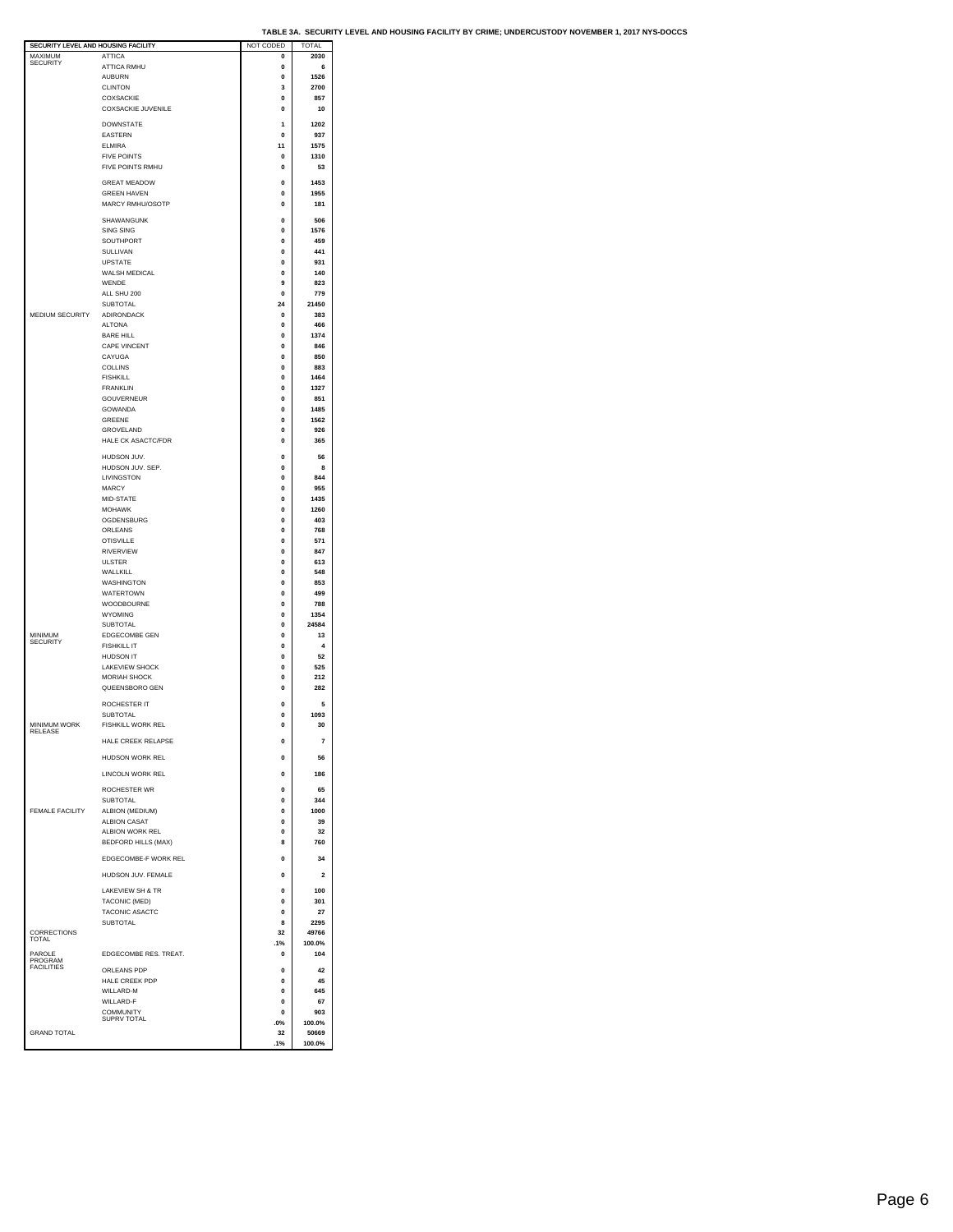| SECURITY LEVEL AND HOUSING FACILITY |                            | NOT CODED   | TOTAL          |
|-------------------------------------|----------------------------|-------------|----------------|
| MAXIMUM                             | <b>ATTICA</b>              | 0           | 2030           |
| <b>SECURITY</b>                     | ATTICA RMHU                | $\mathbf 0$ | 6              |
|                                     |                            |             |                |
|                                     | <b>AUBURN</b>              | 0           | 1526           |
|                                     | <b>CLINTON</b>             | 3           | 2700           |
|                                     | COXSACKIE                  | $\mathbf 0$ | 857            |
|                                     |                            |             |                |
|                                     | <b>COXSACKIE JUVENILE</b>  | $\mathbf 0$ | 10             |
|                                     |                            |             |                |
|                                     | <b>DOWNSTATE</b>           | 1           | 1202           |
|                                     | <b>EASTERN</b>             | $\mathbf 0$ | 937            |
|                                     | <b>ELMIRA</b>              | 11          | 1575           |
|                                     | <b>FIVE POINTS</b>         | 0           | 1310           |
|                                     |                            |             |                |
|                                     | FIVE POINTS RMHU           | $\bf{0}$    | 53             |
|                                     |                            |             |                |
|                                     | <b>GREAT MEADOW</b>        | $\bf{0}$    | 1453           |
|                                     | <b>GREEN HAVEN</b>         | 0           | 1955           |
|                                     | MARCY RMHU/OSOTP           | $\bf{0}$    | 181            |
|                                     |                            |             |                |
|                                     | SHAWANGUNK                 | $\mathbf 0$ | 506            |
|                                     |                            |             |                |
|                                     | <b>SING SING</b>           | 0           | 1576           |
|                                     | SOUTHPORT                  | $\bf{0}$    | 459            |
|                                     | SULLIVAN                   | 0           | 441            |
|                                     |                            |             |                |
|                                     | <b>UPSTATE</b>             | $\mathbf 0$ | 931            |
|                                     | WALSH MEDICAL              | 0           | 140            |
|                                     | WENDE                      | 9           | 823            |
|                                     |                            |             |                |
|                                     | ALL SHU 200                | $\mathbf 0$ | 779            |
|                                     | <b>SUBTOTAL</b>            | 24          | 21450          |
| MEDIUM SECURITY                     | ADIRONDACK                 | 0           | 383            |
|                                     | <b>ALTONA</b>              | $\bf{0}$    | 466            |
|                                     |                            |             |                |
|                                     | <b>BARE HILL</b>           | $\mathbf 0$ | 1374           |
|                                     | CAPE VINCENT               | $\mathbf 0$ | 846            |
|                                     | CAYUGA                     | 0           | 850            |
|                                     |                            |             |                |
|                                     | <b>COLLINS</b>             | $\bf{0}$    | 883            |
|                                     | <b>FISHKILL</b>            | $\mathbf 0$ | 1464           |
|                                     | <b>FRANKLIN</b>            | $\mathbf 0$ | 1327           |
|                                     | <b>GOUVERNEUR</b>          |             |                |
|                                     |                            | 0           | 851            |
|                                     | GOWANDA                    | $\bf{0}$    | 1485           |
|                                     | GREENE                     | 0           | 1562           |
|                                     | GROVELAND                  | $\mathbf 0$ | 926            |
|                                     |                            |             |                |
|                                     | <b>HALE CK ASACTC/FDR</b>  | 0           | 365            |
|                                     |                            |             |                |
|                                     | HUDSON JUV.                | $\Omega$    | 56             |
|                                     | HUDSON JUV. SEP.           | 0           | 8              |
|                                     | <b>I IVINGSTON</b>         | 0           | 844            |
|                                     | <b>MARCY</b>               |             |                |
|                                     |                            | 0           | 955            |
|                                     | MID-STATE                  | $\Omega$    | 1435           |
|                                     | <b>MOHAWK</b>              | $\mathbf 0$ | 1260           |
|                                     |                            |             |                |
|                                     | OGDENSBURG                 | 0           | 403            |
|                                     | ORLEANS                    | $\bf{0}$    | 768            |
|                                     | <b>OTISVILLE</b>           | 0           | 571            |
|                                     | <b>RIVERVIEW</b>           | $\mathbf 0$ | 847            |
|                                     |                            |             |                |
|                                     | <b>ULSTER</b>              | 0           | 613            |
|                                     | WALLKILL                   | $\bf{0}$    | 548            |
|                                     | WASHINGTON                 | $\mathbf 0$ | 853            |
|                                     |                            |             |                |
|                                     | <b>WATERTOWN</b>           | $\mathbf 0$ | 499            |
|                                     | WOODBOURNE                 | 0           | 788            |
|                                     | <b>WYOMING</b>             | $\bf{0}$    | 1354           |
|                                     |                            |             |                |
|                                     | SUBTOTAL                   | 0           | 24584          |
| MINIMUM<br>SECURITY                 | <b>EDGECOMBE GEN</b>       | $\mathbf 0$ | 13             |
|                                     | <b>FISHKILL IT</b>         | 0           | 4              |
|                                     | <b>HUDSON IT</b>           | $\bf{0}$    | 52             |
|                                     |                            |             |                |
|                                     | LAKEVIEW SHOCK             | $\mathbf 0$ | 525            |
|                                     | <b>MORIAH SHOCK</b>        | $\mathbf 0$ | 212            |
|                                     | QUEENSBORO GEN             | 0           | 282            |
|                                     |                            |             |                |
|                                     | ROCHESTER IT               | $\Omega$    | 5              |
|                                     |                            |             |                |
|                                     | <b>SUBTOTAL</b>            | $\mathbf 0$ | 1093           |
| MINIMUM WORK                        | FISHKILL WORK REL          | $\Omega$    | 30             |
| RELEASE                             |                            |             |                |
|                                     | HALE CREEK RELARSE         |             | $\overline{7}$ |
|                                     |                            |             |                |
|                                     | <b>HUDSON WORK REL</b>     | 0           | 56             |
|                                     |                            |             |                |
|                                     | LINCOLN WORK REL           | $\Omega$    | 186            |
|                                     | ROCHESTER WR               | $\mathbf 0$ | 65             |
|                                     |                            |             |                |
|                                     | SUBTOTAL                   | 0           | 344            |
| <b>FEMALE FACILITY</b>              | ALBION (MEDIUM)            | $\bf{0}$    | 1000           |
|                                     | <b>ALBION CASAT</b>        | $\mathbf 0$ | 39             |
|                                     |                            |             |                |
|                                     | ALBION WORK REL            | $\mathbf 0$ | 32             |
|                                     | <b>BEDFORD HILLS (MAX)</b> | 8           | 760            |
|                                     |                            |             |                |
|                                     | EDGECOMBE-F WORK REL       | 0           | 34             |
|                                     |                            |             |                |
|                                     | HUDSON JUV. FEMALE         | $\mathbf 0$ | 2              |
|                                     |                            |             |                |
|                                     | LAKEVIEW SH & TR           | $\mathbf 0$ | 100            |
|                                     | TACONIC (MED)              | $\mathbf 0$ | 301            |
|                                     |                            |             |                |
|                                     | TACONIC ASACTC             | 0           | 27             |
|                                     | <b>SUBTOTAL</b>            | 8           | 2295           |
| CORRECTIONS                         |                            | 32          | 49766          |
| TOTAL                               |                            | .1%         | 100.0%         |
|                                     |                            |             |                |
| PAROLE                              | EDGECOMBE RES. TREAT.      | 0           | 104            |
| PROGRAM<br><b>FACILITIES</b>        |                            |             |                |
|                                     | ORLEANS PDP                | $\Omega$    | 42             |
|                                     | HALE CREEK PDP             | 0           | 45             |
|                                     | WILLARD-M                  | 0           | 645            |
|                                     |                            |             |                |
|                                     | WILLARD-F                  | 0           | 67             |
|                                     | COMMUNITY                  | $\Omega$    | 903            |
|                                     | SUPRV TOTAL                | .0%         | 100.0%         |
| <b>GRAND TOTAL</b>                  |                            | 32          | 50669          |
|                                     |                            |             |                |
|                                     |                            | .1%         | 100.0%         |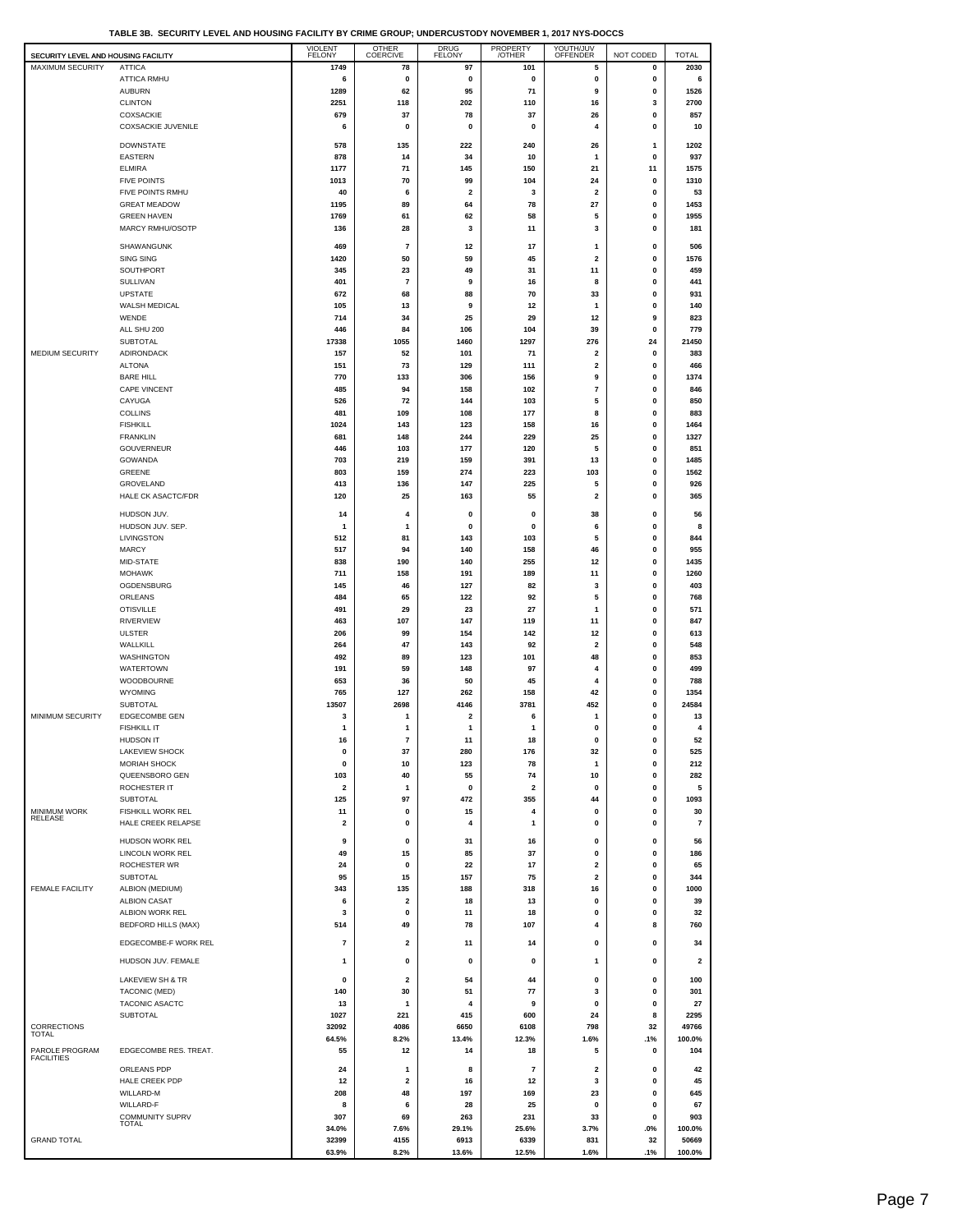**TABLE 3B. SECURITY LEVEL AND HOUSING FACILITY BY CRIME GROUP; UNDERCUSTODY NOVEMBER 1, 2017 NYS-DOCCS**

| SECURITY LEVEL AND HOUSING FACILITY |                                         | <b>VIOLENT</b><br><b>FELONY</b> | <b>OTHER</b><br><b>COERCIVE</b>         | <b>DRUG</b><br><b>FELONY</b>  | PROPERTY<br>/OTHER            | YOUTH/JUV<br>OFFENDER         | NOT CODED         | <b>TOTAL</b>            |
|-------------------------------------|-----------------------------------------|---------------------------------|-----------------------------------------|-------------------------------|-------------------------------|-------------------------------|-------------------|-------------------------|
| <b>MAXIMUM SECURITY</b>             | <b>ATTICA</b>                           | 1749                            | 78                                      | 97                            | 101                           | 5                             | 0                 | 2030                    |
|                                     | <b>ATTICA RMHU</b><br><b>AUBURN</b>     | 6                               | 0                                       | 0                             | 0                             | 0                             | 0                 | 6                       |
|                                     | <b>CLINTON</b>                          | 1289<br>2251                    | 62<br>118                               | 95<br>202                     | 71<br>110                     | 9<br>16                       | 0<br>3            | 1526<br>2700            |
|                                     | COXSACKIE                               | 679                             | 37                                      | 78                            | 37                            | 26                            | 0                 | 857                     |
|                                     | <b>COXSACKIE JUVENILE</b>               | 6                               | $\mathbf 0$                             | 0                             | 0                             | 4                             | 0                 | 10                      |
|                                     | <b>DOWNSTATE</b>                        | 578                             | 135                                     | 222                           | 240                           | 26                            | $\mathbf{1}$      | 1202                    |
|                                     | <b>EASTERN</b>                          | 878                             | 14                                      | 34                            | 10                            | $\mathbf{1}$                  | 0                 | 937                     |
|                                     | <b>ELMIRA</b>                           | 1177                            | 71                                      | 145                           | 150                           | 21                            | 11                | 1575                    |
|                                     | <b>FIVE POINTS</b>                      | 1013                            | 70                                      | 99                            | 104                           | 24                            | 0                 | 1310                    |
|                                     | FIVE POINTS RMHU<br><b>GREAT MEADOW</b> | 40<br>1195                      | 6<br>89                                 | $\overline{\mathbf{2}}$<br>64 | 3<br>78                       | $\overline{\mathbf{2}}$<br>27 | $\mathbf{0}$<br>0 | 53<br>1453              |
|                                     | <b>GREEN HAVEN</b>                      | 1769                            | 61                                      | 62                            | 58                            | 5                             | 0                 | 1955                    |
|                                     | MARCY RMHU/OSOTP                        | 136                             | 28                                      | 3                             | 11                            | 3                             | 0                 | 181                     |
|                                     | SHAWANGUNK                              | 469                             | $\overline{7}$                          | 12                            | 17                            | $\mathbf{1}$                  | 0                 | 506                     |
|                                     | SING SING                               | 1420                            | 50                                      | 59                            | 45                            | 2                             | 0                 | 1576                    |
|                                     | SOUTHPORT                               | 345                             | 23                                      | 49                            | 31                            | 11                            | 0                 | 459                     |
|                                     | SULLIVAN                                | 401                             | $\overline{7}$                          | 9                             | 16                            | 8                             | 0                 | 441                     |
|                                     | <b>UPSTATE</b>                          | 672                             | 68                                      | 88                            | 70                            | 33                            | 0                 | 931                     |
|                                     | WALSH MEDICAL<br>WENDE                  | 105<br>714                      | 13<br>34                                | 9<br>25                       | 12<br>29                      | $\mathbf{1}$<br>12            | 0<br>9            | 140<br>823              |
|                                     | ALL SHU 200                             | 446                             | 84                                      | 106                           | 104                           | 39                            | 0                 | 779                     |
|                                     | <b>SUBTOTAL</b>                         | 17338                           | 1055                                    | 1460                          | 1297                          | 276                           | 24                | 21450                   |
| MEDIUM SECURITY                     | ADIRONDACK                              | 157                             | 52                                      | 101                           | 71                            | $\overline{\mathbf{2}}$       | 0                 | 383                     |
|                                     | <b>ALTONA</b>                           | 151                             | 73                                      | 129                           | 111                           | $\overline{\mathbf{2}}$       | 0                 | 466                     |
|                                     | <b>BARE HILL</b>                        | 770                             | 133                                     | 306                           | 156                           | 9                             | 0                 | 1374                    |
|                                     | CAPE VINCENT                            | 485                             | 94                                      | 158                           | 102<br>103                    | $\overline{7}$<br>5           | 0                 | 846<br>850              |
|                                     | CAYUGA<br><b>COLLINS</b>                | 526<br>481                      | 72<br>109                               | 144<br>108                    | 177                           | 8                             | 0<br>0            | 883                     |
|                                     | <b>FISHKILL</b>                         | 1024                            | 143                                     | 123                           | 158                           | 16                            | 0                 | 1464                    |
|                                     | <b>FRANKLIN</b>                         | 681                             | 148                                     | 244                           | 229                           | 25                            | 0                 | 1327                    |
|                                     | <b>GOUVERNEUR</b>                       | 446                             | 103                                     | 177                           | 120                           | 5                             | 0                 | 851                     |
|                                     | <b>GOWANDA</b>                          | 703                             | 219                                     | 159                           | 391                           | 13                            | 0                 | 1485                    |
|                                     | GREENE                                  | 803                             | 159                                     | 274<br>147                    | 223                           | 103                           | 0                 | 1562                    |
|                                     | GROVELAND<br>HALE CK ASACTC/FDR         | 413<br>120                      | 136<br>25                               | 163                           | 225<br>55                     | 5<br>$\overline{\mathbf{2}}$  | 0<br>0            | 926<br>365              |
|                                     |                                         |                                 |                                         |                               |                               |                               |                   |                         |
|                                     | HUDSON JUV.                             | 14                              | 4                                       | 0                             | 0                             | 38                            | 0                 | 56                      |
|                                     | HUDSON JUV. SEP.<br>LIVINGSTON          | $\mathbf{1}$<br>512             | $\mathbf{1}$<br>81                      | $\pmb{0}$<br>143              | 0<br>103                      | 6<br>5                        | $\mathbf{0}$<br>0 | 8<br>844                |
|                                     | <b>MARCY</b>                            | 517                             | 94                                      | 140                           | 158                           | 46                            | 0                 | 955                     |
|                                     | MID-STATE                               | 838                             | 190                                     | 140                           | 255                           | 12                            | 0                 | 1435                    |
|                                     | <b>MOHAWK</b>                           | 711                             | 158                                     | 191                           | 189                           | 11                            | 0                 | 1260                    |
|                                     | OGDENSBURG                              | 145                             | 46                                      | 127                           | 82                            | 3                             | 0                 | 403                     |
|                                     | ORLEANS                                 | 484                             | 65                                      | 122                           | 92                            | 5                             | 0                 | 768                     |
|                                     | <b>OTISVILLE</b><br><b>RIVERVIEW</b>    | 491<br>463                      | 29<br>107                               | 23<br>147                     | 27<br>119                     | $\mathbf{1}$<br>11            | 0<br>0            | 571<br>847              |
|                                     | <b>ULSTER</b>                           | 206                             | 99                                      | 154                           | 142                           | 12                            | 0                 | 613                     |
|                                     | WALLKILL                                | 264                             | 47                                      | 143                           | 92                            | $\overline{\mathbf{2}}$       | 0                 | 548                     |
|                                     | WASHINGTON                              | 492                             | 89                                      | 123                           | 101                           | 48                            | $\mathbf{0}$      | 853                     |
|                                     | <b>WATERTOWN</b>                        | 191                             | 59                                      | 148                           | 97                            | $\overline{4}$                | 0                 | 499                     |
|                                     | WOODBOURNE                              | 653                             | 36                                      | 50                            | 45                            | 4                             | 0                 | 788                     |
|                                     | <b>WYOMING</b><br><b>SUBTOTAL</b>       | 765<br>13507                    | 127<br>2698                             | 262<br>4146                   | 158<br>3781                   | 42<br>452                     | 0<br>0            | 1354<br>24584           |
| MINIMUM SECURITY                    | <b>EDGECOMBE GEN</b>                    | 3                               | 1                                       | 2                             | 6                             | 1                             | 0                 | 13                      |
|                                     | <b>FISHKILL IT</b>                      | 1                               | 1                                       | 1                             | 1                             | 0                             | 0                 | 4                       |
|                                     | <b>HUDSON IT</b>                        | 16                              | 7                                       | 11                            | 18                            | n                             | 0                 | 52                      |
|                                     | LAKEVIEW SHOCK                          | 0                               | 37                                      | 280                           | 176                           | 32                            | 0                 | 525                     |
|                                     | <b>MORIAH SHOCK</b>                     | 0                               | 10                                      | 123                           | 78                            | $\mathbf{1}$                  | 0                 | 212                     |
|                                     | QUEENSBORO GEN                          | 103<br>$\overline{2}$           | 40<br>$\mathbf{1}$                      | 55<br>0                       | 74<br>$\overline{\mathbf{2}}$ | 10<br>0                       | 0<br>$\mathbf{0}$ | 282                     |
|                                     | ROCHESTER IT<br><b>SUBTOTAL</b>         | 125                             | 97                                      | 472                           | 355                           | 44                            | $\mathbf 0$       | 5<br>1093               |
| <b>MINIMUM WORK</b>                 | <b>FISHKILL WORK REL</b>                | 11                              | 0                                       | 15                            | 4                             | 0                             | 0                 | 30                      |
| RELEASE                             | HALE CREEK RELAPSE                      | 2                               | 0                                       | 4                             | 1                             | $\mathbf 0$                   | 0                 | 7                       |
|                                     | HUDSON WORK REL                         | 9                               | $\mathbf 0$                             | 31                            | 16                            | 0                             | 0                 | 56                      |
|                                     | LINCOLN WORK REL                        | 49                              | 15                                      | 85                            | 37                            | 0                             | 0                 | 186                     |
|                                     | ROCHESTER WR                            | 24                              | 0                                       | 22                            | 17                            | 2                             | 0                 | 65                      |
|                                     | <b>SUBTOTAL</b>                         | 95                              | 15                                      | 157                           | 75                            | 2                             | 0                 | 344                     |
| <b>FEMALE FACILITY</b>              | ALBION (MEDIUM)                         | 343                             | 135                                     | 188                           | 318                           | 16                            | 0                 | 1000                    |
|                                     | <b>ALBION CASAT</b><br>ALBION WORK REL  | 6<br>3                          | $\overline{\mathbf{2}}$<br>$\mathbf 0$  | 18<br>11                      | 13<br>18                      | 0<br>0                        | 0<br>0            | 39<br>32                |
|                                     | <b>BEDFORD HILLS (MAX)</b>              | 514                             | 49                                      | 78                            | 107                           | $\overline{4}$                | 8                 | 760                     |
|                                     |                                         |                                 |                                         |                               |                               |                               |                   |                         |
|                                     | EDGECOMBE-F WORK REL                    | $\overline{\mathbf{r}}$         | 2                                       | 11                            | 14                            | 0                             | 0                 | 34                      |
|                                     | HUDSON JUV. FEMALE                      | 1                               | 0                                       | 0                             | 0                             | 1                             | 0                 | $\overline{\mathbf{2}}$ |
|                                     | LAKEVIEW SH & TR                        | 0                               | $\overline{\mathbf{2}}$                 | 54                            | 44                            | 0                             | 0                 | 100                     |
|                                     | TACONIC (MED)                           | 140                             | 30                                      | 51                            | 77                            | 3                             | 0                 | 301                     |
|                                     | TACONIC ASACTC                          | 13                              | 1                                       | 4                             | 9                             | 0                             | 0                 | 27                      |
|                                     | <b>SUBTOTAL</b>                         | 1027                            | 221                                     | 415                           | 600                           | 24                            | 8                 | 2295                    |
| CORRECTIONS<br><b>TOTAL</b>         |                                         | 32092<br>64.5%                  | 4086<br>8.2%                            | 6650<br>13.4%                 | 6108<br>12.3%                 | 798<br>1.6%                   | 32<br>.1%         | 49766<br>100.0%         |
| PAROLE PROGRAM                      | EDGECOMBE RES. TREAT.                   | 55                              | 12                                      | 14                            | 18                            | 5                             | 0                 | 104                     |
| <b>FACILITIES</b>                   |                                         |                                 |                                         |                               |                               |                               |                   |                         |
|                                     | ORLEANS PDP<br>HALE CREEK PDP           | 24<br>12                        | $\mathbf{1}$<br>$\overline{\mathbf{2}}$ | 8<br>16                       | $\overline{7}$<br>12          | $\overline{\mathbf{2}}$<br>3  | 0<br>0            | 42<br>45                |
|                                     | WILLARD-M                               | 208                             | 48                                      | 197                           | 169                           | 23                            | 0                 | 645                     |
|                                     | WILLARD-F                               | 8                               | 6                                       | 28                            | 25                            | 0                             | $\mathbf{0}$      | 67                      |
|                                     | <b>COMMUNITY SUPRV</b><br>TOTAL         | 307                             | 69                                      | 263                           | 231                           | 33                            | $\mathbf{0}$      | 903                     |
|                                     |                                         | 34.0%                           | 7.6%                                    | 29.1%                         | 25.6%                         | 3.7%                          | .0%               | 100.0%                  |
| <b>GRAND TOTAL</b>                  |                                         | 32399<br>63.9%                  | 4155<br>8.2%                            | 6913<br>13.6%                 | 6339<br>12.5%                 | 831<br>1.6%                   | 32<br>.1%         | 50669<br>100.0%         |
|                                     |                                         |                                 |                                         |                               |                               |                               |                   |                         |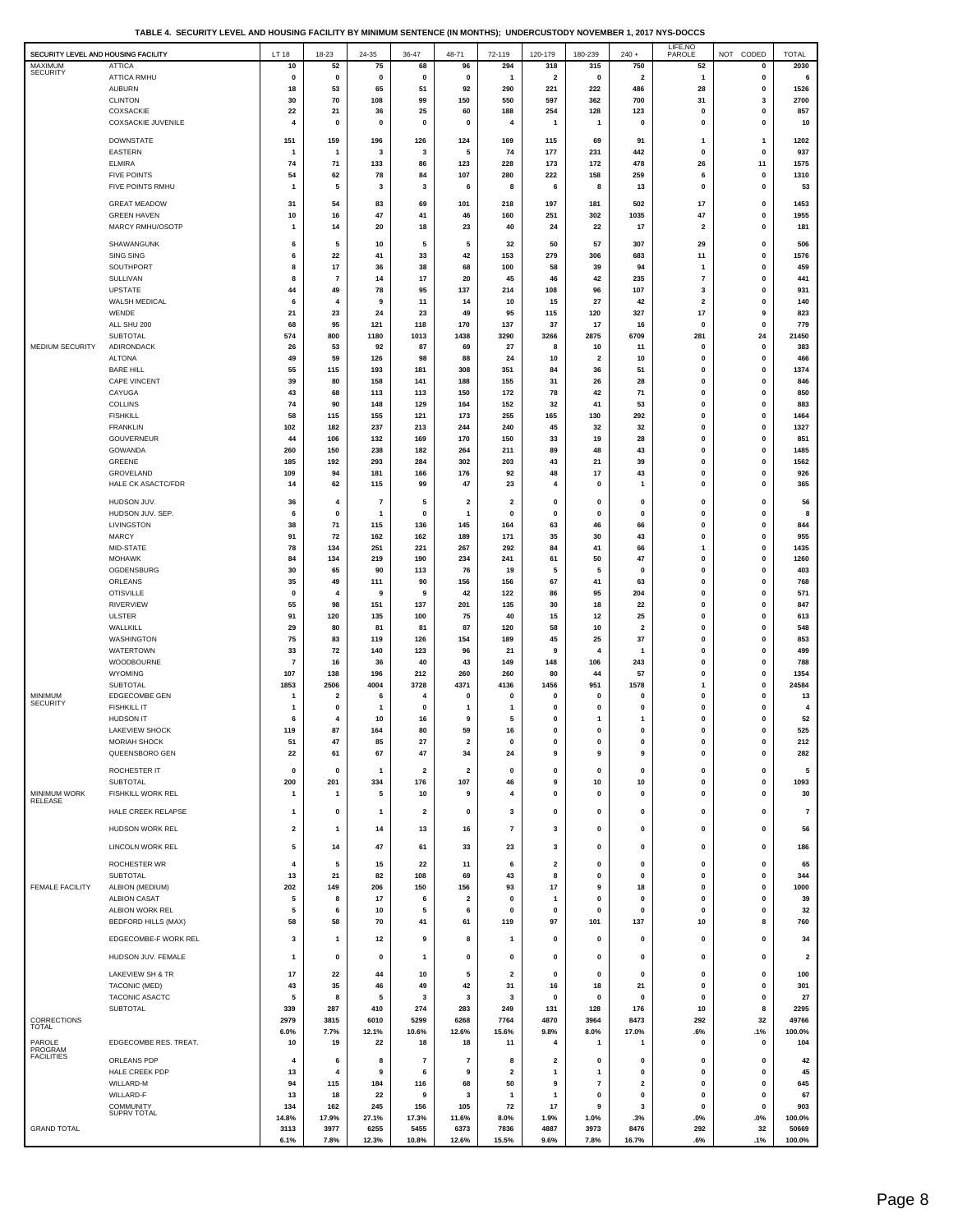**TABLE 4. SECURITY LEVEL AND HOUSING FACILITY BY MINIMUM SENTENCE (IN MONTHS); UNDERCUSTODY NOVEMBER 1, 2017 NYS-DOCCS**

| SECURITY LEVEL AND HOUSING FACILITY |                                           | LT 18                   | 18-23                           | 24-35             | 36-47                   | 48-71                                   | 72-119                  | 120-179                        | 180-239           | $240 +$                        | LIFE, NO<br>PAROLE          | CODED<br>NOT         | <b>TOTAL</b>            |
|-------------------------------------|-------------------------------------------|-------------------------|---------------------------------|-------------------|-------------------------|-----------------------------------------|-------------------------|--------------------------------|-------------------|--------------------------------|-----------------------------|----------------------|-------------------------|
| MAXIMUM<br><b>SECURITY</b>          | <b>ATTICA</b>                             | 10                      | 52                              | 75                | 68                      | 96                                      | 294                     | 318                            | 315               | 750                            | 52                          | 0                    | 2030                    |
|                                     | ATTICA RMHU<br><b>AUBURN</b>              | $\pmb{0}$<br>18         | 0<br>53                         | $\mathbf 0$<br>65 | $\mathbf 0$<br>51       | $\pmb{0}$<br>92                         | $\mathbf{1}$<br>290     | $\overline{\mathbf{2}}$<br>221 | $\pmb{0}$<br>222  | $\overline{\mathbf{2}}$<br>486 | $\mathbf{1}$<br>28          | 0<br>0               | 6<br>1526               |
|                                     | <b>CLINTON</b>                            | 30                      | 70                              | 108               | 99                      | 150                                     | 550                     | 597                            | 362               | 700                            | 31                          | 3                    | 2700                    |
|                                     | COXSACKIE<br><b>COXSACKIE JUVENILE</b>    | 22<br>4                 | 21<br>0                         | 36<br>0           | 25<br>$\mathbf 0$       | 60<br>$\mathbf{0}$                      | 188<br>4                | 254<br>1                       | 128<br>1          | 123<br>$\pmb{0}$               | $\pmb{0}$<br>0              | $\bf{0}$<br>0        | 857<br>10               |
|                                     |                                           |                         |                                 |                   |                         |                                         |                         |                                |                   |                                |                             |                      |                         |
|                                     | <b>DOWNSTATE</b><br>EASTERN               | 151<br>$\mathbf{1}$     | 159<br>$\overline{\mathbf{1}}$  | 196<br>3          | 126<br>3                | 124<br>5                                | 169<br>74               | 115<br>177                     | 69<br>231         | 91<br>442                      | 1<br>$\pmb{0}$              | 1<br>0               | 1202<br>937             |
|                                     | <b>ELMIRA</b>                             | 74                      | 71                              | 133               | 86                      | 123                                     | 228                     | 173                            | 172               | 478                            | 26                          | 11                   | 1575                    |
|                                     | <b>FIVE POINTS</b>                        | 54                      | 62                              | 78                | 84                      | 107                                     | 280                     | 222                            | 158               | 259                            | 6                           | $\pmb{0}$            | 1310                    |
|                                     | FIVE POINTS RMHU                          | $\mathbf{1}$            | 5                               | 3                 | 3                       | 6                                       | 8                       | 6                              | 8                 | 13                             | $\pmb{0}$                   | 0                    | 53                      |
|                                     | <b>GREAT MEADOW</b><br><b>GREEN HAVEN</b> | 31<br>10                | 54<br>16                        | 83<br>47          | 69<br>41                | 101<br>46                               | 218<br>160              | 197<br>251                     | 181<br>302        | 502<br>1035                    | 17<br>47                    | 0<br>0               | 1453<br>1955            |
|                                     | MARCY RMHU/OSOTP                          | $\mathbf{1}$            | 14                              | 20                | 18                      | 23                                      | 40                      | 24                             | 22                | 17                             | $\overline{\mathbf{2}}$     | 0                    | 181                     |
|                                     | SHAWANGUNK                                | 6                       | 5                               | 10                | 5                       | 5                                       | 32                      | 50                             | 57                | 307                            | 29                          | 0                    | 506                     |
|                                     | <b>SING SING</b>                          | 6                       | 22                              | 41                | 33                      | 42                                      | 153                     | 279                            | 306               | 683                            | 11                          | 0                    | 1576                    |
|                                     | SOUTHPORT<br>SULLIVAN                     | 8<br>8                  | 17<br>7                         | 36<br>14          | 38<br>17                | 68<br>20                                | 100<br>45               | 58<br>46                       | 39<br>42          | 94<br>235                      | 1<br>7                      | 0<br>0               | 459<br>441              |
|                                     | <b>UPSTATE</b>                            | 44                      | 49                              | 78                | 95                      | 137                                     | 214                     | 108                            | 96                | 107                            | 3                           | 0                    | 931                     |
|                                     | WALSH MEDICAL                             | 6                       | 4                               | 9                 | 11                      | 14                                      | 10                      | 15                             | 27                | 42                             | $\mathbf{2}$                | 0                    | 140                     |
|                                     | WENDE<br>ALL SHU 200                      | 21<br>68                | 23<br>95                        | 24<br>121         | 23<br>118               | 49<br>170                               | 95<br>137               | 115<br>37                      | 120<br>$17$       | 327<br>16                      | 17<br>$\pmb{0}$             | 9<br>0               | 823<br>779              |
|                                     | <b>SUBTOTAL</b>                           | 574                     | 800                             | 1180              | 1013                    | 1438                                    | 3290                    | 3266                           | 2875              | 6709                           | 281                         | 24                   | 21450                   |
| MEDIUM SECURITY                     | <b>ADIRONDACK</b>                         | 26                      | 53                              | 92                | 87                      | 69                                      | 27                      | 8                              | 10                | 11                             | $\pmb{0}$                   | 0                    | 383                     |
|                                     | <b>ALTONA</b><br><b>BARE HILL</b>         | 49<br>55                | 59<br>115                       | 126<br>193        | 98<br>181               | 88<br>308                               | 24<br>351               | 10<br>84                       | $\mathbf 2$<br>36 | 10<br>51                       | $\mathbf 0$<br>$\bf{0}$     | 0<br>0               | 466<br>1374             |
|                                     | <b>CAPE VINCENT</b>                       | 39                      | 80                              | 158               | 141                     | 188                                     | 155                     | 31                             | 26                | 28                             | $\bf{0}$                    | 0                    | 846                     |
|                                     | CAYUGA                                    | 43                      | 68                              | 113               | 113                     | 150                                     | 172                     | 78                             | 42                | 71                             | $\mathbf 0$                 | 0                    | 850                     |
|                                     | <b>COLLINS</b><br><b>FISHKILL</b>         | 74<br>58                | 90<br>115                       | 148<br>155        | 129<br>121              | 164<br>173                              | 152<br>255              | 32<br>165                      | 41<br>130         | 53<br>292                      | $\mathbf 0$<br>$\mathbf{0}$ | 0<br>0               | 883<br>1464             |
|                                     | <b>FRANKLIN</b>                           | 102                     | 182                             | 237               | 213                     | 244                                     | 240                     | 45                             | 32                | 32                             | $\pmb{0}$                   | 0                    | 1327                    |
|                                     | GOUVERNEUR<br><b>GOWANDA</b>              | 44<br>260               | 106<br>150                      | 132<br>238        | 169<br>182              | 170<br>264                              | 150<br>211              | 33<br>89                       | 19<br>48          | 28<br>43                       | $\pmb{0}$<br>$\pmb{0}$      | $\bf{0}$<br>0        | 851<br>1485             |
|                                     | GREENE                                    | 185                     | 192                             | 293               | 284                     | 302                                     | 203                     | 43                             | 21                | 39                             | $\pmb{0}$                   | $\bf{0}$             | 1562                    |
|                                     | GROVELAND                                 | 109                     | 94                              | 181               | 166                     | 176                                     | 92                      | 48                             | 17                | 43                             | $\bf{0}$                    | 0                    | 926                     |
|                                     | HALE CK ASACTC/FDR                        | 14                      | 62                              | 115               | 99                      | 47                                      | 23                      | 4                              | $\pmb{0}$         | $\mathbf{1}$                   | $\bf{0}$                    | 0                    | 365                     |
|                                     | HUDSON JUV.                               | 36<br>6                 | 4<br>$\mathbf 0$                | $\bf 7$           | 5<br>$\pmb{0}$          | $\overline{\mathbf{2}}$<br>$\mathbf{1}$ | 2<br>$\mathbf 0$        | 0<br>$\pmb{0}$                 | 0<br>0            | $\mathbf{0}$<br>$\mathbf{0}$   | $\mathbf 0$<br>$\pmb{0}$    | 0<br>0               | 56<br>8                 |
|                                     | HUDSON JUV. SEP.<br>LIVINGSTON            | 38                      | 71                              | -1<br>115         | 136                     | 145                                     | 164                     | 63                             | 46                | 66                             | $\pmb{0}$                   | 0                    | 844                     |
|                                     | <b>MARCY</b>                              | 91                      | 72                              | 162               | 162                     | 189                                     | 171                     | 35                             | 30                | 43                             | $\pmb{0}$                   | $\bf{0}$             | 955                     |
|                                     | MID-STATE<br><b>MOHAWK</b>                | 78<br>84                | 134<br>134                      | 251<br>219        | 221<br>190              | 267<br>234                              | 292<br>241              | 84<br>61                       | 41<br>50          | 66<br>47                       | 1<br>$\pmb{0}$              | 0<br>0               | 1435<br>1260            |
|                                     | OGDENSBURG                                | 30                      | 65                              | 90                | 113                     | 76                                      | 19                      | 5                              | 5                 | $\pmb{0}$                      | $\bf{0}$                    | 0                    | 403                     |
|                                     | ORLEANS                                   | 35                      | 49                              | 111               | 90                      | 156                                     | 156                     | 67                             | 41                | 63                             | $\mathbf 0$                 | 0                    | 768                     |
|                                     | <b>OTISVILLE</b><br>RIVERVIEW             | $\mathbf 0$<br>55       | 4<br>98                         | 9<br>151          | 9<br>137                | 42<br>201                               | 122<br>135              | 86<br>30                       | 95<br>18          | 204<br>22                      | $\mathbf 0$<br>$\pmb{0}$    | 0<br>0               | 571<br>847              |
|                                     | <b>ULSTER</b>                             | 91                      | 120                             | 135               | 100                     | 75                                      | 40                      | 15                             | 12                | 25                             | $\mathbf{0}$                | 0                    | 613                     |
|                                     | WALLKILL                                  | 29                      | 80                              | 81                | 81                      | 87                                      | 120                     | 58                             | 10                | $\overline{\mathbf{2}}$        | $\pmb{0}$                   | 0                    | 548                     |
|                                     | WASHINGTON<br><b>WATERTOWN</b>            | 75<br>33                | 83<br>72                        | 119<br>140        | 126<br>123              | 154<br>96                               | 189<br>21               | 45<br>9                        | 25<br>4           | 37<br>$\overline{1}$           | $\pmb{0}$<br>$\pmb{0}$      | $\bf{0}$<br>$\bf{0}$ | 853<br>499              |
|                                     | WOODBOURNE                                | 7                       | 16                              | 36                | 40                      | 43                                      | 149                     | 148                            | 106               | 243                            | $\bf{0}$                    | 0                    | 788                     |
|                                     | WYOMING<br><b>SUBTOTAL</b>                | 107                     | 138                             | 196               | 212                     | 260                                     | 260                     | 80                             | 44                | 57                             | $\pmb{0}$<br>1              | 0<br>0               | 1354                    |
| <b>MINIMUM</b>                      | <b>EDGECOMBE GEN</b>                      | 1853<br>$\mathbf{1}$    | 2506<br>$\overline{\mathbf{2}}$ | 4004<br>6         | 3728<br>4               | 4371<br>0                               | 4136<br>$\mathbf 0$     | 1456<br>0                      | 951<br>0          | 1578<br>$\Omega$               | $\mathbf 0$                 | 0                    | 24584<br>13             |
| <b>SECURITY</b>                     | <b>FISHKILL IT</b>                        | 1                       | 0                               | 1                 | $\mathbf 0$             | 1                                       |                         | 0                              | 0                 | $\mathbf 0$                    | $\mathbf 0$                 | 0                    | 4                       |
|                                     | <b>HUDSON IT</b><br><b>LAKEVIEW SHOCK</b> | 6<br>119                | 4<br>87                         | 10<br>164         | 16<br>80                | 9<br>59                                 | 5<br>16                 | $\mathbf{0}$<br>0              | $\mathbf{1}$<br>0 | -1<br>$\pmb{0}$                | $\mathbf{0}$<br>$\pmb{0}$   | 0<br>0               | 52<br>525               |
|                                     | <b>MORIAH SHOCK</b>                       | 51                      | 47                              | 85                | 27                      | 2                                       |                         | o                              | Ю                 | o                              |                             | o                    | 212                     |
|                                     | QUEENSBORO GEN                            | 22                      | 61                              | 67                | 47                      | 34                                      | 24                      | 9                              | 9                 | 9                              | $\pmb{0}$                   | 0                    | 282                     |
|                                     | ROCHESTER IT                              | 0                       | 0                               | 1                 | $\overline{\mathbf{2}}$ | 2                                       | 0                       | 0                              | 0                 | $\mathbf{0}$                   | 0                           | 0                    | 5                       |
| MINIMUM WORK                        | SUBTOTAL<br>FISHKILL WORK REL             | 200<br>-1               | 201<br>1                        | 334<br>5          | 176<br>10               | 107<br>9                                | 46<br>4                 | 9<br>0                         | 10<br>0           | 10<br>$\pmb{0}$                | 0<br>$\mathbf{0}$           | 0<br>0               | 1093<br>30              |
| RELEASE                             |                                           |                         |                                 |                   |                         |                                         |                         |                                |                   |                                |                             |                      |                         |
|                                     | HALE CREEK RELAPSE                        | $\mathbf{1}$            | 0                               | -1                | $\overline{\mathbf{2}}$ | 0                                       | 3                       | $\mathbf{0}$                   | 0                 | $\pmb{0}$                      | 0                           | 0                    | $\overline{\mathbf{r}}$ |
|                                     | HUDSON WORK REL                           | $\overline{\mathbf{2}}$ | 1                               | 14                | 13                      | 16                                      | $\scriptstyle\rm 7$     | 3                              | 0                 | 0                              | $\mathbf 0$                 | 0                    | 56                      |
|                                     | LINCOLN WORK REL                          | 5                       | 14                              | 47                | 61                      | 33                                      | 23                      | 3                              | 0                 | $\pmb{0}$                      | 0                           | 0                    | 186                     |
|                                     | ROCHESTER WR                              | 4                       | 5                               | 15                | 22                      | 11                                      | 6                       | $\overline{\mathbf{2}}$        | 0                 | $\mathbf{0}$                   | 0                           | 0                    | 65                      |
| <b>FEMALE FACILITY</b>              | <b>SUBTOTAL</b><br>ALBION (MEDIUM)        | 13<br>202               | 21<br>149                       | 82<br>206         | 108<br>150              | 69<br>156                               | 43<br>93                | 8<br>17                        | $\pmb{0}$<br>9    | $\mathbf 0$<br>18              | 0<br>$\mathbf{0}$           | 0<br>0               | 344<br>1000             |
|                                     | <b>ALBION CASAT</b>                       | 5                       | 8                               | 17                | 6                       | $\overline{\mathbf{2}}$                 | $\mathbf{0}$            | $\mathbf{1}$                   | $\pmb{0}$         | $\pmb{0}$                      | 0                           | 0                    | 39                      |
|                                     | ALBION WORK REL                           | 5                       | 6                               | 10                | 5                       | 6                                       | $\mathbf 0$             | $\pmb{0}$                      | $\pmb{0}$         | $\pmb{0}$<br>137               | $\pmb{0}$                   | 0                    | 32                      |
|                                     | <b>BEDFORD HILLS (MAX)</b>                | 58                      | 58                              | 70                | 41                      | 61                                      | 119                     | 97                             | 101               |                                | 10                          | 8                    | 760                     |
|                                     | EDGECOMBE-F WORK REL                      | 3                       | $\mathbf{1}$                    | 12                | 9                       | 8                                       | 1                       | 0                              | 0                 | 0                              | 0                           | 0                    | 34                      |
|                                     | HUDSON JUV. FEMALE                        | $\mathbf{1}$            | $\mathbf 0$                     | $\mathbf 0$       | -1                      | $\mathbf{0}$                            | $\mathbf{0}$            | $\pmb{0}$                      | 0                 | $\mathbf{0}$                   | 0                           | 0                    | 2                       |
|                                     | LAKEVIEW SH & TR                          | 17                      | 22                              | 44                | 10                      | 5                                       | 2                       | 0                              | $\pmb{0}$         | $\pmb{0}$                      | 0                           | 0                    | 100                     |
|                                     | TACONIC (MED)<br>TACONIC ASACTC           | 43<br>5                 | 35<br>8                         | 46<br>5           | 49<br>3                 | 42<br>3                                 | 31<br>3                 | 16<br>0                        | 18<br>0           | 21<br>$\mathbf{0}$             | $\mathbf 0$<br>$\mathbf 0$  | 0<br>0               | 301<br>27               |
|                                     | <b>SUBTOTAL</b>                           | 339                     | 287                             | 410               | 274                     | 283                                     | 249                     | 131                            | 128               | 176                            | 10                          | 8                    | 2295                    |
| CORRECTIONS<br><b>TOTAL</b>         |                                           | 2979                    | 3815                            | 6010              | 5299                    | 6268                                    | 7764                    | 4870                           | 3964              | 8473                           | 292                         | 32                   | 49766                   |
| PAROLE                              | EDGECOMBE RES. TREAT.                     | 6.0%<br>10              | 7.7%<br>19                      | 12.1%<br>22       | 10.6%<br>18             | 12.6%<br>18                             | 15.6%<br>11             | 9.8%<br>$\overline{4}$         | 8.0%<br>1         | 17.0%<br>$\mathbf{1}$          | .6%<br>$\pmb{0}$            | .1%<br>$\pmb{0}$     | 100.0%<br>104           |
| PROGRAM<br><b>FACILITIES</b>        |                                           | $\overline{4}$          |                                 |                   | $\overline{7}$          | $\overline{7}$                          | 8                       |                                | $\pmb{0}$         | $\mathbf{0}$                   | $\mathbf 0$                 | 0                    |                         |
|                                     | ORLEANS PDP<br>HALE CREEK PDP             | 13                      | 6<br>4                          | 8<br>9            | 6                       | 9                                       | $\overline{\mathbf{2}}$ | $\overline{\mathbf{2}}$<br>1   | 1                 | $\mathbf{0}$                   | 0                           | 0                    | 42<br>45                |
|                                     | WILLARD-M                                 | 94                      | 115                             | 184               | 116                     | 68                                      | 50                      | 9                              | 7                 | 2                              | $\mathbf 0$                 | 0                    | 645                     |
|                                     | WILLARD-F<br><b>COMMUNITY</b>             | 13<br>134               | 18<br>162                       | 22<br>245         | 9<br>156                | 3<br>105                                | $\mathbf{1}$<br>72      | $\mathbf{1}$<br>17             | $\pmb{0}$<br>9    | $\pmb{0}$<br>3                 | 0<br>$\pmb{0}$              | 0<br>0               | 67<br>903               |
|                                     | SUPRV TOTAL                               | 14.8%                   | 17.9%                           | 27.1%             | 17.3%                   | 11.6%                                   | 8.0%                    | 1.9%                           | 1.0%              | .3%                            | $.0\%$                      | $.0\%$               | 100.0%                  |
| <b>GRAND TOTAL</b>                  |                                           | 3113<br>6.1%            | 3977<br>7.8%                    | 6255<br>12.3%     | 5455<br>10.8%           | 6373<br>12.6%                           | 7836<br>15.5%           | 4887<br>9.6%                   | 3973<br>7.8%      | 8476<br>16.7%                  | 292<br>.6%                  | 32<br>.1%            | 50669<br>100.0%         |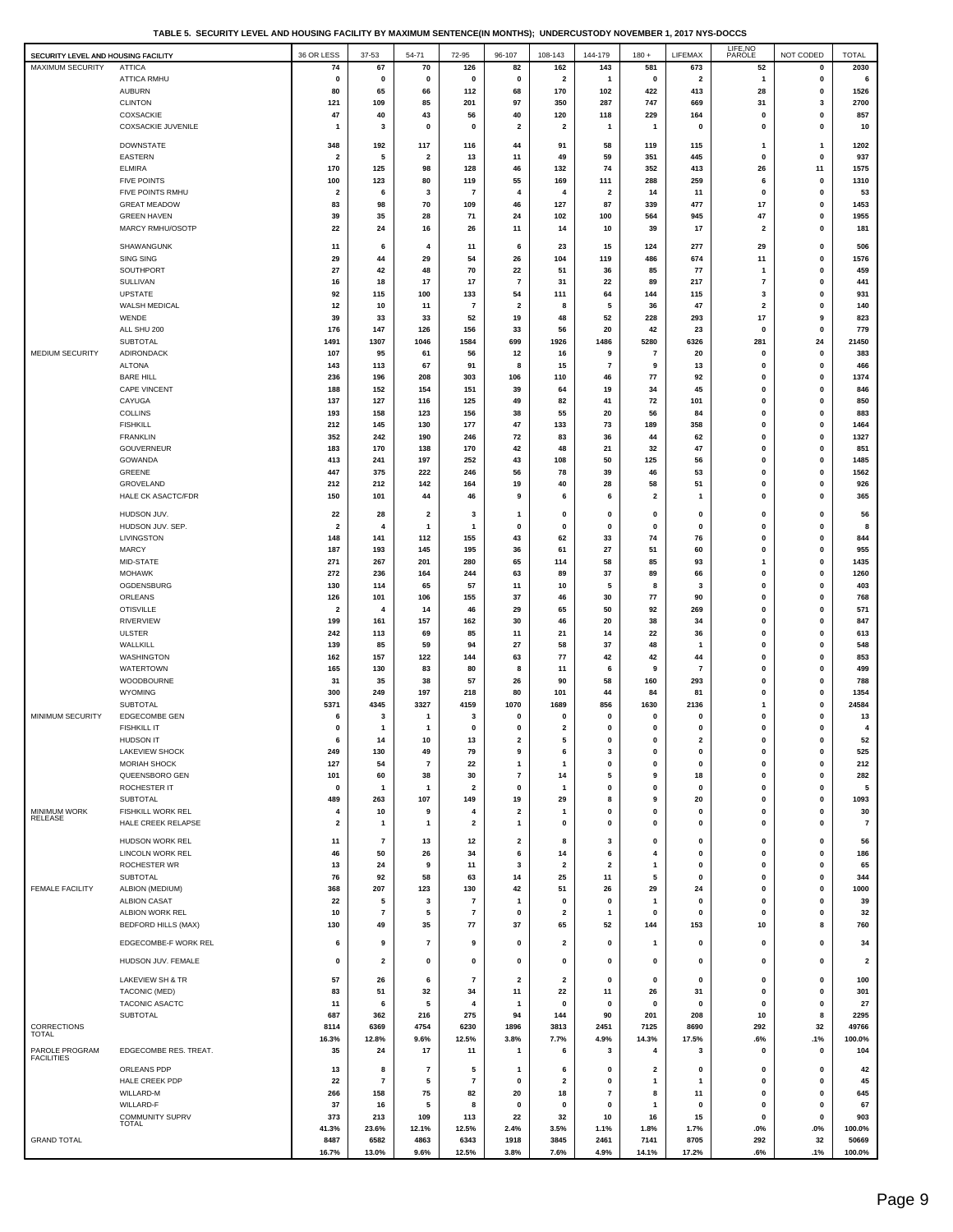**TABLE 5. SECURITY LEVEL AND HOUSING FACILITY BY MAXIMUM SENTENCE(IN MONTHS); UNDERCUSTODY NOVEMBER 1, 2017 NYS-DOCCS**

| SECURITY LEVEL AND HOUSING FACILITY |                                 | 36 OR LESS                     | 37-53          | 54-71                    | 72-95                   | 96-107                  | 108-143                 | 144-179                 | $180 +$                 | LIFEMAX        | LIFE, NO<br>PAROLE      | NOT CODED    | <b>TOTAL</b>            |
|-------------------------------------|---------------------------------|--------------------------------|----------------|--------------------------|-------------------------|-------------------------|-------------------------|-------------------------|-------------------------|----------------|-------------------------|--------------|-------------------------|
| <b>MAXIMUM SECURITY</b>             | <b>ATTICA</b>                   | 74                             | 67             | 70                       | 126                     | 82                      | 162                     | 143                     | 581                     | 673            | 52                      | $\mathbf 0$  | 2030                    |
|                                     | <b>ATTICA RMHU</b>              | 0                              | 0              | 0                        | 0                       | $\mathbf 0$             | $\overline{\mathbf{2}}$ | 1                       | 0                       | 2              | 1                       | 0            | 6                       |
|                                     | <b>AUBURN</b>                   | 80                             | 65             | 66                       | 112                     | 68                      | 170                     | 102                     | 422                     | 413            | 28                      | 0            | 1526                    |
|                                     | <b>CLINTON</b>                  | 121                            | 109            | 85                       | 201                     | 97                      | 350                     | 287                     | 747                     | 669            | 31                      | 3            | 2700                    |
|                                     | COXSACKIE                       | 47                             | 40             | 43                       | 56                      | 40                      | 120                     | 118                     | 229                     | 164            | 0                       | 0            | 857                     |
|                                     | <b>COXSACKIE JUVENILE</b>       | 1                              | 3              | 0                        | 0                       | $\overline{\mathbf{2}}$ | $\overline{\mathbf{2}}$ | $\mathbf{1}$            | $\mathbf{1}$            | 0              | 0                       | $\mathbf{0}$ | 10                      |
|                                     |                                 |                                |                |                          |                         |                         |                         |                         |                         |                |                         |              |                         |
|                                     | <b>DOWNSTATE</b>                | 348                            | 192            | 117                      | 116                     | 44                      | 91                      | 58                      | 119                     | 115            | 1                       | 1            | 1202                    |
|                                     | <b>EASTERN</b>                  | $\overline{\mathbf{2}}$        | 5              | 2                        | 13                      | 11                      | 49                      | 59                      | 351                     | 445            | $\mathbf 0$             | 0            | 937                     |
|                                     | <b>ELMIRA</b>                   | 170                            | 125            | 98                       | 128                     | 46                      | 132                     | 74                      | 352                     | 413            | 26                      | 11           | 1575                    |
|                                     | <b>FIVE POINTS</b>              | 100                            | 123            | 80                       | 119                     | 55                      | 169                     | 111                     | 288                     | 259            | 6                       | 0            | 1310                    |
|                                     | FIVE POINTS RMHU                | $\overline{\mathbf{2}}$        | 6              | 3                        | $\overline{7}$          | $\overline{\bf{4}}$     | 4                       | $\overline{\mathbf{2}}$ | 14                      | 11             | 0                       | 0            | 53                      |
|                                     | <b>GREAT MEADOW</b>             | 83                             | 98             | 70                       | 109                     | 46                      | 127                     | 87                      | 339                     | 477            | 17                      | 0            | 1453                    |
|                                     | <b>GREEN HAVEN</b>              | 39                             | 35             | 28                       | 71                      | 24                      | 102                     | 100                     | 564                     | 945            | 47                      | 0            | 1955                    |
|                                     | MARCY RMHU/OSOTP                | 22                             | 24             | 16                       | 26                      | 11                      | 14                      | 10                      | 39                      | 17             | $\overline{\mathbf{2}}$ | 0            | 181                     |
|                                     | SHAWANGUNK                      | 11                             | 6              | 4                        | 11                      | 6                       | 23                      | 15                      | 124                     | 277            | 29                      | 0            | 506                     |
|                                     | SING SING                       | 29                             | 44             | 29                       | 54                      | 26                      | 104                     | 119                     | 486                     | 674            | 11                      | 0            | 1576                    |
|                                     | SOUTHPORT                       | 27                             | 42             | 48                       | 70                      | 22                      | 51                      | 36                      | 85                      | 77             | -1                      | 0            | 459                     |
|                                     | <b>SULLIVAN</b>                 | 16                             | 18             | 17                       | 17                      | 7                       | 31                      | 22                      | 89                      | 217            | $\overline{7}$          | 0            | 441                     |
|                                     | <b>UPSTATE</b>                  | 92                             | 115            | 100                      | 133                     | 54                      | 111                     | 64                      | 144                     | 115            | 3                       | 0            | 931                     |
|                                     | WALSH MEDICAL                   | 12                             | 10             | 11                       | $\overline{7}$          | $\overline{\mathbf{2}}$ | 8                       | 5                       | 36                      | 47             | $\overline{\mathbf{2}}$ | 0            | 140                     |
|                                     | WENDE                           | 39                             | 33             | 33                       | 52                      | 19                      | 48                      | 52                      | 228                     | 293            | 17                      | 9            | 823                     |
|                                     | ALL SHU 200                     | 176                            | 147            | 126                      | 156                     | 33                      | 56                      | 20                      | 42                      | 23             | $\mathbf 0$             | 0            | 779                     |
|                                     | SUBTOTAL                        | 1491                           | 1307           | 1046                     | 1584                    | 699                     | 1926                    | 1486                    | 5280                    | 6326           | 281                     | 24           | 21450                   |
| MEDIUM SECURITY                     | ADIRONDACK                      | 107                            | 95             | 61                       | 56                      | 12                      | 16                      | 9                       | $\overline{7}$          | 20             | $\mathbf 0$             | 0            | 383                     |
|                                     | <b>ALTONA</b>                   | 143                            | 113            | 67                       | 91                      | 8                       | 15                      | $\overline{7}$          | 9                       | 13             | 0                       | 0            | 466                     |
|                                     | <b>BARE HILL</b>                | 236                            | 196            | 208                      | 303                     | 106                     | 110                     | 46                      | 77                      | 92             | 0                       | 0            | 1374                    |
|                                     | <b>CAPE VINCENT</b>             | 188                            | 152            | 154                      | 151                     | 39                      | 64                      | 19                      | 34                      | 45             | 0                       | 0            | 846                     |
|                                     | CAYUGA                          | 137                            | 127            | 116                      | 125                     | 49                      | 82                      | 41                      | 72                      | 101            | 0                       | 0            | 850                     |
|                                     | <b>COLLINS</b>                  |                                |                |                          |                         |                         |                         |                         |                         |                |                         |              |                         |
|                                     | <b>FISHKILL</b>                 | 193                            | 158            | 123                      | 156                     | 38                      | 55                      | 20                      | 56                      | 84             | 0<br>0                  | 0            | 883                     |
|                                     |                                 | 212                            | 145            | 130                      | 177                     | 47                      | 133                     | 73                      | 189                     | 358            |                         | 0            | 1464                    |
|                                     | <b>FRANKLIN</b>                 | 352                            | 242            | 190                      | 246                     | 72                      | 83                      | 36                      | 44                      | 62             | 0                       | 0            | 1327                    |
|                                     | <b>GOUVERNEUR</b>               | 183                            | 170            | 138                      | 170                     | 42                      | 48                      | 21                      | 32                      | 47             | $\mathbf 0$             | $\mathbf{0}$ | 851                     |
|                                     | GOWANDA                         | 413                            | 241            | 197                      | 252                     | 43                      | 108                     | 50                      | 125                     | 56             | 0                       | 0            | 1485                    |
|                                     | GREENE                          | 447                            | 375            | 222                      | 246                     | 56                      | 78                      | 39                      | 46                      | 53             | 0                       | 0            | 1562                    |
|                                     | GROVELAND                       | 212                            | 212            | 142                      | 164                     | 19                      | 40                      | 28                      | 58                      | 51             | 0                       | 0            | 926                     |
|                                     | <b>HALE CK ASACTC/FDR</b>       | 150                            | 101            | 44                       | 46                      | 9                       | 6                       | 6                       | $\overline{\mathbf{2}}$ | 1              | $\mathbf 0$             | 0            | 365                     |
|                                     | HUDSON JUV.                     | 22                             | 28             | 2                        | 3                       | -1                      | $\mathbf 0$             | $\mathbf 0$             | $\mathbf 0$             | 0              | 0                       | $\mathbf{0}$ | 56                      |
|                                     | HUDSON JUV. SEP.                | $\overline{\mathbf{2}}$        | 4              | 1                        | 1                       | $\mathbf 0$             | 0                       | $\Omega$                | $\mathbf 0$             | $\mathbf 0$    | 0                       | $\mathbf{0}$ | 8                       |
|                                     | LIVINGSTON                      | 148                            | 141            | 112                      | 155                     | 43                      | 62                      | 33                      | 74                      | 76             | $\mathbf 0$             | 0            | 844                     |
|                                     | <b>MARCY</b>                    | 187                            | 193            | 145                      | 195                     | 36                      | 61                      | 27                      | 51                      | 60             | 0                       | 0            | 955                     |
|                                     | MID-STATE                       | 271                            | 267            | 201                      | 280                     | 65                      | 114                     | 58                      | 85                      | 93             | 1                       | 0            | 1435                    |
|                                     | <b>MOHAWK</b>                   | 272                            | 236            | 164                      | 244                     | 63                      | 89                      | 37                      | 89                      | 66             | 0                       | 0            | 1260                    |
|                                     |                                 |                                |                |                          |                         |                         |                         |                         |                         |                |                         |              |                         |
|                                     | OGDENSBURG                      | 130                            | 114            | 65                       | 57                      | 11                      | 10                      | 5                       | 8                       | 3              | 0<br>0                  | 0            | 403                     |
|                                     | ORLEANS<br><b>OTISVILLE</b>     | 126<br>$\overline{\mathbf{2}}$ | 101<br>4       | 106                      | 155                     | 37                      | 46                      | 30                      | 77                      | 90             | 0                       | 0            | 768<br>571              |
|                                     |                                 |                                |                | 14                       | 46                      | 29                      | 65                      | 50                      | 92                      | 269            |                         | 0            |                         |
|                                     | <b>RIVERVIEW</b>                | 199                            | 161            | 157                      | 162                     | 30                      | 46                      | 20                      | 38                      | 34             | $\mathbf 0$             | $\mathbf{0}$ | 847                     |
|                                     | <b>ULSTER</b>                   | 242                            | 113            | 69                       | 85                      | 11                      | 21                      | 14                      | 22                      | 36             | 0                       | 0            | 613                     |
|                                     | WALLKILL                        | 139                            | 85             | 59                       | 94                      | 27                      | 58                      | 37                      | 48                      | 1              | $\mathbf 0$             | 0            | 548                     |
|                                     | WASHINGTON                      | 162                            | 157            | 122                      | 144                     | 63                      | 77                      | 42                      | 42                      | 44             | $\mathbf 0$             | 0            | 853                     |
|                                     | WATERTOWN                       | 165                            | 130            | 83                       | 80                      | 8                       | 11                      | 6                       | 9                       | $\overline{7}$ | $\mathbf 0$             | 0            | 499                     |
|                                     | WOODBOURNE                      | 31                             | 35             | 38                       | 57                      | 26                      | 90                      | 58                      | 160                     | 293            | 0                       | 0            | 788                     |
|                                     | WYOMING                         | 300                            | 249            | 197                      | 218                     | 80                      | 101                     | 44                      | 84                      | 81             | 0                       | 0            | 1354                    |
|                                     | SUBTOTAL                        | 5371                           | 4345           | 3327                     | 4159                    | 1070                    | 1689                    | 856                     | 1630                    | 2136           | 1                       | 0            | 24584                   |
| MINIMUM SECURITY                    | <b>EDGECOMBE GEN</b>            | 6                              | 3              | 1                        | 3                       | $\mathbf 0$             | $\mathbf 0$             | $\mathbf 0$             | 0                       | $\mathbf 0$    | 0                       | 0            | 13                      |
|                                     | <b>FISHKILL IT</b>              | 0                              | 1              | 1                        | $\mathbf 0$             | $\mathbf 0$             | 2                       | 0                       | 0                       | $\mathbf 0$    | 0                       | $\mathbf 0$  | 4                       |
|                                     | <b>HUDSON IT</b>                | 6                              | 14             | 10                       | 13                      | $\overline{2}$          | 5                       | $\Omega$                | $\Omega$                | 2              | $\bf{0}$                | $\Omega$     | 52                      |
|                                     | <b>LAKEVIEW SHOCK</b>           | 249                            | 130            | 49                       | 79                      | 9                       | 6                       | 3                       | 0                       | $\mathbf 0$    | 0                       | 0            | 525                     |
|                                     | MORIAH SHOCK                    | 127                            | 54             | 7                        | 22                      | $\mathbf{1}$            | $\mathbf{1}$            | $\mathbf 0$             | 0                       | $\mathbf 0$    | 0                       | 0            | 212                     |
|                                     | QUEENSBORO GEN                  | 101                            | 60             | 38                       | 30                      | $\overline{7}$          | 14                      | 5                       | 9                       | 18             | 0                       | 0            | 282                     |
|                                     | ROCHESTER IT                    | $\mathbf 0$                    | -1             | -1                       | $\overline{\mathbf{2}}$ | 0                       | 1                       | 0                       | $\mathbf 0$             | $\mathbf 0$    | 0                       | 0            | 5                       |
|                                     | SUBTOTAL                        | 489                            | 263            | 107                      | 149                     | 19                      | 29                      | 8                       | 9                       | 20             | 0                       | 0            | 1093                    |
| MINIMUM WORK<br>RELEASE             | FISHKILL WORK REL               | 4                              | 10             | 9                        | 4                       | $\overline{\mathbf{2}}$ | $\mathbf{1}$            | $\mathbf{0}$            | $\Omega$                | 0              | 0                       | 0            | 30                      |
|                                     | HALE CREEK RELAPSE              | 2                              | 1              | 1                        | $\overline{\mathbf{2}}$ | -1                      | 0                       | $\mathbf{0}$            | 0                       | 0              | 0                       | 0            | $\overline{7}$          |
|                                     | HUDSON WORK REL                 | 11                             | $\overline{7}$ | 13                       | 12                      | $\overline{\mathbf{2}}$ | 8                       | 3                       | 0                       | $\mathbf 0$    | 0                       | 0            | 56                      |
|                                     | <b>LINCOLN WORK REL</b>         | 46                             | 50             | 26                       | 34                      | 6                       | 14                      | 6                       | 4                       | 0              | 0                       | 0            | 186                     |
|                                     | ROCHESTER WR                    | 13                             | 24             | 9                        | 11                      | 3                       | -2                      | $\overline{\mathbf{2}}$ | -1                      | 0              | 0                       | 0            | 65                      |
|                                     | SUBTOTAL                        | 76                             | 92             | 58                       | 63                      | 14                      | 25                      | 11                      | 5                       | 0              | 0                       | 0            | 344                     |
| <b>FEMALE FACILITY</b>              | ALBION (MEDIUM)                 | 368                            | 207            | 123                      | 130                     | 42                      | 51                      | 26                      | 29                      | 24             | 0                       | 0            | 1000                    |
|                                     | <b>ALBION CASAT</b>             | 22                             | 5              | 3                        | 7                       | -1                      | $\mathbf 0$             | $\mathbf 0$             | $\mathbf{1}$            | 0              | 0                       | 0            | 39                      |
|                                     | ALBION WORK REL                 | 10                             | 7              | 5                        | $\overline{7}$          | $\mathbf 0$             | $\overline{2}$          | $\mathbf{1}$            | $\mathbf 0$             | $\mathbf 0$    | 0                       | 0            | 32                      |
|                                     | <b>BEDFORD HILLS (MAX)</b>      | 130                            | 49             | 35                       | 77                      | 37                      | 65                      | 52                      | 144                     | 153            | 10                      | 8            | 760                     |
|                                     |                                 |                                |                |                          |                         |                         |                         |                         |                         |                |                         |              |                         |
|                                     | EDGECOMBE-F WORK REL            | 6                              | 9              | 7                        | 9                       | 0                       | 2                       | $\mathbf 0$             | 1                       | 0              | 0                       | 0            | 34                      |
|                                     |                                 |                                |                |                          |                         |                         |                         |                         |                         |                |                         |              |                         |
|                                     | HUDSON JUV. FEMALE              | 0                              | 2              | 0                        | 0                       | 0                       | 0                       | $\mathbf 0$             | 0                       | 0              | 0                       | 0            | $\overline{\mathbf{2}}$ |
|                                     | LAKEVIEW SH & TR                | 57                             | 26             | 6                        | $\overline{7}$          | $\overline{\mathbf{2}}$ | $\overline{\mathbf{2}}$ | $\mathbf{0}$            | $\mathbf 0$             | 0              | 0                       | 0            | 100                     |
|                                     | TACONIC (MED)                   | 83                             | 51             | 32                       | 34                      | 11                      | 22                      | 11                      | 26                      | 31             | 0                       | 0            | 301                     |
|                                     | <b>TACONIC ASACTC</b>           | 11                             | 6              | 5                        | 4                       | -1                      | $\mathbf 0$             | $\mathbf 0$             | 0                       | 0              | 0                       | 0            | 27                      |
|                                     | SUBTOTAL                        | 687                            | 362            | 216                      | 275                     | 94                      | 144                     | 90                      | 201                     | 208            | 10                      | 8            | 2295                    |
| CORRECTIONS                         |                                 | 8114                           | 6369           | 4754                     | 6230                    | 1896                    | 3813                    | 2451                    | 7125                    | 8690           | 292                     | 32           | 49766                   |
| TOTAL                               |                                 | 16.3%                          | 12.8%          | 9.6%                     | 12.5%                   | 3.8%                    | 7.7%                    | 4.9%                    | 14.3%                   | 17.5%          | .6%                     | .1%          | 100.0%                  |
| PAROLE PROGRAM                      | EDGECOMBE RES. TREAT.           | 35                             | 24             | 17                       | 11                      | $\mathbf{1}$            | 6                       | 3                       | 4                       | 3              | 0                       | 0            | 104                     |
| <b>FACILITIES</b>                   |                                 |                                |                |                          |                         |                         |                         |                         |                         |                |                         |              |                         |
|                                     | ORLEANS PDP                     | 13                             | 8              | $\overline{\phantom{a}}$ | 5                       | -1                      | 6                       | $\mathbf 0$             | $\overline{\mathbf{2}}$ | $\mathbf 0$    | 0                       | 0            | 42                      |
|                                     | HALE CREEK PDP                  | 22                             | 7              | 5                        | $\overline{7}$          | $\mathbf 0$             | $\overline{\mathbf{2}}$ | $\mathbf 0$             | $\mathbf{1}$            | 1              | 0                       | 0            | 45                      |
|                                     | WILLARD-M                       | 266                            | 158            | 75                       | 82                      | 20                      | 18                      | $\overline{7}$          | 8                       | 11             | 0                       | $\mathbf{0}$ | 645                     |
|                                     | WILLARD-F                       | 37                             | 16             | 5                        | 8                       | $\mathbf 0$             | 0                       | $\mathbf 0$             | -1                      | $\mathbf 0$    | 0                       | 0            | 67                      |
|                                     | COMMUNITY SUPRV<br><b>TOTAL</b> | 373                            | 213            | 109                      | 113                     | 22                      | 32                      | 10                      | 16                      | 15             | 0                       | 0            | 903                     |
|                                     |                                 | 41.3%                          | 23.6%          | 12.1%                    | 12.5%                   | 2.4%                    | 3.5%                    | 1.1%                    | 1.8%                    | 1.7%           | .0%                     | .0%          | 100.0%                  |
| <b>GRAND TOTAL</b>                  |                                 | 8487                           | 6582           | 4863                     | 6343                    | 1918                    | 3845                    | 2461                    | 7141                    | 8705           | 292                     | 32           | 50669                   |
|                                     |                                 | 16.7%                          | 13.0%          | 9.6%                     | 12.5%                   | 3.8%                    | 7.6%                    | 4.9%                    | 14.1%                   | 17.2%          | .6%                     | .1%          | 100.0%                  |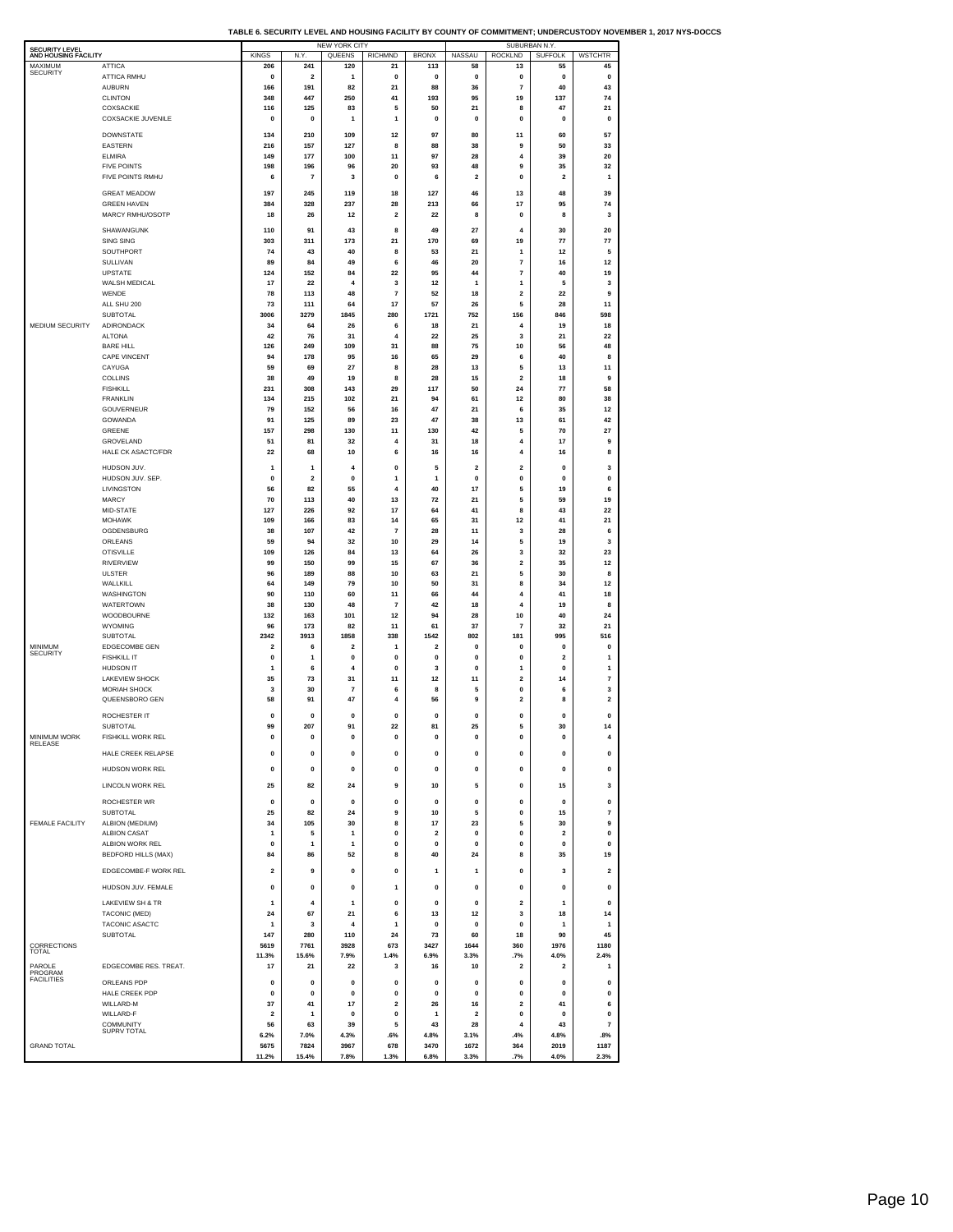| TABLE 6. SECURITY LEVEL AND HOUSING FACILITY BY COUNTY OF COMMITMENT: UNDERCUSTODY NOVEMBER 1. 2017 NYS-DOCCS |  |  |
|---------------------------------------------------------------------------------------------------------------|--|--|
|                                                                                                               |  |  |

| <b>SECURITY LEVEL</b><br>AND HOUSING FACILITY |                                        | <b>KINGS</b>            | N.Y                            | NEW YORK CITY<br>QUEENS | <b>RICHMND</b>               | <b>BRONX</b>        | NASSAU             | SUBURBAN N.Y.<br><b>ROCKLND</b> | <b>SUFFOLK</b>          | <b>WSTCHTR</b>                 |
|-----------------------------------------------|----------------------------------------|-------------------------|--------------------------------|-------------------------|------------------------------|---------------------|--------------------|---------------------------------|-------------------------|--------------------------------|
| MAXIMUM<br><b>SECURITY</b>                    | ATTICA                                 | 206                     | 241                            | 120                     | 21                           | 113                 | 58                 | 13                              | 55                      | 45                             |
|                                               | ATTICA RMHU<br><b>AUBURN</b>           | 0<br>166                | $\overline{\mathbf{2}}$<br>191 | 1<br>82                 | 0<br>21                      | 0<br>88             | 0<br>36            | 0<br>$\overline{7}$             | 0<br>40                 | 0<br>43                        |
|                                               | <b>CLINTON</b>                         | 348                     | 447                            | 250                     | 41                           | 193                 | 95                 | 19                              | 137                     | 74                             |
|                                               | COXSACKIE<br><b>COXSACKIE JUVENILE</b> | 116<br>0                | 125<br>0                       | 83<br>1                 | 5<br>1                       | 50<br>0             | 21<br>0            | 8<br>0                          | 47<br>0                 | 21<br>0                        |
|                                               |                                        |                         |                                |                         |                              |                     |                    |                                 |                         |                                |
|                                               | <b>DOWNSTATE</b><br>EASTERN            | 134<br>216              | 210<br>157                     | 109<br>127              | 12<br>8                      | 97<br>88            | 80<br>38           | 11<br>9                         | 60<br>50                | 57<br>33                       |
|                                               | <b>ELMIRA</b>                          | 149                     | 177                            | 100                     | 11                           | 97                  | 28                 | 4                               | 39                      | 20                             |
|                                               | <b>FIVE POINTS</b><br>FIVE POINTS RMHU | 198<br>6                | 196<br>$\overline{7}$          | 96<br>3                 | 20<br>0                      | 93<br>6             | 48<br>2            | 9<br>0                          | 35<br>$\overline{2}$    | 32<br>1                        |
|                                               | <b>GREAT MEADOW</b>                    | 197                     | 245                            | 119                     | 18                           | 127                 | 46                 | 13                              | 48                      | 39                             |
|                                               | <b>GREEN HAVEN</b>                     | 384                     | 328                            | 237                     | 28                           | 213                 | 66                 | 17                              | 95                      | 74                             |
|                                               | MARCY RMHU/OSOTP                       | 18                      | 26                             | 12                      | 2                            | 22                  | 8                  | 0                               | 8                       | 3                              |
|                                               | SHAWANGUNK                             | 110                     | 91                             | 43                      | 8                            | 49                  | 27                 | 4                               | 30                      | 20                             |
|                                               | <b>SING SING</b><br>SOUTHPORT          | 303<br>74               | 311<br>43                      | 173<br>40               | 21<br>8                      | 170<br>53           | 69<br>21           | 19<br>1                         | 77<br>12                | 77<br>5                        |
|                                               | SULLIVAN                               | 89                      | 84                             | 49                      | 6                            | 46                  | 20                 | $\overline{7}$                  | 16                      | 12                             |
|                                               | UPSTATE<br>WALSH MEDICAL               | 124<br>17               | 152<br>22                      | 84<br>$\overline{4}$    | 22<br>3                      | 95<br>12            | 44<br>1            | 7<br>$\mathbf{1}$               | 40<br>5                 | 19<br>3                        |
|                                               | WENDE                                  | 78                      | 113                            | 48                      | 7                            | 52                  | 18                 | $\overline{\mathbf{2}}$         | 22                      | 9                              |
|                                               | ALL SHU 200                            | 73                      | 111                            | 64                      | 17                           | 57                  | 26                 | 5                               | 28                      | 11                             |
| <b>MEDIUM SECURITY</b>                        | SUBTOTAL<br>ADIRONDACK                 | 3006<br>34              | 3279<br>64                     | 1845<br>26              | 280<br>6                     | 1721<br>18          | 752<br>21          | 156<br>4                        | 846<br>19               | 598<br>18                      |
|                                               | <b>ALTONA</b>                          | 42                      | 76                             | 31                      | 4                            | 22                  | 25                 | 3                               | 21                      | 22                             |
|                                               | <b>BARE HILL</b><br>CAPE VINCENT       | 126<br>94               | 249<br>178                     | 109<br>95               | 31<br>16                     | 88<br>65            | 75<br>29           | 10<br>6                         | 56<br>40                | 48<br>8                        |
|                                               | CAYUGA                                 | 59                      | 69                             | 27                      | 8                            | 28                  | 13                 | 5                               | 13                      | 11                             |
|                                               | COLLINS                                | 38                      | 49                             | 19                      | 8<br>29                      | 28                  | 15                 | $\mathbf 2$                     | 18<br>77                | 9                              |
|                                               | <b>FISHKILL</b><br><b>FRANKI IN</b>    | 231<br>134              | 308<br>215                     | 143<br>102              | 21                           | 117<br>94           | 50<br>61           | 24<br>12                        | 80                      | 58<br>38                       |
|                                               | <b>GOUVERNEUR</b>                      | 79                      | 152                            | 56                      | 16                           | 47                  | 21                 | 6                               | 35                      | 12                             |
|                                               | GOWANDA<br>GREENE                      | 91<br>157               | 125<br>298                     | 89<br>130               | 23<br>11                     | 47<br>130           | 38<br>42           | 13<br>5                         | 61<br>70                | 42<br>27                       |
|                                               | GROVELAND                              | 51                      | 81                             | 32                      | 4                            | 31                  | 18                 | $\overline{4}$                  | 17                      | 9                              |
|                                               | HALE CK ASACTC/FDR                     | 22                      | 68                             | 10                      | 6                            | 16                  | 16                 | 4                               | 16                      | 8                              |
|                                               | HUDSON JUV.                            | 1                       | 1                              | 4                       | 0                            | 5                   | 2                  | $\overline{\mathbf{2}}$         | 0                       | 3                              |
|                                               | HUDSON JUV. SEP.<br>LIVINGSTON         | $\mathbf{0}$<br>56      | $\overline{\mathbf{2}}$<br>82  | $\pmb{0}$<br>55         | 1<br>$\overline{4}$          | 1<br>40             | 0<br>17            | $\pmb{0}$<br>5                  | $\mathbf 0$<br>19       | $\pmb{0}$<br>6                 |
|                                               | <b>MARCY</b>                           | 70                      | 113                            | 40                      | 13                           | 72                  | 21                 | 5                               | 59                      | 19                             |
|                                               | MID-STATE                              | 127                     | 226                            | 92                      | 17                           | 64                  | 41                 | 8                               | 43                      | 22                             |
|                                               | <b>MOHAWK</b><br>OGDENSBURG            | 109<br>38               | 166<br>107                     | 83<br>42                | 14<br>7                      | 65<br>28            | 31<br>11           | 12<br>3                         | 41<br>28                | 21<br>6                        |
|                                               | ORLEANS                                | 59                      | 94                             | 32                      | 10                           | 29                  | 14                 | 5                               | 19                      | 3                              |
|                                               | <b>OTISVILLE</b><br><b>RIVERVIEW</b>   | 109<br>99               | 126<br>150                     | 84<br>99                | 13<br>15                     | 64<br>67            | 26<br>36           | 3<br>$\overline{\mathbf{2}}$    | 32<br>35                | 23<br>12                       |
|                                               | <b>ULSTER</b>                          | 96                      | 189                            | 88                      | 10                           | 63                  | 21                 | 5                               | 30                      | 8                              |
|                                               | WALLKILL                               | 64                      | 149                            | 79                      | 10                           | 50                  | 31                 | 8                               | 34                      | 12                             |
|                                               | WASHINGTON<br><b>WATERTOWN</b>         | 90<br>38                | 110<br>130                     | 60<br>48                | 11<br>$\overline{7}$         | 66<br>42            | 44<br>18           | 4<br>4                          | 41<br>19                | 18<br>8                        |
|                                               | WOODBOURNE                             | 132                     | 163                            | 101                     | 12                           | 94                  | 28                 | 10                              | 40                      | 24                             |
|                                               | <b>WYOMING</b><br>SUBTOTAL             | 96<br>2342              | 173<br>3913                    | 82<br>1858              | 11<br>338                    | 61<br>1542          | 37<br>802          | $\overline{7}$<br>181           | 32<br>995               | 21<br>516                      |
| MINIMUM                                       | EDGECOMBE GEN                          | $\overline{\mathbf{2}}$ | 6                              | $\overline{2}$          | 1                            | $\overline{2}$      | 0                  | $\mathbf{0}$                    | $\mathbf 0$             | $\mathbf 0$                    |
| SECURITY                                      | <b>FISHKILL IT</b>                     | 0                       | 1                              | $\pmb{0}$               | 0                            | 0                   | 0                  | 0                               | $\overline{\mathbf{2}}$ | 1                              |
|                                               | HUDSON IT<br>LAKEVIEW SHOCK            | 1<br>35                 | 6<br>73                        | 4<br>31                 | $\mathbf{0}$<br>11           | 3<br>12             | $\mathbf{0}$<br>11 | 1<br>$\overline{\mathbf{2}}$    | 0<br>14                 | 1<br>$\overline{\textbf{7}}$   |
|                                               | <b>MORIAH SHOCK</b>                    | 3                       | 30                             | $\overline{7}$          | 6                            | 8                   | 5                  | 0                               | 6                       | 3                              |
|                                               | QUEENSBORO GEN                         | 58                      | 91                             | 47                      | 4                            | 56                  | 9                  | $\overline{\mathbf{2}}$         | 8                       | $\mathbf 2$                    |
|                                               | ROCHESTER IT<br>SUBTOTAL               | 0<br>99                 | 0<br>207                       | 0<br>91                 | 0<br>22                      | 0<br>81             | 0<br>25            | 0<br>5                          | $\mathbf 0$<br>30       | $\pmb{0}$<br>14                |
| <b>MINIMUM WORK</b>                           | FISHKILL WORK REL                      | 0                       | 0                              | 0                       | $\mathbf 0$                  | $\mathbf 0$         | 0                  | 0                               | 0                       | 4                              |
| RELEASE                                       | HALE CREEK RELAPSE                     | 0                       | 0                              | 0                       | 0                            | 0                   | 0                  | 0                               | 0                       | 0                              |
|                                               | HUDSON WORK REL                        | 0                       | 0                              | 0                       | 0                            | 0                   | 0                  | 0                               | 0                       | 0                              |
|                                               | LINCOLN WORK REL                       | 25                      | 82                             | 24                      | 9                            | 10                  | 5                  | 0                               | 15                      | 3                              |
|                                               | ROCHESTER WR                           | 0                       | $\mathbf{0}$                   | 0                       | 0                            | 0                   | 0                  | 0                               | 0                       | 0                              |
|                                               | <b>SUBTOTAL</b>                        | 25                      | 82                             | 24                      | 9                            | 10                  | 5                  | $\pmb{0}$                       | 15                      | $\overline{\mathbf{r}}$        |
| FEMALE FACILITY                               | ALBION (MEDIUM)                        | 34                      | 105                            | 30                      | 8                            | 17                  | 23                 | 5                               | 30                      | 9                              |
|                                               | <b>ALBION CASAT</b><br>ALBION WORK REL | 1<br>0                  | 5<br>1                         | $\mathbf{1}$<br>1       | $\pmb{0}$<br>0               | $\overline{2}$<br>0 | 0<br>0             | $\pmb{0}$<br>0                  | $\overline{2}$<br>0     | $\pmb{0}$<br>0                 |
|                                               | <b>BEDFORD HILLS (MAX)</b>             | 84                      | 86                             | 52                      | 8                            | 40                  | 24                 | 8                               | 35                      | 19                             |
|                                               | EDGECOMBE-F WORK REL                   | $\overline{\mathbf{2}}$ | 9                              | $\mathbf 0$             | $\mathbf{0}$                 | 1                   | 1                  | $\pmb{0}$                       | 3                       | $\overline{2}$                 |
|                                               | HUDSON JUV. FEMALE                     | $\mathbf{0}$            | $\mathbf{0}$                   | $\mathbf 0$             | 1                            | $\mathbf{0}$        | $\mathbf{0}$       | $\mathbf{0}$                    | $\mathbf{0}$            | $\mathbf 0$                    |
|                                               | <b>LAKEVIEW SH &amp; TR</b>            | 1                       | $\overline{4}$                 | 1                       | $\pmb{0}$                    | 0                   | $\mathbf{0}$       | $\overline{2}$                  | 1                       | $\mathbf 0$                    |
|                                               | TACONIC (MED)                          | 24                      | 67                             | 21                      | 6                            | 13                  | 12                 | 3                               | 18                      | 14                             |
|                                               | TACONIC ASACTC                         | 1                       | 3                              | $\overline{4}$          | 1                            | 0                   | 0                  | $\mathbf{0}$                    | $\mathbf{1}$            | $\mathbf{1}$                   |
| CORRECTIONS                                   | SUBTOTAL                               | 147<br>5619             | 280<br>7761                    | 110<br>3928             | 24<br>673                    | 73<br>3427          | 60<br>1644         | 18<br>360                       | 90<br>1976              | 45<br>1180                     |
| <b>TOTAL</b>                                  |                                        | 11.3%                   | 15.6%                          | 7.9%                    | 1.4%                         | 6.9%                | 3.3%               | .7%                             | 4.0%                    | 2.4%                           |
| PAROLE<br>PROGRAM                             | EDGECOMBE RES. TREAT.                  | 17                      | 21                             | 22                      | 3                            | 16                  | 10                 | $\overline{2}$                  | $\overline{2}$          | 1                              |
| <b>FACILITIES</b>                             | ORLEANS PDP                            | $\mathbf{0}$            | $\mathbf{0}$                   | $\mathbf 0$             | $\mathbf{0}$                 | $\mathbf{0}$        | $\mathbf{0}$       | $\mathbf{0}$                    | $\mathbf{0}$            | $\mathbf 0$                    |
|                                               | HALE CREEK PDP<br>WILLARD-M            | 0<br>37                 | $\mathbf{0}$<br>41             | 0<br>17                 | 0<br>$\overline{\mathbf{2}}$ | 0<br>26             | 0<br>16            | 0<br>$\mathbf 2$                | 0<br>41                 | 0<br>6                         |
|                                               | WILLARD-F                              | $\overline{2}$          | 1                              | 0                       | 0                            | 1                   | 2                  | 0                               | 0                       | 0                              |
|                                               | COMMUNITY<br>SUPRV TOTAL               | 56<br>6.2%              | 63<br>7.0%                     | 39<br>4.3%              | 5<br>.6%                     | 43<br>4.8%          | 28<br>3.1%         | 4<br>.4%                        | 43<br>4.8%              | $\overline{\mathbf{r}}$<br>.8% |
| <b>GRAND TOTAL</b>                            |                                        | 5675                    | 7824                           | 3967                    | 678                          | 3470                | 1672               | 364                             | 2019                    | 1187                           |
|                                               |                                        | 11.2%                   | 15.4%                          | 7.8%                    | 1.3%                         | 6.8%                | 3.3%               | .7%                             | 4.0%                    | 2.3%                           |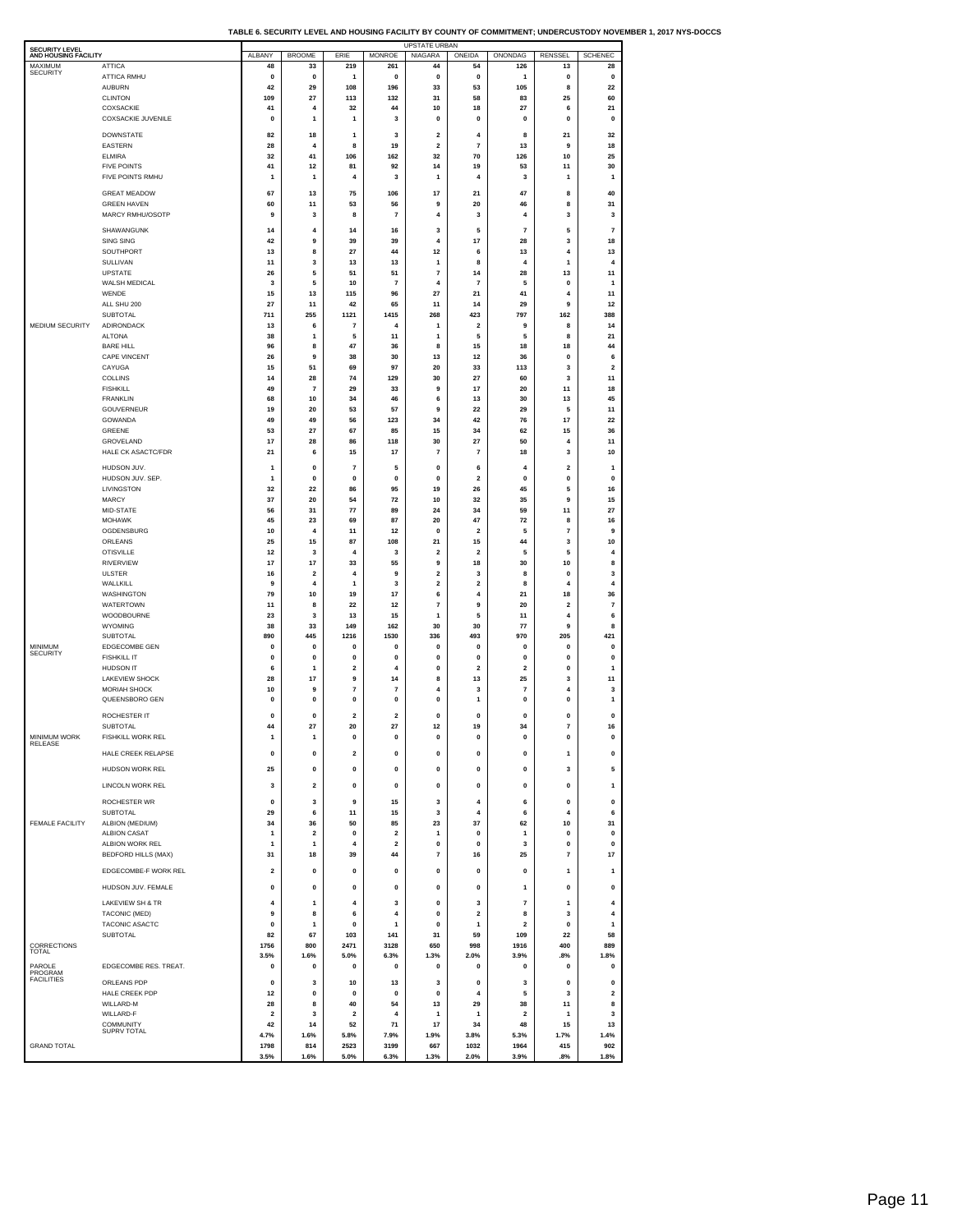| TABLE 6. SECURITY LEVEL AND HOUSING FACILITY BY COUNTY OF COMMITMENT: UNDERCUSTODY NOVEMBER 1, 2017 NYS-DOCCS |  |  |
|---------------------------------------------------------------------------------------------------------------|--|--|
|                                                                                                               |  |  |

| <b>SECURITY LEVEL</b>           |                                               |                      |                         |                                         |                               | <b>UPSTATE URBAN</b>         |                          |                                        |                             |                         |
|---------------------------------|-----------------------------------------------|----------------------|-------------------------|-----------------------------------------|-------------------------------|------------------------------|--------------------------|----------------------------------------|-----------------------------|-------------------------|
| AND HOUSING FACILITY<br>MAXIMUM | ATTICA                                        | ALBANY<br>48         | <b>BROOME</b><br>33     | ERIE<br>219                             | <b>MONROE</b><br>261          | NIAGARA<br>44                | ONEIDA<br>54             | ONONDAG<br>126                         | RENSSEL<br>13               | <b>SCHENEC</b><br>28    |
| <b>SECURITY</b>                 | <b>ATTICA RMHU</b>                            | $\mathbf 0$          | 0                       | $\mathbf{1}$                            | 0                             | 0                            | 0                        | 1                                      | 0                           | 0                       |
|                                 | <b>AUBURN</b>                                 | 42                   | 29                      | 108                                     | 196                           | 33                           | 53                       | 105                                    | 8                           | 22                      |
|                                 | <b>CLINTON</b><br>COXSACKIE                   | 109<br>41            | 27<br>4                 | 113<br>32                               | 132<br>44                     | 31<br>10                     | 58<br>18                 | 83<br>27                               | 25<br>6                     | 60<br>21                |
|                                 | <b>COXSACKIE JUVENILE</b>                     | 0                    | $\mathbf{1}$            | $\mathbf{1}$                            | 3                             | 0                            | 0                        | 0                                      | 0                           | 0                       |
|                                 | DOWNSTATE                                     | 82                   | 18                      | $\mathbf{1}$                            | 3                             | $\overline{\mathbf{2}}$      | 4                        | 8                                      | 21                          | 32                      |
|                                 | EASTERN                                       | 28                   | 4                       | 8                                       | 19                            | $\mathbf 2$                  | $\overline{\mathbf{r}}$  | 13                                     | 9                           | 18                      |
|                                 | <b>ELMIRA</b><br><b>FIVE POINTS</b>           | 32                   | 41                      | 106<br>81                               | 162                           | 32<br>14                     | 70<br>19                 | 126                                    | 10                          | 25                      |
|                                 | FIVE POINTS RMHU                              | 41<br>$\mathbf{1}$   | 12<br>$\mathbf{1}$      | 4                                       | 92<br>3                       | 1                            | 4                        | 53<br>3                                | 11<br>1                     | 30<br>$\mathbf{1}$      |
|                                 | <b>GREAT MEADOW</b>                           | 67                   | 13                      | 75                                      | 106                           | 17                           | 21                       | 47                                     | 8                           | 40                      |
|                                 | <b>GREEN HAVEN</b>                            | 60                   | 11                      | 53                                      | 56                            | 9                            | 20                       | 46                                     | 8                           | 31                      |
|                                 | MARCY RMHU/OSOTP                              | 9                    | 3                       | 8                                       | 7                             | 4                            | 3                        | 4                                      | 3                           | 3                       |
|                                 | SHAWANGUNK                                    | 14                   | $\overline{4}$          | 14                                      | 16                            | 3                            | 5                        | $\overline{7}$                         | 5                           | $\overline{7}$          |
|                                 | SING SING                                     | 42                   | 9                       | 39                                      | 39                            | 4                            | 17                       | 28                                     | 3                           | 18                      |
|                                 | SOUTHPORT<br>SULLIVAN                         | 13<br>11             | 8<br>3                  | 27<br>13                                | 44<br>13                      | 12<br>1                      | 6<br>8                   | 13<br>$\overline{4}$                   | $\overline{4}$<br>1         | 13<br>4                 |
|                                 | UPSTATE                                       | 26                   | 5                       | 51                                      | 51                            | $\overline{\textbf{7}}$      | 14                       | 28                                     | 13                          | 11                      |
|                                 | WALSH MEDICAL                                 | 3                    | 5                       | 10                                      | $\overline{7}$                | 4                            | $\overline{7}$           | 5                                      | 0                           | 1                       |
|                                 | WENDE<br>ALL SHU 200                          | 15<br>27             | 13<br>11                | 115<br>42                               | 96<br>65                      | 27<br>11                     | 21<br>14                 | 41<br>29                               | 4<br>9                      | 11<br>12                |
|                                 | SUBTOTAL                                      | 711                  | 255                     | 1121                                    | 1415                          | 268                          | 423                      | 797                                    | 162                         | 388                     |
| MEDIUM SECURITY                 | ADIRONDACK                                    | 13                   | 6                       | 7                                       | 4                             | 1                            | $\mathbf 2$              | 9                                      | 8                           | 14                      |
|                                 | <b>ALTONA</b><br><b>BARE HILL</b>             | 38<br>96             | $\mathbf{1}$<br>8       | 5<br>47                                 | 11<br>36                      | 1<br>8                       | 5<br>15                  | 5<br>18                                | 8<br>18                     | 21<br>44                |
|                                 | <b>CAPE VINCENT</b>                           | 26                   | 9                       | 38                                      | 30                            | 13                           | 12                       | 36                                     | 0                           | 6                       |
|                                 | CAYUGA<br><b>COLLINS</b>                      | 15                   | 51                      | 69                                      | 97                            | 20                           | 33                       | 113                                    | 3                           | $\overline{\mathbf{2}}$ |
|                                 | <b>FISHKILL</b>                               | 14<br>49             | 28<br>7                 | 74<br>29                                | 129<br>33                     | 30<br>9                      | 27<br>17                 | 60<br>20                               | 3<br>11                     | 11<br>18                |
|                                 | <b>FRANKLIN</b>                               | 68                   | 10                      | 34                                      | 46                            | 6                            | 13                       | 30                                     | 13                          | 45                      |
|                                 | GOUVERNEUR                                    | 19                   | 20                      | 53                                      | 57                            | 9                            | 22                       | 29                                     | 5                           | 11                      |
|                                 | GOWANDA<br>GREENE                             | 49<br>53             | 49<br>27                | 56<br>67                                | 123<br>85                     | 34<br>15                     | 42<br>34                 | 76<br>62                               | 17<br>15                    | 22<br>36                |
|                                 | GROVELAND                                     | 17                   | 28                      | 86                                      | 118                           | 30                           | 27                       | 50                                     | 4                           | 11                      |
|                                 | HALE CK ASACTC/FDR                            | 21                   | 6                       | 15                                      | 17                            | $\overline{7}$               | $\overline{7}$           | 18                                     | 3                           | 10                      |
|                                 | HUDSON JUV.                                   | 1                    | $\mathbf{0}$            | $\overline{7}$                          | 5                             | $\pmb{0}$                    | 6                        | 4                                      | $\overline{2}$              | $\mathbf{1}$            |
|                                 | HUDSON JUV. SEP.<br>LIVINGSTON                | 1<br>32              | 0<br>22                 | 0<br>86                                 | 0<br>95                       | 0<br>19                      | 2<br>26                  | 0<br>45                                | 0<br>5                      | 0<br>16                 |
|                                 | MARCY                                         | 37                   | 20                      | 54                                      | 72                            | 10                           | 32                       | 35                                     | 9                           | 15                      |
|                                 | MID-STATE                                     | 56                   | 31                      | 77                                      | 89                            | 24                           | 34                       | 59                                     | 11                          | 27                      |
|                                 | <b>MOHAWK</b><br>OGDENSBURG                   | 45<br>10             | 23<br>4                 | 69<br>11                                | 87<br>12                      | 20<br>$\pmb{0}$              | 47<br>$\overline{2}$     | 72<br>5                                | 8<br>$\overline{7}$         | 16<br>9                 |
|                                 | ORLEANS                                       | 25                   | 15                      | 87                                      | 108                           | 21                           | 15                       | 44                                     | 3                           | 10                      |
|                                 | <b>OTISVILLE</b>                              | 12                   | 3                       | $\pmb{4}$                               | 3                             | $\overline{2}$               | $\mathbf 2$              | 5                                      | 5                           | 4                       |
|                                 | <b>RIVERVIEW</b><br><b>ULSTER</b>             | 17<br>16             | 17<br>$\overline{2}$    | 33<br>$\overline{4}$                    | 55<br>9                       | 9<br>$\overline{\mathbf{2}}$ | 18<br>3                  | 30<br>8                                | 10<br>$\bf{0}$              | 8<br>3                  |
|                                 | WALLKILL                                      | 9                    | 4                       | $\mathbf{1}$                            | 3                             | 2                            | 2                        | 8                                      | $\overline{4}$              | $\overline{4}$          |
|                                 | WASHINGTON                                    | 79                   | 10                      | 19                                      | 17                            | 6                            | 4                        | 21                                     | 18                          | 36                      |
|                                 | WATERTOWN<br>WOODBOURNE                       | 11<br>23             | 8<br>3                  | 22<br>13                                | 12<br>15                      | 7<br>1                       | 9<br>5                   | 20<br>11                               | 2<br>$\ddot{a}$             | 7<br>6                  |
|                                 | WYOMING                                       | 38                   | 33                      | 149                                     | 162                           | 30                           | 30                       | 77                                     | 9                           | 8                       |
|                                 | <b>SUBTOTAL</b>                               | 890                  | 445                     | 1216                                    | 1530                          | 336                          | 493                      | 970                                    | 205                         | 421                     |
| MINIMUM<br><b>SECURITY</b>      | EDGECOMBE GEN<br><b>FISHKILL IT</b>           | 0<br>0               | 0<br>$\mathbf{0}$       | 0<br>0                                  | 0<br>0                        | 0<br>0                       | 0<br>0                   | 0<br>0                                 | 0<br>0                      | 0<br>0                  |
|                                 | HUDSON IT                                     | 6                    | $\mathbf{1}$            | $\mathbf 2$                             | 4                             | 0                            | $\mathbf 2$              | $\mathbf 2$                            | 0                           | 1                       |
|                                 | <b>LAKEVIEW SHOCK</b>                         | 28                   | 17                      | 9                                       | 14                            | 8                            | 13                       | 25                                     | 3                           | 11                      |
|                                 | MORIAH SHOCK<br>QUEENSBORO GEN                | 10<br>0              | 9<br>$\mathbf{0}$       | $\overline{\mathbf{r}}$<br>$\mathbf{0}$ | $\overline{7}$<br>0           | 4<br>0                       | 3<br>1                   | $\overline{\mathbf{r}}$<br>$\mathbf 0$ | 4<br>$\mathbf 0$            | 3<br>1                  |
|                                 |                                               |                      |                         |                                         |                               |                              |                          |                                        |                             |                         |
|                                 | ROCHESTER IT<br>SUBTOTAL                      | 0<br>44              | 0<br>27                 | $\overline{\mathbf{2}}$<br>20           | $\overline{\mathbf{2}}$<br>27 | 0<br>12                      | $\mathbf 0$<br>19        | 0<br>34                                | 0<br>$\overline{7}$         | 0<br>16                 |
| <b>MINIMUM WORK</b>             | <b>FISHKILL WORK REL</b>                      | 1                    | 1                       | 0                                       | 0                             | 0                            | 0                        | 0                                      | 0                           | 0                       |
| RELEASE                         | HALE CREEK RELAPSE                            | $\pmb{0}$            | $\pmb{0}$               | $\mathbf 2$                             | $\pmb{0}$                     | $\mathbf 0$                  | $\pmb{0}$                | $\pmb{0}$                              | 1                           | $\pmb{0}$               |
|                                 | HUDSON WORK REL                               | 25                   | 0                       | $\mathbf{0}$                            | $\pmb{0}$                     | $\mathbf 0$                  | $\pmb{0}$                | $\pmb{0}$                              | 3                           | 5                       |
|                                 | LINCOLN WORK REL                              | 3                    | $\overline{2}$          | $\mathbf 0$                             | $\pmb{0}$                     | 0                            | $\mathbf 0$              | $\mathbf 0$                            | $\pmb{0}$                   | 1                       |
|                                 |                                               |                      |                         |                                         |                               |                              |                          |                                        |                             |                         |
|                                 | ROCHESTER WR<br>SUBTOTAL                      | $\mathbf{0}$<br>29   | 3<br>6                  | 9<br>11                                 | 15<br>15                      | 3<br>3                       | $\overline{4}$<br>4      | 6<br>6                                 | $\pmb{0}$<br>$\overline{4}$ | $\pmb{0}$<br>6          |
| <b>FEMALE FACILITY</b>          | ALBION (MEDIUM)                               | 34                   | 36                      | 50                                      | 85                            | 23                           | 37                       | 62                                     | 10                          | 31                      |
|                                 | <b>ALBION CASAT</b>                           | 1                    | $\overline{\mathbf{2}}$ | 0                                       | $\overline{\mathbf{2}}$       | 1                            | 0                        | 1                                      | 0                           | 0                       |
|                                 | ALBION WORK REL<br><b>BEDFORD HILLS (MAX)</b> | 1<br>31              | $\mathbf{1}$<br>18      | 4<br>39                                 | $\overline{2}$<br>44          | $\pmb{0}$<br>7               | $\pmb{\mathsf{o}}$<br>16 | 3<br>25                                | $\pmb{0}$<br>7              | $\pmb{0}$<br>17         |
|                                 |                                               |                      |                         |                                         |                               |                              |                          |                                        |                             |                         |
|                                 | EDGECOMBE-F WORK REL                          | 2                    | 0                       | 0                                       | 0                             | 0                            | 0                        | 0                                      | 1                           | 1                       |
|                                 | HUDSON JUV. FEMALE                            | 0                    | 0                       | 0                                       | 0                             | 0                            | 0                        | 1                                      | 0                           | 0                       |
|                                 | <b>LAKEVIEW SH &amp; TR</b>                   | 4                    | 1                       | 4                                       | 3                             | 0                            | 3                        | $\overline{7}$                         | 1                           | 4                       |
|                                 | TACONIC (MED)<br>TACONIC ASACTC               | 9<br>0               | 8<br>$\mathbf{1}$       | 6<br>0                                  | 4<br>$\mathbf{1}$             | 0<br>0                       | $\mathbf 2$<br>1         | 8<br>$\overline{2}$                    | 3<br>0                      | 4<br>1                  |
|                                 | <b>SUBTOTAL</b>                               | 82                   | 67                      | 103                                     | 141                           | 31                           | 59                       | 109                                    | 22                          | 58                      |
| CORRECTIONS<br>TOTAL            |                                               | 1756                 | 800                     | 2471                                    | 3128                          | 650                          | 998                      | 1916                                   | 400                         | 889                     |
| PAROLE                          | EDGECOMBE RES. TREAT.                         | 3.5%<br>0            | 1.6%<br>0               | 5.0%<br>0                               | 6.3%<br>0                     | 1.3%<br>0                    | 2.0%<br>0                | 3.9%<br>0                              | .8%<br>0                    | 1.8%<br>0               |
| PROGRAM<br><b>FACILITIES</b>    | ORLEANS PDP                                   | 0                    | 3                       | 10                                      | 13                            | 3                            | 0                        | 3                                      | 0                           | 0                       |
|                                 | HALE CREEK PDP                                | 12                   | $\pmb{0}$               | $\mathbf 0$                             | $\pmb{0}$                     | $\pmb{0}$                    | $\pmb{4}$                | 5                                      | 3                           | $\overline{2}$          |
|                                 | WILLARD-M                                     | 28                   | 8                       | 40                                      | 54                            | 13                           | 29                       | 38                                     | 11                          | 8                       |
|                                 | WILLARD-F<br>COMMUNITY                        | $\overline{2}$<br>42 | 3<br>14                 | $\overline{\mathbf{2}}$<br>52           | 4<br>71                       | 1<br>17                      | 1<br>34                  | $\mathbf 2$<br>48                      | 1<br>15                     | 3<br>13                 |
|                                 | <b>SUPRV TOTAL</b>                            | 4.7%                 | 1.6%                    | 5.8%                                    | 7.9%                          | 1.9%                         | 3.8%                     | 5.3%                                   | 1.7%                        | 1.4%                    |
| <b>GRAND TOTAL</b>              |                                               | 1798                 | 814                     | 2523                                    | 3199                          | 667                          | 1032                     | 1964                                   | 415                         | 902                     |
|                                 |                                               | 3.5%                 | 1.6%                    | 5.0%                                    | 6.3%                          | 1.3%                         | 2.0%                     | 3.9%                                   | .8%                         | 1.8%                    |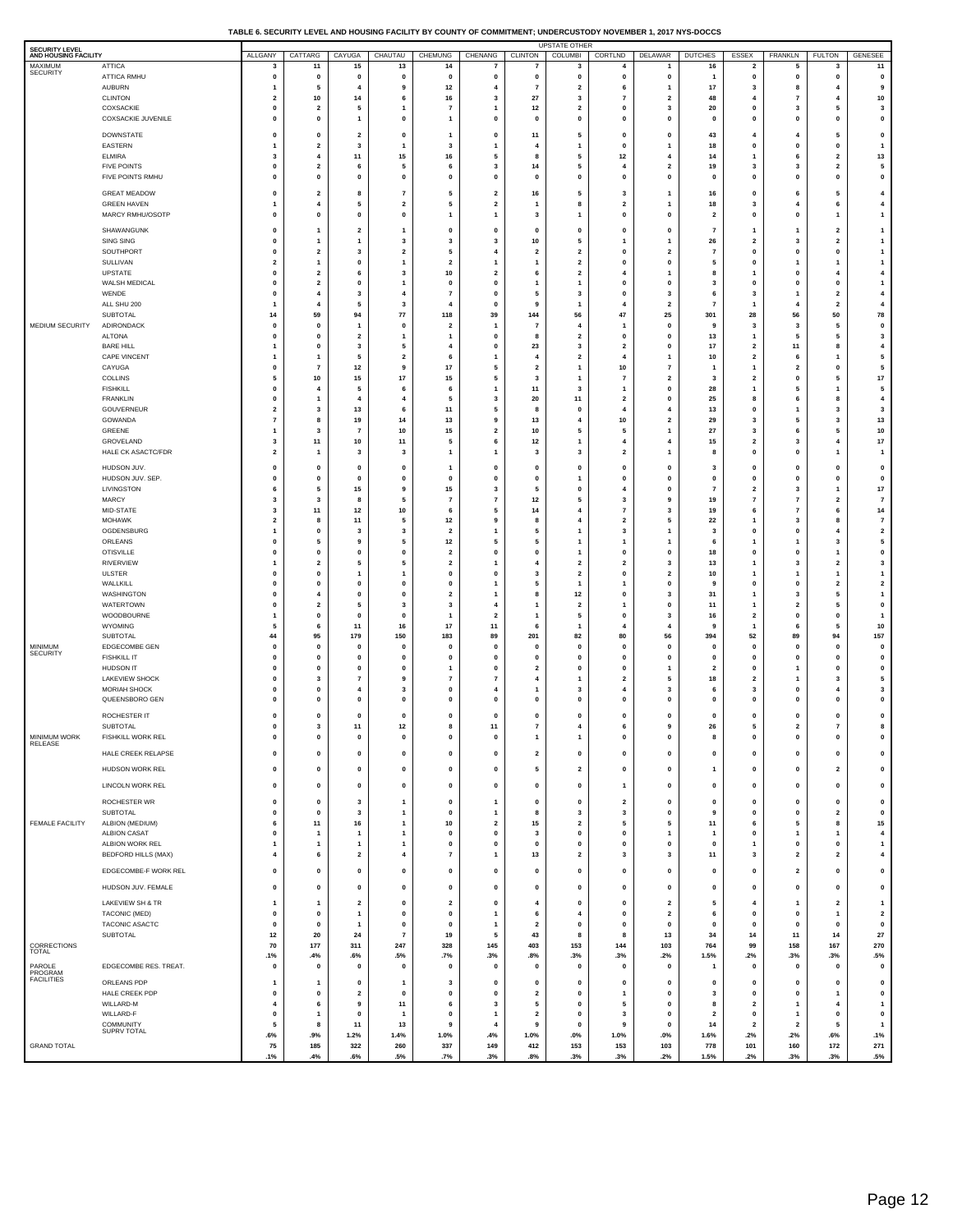| TABLE 6. SECURITY LEVEL AND HOUSING FACILITY BY COUNTY OF COMMITMENT: UNDERCUSTODY NOVEMBER 1, 2017 NYS-DOCCS |  |
|---------------------------------------------------------------------------------------------------------------|--|

| SECURITY LEVEL<br>AND HOUSING FACILITY |                                         | ALLGANY                                | CATTARG                                | CAYUGA                       | CHAUTAU                                | <b>CHEMUNG</b>                                     | CHENANG                                 | <b>CLINTON</b>                 | UPSTATE OTHER<br>COLUMBI                  | CORTLND                                   | DELAWAR                                   | <b>DUTCHES</b>          | ESSEX                                     | FRANKLN                                 | <b>FULTON</b>                        | GENESEE                                   |
|----------------------------------------|-----------------------------------------|----------------------------------------|----------------------------------------|------------------------------|----------------------------------------|----------------------------------------------------|-----------------------------------------|--------------------------------|-------------------------------------------|-------------------------------------------|-------------------------------------------|-------------------------|-------------------------------------------|-----------------------------------------|--------------------------------------|-------------------------------------------|
| MAXIMUM<br><b>SECURITY</b>             | ATTICA                                  | 3                                      | 11                                     | 15                           | 13                                     | 14                                                 | 7                                       | 7                              | 3                                         | $\overline{4}$                            |                                           | 16                      | $\overline{\mathbf{2}}$                   | 5                                       | 3                                    | 11                                        |
|                                        | ATTICA RMHU<br><b>AUBURN</b>            | $\mathbf 0$<br>1                       | $\mathbf{0}$<br>5                      | 0<br>4                       | $\mathbf{0}$<br>9                      | $\mathbf{0}$<br>$12$                               | $\mathbf 0$<br>4                        | $\pmb{0}$<br>$\overline{7}$    | $\mathbf 0$<br>$\overline{\mathbf{2}}$    | $\mathbf 0$<br>6                          | $\mathbf{0}$<br>1                         | -1<br>17                | $\mathbf{0}$<br>3                         | $\mathbf 0$<br>8                        | $\mathbf 0$<br>4                     | $\mathbf 0$<br>9                          |
|                                        | <b>CLINTON</b>                          | $\overline{2}$                         | 10                                     | 14                           | 6                                      | 16                                                 | $\overline{\mathbf{3}}$                 | 27                             | 3                                         | 7                                         | $\overline{2}$                            | 48                      | 4                                         | $\overline{7}$                          | $\overline{4}$                       | 10                                        |
|                                        | COXSACKIE<br>COXSACKIE JUVENILE         | 0<br>$\mathbf 0$                       | $\overline{\mathbf{2}}$<br>$\mathbf 0$ | 5<br>1                       | $\mathbf{1}$<br>$\mathbf 0$            | $\overline{7}$<br>-1                               | $\mathbf{1}$<br>$\mathbf 0$             | 12<br>$\mathbf{0}$             | $\overline{\mathbf{2}}$<br>$\mathbf 0$    | 0<br>$\mathbf 0$                          | 3<br>$\mathbf{0}$                         | 20<br>$\mathbf 0$       | 0<br>$\mathbf{0}$                         | 3<br>$\mathbf 0$                        | 5<br>$\mathbf 0$                     | 3<br>$\pmb{0}$                            |
|                                        | <b>DOWNSTATE</b>                        | $\mathbf 0$                            | $\mathbf 0$                            | $\overline{\mathbf{2}}$      | $\mathbf 0$                            | $\mathbf{1}$                                       | $\mathbf 0$                             | 11                             | 5                                         | $\mathbf 0$                               | $\mathbf{0}$                              | 43                      | 4                                         | $\overline{4}$                          | 5                                    | $\mathbf{0}$                              |
|                                        | EASTERN                                 |                                        | $\overline{2}$                         | 3                            | $\mathbf{1}$                           | 3                                                  | 1                                       | 4                              | 1                                         | $\mathbf 0$                               |                                           | 18                      | 0                                         | 0                                       | 0                                    | $\mathbf{1}$                              |
|                                        | <b>ELMIRA</b><br><b>FIVE POINTS</b>     | 3<br>0                                 | 4<br>$\overline{\mathbf{2}}$           | 11<br>6                      | 15<br>5                                | 16<br>6                                            | 5<br>3                                  | 8<br>14                        | 5<br>5                                    | 12<br>$\overline{4}$                      | $\overline{4}$<br>$\overline{\mathbf{2}}$ | 14<br>19                | 1<br>3                                    | 6<br>3                                  | $\overline{\mathbf{2}}$<br>2         | 13<br>5                                   |
|                                        | FIVE POINTS RMHU                        | $\mathbf 0$                            | $\mathbf 0$                            | $\mathbf 0$                  | $\mathbf 0$                            | $\mathbf{0}$                                       | 0                                       | $\mathbf{0}$                   | $\mathbf 0$                               | $\mathbf{0}$                              | $\mathbf 0$                               | $\mathbf 0$             | $\mathbf{0}$                              | $\pmb{0}$                               | $\pmb{0}$                            | $\pmb{0}$                                 |
|                                        | <b>GREAT MEADOW</b>                     | $\mathbf 0$                            | $\overline{\mathbf{2}}$                | 8                            | $\overline{7}$                         | 5                                                  | $\overline{\mathbf{2}}$                 | 16                             | 5                                         | -3                                        | 1                                         | 16                      | $\mathbf{0}$                              | 6                                       | 5                                    | 4                                         |
|                                        | <b>GREEN HAVEN</b><br>MARCY RMHU/OSOTP  | 1<br>$\mathbf 0$                       | 4<br>$\mathbf 0$                       | 5<br>$\mathbf{0}$            | $\overline{\mathbf{2}}$<br>$\mathbf 0$ | 5<br>$\mathbf{1}$                                  | $\overline{\mathbf{2}}$<br>$\mathbf{1}$ | $\mathbf{1}$<br>3              | 8<br>-1                                   | $\overline{\mathbf{2}}$<br>$\mathbf{0}$   | 1<br>$\mathbf{0}$                         | 18<br>$\overline{2}$    | 3<br>$\mathbf 0$                          | $\overline{4}$<br>$\pmb{0}$             | 6<br>1                               | 4<br>$\overline{1}$                       |
|                                        | SHAWANGUNK                              | $\mathbf 0$                            | -1                                     | $\overline{\mathbf{2}}$      | -1                                     | $\mathbf 0$                                        | $\mathbf{0}$                            | $\mathbf{0}$                   | $\mathbf 0$                               | $\mathbf 0$                               | $\mathbf 0$                               | 7                       | 1                                         | -1                                      | $\overline{2}$                       | -1                                        |
|                                        | SING SING                               | 0                                      |                                        | 1                            | 3                                      | 3                                                  | 3                                       | 10                             | 5                                         | $\mathbf{1}$                              | 1                                         | 26                      | $\overline{\mathbf{2}}$                   | 3                                       | 2                                    | $\mathbf{1}$                              |
|                                        | SOUTHPORT<br>SULLIVAN                   | $\mathbf 0$<br>$\overline{\mathbf{2}}$ | $\overline{2}$<br>1                    | 3<br>0                       | $\overline{2}$<br>$\mathbf{1}$         | 5<br>$\overline{\mathbf{2}}$                       | $\overline{4}$<br>$\mathbf{1}$          | $\overline{2}$<br>1            | $\overline{2}$<br>$\overline{\mathbf{2}}$ | $\mathbf 0$<br>$\mathbf 0$                | $\overline{2}$<br>0                       | $\overline{7}$<br>5     | $\mathbf{0}$<br>0                         | $\pmb{0}$<br>1                          | $\mathbf 0$<br>1                     | $\mathbf{1}$<br>$\mathbf{1}$              |
|                                        | <b>UPSTATE</b>                          | $\mathbf 0$                            | $\overline{2}$                         | 6                            | $\overline{\mathbf{3}}$                | 10                                                 | $\overline{\mathbf{2}}$                 | 6                              | $\overline{2}$                            | 4                                         | -1                                        | -8                      | 1                                         | $\mathbf 0$                             | $\overline{4}$                       | $\overline{\mathbf{4}}$                   |
|                                        | WALSH MEDICAL<br>WENDE                  | 0<br>$\mathbf 0$                       | $\overline{\mathbf{2}}$<br>4           | 0<br>3                       | $\mathbf{1}$<br>4                      | 0<br>$\overline{7}$                                | 0<br>$\mathbf 0$                        | $\overline{\mathbf{1}}$<br>5   | 1<br>3                                    | $\mathbf 0$<br>$\mathbf 0$                | 0<br>3                                    | 3<br>-6                 | 0<br>3                                    | 0<br>$\mathbf{1}$                       | 0<br>$\overline{\mathbf{2}}$         | $\mathbf{1}$<br>$\overline{\mathbf{4}}$   |
|                                        | ALL SHU 200                             |                                        | 4                                      | 5                            | 3                                      | $\overline{4}$                                     | 0                                       | 9                              |                                           | $\overline{4}$                            | $\overline{2}$                            | $\overline{7}$          | 1                                         | $\overline{4}$                          | 2                                    | 4                                         |
| MEDIUM SECURITY                        | <b>SUBTOTAL</b><br>ADIRONDACK           | 14<br>0                                | 59<br>$\mathbf 0$                      | 94<br>1                      | 77<br>$\mathbf 0$                      | 118<br>$\overline{\mathbf{2}}$                     | 39<br>1                                 | 144<br>$\overline{7}$          | 56<br>$\overline{4}$                      | 47<br>$\mathbf{1}$                        | 25<br>0                                   | 301<br>9                | 28<br>3                                   | 56<br>3                                 | 50<br>5                              | 78<br>$\mathbf 0$                         |
|                                        | <b>ALTONA</b>                           | $\mathbf 0$                            | $\mathbf 0$                            | $\overline{\mathbf{2}}$      | -1                                     | -1                                                 | $\mathbf 0$                             | 8                              | $\overline{2}$                            | $\mathbf 0$                               | $\mathbf{0}$                              | 13                      | 1                                         | 5                                       | 5                                    | $\overline{\mathbf{3}}$                   |
|                                        | <b>BARE HILL</b><br><b>CAPE VINCENT</b> | 1<br>1                                 | 0<br>-1                                | 3<br>5                       | 5<br>$\overline{2}$                    | 4<br>6                                             | 0<br>$\mathbf{1}$                       | 23<br>4                        | 3<br>$\overline{2}$                       | $\overline{\mathbf{2}}$<br>$\overline{4}$ | 0<br>$\mathbf{1}$                         | 17<br>10                | $\overline{\mathbf{2}}$<br>$\overline{2}$ | 11<br>6                                 | 8<br>1                               | 4<br>5                                    |
|                                        | CAYUGA                                  | 0                                      | 7                                      | 12                           | 9                                      | 17                                                 | 5                                       | $\overline{\mathbf{2}}$        | $\mathbf{1}$                              | 10                                        | $\overline{7}$                            |                         | 1                                         | $\overline{\mathbf{2}}$                 | 0                                    | 5                                         |
|                                        | COLLINS<br><b>FISHKILL</b>              | 5<br>0                                 | 10<br>4                                | 15<br>5                      | $17$<br>6                              | 15<br>6                                            | 5<br>$\mathbf{1}$                       | 3<br>11                        | -1<br>3                                   | $\overline{7}$                            | $\overline{\mathbf{2}}$<br>0              | 3<br>28                 | $\overline{2}$<br>1                       | $\mathbf 0$<br>5                        | 5<br>1                               | $17\,$<br>5                               |
|                                        | <b>FRANKLIN</b>                         | 0                                      | 1                                      | 4                            | 4                                      | 5                                                  | 3                                       | 20                             | 11                                        | $\overline{\mathbf{2}}$                   | $\mathbf 0$                               | 25                      | 8                                         | 6                                       | 8                                    | 4                                         |
|                                        | GOUVERNEUR<br>GOWANDA                   | $\overline{\mathbf{2}}$<br>7           | 3<br>8                                 | 13<br>19                     | 6<br>14                                | 11<br>13                                           | 5<br>9                                  | 8<br>13                        | $\bf{0}$<br>4                             | $\overline{4}$<br>10                      | 4<br>$\overline{\mathbf{2}}$              | 13<br>29                | 0<br>3                                    | $\overline{1}$<br>5                     | 3<br>3                               | 3<br>13                                   |
|                                        | GREENE                                  | 1                                      | 3                                      | $\overline{7}$               | 10                                     | 15                                                 | $\mathbf{2}$                            | $10\,$                         | 5                                         | 5                                         | $\mathbf{1}$                              | 27                      | 3                                         | 6                                       | 5                                    | 10                                        |
|                                        | GROVELAND<br><b>HALE CK ASACTC/FDR</b>  | 3<br>$\mathbf 2$                       | 11<br>$\mathbf{1}$                     | 10<br>3                      | 11<br>3                                | 5<br>$\overline{1}$                                | 6<br>$\overline{1}$                     | 12<br>3                        | $\mathbf{1}$<br>3                         | $\overline{4}$<br>$\overline{\mathbf{2}}$ | $\overline{4}$<br>$\overline{1}$          | 15<br>8                 | $\overline{\mathbf{2}}$<br>0              | 3<br>0                                  | 4<br>1                               | $17\,$<br>$\mathbf{1}$                    |
|                                        | HUDSON JUV.                             | 0                                      | $\bf{0}$                               | 0                            | $\mathbf 0$                            | $\mathbf{1}$                                       | $\pmb{0}$                               | 0                              | $\bf{0}$                                  | 0                                         | 0                                         | 3                       | 0                                         | 0                                       | $\pmb{0}$                            | $\pmb{0}$                                 |
|                                        | HUDSON JUV. SEP.                        | 0                                      | $\Omega$                               | 0                            | $\mathbf{0}$                           | $\mathbf{0}$                                       | 0                                       | 0                              | $\mathbf{1}$                              | $\mathbf{0}$                              | $\mathbf{0}$                              | $\mathbf{o}$            | $\mathbf{0}$                              | 0                                       | 0                                    | $\mathbf{0}$                              |
|                                        | LIVINGSTON<br>MARCY                     | 6<br>3                                 | 5<br>3                                 | 15<br>8                      | 9<br>5                                 | 15<br>$\overline{7}$                               | 3<br>$\overline{7}$                     | 5<br>12                        | $\mathbf 0$<br>5                          | $\overline{4}$<br>3                       | 0<br>9                                    | $\overline{7}$<br>19    | $\overline{\mathbf{2}}$<br>$\overline{7}$ | 3<br>$\overline{7}$                     | 1<br>2                               | $17\,$<br>$\overline{7}$                  |
|                                        | MID-STATE                               | 3                                      | 11                                     | 12                           | 10                                     | 6                                                  | 5                                       | 14                             | $\overline{4}$                            | $\overline{7}$                            | 3                                         | 19                      | 6                                         | $\overline{7}$                          | 6                                    | 14                                        |
|                                        | <b>MOHAWK</b><br>OGDENSBURG             | 2<br>1                                 | 8<br>0                                 | 11<br>3                      | 5<br>3                                 | $12$<br>$\overline{\mathbf{2}}$                    | 9<br>$\overline{1}$                     | 8<br>5                         | $\overline{4}$<br>1                       | $\overline{2}$<br>3                       | 5<br>$\mathbf{1}$                         | 22<br>3                 | 1<br>0                                    | 3<br>0                                  | 8<br>4                               | $\overline{7}$<br>$\overline{\mathbf{2}}$ |
|                                        | ORLEANS                                 | 0                                      | 5                                      | 9                            | 5                                      | $12$                                               | 5                                       | 5                              | $\mathbf{1}$                              | $\mathbf{1}$                              | $\mathbf{1}$                              | 6                       | 1                                         | $\mathbf{1}$                            | 3                                    | 5                                         |
|                                        | <b>OTISVILLE</b><br>RIVERVIEW           | 0<br>1                                 | $\mathbf 0$<br>$\overline{\mathbf{2}}$ | 0<br>5                       | $\mathbf 0$<br>5                       | $\overline{\mathbf{2}}$<br>$\overline{\mathbf{2}}$ | $\pmb{0}$<br>$\mathbf{1}$               | $\pmb{0}$<br>4                 | 1<br>$\overline{\mathbf{2}}$              | 0<br>$\overline{2}$                       | 0<br>3                                    | 18<br>13                | 0<br>1                                    | 0<br>3                                  | 1<br>$\overline{2}$                  | $\pmb{0}$<br>3                            |
|                                        | <b>ULSTER</b>                           | 0                                      | $\mathbf 0$                            | 1                            | $\mathbf{1}$                           | $\mathbf 0$                                        | 0                                       | 3                              | $\overline{\mathbf{2}}$                   | 0                                         | $\mathbf{2}$                              | 10                      | 1                                         | $\overline{1}$                          | 1                                    | $\overline{1}$                            |
|                                        | WALLKILL<br>WASHINGTON                  | $\mathbf 0$<br>$\mathbf 0$             | $\mathbf 0$<br>4                       | $\mathbf 0$<br>0             | $\mathbf{0}$<br>$\mathbf 0$            | 0<br>$\overline{\mathbf{2}}$                       | $\mathbf{1}$<br>$\mathbf{1}$            | 5<br>8                         | $\mathbf{1}$<br>12                        | $\overline{1}$<br>0                       | 0<br>3                                    | -9<br>31                | $\mathbf{0}$<br>1                         | 0<br>3                                  | 2<br>5                               | $\overline{\mathbf{2}}$<br>$\overline{1}$ |
|                                        | WATERTOWN                               | $\mathbf 0$                            | $\overline{\mathbf{2}}$                | 5                            | 3                                      | 3                                                  | $\overline{4}$                          | $\mathbf{1}$                   | $\overline{\mathbf{2}}$                   | $\mathbf{1}$                              | $\mathbf{0}$                              | 11                      | 1                                         | $\overline{\mathbf{2}}$                 | 5                                    | $\mathbf 0$                               |
|                                        | WOODBOURNE                              | 1<br>5                                 | $\mathbf 0$<br>6                       | 0<br>11                      | $\mathbf 0$<br>16                      | $\overline{1}$<br>17                               | $\overline{\mathbf{2}}$<br>11           | $\mathbf{1}$<br>6              | 5<br>$\mathbf{1}$                         | 0<br>4                                    | 3<br>$\overline{4}$                       | 16<br>-9                | $\overline{\mathbf{2}}$<br>1              | 0<br>6                                  | $\pmb{0}$<br>5                       | $\overline{1}$<br>$10\,$                  |
|                                        | WYOMING<br>SUBTOTAL                     | 44                                     | 95                                     | 179                          | 150                                    | 183                                                | 89                                      | 201                            | 82                                        | 80                                        | 56                                        | 394                     | 52                                        | 89                                      | 94                                   | 157                                       |
| <b>MINIMUM</b><br><b>SECURITY</b>      | EDGECOMBE GEN<br><b>FISHKILL IT</b>     | $\mathbf 0$<br>$\mathbf 0$             | $\Omega$<br>$\mathbf 0$                | 0<br>0                       | $\mathbf{0}$<br>$\mathbf 0$            | $\mathbf{0}$<br>$\mathbf 0$                        | $\mathbf{0}$<br>$\mathbf{0}$            | $\mathbf{0}$<br>$\mathbf{0}$   | $\mathbf 0$<br>$\mathbf 0$                | $\mathbf{0}$<br>$\mathbf 0$               | $\mathbf 0$<br>$\mathbf{0}$               | $\Omega$<br>$\mathbf 0$ | $\mathbf{0}$<br>$\mathbf{0}$              | $\mathbf 0$<br>$\pmb{0}$                | $\mathbf 0$<br>$\mathbf 0$           | $\mathbf 0$<br>$\pmb{0}$                  |
|                                        | HUDSON IT                               | 0                                      | $\mathbf 0$                            | 0                            | 0                                      |                                                    | 0                                       | $\overline{\mathbf{2}}$        | 0                                         | $\mathbf 0$                               |                                           | $\overline{2}$          | 0                                         | 1                                       | 0                                    | 0                                         |
|                                        | LAKEVIEW SHOCK                          | $\mathbf 0$<br>0                       | 3<br>0                                 | 7<br>4                       | 9<br>3                                 | $\overline{7}$<br>0                                | $\overline{7}$<br>4                     | $\overline{4}$<br>$\mathbf{1}$ | -1<br>3                                   | $\overline{2}$<br>$\overline{4}$          | 5<br>3                                    | 18                      | $\overline{2}$<br>3                       | -1<br>0                                 | $\overline{\mathbf{3}}$<br>4         | 5<br>3                                    |
|                                        | <b>MORIAH SHOCK</b><br>QUEENSBORO GEN   | $\mathbf 0$                            | $\mathbf 0$                            | 0                            | $\mathbf 0$                            | $\mathbf{0}$                                       | $\mathbf 0$                             | $\mathbf{0}$                   | $\mathbf 0$                               | $\mathbf 0$                               | $\mathbf{0}$                              | $\mathbf 0$             | $\mathbf{0}$                              | $\mathbf 0$                             | $\mathbf 0$                          | $\pmb{0}$                                 |
|                                        | ROCHESTER IT                            | $\mathbf 0$                            | 0                                      | 0                            | $\mathbf{0}$                           | $\mathbf{0}$                                       | $\mathbf{0}$                            | $\mathbf{0}$                   | $\mathbf 0$                               | $\mathbf 0$                               | $\mathbf 0$                               | $\Omega$                | $\mathbf{0}$                              | $\mathbf 0$                             | $\mathbf 0$                          | $\pmb{0}$                                 |
| <b>MINIMUM WORK</b>                    | SUBTOTAL<br><b>FISHKILL WORK REL</b>    | 0                                      | 3                                      | 11<br>O                      | 12                                     | 8                                                  | 11                                      | $\overline{\phantom{a}}$       | $\overline{4}$                            | 6                                         | 9                                         | 26                      | 5                                         | $\overline{\mathbf{2}}$<br>$\mathbf{0}$ | $\overline{\phantom{a}}$<br>$\Omega$ | 8                                         |
| RELEASE                                | HALE CREEK RELAPSE                      | $\pmb{0}$                              | 0                                      | 0                            | $\mathbf 0$                            | $\pmb{0}$                                          | $\mathbf 0$                             | $\overline{\mathbf{2}}$        | $\pmb{0}$                                 | $\pmb{0}$                                 | $\pmb{0}$                                 | 0                       | $\pmb{0}$                                 | $\pmb{0}$                               | $\pmb{0}$                            | $\pmb{0}$                                 |
|                                        | HUDSON WORK REL                         | $\pmb{0}$                              | $\pmb{0}$                              | 0                            | $\pmb{0}$                              | $\pmb{0}$                                          | 0                                       | 5                              | $\overline{\mathbf{2}}$                   | 0                                         | 0                                         | $\mathbf{1}$            | $\pmb{0}$                                 | 0                                       | $\mathbf 2$                          | $\pmb{0}$                                 |
|                                        | <b>LINCOLN WORK REL</b>                 | $\bf{0}$                               | 0                                      | 0                            | $\mathbf 0$                            | $\pmb{0}$                                          | $\mathbf 0$                             | $\pmb{0}$                      | 0                                         | $\mathbf{1}$                              | 0                                         | 0                       | 0                                         | $\pmb{0}$                               | $\pmb{0}$                            | $\pmb{0}$                                 |
|                                        | ROCHESTER WR                            | $\pmb{0}$                              |                                        |                              |                                        |                                                    |                                         |                                |                                           |                                           |                                           |                         |                                           |                                         | $\pmb{0}$                            |                                           |
|                                        | SUBTOTAL                                | 0                                      | 0<br>$\mathbf{0}$                      | $\mathbf{3}$<br>3            | $\mathbf{1}$<br>$\mathbf{1}$           | $\pmb{0}$<br>0                                     | $\overline{1}$<br>1                     | $\pmb{0}$<br>8                 | 0<br>3                                    | $\mathbf 2$<br>3                          | 0<br>0                                    | 0<br>9                  | 0<br>$\mathbf 0$                          | $\pmb{0}$<br>0                          | $\mathbf 2$                          | $\pmb{0}$<br>$\mathbf 0$                  |
| FEMALE FACILITY                        | ALBION (MEDIUM)<br><b>ALBION CASAT</b>  | 6<br>0                                 | 11<br>$\mathbf{1}$                     | 16<br>1                      | $\mathbf{1}$<br>$\mathbf{1}$           | 10<br>$\mathbf 0$                                  | $\mathbf{2}$<br>0                       | 15<br>3                        | $\overline{\mathbf{2}}$<br>$\mathbf 0$    | 5<br>$\mathbf 0$                          | 5<br>1                                    | 11<br>$\mathbf{1}$      | 6<br>$\mathbf 0$                          | 5                                       | 8<br>1                               | 15<br>$\overline{4}$                      |
|                                        | ALBION WORK REL                         | 1                                      | $\mathbf{1}$                           | 1                            | $\mathbf{1}$                           | $\pmb{0}$                                          | $\mathbf 0$                             | $\pmb{0}$                      | 0                                         | $\pmb{0}$                                 | $\pmb{0}$                                 | $\mathbf 0$             | 1                                         | $\mathbf{1}$<br>$\pmb{0}$               | $\pmb{0}$                            | $\mathbf{1}$                              |
|                                        | <b>BEDFORD HILLS (MAX)</b>              | 4                                      | 6                                      | $\overline{\mathbf{2}}$      | 4                                      | $\overline{7}$                                     | 1                                       | 13                             | $\overline{\mathbf{2}}$                   | 3                                         | 3                                         | 11                      | 3                                         | $\mathbf 2$                             | $\mathbf 2$                          | 4                                         |
|                                        | EDGECOMBE-F WORK REL                    | 0                                      | $\mathbf{0}$                           | 0                            | $\mathbf 0$                            | $\mathbf 0$                                        | 0                                       | 0                              | $\mathbf{0}$                              | $\mathbf{0}$                              | 0                                         | $\mathbf 0$             | $\mathbf 0$                               | $\overline{\mathbf{2}}$                 | 0                                    | $\mathbf 0$                               |
|                                        | HUDSON JUV. FEMALE                      | 0                                      | $\mathbf{0}$                           | 0                            | $\mathbf 0$                            | $\bf{0}$                                           | 0                                       | $\bf{0}$                       | 0                                         | $\mathbf 0$                               | 0                                         | $\mathbf{0}$            | $\pmb{0}$                                 | 0                                       | 0                                    | $\mathbf 0$                               |
|                                        | LAKEVIEW SH & TR                        | 1                                      | $\mathbf{1}$                           | $\overline{\mathbf{2}}$      | $\mathbf 0$                            | $\overline{\mathbf{2}}$                            | 0                                       | 4                              | 0                                         | $\mathbf{0}$                              | $\mathbf{2}$                              | 5                       | $\overline{4}$                            | $\mathbf{1}$                            | 2                                    | $\overline{1}$                            |
|                                        | TACONIC (MED)<br>TACONIC ASACTC         | $\pmb{0}$<br>0                         | 0<br>$\mathbf{0}$                      | 1<br>1                       | $\pmb{0}$<br>$\mathbf 0$               | $\pmb{0}$<br>0                                     | $\overline{1}$<br>$\mathbf{1}$          | 6<br>$\overline{\mathbf{2}}$   | $\overline{4}$<br>$\mathbf{0}$            | 0<br>$\mathbf{0}$                         | $\mathbf{2}$<br>0                         | 6<br>$\mathbf{0}$       | 0<br>$\mathbf 0$                          | $\pmb{0}$<br>0                          | 1<br>0                               | $\overline{\mathbf{2}}$<br>$\mathbf 0$    |
|                                        | SUBTOTAL                                | 12                                     | 20                                     | ${\bf 24}$                   | $\scriptstyle\rm 7$                    | 19                                                 | 5                                       | 43                             | 8                                         | 8                                         | 13                                        | 34                      | 14                                        | 11                                      | 14                                   | 27                                        |
| CORRECTIONS<br><b>TOTAL</b>            |                                         | 70<br>.1%                              | 177<br>.4%                             | 311<br>.6%                   | 247<br>.5%                             | 328<br>.7%                                         | 145<br>.3%                              | 403<br>.8%                     | 153<br>.3%                                | 144<br>.3%                                | 103<br>.2%                                | 764<br>1.5%             | 99<br>.2%                                 | 158<br>.3%                              | 167<br>.3%                           | 270<br>.5%                                |
| PAROLE<br>PROGRAM                      | EDGECOMBE RES. TREAT.                   | 0                                      | 0                                      | 0                            | $\mathbf 0$                            | 0                                                  | 0                                       | 0                              | $\mathbf 0$                               | $\mathbf{0}$                              | 0                                         | $\mathbf{1}$            | 0                                         | 0                                       | 0                                    | $\mathbf 0$                               |
| <b>FACILITIES</b>                      | ORLEANS PDP                             | 1                                      | $\mathbf{1}$                           | 0                            | $\mathbf{1}$                           | 3                                                  | 0                                       | 0                              | $\mathbf{0}$                              | $\mathbf{0}$                              | $\mathbf{0}$                              | $\mathbf{0}$            | 0                                         | 0                                       | 0                                    | $\mathbf 0$                               |
|                                        | HALE CREEK PDP<br>WILLARD-M             | $\pmb{0}$<br>4                         | 0<br>6                                 | $\overline{\mathbf{2}}$<br>9 | $\mathbf 0$<br>11                      | $\pmb{0}$<br>6                                     | $\mathbf 0$<br>3                        | $\mathbf 2$<br>5               | 0<br>$\mathbf{0}$                         | $\mathbf{1}$<br>5                         | 0<br>0                                    | 3<br>8                  | 0<br>$\overline{\mathbf{2}}$              | $\pmb{0}$<br>1                          | 1<br>4                               | $\pmb{0}$<br>$\mathbf{1}$                 |
|                                        | WILLARD-F                               | 0                                      | $\mathbf{1}$                           | $\mathbf 0$                  | $\overline{1}$                         | 0                                                  | $\overline{1}$                          | $\overline{\mathbf{2}}$        | $\mathbf 0$                               | 3                                         | 0                                         | $\overline{2}$          | $\pmb{0}$                                 | $\mathbf{1}$                            | $\pmb{0}$                            | $\pmb{0}$                                 |
|                                        | COMMUNITY<br>SUPRV TOTAL                | 5<br>.6%                               | 8<br>.9%                               | 11<br>1.2%                   | 13<br>1.4%                             | 9<br>1.0%                                          | $\overline{4}$<br>.4%                   | 9<br>1.0%                      | $\mathbf{0}$<br>$.0\%$                    | 9<br>1.0%                                 | $\mathbf{0}$<br>$.0\%$                    | 14<br>1.6%              | $\overline{\mathbf{2}}$<br>.2%            | $\overline{\mathbf{2}}$<br>.2%          | 5<br>.6%                             | $\overline{1}$<br>.1%                     |
| <b>GRAND TOTAL</b>                     |                                         | 75<br>.1%                              | 185<br>.4%                             | 322<br>.6%                   | 260<br>.5%                             | 337<br>.7%                                         | 149<br>.3%                              | 412<br>.8%                     | 153<br>.3%                                | 153<br>.3%                                | 103<br>.2%                                | 778<br>1.5%             | 101<br>.2%                                | 160<br>.3%                              | 172<br>.3%                           | 271<br>.5%                                |
|                                        |                                         |                                        |                                        |                              |                                        |                                                    |                                         |                                |                                           |                                           |                                           |                         |                                           |                                         |                                      |                                           |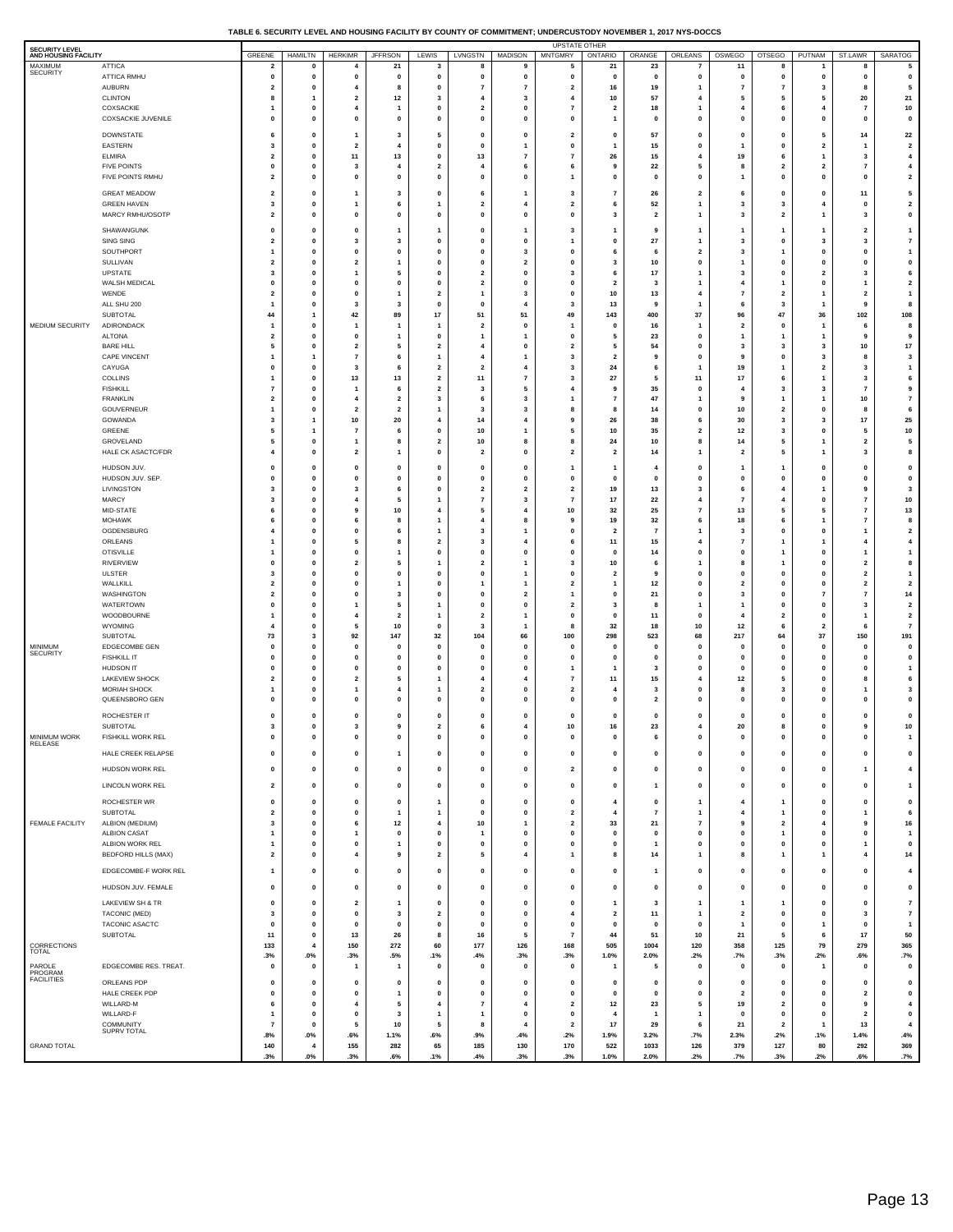#### **TABLE 6. SECURITY LEVEL AND HOUSING FACILITY BY COUNTY OF COMMITMENT; UNDERCUSTODY NOVEMBER 1, 2017 NYS-DOCCS**

| MAXIMUM<br><b>ATTICA</b><br>21<br>5<br>21<br>23<br>11<br>8<br>5<br>$\overline{\mathbf{2}}$<br>0<br>4<br>3<br>8<br>9<br>7<br>8<br><b>SECURITY</b><br><b>ATTICA RMHU</b><br>$\pmb{0}$<br>$\bf{0}$<br>$\pmb{0}$<br>$\pmb{0}$<br>$\pmb{0}$<br>$\pmb{0}$<br>$\pmb{0}$<br>$\pmb{0}$<br>$\mathbf{0}$<br>$\mathbf 0$<br>$\mathbf 0$<br>$\mathbf 0$<br>$\mathbf 0$<br>$\mathbf 0$<br>$\mathbf{0}$<br>$\mathbf 0$<br><b>AUBURN</b><br>$\overline{\mathbf{2}}$<br>0<br>$\overline{4}$<br>8<br>0<br>$\overline{7}$<br>$\overline{7}$<br>$\overline{\mathbf{2}}$<br>16<br>19<br>1<br>$\overline{7}$<br>$\overline{7}$<br>3<br>8<br>5<br><b>CLINTON</b><br>$\overline{\mathbf{2}}$<br>12<br>$\overline{\mathbf{3}}$<br>57<br>5<br>20<br>21<br>8<br>$\overline{4}$<br>3<br>10<br>$\overline{4}$<br>5<br>5<br>$\mathbf{1}$<br>$\overline{4}$<br>COXSACKIE<br>0<br>$\overline{4}$<br>0<br>$\overline{\mathbf{2}}$<br>$\mathbf 0$<br>$\overline{7}$<br>18<br>1<br>4<br>6<br>$\overline{4}$<br>$\overline{7}$<br>10<br>1<br>$\mathbf{1}$<br>$\overline{\mathbf{z}}$<br>COXSACKIE JUVENILE<br>$\pmb{0}$<br>$\mathbf{0}$<br>$\pmb{0}$<br>$\pmb{0}$<br>$\mathbf{0}$<br>$\pmb{0}$<br>$\pmb{0}$<br>$\mathbf{0}$<br>$\mathbf 0$<br>$\mathbf 0$<br>$\mathbf{0}$<br>$\mathbf 0$<br>$\mathbf{0}$<br>$\mathbf 0$<br>$\mathbf 0$<br>1<br><b>DOWNSTATE</b><br>5<br>57<br>$\mathbf{0}$<br>14<br>22<br>6<br>$\mathbf 0$<br>$\overline{\mathbf{3}}$<br>$\mathbf 0$<br>$\mathbf 0$<br>$\overline{2}$<br>$\mathbf 0$<br>$\mathbf 0$<br>5<br>$\overline{1}$<br>$\mathbf 0$<br>EASTERN<br>$\overline{\mathbf{2}}$<br>3<br>0<br>$\overline{\mathbf{2}}$<br>$\overline{4}$<br>0<br>$\mathbf 0$<br>$\mathbf 0$<br>15<br>0<br>1<br>$\mathbf 0$<br>$\mathbf{2}$<br>1<br>1<br><b>ELMIRA</b><br>$\overline{\mathbf{2}}$<br>$\pmb{0}$<br>11<br>13<br>$\mathbf 0$<br>13<br>$\overline{7}$<br>$\overline{7}$<br>26<br>15<br>$\overline{4}$<br>19<br>$\overline{\bf 4}$<br>6<br>$\overline{\mathbf{3}}$<br>1<br><b>FIVE POINTS</b><br>$\mathbf 0$<br>0<br>3<br>$\overline{4}$<br>$\overline{\mathbf{2}}$<br>$\overline{4}$<br>6<br>6<br>22<br>5<br>8<br>$\overline{\mathbf{2}}$<br>$\overline{\mathbf{2}}$<br>4<br>9<br>7<br>FIVE POINTS RMHU<br>$\overline{\mathbf{2}}$<br>$\mathbf 0$<br>$\pmb{0}$<br>$\pmb{0}$<br>$\overline{\mathbf{2}}$<br>$\mathbf 0$<br>$\mathbf{0}$<br>$\mathbf 0$<br>$\mathbf 0$<br>$\mathbf 0$<br>$\mathbf 0$<br>$\mathbf{0}$<br>$\mathbf 0$<br>$\overline{\mathbf{1}}$<br>$\mathbf 0$<br>$\mathbf{1}$<br><b>GREAT MEADOW</b><br>$\overline{\mathbf{2}}$<br>$\overline{2}$<br>11<br>5<br>$\mathbf 0$<br>$\mathbf{0}$<br>$\overline{\mathbf{3}}$<br>$\overline{7}$<br>26<br>6<br>$\mathbf 0$<br>$\overline{1}$<br>3<br>6<br>$\mathbf{0}$<br>-1<br>$\overline{\mathbf{2}}$<br><b>GREEN HAVEN</b><br>3<br>0<br>6<br>$\overline{\mathbf{2}}$<br>$\overline{4}$<br>$\overline{\mathbf{2}}$<br>52<br>3<br>3<br>4<br>0<br>1<br>1<br>6<br>$\mathbf{1}$<br>MARCY RMHU/OSOTP<br>$\overline{\mathbf{2}}$<br>$\mathbf 0$<br>$\pmb{0}$<br>$\overline{\mathbf{2}}$<br>3<br>$\pmb{0}$<br>$\mathbf 0$<br>$\mathbf{0}$<br>$\mathbf{0}$<br>$\mathbf 0$<br>$\mathbf{0}$<br>$\overline{2}$<br>3<br>$\mathbf{1}$<br>$\mathbf{1}$<br>3<br>SHAWANGUNK<br>$\mathbf 0$<br>$\mathbf 0$<br>$\mathbf 0$<br>$\overline{\mathbf{3}}$<br>$\overline{2}$<br>$\mathbf{1}$<br>$\mathbf{1}$<br>$\mathbf{0}$<br>$\mathbf{1}$<br>$\mathbf{1}$<br>-1<br>-1<br>1<br>-9<br>-1<br>1<br>$\pmb{7}$<br><b>SING SING</b><br>$\overline{\mathbf{2}}$<br>0<br>3<br>3<br>0<br>$\mathbf 0$<br>$\pmb{0}$<br>27<br>$\mathbf{1}$<br>3<br>$\mathbf 0$<br>3<br>3<br>1<br>0<br>SOUTHPORT<br>$\mathbf{0}$<br>$\overline{2}$<br>$\overline{\mathbf{3}}$<br>$\mathbf{1}$<br>$\mathbf 0$<br>$\mathbf 0$<br>$\mathbf{0}$<br>$\mathbf 0$<br>3<br>$\mathbf{0}$<br>$\mathbf{0}$<br>$\overline{1}$<br>6<br>$\mathbf{o}$<br>6<br>-1<br>SULLIVAN<br>$\overline{\mathbf{2}}$<br>0<br>$\overline{\mathbf{2}}$<br>0<br>$\mathbf 0$<br>$\overline{\mathbf{2}}$<br>$\mathbf 0$<br>10<br>0<br>1<br>$\mathbf 0$<br>0<br>$\mathbf{0}$<br>0<br>$\overline{1}$<br>3<br>UPSTATE<br>$\overline{\mathbf{3}}$<br>$\bf{0}$<br>$\overline{\mathbf{2}}$<br>17<br>3<br>6<br>5<br>$\mathbf{0}$<br>$\mathbf 0$<br>$\overline{\mathbf{3}}$<br>$\mathbf 0$<br>$\overline{2}$<br>$\overline{\mathbf{3}}$<br>$\mathbf{1}$<br>6<br>$\mathbf{1}$<br>$\overline{\mathbf{2}}$<br>WALSH MEDICAL<br>$\mathbf 0$<br>0<br>0<br>$\mathbf{0}$<br>0<br>$\overline{\mathbf{2}}$<br>$\pmb{0}$<br>$\mathbf 0$<br>3<br>$\mathbf{1}$<br>4<br>0<br>$\overline{\mathbf{2}}$<br>$\mathbf{1}$<br>$\mathbf{1}$<br>WENDE<br>$\overline{\mathbf{2}}$<br>$\mathbf{0}$<br>$\mathbf{2}$<br>10<br>13<br>$\overline{7}$<br>$\mathbf{1}$<br>$\mathbf 0$<br>3<br>$\mathbf{0}$<br>$\overline{4}$<br>$\overline{2}$<br>$\overline{2}$<br>$\overline{1}$<br>1<br>-1<br>ALL SHU 200<br>0<br>3<br>3<br>0<br>$\mathbf 0$<br>$\overline{4}$<br>$\overline{\mathbf{3}}$<br>13<br>9<br>$\mathbf{1}$<br>6<br>3<br>9<br>8<br>$\overline{\mathbf{1}}$<br>1<br><b>SUBTOTAL</b><br>44<br>42<br>89<br>17<br>51<br>51<br>49<br>143<br>400<br>37<br>96<br>47<br>36<br>102<br>108<br>$\mathbf{1}$<br>MEDIUM SECURITY<br>ADIRONDACK<br>0<br>$\overline{\mathbf{2}}$<br>$\mathbf{0}$<br>O<br>16<br>$\overline{\mathbf{2}}$<br>$\mathbf 0$<br>8<br>1<br>1<br>$\mathbf{1}$<br>1<br>1<br>$\overline{\mathbf{1}}$<br>1<br>6<br><b>ALTONA</b><br>$\mathbf{0}$<br>23<br>$\mathbf{0}$<br>9<br>$\overline{2}$<br>$\mathbf 0$<br>$\mathbf{0}$<br>$\mathbf 0$<br>$\mathbf{1}$<br>9<br>$\overline{1}$<br>5<br>1<br>-1<br>-1<br>1<br>$17\,$<br><b>BARE HILL</b><br>5<br>0<br>$\overline{\mathbf{2}}$<br>5<br>$\mathbf{2}$<br>$\overline{4}$<br>$\mathbf{0}$<br>$\overline{\mathbf{2}}$<br>5<br>54<br>0<br>3<br>3<br>3<br>10<br>CAPE VINCENT<br>$\overline{\mathbf{r}}$<br>$\overline{\mathbf{3}}$<br>$\mathbf{0}$<br>9<br>3<br>$\mathbf{1}$<br>6<br>$\overline{1}$<br>$\overline{4}$<br>$\overline{2}$<br>$\mathbf 0$<br>3<br>$\overline{1}$<br>$\overline{1}$<br>9<br>8<br>CAYUGA<br>$\mathbf 0$<br>0<br>3<br>6<br>$\overline{\mathbf{2}}$<br>$\overline{\mathbf{2}}$<br>$\overline{\mathbf{4}}$<br>$\overline{\mathbf{3}}$<br>24<br>$\mathbf{1}$<br>19<br>$\mathbf{2}$<br>3<br>$\mathbf{1}$<br>6<br>1<br>COLLINS<br>$\mathbf{0}$<br>13<br>13<br>$\mathbf{2}$<br>11<br>$\overline{7}$<br>27<br>5<br>11<br>17<br>6<br>$\overline{\mathbf{3}}$<br>6<br>3<br>$\overline{1}$<br>1<br>9<br><b>FISHKILL</b><br>$\overline{7}$<br>0<br>6<br>$\mathbf{2}$<br>3<br>5<br>$\overline{4}$<br>9<br>35<br>0<br>4<br>3<br>3<br>$\overline{7}$<br>1<br>$\bf 7$<br><b>FRANKLIN</b><br>47<br>$\overline{\mathbf{2}}$<br>0<br>$\overline{\mathbf{2}}$<br>3<br>10<br>4<br>6<br>3<br>1<br>7<br>$\mathbf{1}$<br>9<br>1<br>1<br>GOUVERNEUR<br>$\pmb{0}$<br>$\bf{0}$<br>$10\,$<br>6<br>$\overline{1}$<br>$\overline{\mathbf{2}}$<br>$\overline{\mathbf{2}}$<br>$\overline{1}$<br>$\overline{\mathbf{3}}$<br>3<br>8<br>14<br>$\overline{\mathbf{2}}$<br>0<br>8<br>8<br>25<br>GOWANDA<br>$17$<br>1<br>10<br>20<br>14<br>26<br>38<br>6<br>30<br>3<br>4<br>$\overline{4}$<br>9<br>3<br>3<br>GREENE<br>10<br>35<br>$\overline{\mathbf{2}}$<br>12<br>10<br>5<br>1<br>$\overline{7}$<br>6<br>0<br>1<br>5<br>10<br>3<br>0<br>5<br>5<br>GROVELAND<br>5<br>0<br>$\overline{\mathbf{2}}$<br>10<br>24<br>10<br>8<br>14<br>5<br>$\overline{1}$<br>8<br>8<br>8<br>1<br>$\overline{\mathbf{2}}$<br>HALE CK ASACTC/FDR<br>$\bf{0}$<br>$\mathbf{2}$<br>$\pmb{0}$<br>8<br>$\overline{4}$<br>$\overline{\mathbf{2}}$<br>$\mathbf 0$<br>$\overline{\mathbf{2}}$<br>$\overline{\mathbf{2}}$<br>14<br>$\mathbf{1}$<br>$\overline{\mathbf{2}}$<br>5<br>1<br>3<br>$\overline{1}$<br>HUDSON JUV.<br>$\bf{0}$<br>$\pmb{0}$<br>$\mathbf 0$<br>0<br>0<br>$\mathbf{0}$<br>0<br>$\mathbf 0$<br>$\mathbf 0$<br>0<br>0<br>$\overline{\mathbf{1}}$<br>1<br>4<br>1<br>$\mathbf{1}$<br>$\pmb{0}$<br>HUDSON JUV. SEP<br>0<br>0<br>0<br>0<br>0<br>$\mathbf{0}$<br>0<br>$\mathbf{0}$<br>$\mathbf 0$<br>$\mathbf 0$<br>$\Omega$<br>0<br>$\mathbf{0}$<br>0<br>$\mathbf{o}$<br>LIVINGSTON<br>$\pmb{0}$<br>19<br>13<br>$\mathbf{3}$<br>6<br>3<br>3<br>3<br>6<br>0<br>$\overline{\mathbf{2}}$<br>$\overline{\mathbf{2}}$<br>$\overline{\mathbf{2}}$<br>4<br>9<br>1<br>${\bf 10}$<br>MARCY<br>$\overline{7}$<br>3<br>0<br>5<br>$\overline{7}$<br>17<br>22<br>$\overline{4}$<br>$\overline{7}$<br>4<br>$\mathbf{1}$<br>3<br>$\overline{7}$<br>4<br>$\mathbf{0}$<br>MID-STATE<br>$\pmb{0}$<br>$10\,$<br>10<br>32<br>25<br>$\overline{7}$<br>13<br>13<br>6<br>9<br>4<br>5<br>4<br>5<br>5<br>$\overline{7}$<br><b>MOHAWK</b><br>18<br>8<br>0<br>19<br>32<br>6<br>$\overline{7}$<br>6<br>6<br>8<br>$\mathbf{1}$<br>$\overline{4}$<br>8<br>9<br>6<br>1<br>OGDENSBURG<br>$\pmb{0}$<br>$\overline{\mathbf{2}}$<br>$\overline{4}$<br>0<br>6<br>$\overline{1}$<br>$\overline{\mathbf{3}}$<br>$\mathbf 0$<br>$\overline{2}$<br>$\overline{7}$<br>3<br>$\mathbf{0}$<br>0<br>1<br>$\mathbf{1}$<br>$\mathbf{1}$<br>ORLEANS<br>$\overline{\bf 4}$<br>0<br>$\overline{\mathbf{2}}$<br>15<br>$\overline{7}$<br>$\mathbf{1}$<br>5<br>-8<br>3<br>$\overline{4}$<br>6<br>11<br>4<br>1<br>$\overline{\mathbf{4}}$<br>1<br><b>OTISVILLE</b><br>$\pmb{0}$<br>$\pmb{0}$<br>$\pmb{0}$<br>14<br>$\bf{0}$<br>$\mathbf{1}$<br>$\overline{1}$<br>0<br>$\mathbf{0}$<br>$\mathbf 0$<br>0<br>0<br>0<br>$\overline{1}$<br>$\mathbf{1}$<br>$\mathbf{1}$<br>RIVERVIEW<br>8<br>0<br>$\overline{\mathbf{2}}$<br>$\overline{\mathbf{2}}$<br>10<br>8<br>$\overline{2}$<br>0<br>5<br>$\mathbf{1}$<br>$\mathbf{1}$<br>3<br>6<br>$\mathbf{1}$<br>$\overline{1}$<br>0<br><b>ULSTER</b><br>3<br>$\pmb{0}$<br>$\pmb{0}$<br>$\mathbf 0$<br>$\pmb{0}$<br>$\mathbf{1}$<br>0<br>$\mathbf{0}$<br>0<br>$\overline{1}$<br>$\mathbf 0$<br>$\overline{\mathbf{2}}$<br>9<br>$\mathbf 0$<br>0<br>$\overline{\mathbf{2}}$<br>WALLKILL<br>$\mathbf 2$<br>$\overline{\mathbf{2}}$<br>0<br>0<br>12<br>0<br>$\mathbf{2}$<br>$\overline{2}$<br>0<br>$\mathbf{1}$<br>$\overline{\mathbf{1}}$<br>$\overline{1}$<br>$\overline{\mathbf{2}}$<br>$\Omega$<br>$\mathbf{0}$<br>1<br>WASHINGTON<br>$\overline{\mathbf{2}}$<br>$\bf{0}$<br>$\mathbf 0$<br>21<br>$\bf{0}$<br>3<br>14<br>0<br>3<br>$\mathbf{0}$<br>$\overline{\mathbf{2}}$<br>0<br>0<br>$\overline{7}$<br>$\overline{7}$<br>1<br>WATERTOWN<br>$\mathbf 2$<br>0<br>0<br>5<br>$\mathbf{1}$<br>$\mathbf 0$<br>$\mathbf 0$<br>$\overline{\mathbf{2}}$<br>3<br>8<br>1<br>1<br>$\mathbf 0$<br>0<br>3<br>1<br>WOODBOURNE<br>$\pmb{0}$<br>$\mathbf 0$<br>$\overline{\mathbf{2}}$<br>$\overline{4}$<br>$\overline{\mathbf{2}}$<br>$\overline{1}$<br>$\overline{\mathbf{2}}$<br>$\mathbf 0$<br>0<br>11<br>4<br>$\overline{2}$<br>0<br>1<br>$\overline{\mathbf{1}}$<br>$\mathbf{1}$<br>$\overline{\mathbf{7}}$<br>WYOMING<br>12<br>0<br>10<br>32<br>18<br>10<br>$\overline{4}$<br>5<br>0<br>3<br>$\overline{\mathbf{1}}$<br>8<br>6<br>$\overline{\mathbf{2}}$<br>6<br>SUBTOTAL<br>73<br>3<br>92<br>147<br>32<br>104<br>66<br>100<br>298<br>523<br>68<br>217<br>37<br>150<br>191<br>64<br><b>MINIMUM</b><br>EDGECOMBE GEN<br>0<br>0<br>0<br>0<br>0<br>$\mathbf 0$<br>$\mathbf 0$<br>$\mathbf 0$<br>$\mathbf 0$<br>$\mathbf 0$<br>0<br>$\mathbf 0$<br>0<br>$\mathbf 0$<br>0<br>$\mathbf{o}$<br><b>SECURITY</b><br><b>FISHKILL IT</b><br>$\mathbf{0}$<br>$\mathbf{0}$<br>$\pmb{0}$<br>$\mathbf 0$<br>$\mathbf 0$<br>$\mathbf{0}$<br>$\mathbf{0}$<br>$\mathbf 0$<br>$\mathbf 0$<br>$\mathbf 0$<br>$\mathbf 0$<br>$\mathbf 0$<br>$\mathbf{0}$<br>$\mathbf 0$<br>$\mathbf 0$<br>$\mathbf 0$<br>HUDSON IT<br>$\mathbf 0$<br>0<br>0<br>$\Omega$<br>0<br>$\mathbf 0$<br>$\mathbf{0}$<br>3<br>0<br>0<br>$\mathbf 0$<br>0<br>$\mathbf{0}$<br>1<br>$\overline{\mathbf{1}}$<br>LAKEVIEW SHOCK<br>$\overline{\mathbf{2}}$<br>$\mathbf 0$<br>$\overline{\mathbf{2}}$<br>$\overline{7}$<br>15<br>$\overline{4}$<br>12<br>5<br>6<br>5<br>$\overline{4}$<br>11<br>$\mathbf{0}$<br>$\mathbf{1}$<br>$\overline{4}$<br>8<br><b>MORIAH SHOCK</b><br>0<br>$\overline{\mathbf{2}}$<br>$\pmb{0}$<br>$\overline{\mathbf{2}}$<br>3<br>0<br>8<br>0<br>3<br>1<br>1<br>$\overline{4}$<br>1<br>3<br>QUEENSBORO GEN<br>$\mathbf{0}$<br>$\pmb{0}$<br>$\mathbf 0$<br>$\mathbf 0$<br>$\mathbf 0$<br>$\mathbf{0}$<br>$\mathbf 0$<br>$\mathbf{0}$<br>$\overline{\mathbf{2}}$<br>$\mathbf 0$<br>$\Omega$<br>$\mathbf 0$<br>$\mathbf 0$<br>$\mathbf{0}$<br>$\mathbf{0}$<br>0<br>ROCHESTER IT<br>$\mathbf{0}$<br>$\pmb{0}$<br>$\mathbf 0$<br>$\mathbf 0$<br>$\mathbf 0$<br>$\mathbf{0}$<br>$\mathbf 0$<br>$\mathbf 0$<br>$\mathbf 0$<br>$\mathbf 0$<br>$\mathbf 0$<br>$\mathbf 0$<br>$\mathbf 0$<br>$\mathbf{0}$<br>$\mathbf{0}$<br>0<br>10<br>SUBTOTAL<br>3<br>0<br>3<br>9<br>$\overline{\mathbf{2}}$<br>6<br>$\overline{\mathbf{4}}$<br>10<br>16<br>23<br>4<br>20<br>8<br>0<br>9<br>MINIMUM WORK<br>FISHKILL WORK REL<br>$\pmb{0}$<br>$\mathbf{0}$<br>$\mathbf 0$<br>$\mathbf 0$<br>$\mathbf{0}$<br>$\mathbf{1}$<br>$\Omega$<br>$\Omega$<br>$\mathbf 0$<br>$\mathbf{0}$<br>6<br>$\mathbf 0$<br>$\mathbf{0}$<br>$\mathbf 0$<br>$\Omega$<br>$\Omega$<br>RELEASE<br>HALE CREEK RELAPSE<br>$\pmb{0}$<br>$\pmb{0}$<br>$\pmb{0}$<br>$\mathbf 0$<br>$\bf{0}$<br>$\pmb{0}$<br>$\pmb{0}$<br>$\pmb{0}$<br>$\mathbf 0$<br>0<br>$\pmb{0}$<br>0<br>0<br>0<br>0<br>$\overline{1}$<br>HUDSON WORK REL<br>$\pmb{0}$<br>$\mathbf 0$<br>$\pmb{0}$<br>$\pmb{0}$<br>$\pmb{0}$<br>$\pmb{0}$<br>$\overline{\mathbf{2}}$<br>$\mathbf 0$<br>$\mathbf 0$<br>$\pmb{0}$<br>$\overline{\bf 4}$<br>0<br>$\pmb{0}$<br>$\mathbf 0$<br>0<br>$\mathbf{1}$<br>LINCOLN WORK REL<br>$\overline{\mathbf{2}}$<br>$\mathbf 0$<br>$\pmb{0}$<br>$\mathbf 0$<br>$\pmb{0}$<br>$\mathbf 0$<br>$\mathbf 0$<br>$\mathbf 0$<br>$\mathbf{0}$<br>$\pmb{0}$<br>$\mathbf{1}$<br>0<br>$\pmb{0}$<br>$\mathbf 0$<br>$\overline{1}$<br>0<br>ROCHESTER WR<br>$\pmb{0}$<br>$\mathbf 0$<br>$\pmb{0}$<br>$\pmb{0}$<br>$\pmb{0}$<br>$\mathbf 0$<br>$\pmb{4}$<br>$\pmb{0}$<br>$\pmb{0}$<br>1<br>$\pmb{0}$<br>$\overline{4}$<br>$\mathbf 0$<br>$\mathbf{1}$<br>$\mathbf{1}$<br>0<br><b>SUBTOTAL</b><br>4<br>6<br>$\overline{\mathbf{2}}$<br>0<br>$\mathbf 0$<br>$\overline{7}$<br>$\mathbf{0}$<br>$\mathbf 0$<br>$\mathbf{1}$<br>1<br>$\mathbf{o}$<br>$\overline{\mathbf{2}}$<br>$\overline{\mathbf{4}}$<br>$\mathbf{1}$<br>$\mathbf{1}$<br>$\mathbf{1}$<br>FEMALE FACILITY<br>ALBION (MEDIUM)<br>3<br>$\mathbf 0$<br>$12$<br>$\overline{\bf 4}$<br>10<br>$\overline{\mathbf{2}}$<br>33<br>21<br>$\scriptstyle\rm 7$<br>9<br>$\overline{\mathbf{2}}$<br>9<br>16<br>6<br>$\overline{1}$<br>$\overline{4}$ | <b>SECURITY LEVEL</b><br>AND HOUSING FACILITY |                     | GREENE       | <b>HAMILTN</b> | <b>HERKIMR</b> | <b>JFFRSON</b> | LEWIS | LVNGSTN | <b>MADISON</b> | <b>UPSTATE OTHER</b><br><b>MNTGMRY</b> | ONTARIO     | ORANGE | ORLEANS   | OSWEGO | <b>OTSEGO</b> | PUTNAM | ST.LAWR | <b>SARATOG</b> |
|--------------------------------------------------------------------------------------------------------------------------------------------------------------------------------------------------------------------------------------------------------------------------------------------------------------------------------------------------------------------------------------------------------------------------------------------------------------------------------------------------------------------------------------------------------------------------------------------------------------------------------------------------------------------------------------------------------------------------------------------------------------------------------------------------------------------------------------------------------------------------------------------------------------------------------------------------------------------------------------------------------------------------------------------------------------------------------------------------------------------------------------------------------------------------------------------------------------------------------------------------------------------------------------------------------------------------------------------------------------------------------------------------------------------------------------------------------------------------------------------------------------------------------------------------------------------------------------------------------------------------------------------------------------------------------------------------------------------------------------------------------------------------------------------------------------------------------------------------------------------------------------------------------------------------------------------------------------------------------------------------------------------------------------------------------------------------------------------------------------------------------------------------------------------------------------------------------------------------------------------------------------------------------------------------------------------------------------------------------------------------------------------------------------------------------------------------------------------------------------------------------------------------------------------------------------------------------------------------------------------------------------------------------------------------------------------------------------------------------------------------------------------------------------------------------------------------------------------------------------------------------------------------------------------------------------------------------------------------------------------------------------------------------------------------------------------------------------------------------------------------------------------------------------------------------------------------------------------------------------------------------------------------------------------------------------------------------------------------------------------------------------------------------------------------------------------------------------------------------------------------------------------------------------------------------------------------------------------------------------------------------------------------------------------------------------------------------------------------------------------------------------------------------------------------------------------------------------------------------------------------------------------------------------------------------------------------------------------------------------------------------------------------------------------------------------------------------------------------------------------------------------------------------------------------------------------------------------------------------------------------------------------------------------------------------------------------------------------------------------------------------------------------------------------------------------------------------------------------------------------------------------------------------------------------------------------------------------------------------------------------------------------------------------------------------------------------------------------------------------------------------------------------------------------------------------------------------------------------------------------------------------------------------------------------------------------------------------------------------------------------------------------------------------------------------------------------------------------------------------------------------------------------------------------------------------------------------------------------------------------------------------------------------------------------------------------------------------------------------------------------------------------------------------------------------------------------------------------------------------------------------------------------------------------------------------------------------------------------------------------------------------------------------------------------------------------------------------------------------------------------------------------------------------------------------------------------------------------------------------------------------------------------------------------------------------------------------------------------------------------------------------------------------------------------------------------------------------------------------------------------------------------------------------------------------------------------------------------------------------------------------------------------------------------------------------------------------------------------------------------------------------------------------------------------------------------------------------------------------------------------------------------------------------------------------------------------------------------------------------------------------------------------------------------------------------------------------------------------------------------------------------------------------------------------------------------------------------------------------------------------------------------------------------------------------------------------------------------------------------------------------------------------------------------------------------------------------------------------------------------------------------------------------------------------------------------------------------------------------------------------------------------------------------------------------------------------------------------------------------------------------------------------------------------------------------------------------------------------------------------------------------------------------------------------------------------------------------------------------------------------------------------------------------------------------------------------------------------------------------------------------------------------------------------------------------------------------------------------------------------------------------------------------------------------------------------------------------------------------------------------------------------------------------------------------------------------------------------------------------------------------------------------------------------------------------------------------------------------------------------------------------------------------------------------------------------------------------------------------------------------------------------------------------------------------------------------------------------------------------------------------------------------------------------------------------------------------------------------------------------------------------------------------------------------------------------------------------------------------------------------------------------------------------------------------------------------------------------------------------------------------------------------------------------------------------------------------------------------------------------------------------------------------------------------------------------------------------------------------------------------------------------------------------------------------------------------------------------------------------------------------------------------------------------------------------------------------------------------------------------------------------------------------------------------------------------------------------------------------------------------------------------------------------------------------------------------------------------------------------------------------------------------------------------------------------------------------------------------------------------------------------------------------------------------------------------------------------------------------------------------------------------------------------------------------------------------------------------------------------------------------------------------------------------------------------------------------------------------------------------------------------------------------------------------------------------------------------------------------------------------------------------------------------------------------------------------------------------------------------------------------------------------------------------------------------------------------------------------------------------------------------------------------------------------------------------------------------------------------------------------------------------------------------------------------------------------------------------------------------------------------------------------------------------------------------------------------------------------------------------------------------------------------------------------------------------------------------------------------------------------------------------------------------------------------------------------------------------------------------------------------------------------------------------------------------------------------------------------------------------------------------------------------------------------------------------------------------------------------------------------------------------------------------------------------------------------------------------------------------------------------------------------------------------------------------------------------------------------------------------------------------------------------------------------------------------------------------------------------------------------------------------------------------------------------------------------------------------------------------------------------------------------------------------------------------------------------------------------------------------------------------------------------------------------------------------------------------------------------------------------------------------------------------------------------------------------------------------------------------------------------------------------------------------------------------------------------------------------------------------------------------------------------------------------------------------------------------------------------------------------------------------------------------------------------------------------------------------------------------------------------------------------------------------------------------------------------------------------------------------------------------------------------------------------------------------------------------------------------------------------------------------------------------------------------------------------------------------------------------------------------------------------------------------------------------------------------------------------------------------------------------------------------------------------------------------------------------------------------------------------------------------------------------------------------------------------------------------------------------------------------------------------------------------------------------------------------------------------------------------------------------------------------------------------------------------------------------------------------------------------------------------------------------------------------------------------------------------------------------------------------------------------------------------------------------------------------------------------------------------------------------------------------------------------------------------------------------------------------------------------------------------------------------------------------------------------------------------------------------------------------------------------------------------------------------------------------------------------------------------------------------------------------------------------------------------------------------------------------------------------------------------------------------------------------------------------------------------------------------------------------------------------------|-----------------------------------------------|---------------------|--------------|----------------|----------------|----------------|-------|---------|----------------|----------------------------------------|-------------|--------|-----------|--------|---------------|--------|---------|----------------|
|                                                                                                                                                                                                                                                                                                                                                                                                                                                                                                                                                                                                                                                                                                                                                                                                                                                                                                                                                                                                                                                                                                                                                                                                                                                                                                                                                                                                                                                                                                                                                                                                                                                                                                                                                                                                                                                                                                                                                                                                                                                                                                                                                                                                                                                                                                                                                                                                                                                                                                                                                                                                                                                                                                                                                                                                                                                                                                                                                                                                                                                                                                                                                                                                                                                                                                                                                                                                                                                                                                                                                                                                                                                                                                                                                                                                                                                                                                                                                                                                                                                                                                                                                                                                                                                                                                                                                                                                                                                                                                                                                                                                                                                                                                                                                                                                                                                                                                                                                                                                                                                                                                                                                                                                                                                                                                                                                                                                                                                                                                                                                                                                                                                                                                                                                                                                                                                                                                                                                                                                                                                                                                                                                                                                                                                                                                                                                                                                                                                                                                                                                                                                                                                                                                                                                                                                                                                                                                                                                                                                                                                                                                                                                                                                                                                                                                                                                                                                                                                                                                                                                                                                                                                                                                                                                                                                                                                                                                                                                                                                                                                                                                                                                                                                                                                                                                                                                                                                                                                                                                                                                                                                                                                                                                                                                                                                                                                                                                                                                                                                                                                                                                                                                                                                                                                                                                                                                                                                                                                                                                                                                                                                                                                                                                                                                                                                                                                                                                                                                                                                                                                                                                                                                                                                                                                                                                                                                                                                                                                                                                                                                                                                                                                                                                                                                                                                                                                                                                                                                                                                                                                                                                                                                                                                                                                                                                                                                                                                                                                                                                                                                                                                                                                                                                                                                                                                                                                                                                                                                                                                                                                                                                                                                                                                                                                                                                                                                                                                                                                                                                                                                                                                                                                                                                                                                                                                                                                                                                                                                                                                                                                                                                                                                                                                                                                                                                                                                                                                                                                                                                                                                                                                                                                                                                                                                                                                                                                                                                                                                                                                                                                                                                                                                                                                                                                                                                                                                                                                                                                                                                                                |                                               |                     |              |                |                |                |       |         |                |                                        |             |        |           |        |               |        |         |                |
|                                                                                                                                                                                                                                                                                                                                                                                                                                                                                                                                                                                                                                                                                                                                                                                                                                                                                                                                                                                                                                                                                                                                                                                                                                                                                                                                                                                                                                                                                                                                                                                                                                                                                                                                                                                                                                                                                                                                                                                                                                                                                                                                                                                                                                                                                                                                                                                                                                                                                                                                                                                                                                                                                                                                                                                                                                                                                                                                                                                                                                                                                                                                                                                                                                                                                                                                                                                                                                                                                                                                                                                                                                                                                                                                                                                                                                                                                                                                                                                                                                                                                                                                                                                                                                                                                                                                                                                                                                                                                                                                                                                                                                                                                                                                                                                                                                                                                                                                                                                                                                                                                                                                                                                                                                                                                                                                                                                                                                                                                                                                                                                                                                                                                                                                                                                                                                                                                                                                                                                                                                                                                                                                                                                                                                                                                                                                                                                                                                                                                                                                                                                                                                                                                                                                                                                                                                                                                                                                                                                                                                                                                                                                                                                                                                                                                                                                                                                                                                                                                                                                                                                                                                                                                                                                                                                                                                                                                                                                                                                                                                                                                                                                                                                                                                                                                                                                                                                                                                                                                                                                                                                                                                                                                                                                                                                                                                                                                                                                                                                                                                                                                                                                                                                                                                                                                                                                                                                                                                                                                                                                                                                                                                                                                                                                                                                                                                                                                                                                                                                                                                                                                                                                                                                                                                                                                                                                                                                                                                                                                                                                                                                                                                                                                                                                                                                                                                                                                                                                                                                                                                                                                                                                                                                                                                                                                                                                                                                                                                                                                                                                                                                                                                                                                                                                                                                                                                                                                                                                                                                                                                                                                                                                                                                                                                                                                                                                                                                                                                                                                                                                                                                                                                                                                                                                                                                                                                                                                                                                                                                                                                                                                                                                                                                                                                                                                                                                                                                                                                                                                                                                                                                                                                                                                                                                                                                                                                                                                                                                                                                                                                                                                                                                                                                                                                                                                                                                                                                                                                                                                                                                |                                               |                     |              |                |                |                |       |         |                |                                        |             |        |           |        |               |        |         |                |
|                                                                                                                                                                                                                                                                                                                                                                                                                                                                                                                                                                                                                                                                                                                                                                                                                                                                                                                                                                                                                                                                                                                                                                                                                                                                                                                                                                                                                                                                                                                                                                                                                                                                                                                                                                                                                                                                                                                                                                                                                                                                                                                                                                                                                                                                                                                                                                                                                                                                                                                                                                                                                                                                                                                                                                                                                                                                                                                                                                                                                                                                                                                                                                                                                                                                                                                                                                                                                                                                                                                                                                                                                                                                                                                                                                                                                                                                                                                                                                                                                                                                                                                                                                                                                                                                                                                                                                                                                                                                                                                                                                                                                                                                                                                                                                                                                                                                                                                                                                                                                                                                                                                                                                                                                                                                                                                                                                                                                                                                                                                                                                                                                                                                                                                                                                                                                                                                                                                                                                                                                                                                                                                                                                                                                                                                                                                                                                                                                                                                                                                                                                                                                                                                                                                                                                                                                                                                                                                                                                                                                                                                                                                                                                                                                                                                                                                                                                                                                                                                                                                                                                                                                                                                                                                                                                                                                                                                                                                                                                                                                                                                                                                                                                                                                                                                                                                                                                                                                                                                                                                                                                                                                                                                                                                                                                                                                                                                                                                                                                                                                                                                                                                                                                                                                                                                                                                                                                                                                                                                                                                                                                                                                                                                                                                                                                                                                                                                                                                                                                                                                                                                                                                                                                                                                                                                                                                                                                                                                                                                                                                                                                                                                                                                                                                                                                                                                                                                                                                                                                                                                                                                                                                                                                                                                                                                                                                                                                                                                                                                                                                                                                                                                                                                                                                                                                                                                                                                                                                                                                                                                                                                                                                                                                                                                                                                                                                                                                                                                                                                                                                                                                                                                                                                                                                                                                                                                                                                                                                                                                                                                                                                                                                                                                                                                                                                                                                                                                                                                                                                                                                                                                                                                                                                                                                                                                                                                                                                                                                                                                                                                                                                                                                                                                                                                                                                                                                                                                                                                                                                                                                                |                                               |                     |              |                |                |                |       |         |                |                                        |             |        |           |        |               |        |         |                |
|                                                                                                                                                                                                                                                                                                                                                                                                                                                                                                                                                                                                                                                                                                                                                                                                                                                                                                                                                                                                                                                                                                                                                                                                                                                                                                                                                                                                                                                                                                                                                                                                                                                                                                                                                                                                                                                                                                                                                                                                                                                                                                                                                                                                                                                                                                                                                                                                                                                                                                                                                                                                                                                                                                                                                                                                                                                                                                                                                                                                                                                                                                                                                                                                                                                                                                                                                                                                                                                                                                                                                                                                                                                                                                                                                                                                                                                                                                                                                                                                                                                                                                                                                                                                                                                                                                                                                                                                                                                                                                                                                                                                                                                                                                                                                                                                                                                                                                                                                                                                                                                                                                                                                                                                                                                                                                                                                                                                                                                                                                                                                                                                                                                                                                                                                                                                                                                                                                                                                                                                                                                                                                                                                                                                                                                                                                                                                                                                                                                                                                                                                                                                                                                                                                                                                                                                                                                                                                                                                                                                                                                                                                                                                                                                                                                                                                                                                                                                                                                                                                                                                                                                                                                                                                                                                                                                                                                                                                                                                                                                                                                                                                                                                                                                                                                                                                                                                                                                                                                                                                                                                                                                                                                                                                                                                                                                                                                                                                                                                                                                                                                                                                                                                                                                                                                                                                                                                                                                                                                                                                                                                                                                                                                                                                                                                                                                                                                                                                                                                                                                                                                                                                                                                                                                                                                                                                                                                                                                                                                                                                                                                                                                                                                                                                                                                                                                                                                                                                                                                                                                                                                                                                                                                                                                                                                                                                                                                                                                                                                                                                                                                                                                                                                                                                                                                                                                                                                                                                                                                                                                                                                                                                                                                                                                                                                                                                                                                                                                                                                                                                                                                                                                                                                                                                                                                                                                                                                                                                                                                                                                                                                                                                                                                                                                                                                                                                                                                                                                                                                                                                                                                                                                                                                                                                                                                                                                                                                                                                                                                                                                                                                                                                                                                                                                                                                                                                                                                                                                                                                                                                                                |                                               |                     |              |                |                |                |       |         |                |                                        |             |        |           |        |               |        |         |                |
|                                                                                                                                                                                                                                                                                                                                                                                                                                                                                                                                                                                                                                                                                                                                                                                                                                                                                                                                                                                                                                                                                                                                                                                                                                                                                                                                                                                                                                                                                                                                                                                                                                                                                                                                                                                                                                                                                                                                                                                                                                                                                                                                                                                                                                                                                                                                                                                                                                                                                                                                                                                                                                                                                                                                                                                                                                                                                                                                                                                                                                                                                                                                                                                                                                                                                                                                                                                                                                                                                                                                                                                                                                                                                                                                                                                                                                                                                                                                                                                                                                                                                                                                                                                                                                                                                                                                                                                                                                                                                                                                                                                                                                                                                                                                                                                                                                                                                                                                                                                                                                                                                                                                                                                                                                                                                                                                                                                                                                                                                                                                                                                                                                                                                                                                                                                                                                                                                                                                                                                                                                                                                                                                                                                                                                                                                                                                                                                                                                                                                                                                                                                                                                                                                                                                                                                                                                                                                                                                                                                                                                                                                                                                                                                                                                                                                                                                                                                                                                                                                                                                                                                                                                                                                                                                                                                                                                                                                                                                                                                                                                                                                                                                                                                                                                                                                                                                                                                                                                                                                                                                                                                                                                                                                                                                                                                                                                                                                                                                                                                                                                                                                                                                                                                                                                                                                                                                                                                                                                                                                                                                                                                                                                                                                                                                                                                                                                                                                                                                                                                                                                                                                                                                                                                                                                                                                                                                                                                                                                                                                                                                                                                                                                                                                                                                                                                                                                                                                                                                                                                                                                                                                                                                                                                                                                                                                                                                                                                                                                                                                                                                                                                                                                                                                                                                                                                                                                                                                                                                                                                                                                                                                                                                                                                                                                                                                                                                                                                                                                                                                                                                                                                                                                                                                                                                                                                                                                                                                                                                                                                                                                                                                                                                                                                                                                                                                                                                                                                                                                                                                                                                                                                                                                                                                                                                                                                                                                                                                                                                                                                                                                                                                                                                                                                                                                                                                                                                                                                                                                                                                                                                |                                               |                     |              |                |                |                |       |         |                |                                        |             |        |           |        |               |        |         |                |
|                                                                                                                                                                                                                                                                                                                                                                                                                                                                                                                                                                                                                                                                                                                                                                                                                                                                                                                                                                                                                                                                                                                                                                                                                                                                                                                                                                                                                                                                                                                                                                                                                                                                                                                                                                                                                                                                                                                                                                                                                                                                                                                                                                                                                                                                                                                                                                                                                                                                                                                                                                                                                                                                                                                                                                                                                                                                                                                                                                                                                                                                                                                                                                                                                                                                                                                                                                                                                                                                                                                                                                                                                                                                                                                                                                                                                                                                                                                                                                                                                                                                                                                                                                                                                                                                                                                                                                                                                                                                                                                                                                                                                                                                                                                                                                                                                                                                                                                                                                                                                                                                                                                                                                                                                                                                                                                                                                                                                                                                                                                                                                                                                                                                                                                                                                                                                                                                                                                                                                                                                                                                                                                                                                                                                                                                                                                                                                                                                                                                                                                                                                                                                                                                                                                                                                                                                                                                                                                                                                                                                                                                                                                                                                                                                                                                                                                                                                                                                                                                                                                                                                                                                                                                                                                                                                                                                                                                                                                                                                                                                                                                                                                                                                                                                                                                                                                                                                                                                                                                                                                                                                                                                                                                                                                                                                                                                                                                                                                                                                                                                                                                                                                                                                                                                                                                                                                                                                                                                                                                                                                                                                                                                                                                                                                                                                                                                                                                                                                                                                                                                                                                                                                                                                                                                                                                                                                                                                                                                                                                                                                                                                                                                                                                                                                                                                                                                                                                                                                                                                                                                                                                                                                                                                                                                                                                                                                                                                                                                                                                                                                                                                                                                                                                                                                                                                                                                                                                                                                                                                                                                                                                                                                                                                                                                                                                                                                                                                                                                                                                                                                                                                                                                                                                                                                                                                                                                                                                                                                                                                                                                                                                                                                                                                                                                                                                                                                                                                                                                                                                                                                                                                                                                                                                                                                                                                                                                                                                                                                                                                                                                                                                                                                                                                                                                                                                                                                                                                                                                                                                                                                                |                                               |                     |              |                |                |                |       |         |                |                                        |             |        |           |        |               |        |         |                |
|                                                                                                                                                                                                                                                                                                                                                                                                                                                                                                                                                                                                                                                                                                                                                                                                                                                                                                                                                                                                                                                                                                                                                                                                                                                                                                                                                                                                                                                                                                                                                                                                                                                                                                                                                                                                                                                                                                                                                                                                                                                                                                                                                                                                                                                                                                                                                                                                                                                                                                                                                                                                                                                                                                                                                                                                                                                                                                                                                                                                                                                                                                                                                                                                                                                                                                                                                                                                                                                                                                                                                                                                                                                                                                                                                                                                                                                                                                                                                                                                                                                                                                                                                                                                                                                                                                                                                                                                                                                                                                                                                                                                                                                                                                                                                                                                                                                                                                                                                                                                                                                                                                                                                                                                                                                                                                                                                                                                                                                                                                                                                                                                                                                                                                                                                                                                                                                                                                                                                                                                                                                                                                                                                                                                                                                                                                                                                                                                                                                                                                                                                                                                                                                                                                                                                                                                                                                                                                                                                                                                                                                                                                                                                                                                                                                                                                                                                                                                                                                                                                                                                                                                                                                                                                                                                                                                                                                                                                                                                                                                                                                                                                                                                                                                                                                                                                                                                                                                                                                                                                                                                                                                                                                                                                                                                                                                                                                                                                                                                                                                                                                                                                                                                                                                                                                                                                                                                                                                                                                                                                                                                                                                                                                                                                                                                                                                                                                                                                                                                                                                                                                                                                                                                                                                                                                                                                                                                                                                                                                                                                                                                                                                                                                                                                                                                                                                                                                                                                                                                                                                                                                                                                                                                                                                                                                                                                                                                                                                                                                                                                                                                                                                                                                                                                                                                                                                                                                                                                                                                                                                                                                                                                                                                                                                                                                                                                                                                                                                                                                                                                                                                                                                                                                                                                                                                                                                                                                                                                                                                                                                                                                                                                                                                                                                                                                                                                                                                                                                                                                                                                                                                                                                                                                                                                                                                                                                                                                                                                                                                                                                                                                                                                                                                                                                                                                                                                                                                                                                                                                                                                                                |                                               |                     |              |                |                |                |       |         |                |                                        |             |        |           |        |               |        |         |                |
|                                                                                                                                                                                                                                                                                                                                                                                                                                                                                                                                                                                                                                                                                                                                                                                                                                                                                                                                                                                                                                                                                                                                                                                                                                                                                                                                                                                                                                                                                                                                                                                                                                                                                                                                                                                                                                                                                                                                                                                                                                                                                                                                                                                                                                                                                                                                                                                                                                                                                                                                                                                                                                                                                                                                                                                                                                                                                                                                                                                                                                                                                                                                                                                                                                                                                                                                                                                                                                                                                                                                                                                                                                                                                                                                                                                                                                                                                                                                                                                                                                                                                                                                                                                                                                                                                                                                                                                                                                                                                                                                                                                                                                                                                                                                                                                                                                                                                                                                                                                                                                                                                                                                                                                                                                                                                                                                                                                                                                                                                                                                                                                                                                                                                                                                                                                                                                                                                                                                                                                                                                                                                                                                                                                                                                                                                                                                                                                                                                                                                                                                                                                                                                                                                                                                                                                                                                                                                                                                                                                                                                                                                                                                                                                                                                                                                                                                                                                                                                                                                                                                                                                                                                                                                                                                                                                                                                                                                                                                                                                                                                                                                                                                                                                                                                                                                                                                                                                                                                                                                                                                                                                                                                                                                                                                                                                                                                                                                                                                                                                                                                                                                                                                                                                                                                                                                                                                                                                                                                                                                                                                                                                                                                                                                                                                                                                                                                                                                                                                                                                                                                                                                                                                                                                                                                                                                                                                                                                                                                                                                                                                                                                                                                                                                                                                                                                                                                                                                                                                                                                                                                                                                                                                                                                                                                                                                                                                                                                                                                                                                                                                                                                                                                                                                                                                                                                                                                                                                                                                                                                                                                                                                                                                                                                                                                                                                                                                                                                                                                                                                                                                                                                                                                                                                                                                                                                                                                                                                                                                                                                                                                                                                                                                                                                                                                                                                                                                                                                                                                                                                                                                                                                                                                                                                                                                                                                                                                                                                                                                                                                                                                                                                                                                                                                                                                                                                                                                                                                                                                                                                                                                |                                               |                     |              |                |                |                |       |         |                |                                        |             |        |           |        |               |        |         |                |
|                                                                                                                                                                                                                                                                                                                                                                                                                                                                                                                                                                                                                                                                                                                                                                                                                                                                                                                                                                                                                                                                                                                                                                                                                                                                                                                                                                                                                                                                                                                                                                                                                                                                                                                                                                                                                                                                                                                                                                                                                                                                                                                                                                                                                                                                                                                                                                                                                                                                                                                                                                                                                                                                                                                                                                                                                                                                                                                                                                                                                                                                                                                                                                                                                                                                                                                                                                                                                                                                                                                                                                                                                                                                                                                                                                                                                                                                                                                                                                                                                                                                                                                                                                                                                                                                                                                                                                                                                                                                                                                                                                                                                                                                                                                                                                                                                                                                                                                                                                                                                                                                                                                                                                                                                                                                                                                                                                                                                                                                                                                                                                                                                                                                                                                                                                                                                                                                                                                                                                                                                                                                                                                                                                                                                                                                                                                                                                                                                                                                                                                                                                                                                                                                                                                                                                                                                                                                                                                                                                                                                                                                                                                                                                                                                                                                                                                                                                                                                                                                                                                                                                                                                                                                                                                                                                                                                                                                                                                                                                                                                                                                                                                                                                                                                                                                                                                                                                                                                                                                                                                                                                                                                                                                                                                                                                                                                                                                                                                                                                                                                                                                                                                                                                                                                                                                                                                                                                                                                                                                                                                                                                                                                                                                                                                                                                                                                                                                                                                                                                                                                                                                                                                                                                                                                                                                                                                                                                                                                                                                                                                                                                                                                                                                                                                                                                                                                                                                                                                                                                                                                                                                                                                                                                                                                                                                                                                                                                                                                                                                                                                                                                                                                                                                                                                                                                                                                                                                                                                                                                                                                                                                                                                                                                                                                                                                                                                                                                                                                                                                                                                                                                                                                                                                                                                                                                                                                                                                                                                                                                                                                                                                                                                                                                                                                                                                                                                                                                                                                                                                                                                                                                                                                                                                                                                                                                                                                                                                                                                                                                                                                                                                                                                                                                                                                                                                                                                                                                                                                                                                                                                                |                                               |                     |              |                |                |                |       |         |                |                                        |             |        |           |        |               |        |         |                |
|                                                                                                                                                                                                                                                                                                                                                                                                                                                                                                                                                                                                                                                                                                                                                                                                                                                                                                                                                                                                                                                                                                                                                                                                                                                                                                                                                                                                                                                                                                                                                                                                                                                                                                                                                                                                                                                                                                                                                                                                                                                                                                                                                                                                                                                                                                                                                                                                                                                                                                                                                                                                                                                                                                                                                                                                                                                                                                                                                                                                                                                                                                                                                                                                                                                                                                                                                                                                                                                                                                                                                                                                                                                                                                                                                                                                                                                                                                                                                                                                                                                                                                                                                                                                                                                                                                                                                                                                                                                                                                                                                                                                                                                                                                                                                                                                                                                                                                                                                                                                                                                                                                                                                                                                                                                                                                                                                                                                                                                                                                                                                                                                                                                                                                                                                                                                                                                                                                                                                                                                                                                                                                                                                                                                                                                                                                                                                                                                                                                                                                                                                                                                                                                                                                                                                                                                                                                                                                                                                                                                                                                                                                                                                                                                                                                                                                                                                                                                                                                                                                                                                                                                                                                                                                                                                                                                                                                                                                                                                                                                                                                                                                                                                                                                                                                                                                                                                                                                                                                                                                                                                                                                                                                                                                                                                                                                                                                                                                                                                                                                                                                                                                                                                                                                                                                                                                                                                                                                                                                                                                                                                                                                                                                                                                                                                                                                                                                                                                                                                                                                                                                                                                                                                                                                                                                                                                                                                                                                                                                                                                                                                                                                                                                                                                                                                                                                                                                                                                                                                                                                                                                                                                                                                                                                                                                                                                                                                                                                                                                                                                                                                                                                                                                                                                                                                                                                                                                                                                                                                                                                                                                                                                                                                                                                                                                                                                                                                                                                                                                                                                                                                                                                                                                                                                                                                                                                                                                                                                                                                                                                                                                                                                                                                                                                                                                                                                                                                                                                                                                                                                                                                                                                                                                                                                                                                                                                                                                                                                                                                                                                                                                                                                                                                                                                                                                                                                                                                                                                                                                                                                                                |                                               |                     |              |                |                |                |       |         |                |                                        |             |        |           |        |               |        |         |                |
|                                                                                                                                                                                                                                                                                                                                                                                                                                                                                                                                                                                                                                                                                                                                                                                                                                                                                                                                                                                                                                                                                                                                                                                                                                                                                                                                                                                                                                                                                                                                                                                                                                                                                                                                                                                                                                                                                                                                                                                                                                                                                                                                                                                                                                                                                                                                                                                                                                                                                                                                                                                                                                                                                                                                                                                                                                                                                                                                                                                                                                                                                                                                                                                                                                                                                                                                                                                                                                                                                                                                                                                                                                                                                                                                                                                                                                                                                                                                                                                                                                                                                                                                                                                                                                                                                                                                                                                                                                                                                                                                                                                                                                                                                                                                                                                                                                                                                                                                                                                                                                                                                                                                                                                                                                                                                                                                                                                                                                                                                                                                                                                                                                                                                                                                                                                                                                                                                                                                                                                                                                                                                                                                                                                                                                                                                                                                                                                                                                                                                                                                                                                                                                                                                                                                                                                                                                                                                                                                                                                                                                                                                                                                                                                                                                                                                                                                                                                                                                                                                                                                                                                                                                                                                                                                                                                                                                                                                                                                                                                                                                                                                                                                                                                                                                                                                                                                                                                                                                                                                                                                                                                                                                                                                                                                                                                                                                                                                                                                                                                                                                                                                                                                                                                                                                                                                                                                                                                                                                                                                                                                                                                                                                                                                                                                                                                                                                                                                                                                                                                                                                                                                                                                                                                                                                                                                                                                                                                                                                                                                                                                                                                                                                                                                                                                                                                                                                                                                                                                                                                                                                                                                                                                                                                                                                                                                                                                                                                                                                                                                                                                                                                                                                                                                                                                                                                                                                                                                                                                                                                                                                                                                                                                                                                                                                                                                                                                                                                                                                                                                                                                                                                                                                                                                                                                                                                                                                                                                                                                                                                                                                                                                                                                                                                                                                                                                                                                                                                                                                                                                                                                                                                                                                                                                                                                                                                                                                                                                                                                                                                                                                                                                                                                                                                                                                                                                                                                                                                                                                                                                                                                |                                               |                     |              |                |                |                |       |         |                |                                        |             |        |           |        |               |        |         |                |
|                                                                                                                                                                                                                                                                                                                                                                                                                                                                                                                                                                                                                                                                                                                                                                                                                                                                                                                                                                                                                                                                                                                                                                                                                                                                                                                                                                                                                                                                                                                                                                                                                                                                                                                                                                                                                                                                                                                                                                                                                                                                                                                                                                                                                                                                                                                                                                                                                                                                                                                                                                                                                                                                                                                                                                                                                                                                                                                                                                                                                                                                                                                                                                                                                                                                                                                                                                                                                                                                                                                                                                                                                                                                                                                                                                                                                                                                                                                                                                                                                                                                                                                                                                                                                                                                                                                                                                                                                                                                                                                                                                                                                                                                                                                                                                                                                                                                                                                                                                                                                                                                                                                                                                                                                                                                                                                                                                                                                                                                                                                                                                                                                                                                                                                                                                                                                                                                                                                                                                                                                                                                                                                                                                                                                                                                                                                                                                                                                                                                                                                                                                                                                                                                                                                                                                                                                                                                                                                                                                                                                                                                                                                                                                                                                                                                                                                                                                                                                                                                                                                                                                                                                                                                                                                                                                                                                                                                                                                                                                                                                                                                                                                                                                                                                                                                                                                                                                                                                                                                                                                                                                                                                                                                                                                                                                                                                                                                                                                                                                                                                                                                                                                                                                                                                                                                                                                                                                                                                                                                                                                                                                                                                                                                                                                                                                                                                                                                                                                                                                                                                                                                                                                                                                                                                                                                                                                                                                                                                                                                                                                                                                                                                                                                                                                                                                                                                                                                                                                                                                                                                                                                                                                                                                                                                                                                                                                                                                                                                                                                                                                                                                                                                                                                                                                                                                                                                                                                                                                                                                                                                                                                                                                                                                                                                                                                                                                                                                                                                                                                                                                                                                                                                                                                                                                                                                                                                                                                                                                                                                                                                                                                                                                                                                                                                                                                                                                                                                                                                                                                                                                                                                                                                                                                                                                                                                                                                                                                                                                                                                                                                                                                                                                                                                                                                                                                                                                                                                                                                                                                                                                                |                                               |                     |              |                |                |                |       |         |                |                                        |             |        |           |        |               |        |         |                |
|                                                                                                                                                                                                                                                                                                                                                                                                                                                                                                                                                                                                                                                                                                                                                                                                                                                                                                                                                                                                                                                                                                                                                                                                                                                                                                                                                                                                                                                                                                                                                                                                                                                                                                                                                                                                                                                                                                                                                                                                                                                                                                                                                                                                                                                                                                                                                                                                                                                                                                                                                                                                                                                                                                                                                                                                                                                                                                                                                                                                                                                                                                                                                                                                                                                                                                                                                                                                                                                                                                                                                                                                                                                                                                                                                                                                                                                                                                                                                                                                                                                                                                                                                                                                                                                                                                                                                                                                                                                                                                                                                                                                                                                                                                                                                                                                                                                                                                                                                                                                                                                                                                                                                                                                                                                                                                                                                                                                                                                                                                                                                                                                                                                                                                                                                                                                                                                                                                                                                                                                                                                                                                                                                                                                                                                                                                                                                                                                                                                                                                                                                                                                                                                                                                                                                                                                                                                                                                                                                                                                                                                                                                                                                                                                                                                                                                                                                                                                                                                                                                                                                                                                                                                                                                                                                                                                                                                                                                                                                                                                                                                                                                                                                                                                                                                                                                                                                                                                                                                                                                                                                                                                                                                                                                                                                                                                                                                                                                                                                                                                                                                                                                                                                                                                                                                                                                                                                                                                                                                                                                                                                                                                                                                                                                                                                                                                                                                                                                                                                                                                                                                                                                                                                                                                                                                                                                                                                                                                                                                                                                                                                                                                                                                                                                                                                                                                                                                                                                                                                                                                                                                                                                                                                                                                                                                                                                                                                                                                                                                                                                                                                                                                                                                                                                                                                                                                                                                                                                                                                                                                                                                                                                                                                                                                                                                                                                                                                                                                                                                                                                                                                                                                                                                                                                                                                                                                                                                                                                                                                                                                                                                                                                                                                                                                                                                                                                                                                                                                                                                                                                                                                                                                                                                                                                                                                                                                                                                                                                                                                                                                                                                                                                                                                                                                                                                                                                                                                                                                                                                                                                                                |                                               |                     |              |                |                |                |       |         |                |                                        |             |        |           |        |               |        |         |                |
|                                                                                                                                                                                                                                                                                                                                                                                                                                                                                                                                                                                                                                                                                                                                                                                                                                                                                                                                                                                                                                                                                                                                                                                                                                                                                                                                                                                                                                                                                                                                                                                                                                                                                                                                                                                                                                                                                                                                                                                                                                                                                                                                                                                                                                                                                                                                                                                                                                                                                                                                                                                                                                                                                                                                                                                                                                                                                                                                                                                                                                                                                                                                                                                                                                                                                                                                                                                                                                                                                                                                                                                                                                                                                                                                                                                                                                                                                                                                                                                                                                                                                                                                                                                                                                                                                                                                                                                                                                                                                                                                                                                                                                                                                                                                                                                                                                                                                                                                                                                                                                                                                                                                                                                                                                                                                                                                                                                                                                                                                                                                                                                                                                                                                                                                                                                                                                                                                                                                                                                                                                                                                                                                                                                                                                                                                                                                                                                                                                                                                                                                                                                                                                                                                                                                                                                                                                                                                                                                                                                                                                                                                                                                                                                                                                                                                                                                                                                                                                                                                                                                                                                                                                                                                                                                                                                                                                                                                                                                                                                                                                                                                                                                                                                                                                                                                                                                                                                                                                                                                                                                                                                                                                                                                                                                                                                                                                                                                                                                                                                                                                                                                                                                                                                                                                                                                                                                                                                                                                                                                                                                                                                                                                                                                                                                                                                                                                                                                                                                                                                                                                                                                                                                                                                                                                                                                                                                                                                                                                                                                                                                                                                                                                                                                                                                                                                                                                                                                                                                                                                                                                                                                                                                                                                                                                                                                                                                                                                                                                                                                                                                                                                                                                                                                                                                                                                                                                                                                                                                                                                                                                                                                                                                                                                                                                                                                                                                                                                                                                                                                                                                                                                                                                                                                                                                                                                                                                                                                                                                                                                                                                                                                                                                                                                                                                                                                                                                                                                                                                                                                                                                                                                                                                                                                                                                                                                                                                                                                                                                                                                                                                                                                                                                                                                                                                                                                                                                                                                                                                                                                                                                |                                               |                     |              |                |                |                |       |         |                |                                        |             |        |           |        |               |        |         |                |
|                                                                                                                                                                                                                                                                                                                                                                                                                                                                                                                                                                                                                                                                                                                                                                                                                                                                                                                                                                                                                                                                                                                                                                                                                                                                                                                                                                                                                                                                                                                                                                                                                                                                                                                                                                                                                                                                                                                                                                                                                                                                                                                                                                                                                                                                                                                                                                                                                                                                                                                                                                                                                                                                                                                                                                                                                                                                                                                                                                                                                                                                                                                                                                                                                                                                                                                                                                                                                                                                                                                                                                                                                                                                                                                                                                                                                                                                                                                                                                                                                                                                                                                                                                                                                                                                                                                                                                                                                                                                                                                                                                                                                                                                                                                                                                                                                                                                                                                                                                                                                                                                                                                                                                                                                                                                                                                                                                                                                                                                                                                                                                                                                                                                                                                                                                                                                                                                                                                                                                                                                                                                                                                                                                                                                                                                                                                                                                                                                                                                                                                                                                                                                                                                                                                                                                                                                                                                                                                                                                                                                                                                                                                                                                                                                                                                                                                                                                                                                                                                                                                                                                                                                                                                                                                                                                                                                                                                                                                                                                                                                                                                                                                                                                                                                                                                                                                                                                                                                                                                                                                                                                                                                                                                                                                                                                                                                                                                                                                                                                                                                                                                                                                                                                                                                                                                                                                                                                                                                                                                                                                                                                                                                                                                                                                                                                                                                                                                                                                                                                                                                                                                                                                                                                                                                                                                                                                                                                                                                                                                                                                                                                                                                                                                                                                                                                                                                                                                                                                                                                                                                                                                                                                                                                                                                                                                                                                                                                                                                                                                                                                                                                                                                                                                                                                                                                                                                                                                                                                                                                                                                                                                                                                                                                                                                                                                                                                                                                                                                                                                                                                                                                                                                                                                                                                                                                                                                                                                                                                                                                                                                                                                                                                                                                                                                                                                                                                                                                                                                                                                                                                                                                                                                                                                                                                                                                                                                                                                                                                                                                                                                                                                                                                                                                                                                                                                                                                                                                                                                                                                                                                                |                                               |                     |              |                |                |                |       |         |                |                                        |             |        |           |        |               |        |         |                |
|                                                                                                                                                                                                                                                                                                                                                                                                                                                                                                                                                                                                                                                                                                                                                                                                                                                                                                                                                                                                                                                                                                                                                                                                                                                                                                                                                                                                                                                                                                                                                                                                                                                                                                                                                                                                                                                                                                                                                                                                                                                                                                                                                                                                                                                                                                                                                                                                                                                                                                                                                                                                                                                                                                                                                                                                                                                                                                                                                                                                                                                                                                                                                                                                                                                                                                                                                                                                                                                                                                                                                                                                                                                                                                                                                                                                                                                                                                                                                                                                                                                                                                                                                                                                                                                                                                                                                                                                                                                                                                                                                                                                                                                                                                                                                                                                                                                                                                                                                                                                                                                                                                                                                                                                                                                                                                                                                                                                                                                                                                                                                                                                                                                                                                                                                                                                                                                                                                                                                                                                                                                                                                                                                                                                                                                                                                                                                                                                                                                                                                                                                                                                                                                                                                                                                                                                                                                                                                                                                                                                                                                                                                                                                                                                                                                                                                                                                                                                                                                                                                                                                                                                                                                                                                                                                                                                                                                                                                                                                                                                                                                                                                                                                                                                                                                                                                                                                                                                                                                                                                                                                                                                                                                                                                                                                                                                                                                                                                                                                                                                                                                                                                                                                                                                                                                                                                                                                                                                                                                                                                                                                                                                                                                                                                                                                                                                                                                                                                                                                                                                                                                                                                                                                                                                                                                                                                                                                                                                                                                                                                                                                                                                                                                                                                                                                                                                                                                                                                                                                                                                                                                                                                                                                                                                                                                                                                                                                                                                                                                                                                                                                                                                                                                                                                                                                                                                                                                                                                                                                                                                                                                                                                                                                                                                                                                                                                                                                                                                                                                                                                                                                                                                                                                                                                                                                                                                                                                                                                                                                                                                                                                                                                                                                                                                                                                                                                                                                                                                                                                                                                                                                                                                                                                                                                                                                                                                                                                                                                                                                                                                                                                                                                                                                                                                                                                                                                                                                                                                                                                                                                                                |                                               |                     |              |                |                |                |       |         |                |                                        |             |        |           |        |               |        |         |                |
|                                                                                                                                                                                                                                                                                                                                                                                                                                                                                                                                                                                                                                                                                                                                                                                                                                                                                                                                                                                                                                                                                                                                                                                                                                                                                                                                                                                                                                                                                                                                                                                                                                                                                                                                                                                                                                                                                                                                                                                                                                                                                                                                                                                                                                                                                                                                                                                                                                                                                                                                                                                                                                                                                                                                                                                                                                                                                                                                                                                                                                                                                                                                                                                                                                                                                                                                                                                                                                                                                                                                                                                                                                                                                                                                                                                                                                                                                                                                                                                                                                                                                                                                                                                                                                                                                                                                                                                                                                                                                                                                                                                                                                                                                                                                                                                                                                                                                                                                                                                                                                                                                                                                                                                                                                                                                                                                                                                                                                                                                                                                                                                                                                                                                                                                                                                                                                                                                                                                                                                                                                                                                                                                                                                                                                                                                                                                                                                                                                                                                                                                                                                                                                                                                                                                                                                                                                                                                                                                                                                                                                                                                                                                                                                                                                                                                                                                                                                                                                                                                                                                                                                                                                                                                                                                                                                                                                                                                                                                                                                                                                                                                                                                                                                                                                                                                                                                                                                                                                                                                                                                                                                                                                                                                                                                                                                                                                                                                                                                                                                                                                                                                                                                                                                                                                                                                                                                                                                                                                                                                                                                                                                                                                                                                                                                                                                                                                                                                                                                                                                                                                                                                                                                                                                                                                                                                                                                                                                                                                                                                                                                                                                                                                                                                                                                                                                                                                                                                                                                                                                                                                                                                                                                                                                                                                                                                                                                                                                                                                                                                                                                                                                                                                                                                                                                                                                                                                                                                                                                                                                                                                                                                                                                                                                                                                                                                                                                                                                                                                                                                                                                                                                                                                                                                                                                                                                                                                                                                                                                                                                                                                                                                                                                                                                                                                                                                                                                                                                                                                                                                                                                                                                                                                                                                                                                                                                                                                                                                                                                                                                                                                                                                                                                                                                                                                                                                                                                                                                                                                                                                                                                |                                               |                     |              |                |                |                |       |         |                |                                        |             |        |           |        |               |        |         |                |
|                                                                                                                                                                                                                                                                                                                                                                                                                                                                                                                                                                                                                                                                                                                                                                                                                                                                                                                                                                                                                                                                                                                                                                                                                                                                                                                                                                                                                                                                                                                                                                                                                                                                                                                                                                                                                                                                                                                                                                                                                                                                                                                                                                                                                                                                                                                                                                                                                                                                                                                                                                                                                                                                                                                                                                                                                                                                                                                                                                                                                                                                                                                                                                                                                                                                                                                                                                                                                                                                                                                                                                                                                                                                                                                                                                                                                                                                                                                                                                                                                                                                                                                                                                                                                                                                                                                                                                                                                                                                                                                                                                                                                                                                                                                                                                                                                                                                                                                                                                                                                                                                                                                                                                                                                                                                                                                                                                                                                                                                                                                                                                                                                                                                                                                                                                                                                                                                                                                                                                                                                                                                                                                                                                                                                                                                                                                                                                                                                                                                                                                                                                                                                                                                                                                                                                                                                                                                                                                                                                                                                                                                                                                                                                                                                                                                                                                                                                                                                                                                                                                                                                                                                                                                                                                                                                                                                                                                                                                                                                                                                                                                                                                                                                                                                                                                                                                                                                                                                                                                                                                                                                                                                                                                                                                                                                                                                                                                                                                                                                                                                                                                                                                                                                                                                                                                                                                                                                                                                                                                                                                                                                                                                                                                                                                                                                                                                                                                                                                                                                                                                                                                                                                                                                                                                                                                                                                                                                                                                                                                                                                                                                                                                                                                                                                                                                                                                                                                                                                                                                                                                                                                                                                                                                                                                                                                                                                                                                                                                                                                                                                                                                                                                                                                                                                                                                                                                                                                                                                                                                                                                                                                                                                                                                                                                                                                                                                                                                                                                                                                                                                                                                                                                                                                                                                                                                                                                                                                                                                                                                                                                                                                                                                                                                                                                                                                                                                                                                                                                                                                                                                                                                                                                                                                                                                                                                                                                                                                                                                                                                                                                                                                                                                                                                                                                                                                                                                                                                                                                                                                                                                                |                                               |                     |              |                |                |                |       |         |                |                                        |             |        |           |        |               |        |         |                |
|                                                                                                                                                                                                                                                                                                                                                                                                                                                                                                                                                                                                                                                                                                                                                                                                                                                                                                                                                                                                                                                                                                                                                                                                                                                                                                                                                                                                                                                                                                                                                                                                                                                                                                                                                                                                                                                                                                                                                                                                                                                                                                                                                                                                                                                                                                                                                                                                                                                                                                                                                                                                                                                                                                                                                                                                                                                                                                                                                                                                                                                                                                                                                                                                                                                                                                                                                                                                                                                                                                                                                                                                                                                                                                                                                                                                                                                                                                                                                                                                                                                                                                                                                                                                                                                                                                                                                                                                                                                                                                                                                                                                                                                                                                                                                                                                                                                                                                                                                                                                                                                                                                                                                                                                                                                                                                                                                                                                                                                                                                                                                                                                                                                                                                                                                                                                                                                                                                                                                                                                                                                                                                                                                                                                                                                                                                                                                                                                                                                                                                                                                                                                                                                                                                                                                                                                                                                                                                                                                                                                                                                                                                                                                                                                                                                                                                                                                                                                                                                                                                                                                                                                                                                                                                                                                                                                                                                                                                                                                                                                                                                                                                                                                                                                                                                                                                                                                                                                                                                                                                                                                                                                                                                                                                                                                                                                                                                                                                                                                                                                                                                                                                                                                                                                                                                                                                                                                                                                                                                                                                                                                                                                                                                                                                                                                                                                                                                                                                                                                                                                                                                                                                                                                                                                                                                                                                                                                                                                                                                                                                                                                                                                                                                                                                                                                                                                                                                                                                                                                                                                                                                                                                                                                                                                                                                                                                                                                                                                                                                                                                                                                                                                                                                                                                                                                                                                                                                                                                                                                                                                                                                                                                                                                                                                                                                                                                                                                                                                                                                                                                                                                                                                                                                                                                                                                                                                                                                                                                                                                                                                                                                                                                                                                                                                                                                                                                                                                                                                                                                                                                                                                                                                                                                                                                                                                                                                                                                                                                                                                                                                                                                                                                                                                                                                                                                                                                                                                                                                                                                                                                                                |                                               |                     |              |                |                |                |       |         |                |                                        |             |        |           |        |               |        |         |                |
|                                                                                                                                                                                                                                                                                                                                                                                                                                                                                                                                                                                                                                                                                                                                                                                                                                                                                                                                                                                                                                                                                                                                                                                                                                                                                                                                                                                                                                                                                                                                                                                                                                                                                                                                                                                                                                                                                                                                                                                                                                                                                                                                                                                                                                                                                                                                                                                                                                                                                                                                                                                                                                                                                                                                                                                                                                                                                                                                                                                                                                                                                                                                                                                                                                                                                                                                                                                                                                                                                                                                                                                                                                                                                                                                                                                                                                                                                                                                                                                                                                                                                                                                                                                                                                                                                                                                                                                                                                                                                                                                                                                                                                                                                                                                                                                                                                                                                                                                                                                                                                                                                                                                                                                                                                                                                                                                                                                                                                                                                                                                                                                                                                                                                                                                                                                                                                                                                                                                                                                                                                                                                                                                                                                                                                                                                                                                                                                                                                                                                                                                                                                                                                                                                                                                                                                                                                                                                                                                                                                                                                                                                                                                                                                                                                                                                                                                                                                                                                                                                                                                                                                                                                                                                                                                                                                                                                                                                                                                                                                                                                                                                                                                                                                                                                                                                                                                                                                                                                                                                                                                                                                                                                                                                                                                                                                                                                                                                                                                                                                                                                                                                                                                                                                                                                                                                                                                                                                                                                                                                                                                                                                                                                                                                                                                                                                                                                                                                                                                                                                                                                                                                                                                                                                                                                                                                                                                                                                                                                                                                                                                                                                                                                                                                                                                                                                                                                                                                                                                                                                                                                                                                                                                                                                                                                                                                                                                                                                                                                                                                                                                                                                                                                                                                                                                                                                                                                                                                                                                                                                                                                                                                                                                                                                                                                                                                                                                                                                                                                                                                                                                                                                                                                                                                                                                                                                                                                                                                                                                                                                                                                                                                                                                                                                                                                                                                                                                                                                                                                                                                                                                                                                                                                                                                                                                                                                                                                                                                                                                                                                                                                                                                                                                                                                                                                                                                                                                                                                                                                                                                                                                |                                               |                     |              |                |                |                |       |         |                |                                        |             |        |           |        |               |        |         |                |
|                                                                                                                                                                                                                                                                                                                                                                                                                                                                                                                                                                                                                                                                                                                                                                                                                                                                                                                                                                                                                                                                                                                                                                                                                                                                                                                                                                                                                                                                                                                                                                                                                                                                                                                                                                                                                                                                                                                                                                                                                                                                                                                                                                                                                                                                                                                                                                                                                                                                                                                                                                                                                                                                                                                                                                                                                                                                                                                                                                                                                                                                                                                                                                                                                                                                                                                                                                                                                                                                                                                                                                                                                                                                                                                                                                                                                                                                                                                                                                                                                                                                                                                                                                                                                                                                                                                                                                                                                                                                                                                                                                                                                                                                                                                                                                                                                                                                                                                                                                                                                                                                                                                                                                                                                                                                                                                                                                                                                                                                                                                                                                                                                                                                                                                                                                                                                                                                                                                                                                                                                                                                                                                                                                                                                                                                                                                                                                                                                                                                                                                                                                                                                                                                                                                                                                                                                                                                                                                                                                                                                                                                                                                                                                                                                                                                                                                                                                                                                                                                                                                                                                                                                                                                                                                                                                                                                                                                                                                                                                                                                                                                                                                                                                                                                                                                                                                                                                                                                                                                                                                                                                                                                                                                                                                                                                                                                                                                                                                                                                                                                                                                                                                                                                                                                                                                                                                                                                                                                                                                                                                                                                                                                                                                                                                                                                                                                                                                                                                                                                                                                                                                                                                                                                                                                                                                                                                                                                                                                                                                                                                                                                                                                                                                                                                                                                                                                                                                                                                                                                                                                                                                                                                                                                                                                                                                                                                                                                                                                                                                                                                                                                                                                                                                                                                                                                                                                                                                                                                                                                                                                                                                                                                                                                                                                                                                                                                                                                                                                                                                                                                                                                                                                                                                                                                                                                                                                                                                                                                                                                                                                                                                                                                                                                                                                                                                                                                                                                                                                                                                                                                                                                                                                                                                                                                                                                                                                                                                                                                                                                                                                                                                                                                                                                                                                                                                                                                                                                                                                                                                                                                                |                                               |                     |              |                |                |                |       |         |                |                                        |             |        |           |        |               |        |         |                |
|                                                                                                                                                                                                                                                                                                                                                                                                                                                                                                                                                                                                                                                                                                                                                                                                                                                                                                                                                                                                                                                                                                                                                                                                                                                                                                                                                                                                                                                                                                                                                                                                                                                                                                                                                                                                                                                                                                                                                                                                                                                                                                                                                                                                                                                                                                                                                                                                                                                                                                                                                                                                                                                                                                                                                                                                                                                                                                                                                                                                                                                                                                                                                                                                                                                                                                                                                                                                                                                                                                                                                                                                                                                                                                                                                                                                                                                                                                                                                                                                                                                                                                                                                                                                                                                                                                                                                                                                                                                                                                                                                                                                                                                                                                                                                                                                                                                                                                                                                                                                                                                                                                                                                                                                                                                                                                                                                                                                                                                                                                                                                                                                                                                                                                                                                                                                                                                                                                                                                                                                                                                                                                                                                                                                                                                                                                                                                                                                                                                                                                                                                                                                                                                                                                                                                                                                                                                                                                                                                                                                                                                                                                                                                                                                                                                                                                                                                                                                                                                                                                                                                                                                                                                                                                                                                                                                                                                                                                                                                                                                                                                                                                                                                                                                                                                                                                                                                                                                                                                                                                                                                                                                                                                                                                                                                                                                                                                                                                                                                                                                                                                                                                                                                                                                                                                                                                                                                                                                                                                                                                                                                                                                                                                                                                                                                                                                                                                                                                                                                                                                                                                                                                                                                                                                                                                                                                                                                                                                                                                                                                                                                                                                                                                                                                                                                                                                                                                                                                                                                                                                                                                                                                                                                                                                                                                                                                                                                                                                                                                                                                                                                                                                                                                                                                                                                                                                                                                                                                                                                                                                                                                                                                                                                                                                                                                                                                                                                                                                                                                                                                                                                                                                                                                                                                                                                                                                                                                                                                                                                                                                                                                                                                                                                                                                                                                                                                                                                                                                                                                                                                                                                                                                                                                                                                                                                                                                                                                                                                                                                                                                                                                                                                                                                                                                                                                                                                                                                                                                                                                                                                                                |                                               |                     |              |                |                |                |       |         |                |                                        |             |        |           |        |               |        |         |                |
|                                                                                                                                                                                                                                                                                                                                                                                                                                                                                                                                                                                                                                                                                                                                                                                                                                                                                                                                                                                                                                                                                                                                                                                                                                                                                                                                                                                                                                                                                                                                                                                                                                                                                                                                                                                                                                                                                                                                                                                                                                                                                                                                                                                                                                                                                                                                                                                                                                                                                                                                                                                                                                                                                                                                                                                                                                                                                                                                                                                                                                                                                                                                                                                                                                                                                                                                                                                                                                                                                                                                                                                                                                                                                                                                                                                                                                                                                                                                                                                                                                                                                                                                                                                                                                                                                                                                                                                                                                                                                                                                                                                                                                                                                                                                                                                                                                                                                                                                                                                                                                                                                                                                                                                                                                                                                                                                                                                                                                                                                                                                                                                                                                                                                                                                                                                                                                                                                                                                                                                                                                                                                                                                                                                                                                                                                                                                                                                                                                                                                                                                                                                                                                                                                                                                                                                                                                                                                                                                                                                                                                                                                                                                                                                                                                                                                                                                                                                                                                                                                                                                                                                                                                                                                                                                                                                                                                                                                                                                                                                                                                                                                                                                                                                                                                                                                                                                                                                                                                                                                                                                                                                                                                                                                                                                                                                                                                                                                                                                                                                                                                                                                                                                                                                                                                                                                                                                                                                                                                                                                                                                                                                                                                                                                                                                                                                                                                                                                                                                                                                                                                                                                                                                                                                                                                                                                                                                                                                                                                                                                                                                                                                                                                                                                                                                                                                                                                                                                                                                                                                                                                                                                                                                                                                                                                                                                                                                                                                                                                                                                                                                                                                                                                                                                                                                                                                                                                                                                                                                                                                                                                                                                                                                                                                                                                                                                                                                                                                                                                                                                                                                                                                                                                                                                                                                                                                                                                                                                                                                                                                                                                                                                                                                                                                                                                                                                                                                                                                                                                                                                                                                                                                                                                                                                                                                                                                                                                                                                                                                                                                                                                                                                                                                                                                                                                                                                                                                                                                                                                                                                                                                |                                               |                     |              |                |                |                |       |         |                |                                        |             |        |           |        |               |        |         |                |
|                                                                                                                                                                                                                                                                                                                                                                                                                                                                                                                                                                                                                                                                                                                                                                                                                                                                                                                                                                                                                                                                                                                                                                                                                                                                                                                                                                                                                                                                                                                                                                                                                                                                                                                                                                                                                                                                                                                                                                                                                                                                                                                                                                                                                                                                                                                                                                                                                                                                                                                                                                                                                                                                                                                                                                                                                                                                                                                                                                                                                                                                                                                                                                                                                                                                                                                                                                                                                                                                                                                                                                                                                                                                                                                                                                                                                                                                                                                                                                                                                                                                                                                                                                                                                                                                                                                                                                                                                                                                                                                                                                                                                                                                                                                                                                                                                                                                                                                                                                                                                                                                                                                                                                                                                                                                                                                                                                                                                                                                                                                                                                                                                                                                                                                                                                                                                                                                                                                                                                                                                                                                                                                                                                                                                                                                                                                                                                                                                                                                                                                                                                                                                                                                                                                                                                                                                                                                                                                                                                                                                                                                                                                                                                                                                                                                                                                                                                                                                                                                                                                                                                                                                                                                                                                                                                                                                                                                                                                                                                                                                                                                                                                                                                                                                                                                                                                                                                                                                                                                                                                                                                                                                                                                                                                                                                                                                                                                                                                                                                                                                                                                                                                                                                                                                                                                                                                                                                                                                                                                                                                                                                                                                                                                                                                                                                                                                                                                                                                                                                                                                                                                                                                                                                                                                                                                                                                                                                                                                                                                                                                                                                                                                                                                                                                                                                                                                                                                                                                                                                                                                                                                                                                                                                                                                                                                                                                                                                                                                                                                                                                                                                                                                                                                                                                                                                                                                                                                                                                                                                                                                                                                                                                                                                                                                                                                                                                                                                                                                                                                                                                                                                                                                                                                                                                                                                                                                                                                                                                                                                                                                                                                                                                                                                                                                                                                                                                                                                                                                                                                                                                                                                                                                                                                                                                                                                                                                                                                                                                                                                                                                                                                                                                                                                                                                                                                                                                                                                                                                                                                                                                                |                                               |                     |              |                |                |                |       |         |                |                                        |             |        |           |        |               |        |         |                |
|                                                                                                                                                                                                                                                                                                                                                                                                                                                                                                                                                                                                                                                                                                                                                                                                                                                                                                                                                                                                                                                                                                                                                                                                                                                                                                                                                                                                                                                                                                                                                                                                                                                                                                                                                                                                                                                                                                                                                                                                                                                                                                                                                                                                                                                                                                                                                                                                                                                                                                                                                                                                                                                                                                                                                                                                                                                                                                                                                                                                                                                                                                                                                                                                                                                                                                                                                                                                                                                                                                                                                                                                                                                                                                                                                                                                                                                                                                                                                                                                                                                                                                                                                                                                                                                                                                                                                                                                                                                                                                                                                                                                                                                                                                                                                                                                                                                                                                                                                                                                                                                                                                                                                                                                                                                                                                                                                                                                                                                                                                                                                                                                                                                                                                                                                                                                                                                                                                                                                                                                                                                                                                                                                                                                                                                                                                                                                                                                                                                                                                                                                                                                                                                                                                                                                                                                                                                                                                                                                                                                                                                                                                                                                                                                                                                                                                                                                                                                                                                                                                                                                                                                                                                                                                                                                                                                                                                                                                                                                                                                                                                                                                                                                                                                                                                                                                                                                                                                                                                                                                                                                                                                                                                                                                                                                                                                                                                                                                                                                                                                                                                                                                                                                                                                                                                                                                                                                                                                                                                                                                                                                                                                                                                                                                                                                                                                                                                                                                                                                                                                                                                                                                                                                                                                                                                                                                                                                                                                                                                                                                                                                                                                                                                                                                                                                                                                                                                                                                                                                                                                                                                                                                                                                                                                                                                                                                                                                                                                                                                                                                                                                                                                                                                                                                                                                                                                                                                                                                                                                                                                                                                                                                                                                                                                                                                                                                                                                                                                                                                                                                                                                                                                                                                                                                                                                                                                                                                                                                                                                                                                                                                                                                                                                                                                                                                                                                                                                                                                                                                                                                                                                                                                                                                                                                                                                                                                                                                                                                                                                                                                                                                                                                                                                                                                                                                                                                                                                                                                                                                                                                                                |                                               |                     |              |                |                |                |       |         |                |                                        |             |        |           |        |               |        |         |                |
|                                                                                                                                                                                                                                                                                                                                                                                                                                                                                                                                                                                                                                                                                                                                                                                                                                                                                                                                                                                                                                                                                                                                                                                                                                                                                                                                                                                                                                                                                                                                                                                                                                                                                                                                                                                                                                                                                                                                                                                                                                                                                                                                                                                                                                                                                                                                                                                                                                                                                                                                                                                                                                                                                                                                                                                                                                                                                                                                                                                                                                                                                                                                                                                                                                                                                                                                                                                                                                                                                                                                                                                                                                                                                                                                                                                                                                                                                                                                                                                                                                                                                                                                                                                                                                                                                                                                                                                                                                                                                                                                                                                                                                                                                                                                                                                                                                                                                                                                                                                                                                                                                                                                                                                                                                                                                                                                                                                                                                                                                                                                                                                                                                                                                                                                                                                                                                                                                                                                                                                                                                                                                                                                                                                                                                                                                                                                                                                                                                                                                                                                                                                                                                                                                                                                                                                                                                                                                                                                                                                                                                                                                                                                                                                                                                                                                                                                                                                                                                                                                                                                                                                                                                                                                                                                                                                                                                                                                                                                                                                                                                                                                                                                                                                                                                                                                                                                                                                                                                                                                                                                                                                                                                                                                                                                                                                                                                                                                                                                                                                                                                                                                                                                                                                                                                                                                                                                                                                                                                                                                                                                                                                                                                                                                                                                                                                                                                                                                                                                                                                                                                                                                                                                                                                                                                                                                                                                                                                                                                                                                                                                                                                                                                                                                                                                                                                                                                                                                                                                                                                                                                                                                                                                                                                                                                                                                                                                                                                                                                                                                                                                                                                                                                                                                                                                                                                                                                                                                                                                                                                                                                                                                                                                                                                                                                                                                                                                                                                                                                                                                                                                                                                                                                                                                                                                                                                                                                                                                                                                                                                                                                                                                                                                                                                                                                                                                                                                                                                                                                                                                                                                                                                                                                                                                                                                                                                                                                                                                                                                                                                                                                                                                                                                                                                                                                                                                                                                                                                                                                                                                                                                |                                               |                     |              |                |                |                |       |         |                |                                        |             |        |           |        |               |        |         |                |
|                                                                                                                                                                                                                                                                                                                                                                                                                                                                                                                                                                                                                                                                                                                                                                                                                                                                                                                                                                                                                                                                                                                                                                                                                                                                                                                                                                                                                                                                                                                                                                                                                                                                                                                                                                                                                                                                                                                                                                                                                                                                                                                                                                                                                                                                                                                                                                                                                                                                                                                                                                                                                                                                                                                                                                                                                                                                                                                                                                                                                                                                                                                                                                                                                                                                                                                                                                                                                                                                                                                                                                                                                                                                                                                                                                                                                                                                                                                                                                                                                                                                                                                                                                                                                                                                                                                                                                                                                                                                                                                                                                                                                                                                                                                                                                                                                                                                                                                                                                                                                                                                                                                                                                                                                                                                                                                                                                                                                                                                                                                                                                                                                                                                                                                                                                                                                                                                                                                                                                                                                                                                                                                                                                                                                                                                                                                                                                                                                                                                                                                                                                                                                                                                                                                                                                                                                                                                                                                                                                                                                                                                                                                                                                                                                                                                                                                                                                                                                                                                                                                                                                                                                                                                                                                                                                                                                                                                                                                                                                                                                                                                                                                                                                                                                                                                                                                                                                                                                                                                                                                                                                                                                                                                                                                                                                                                                                                                                                                                                                                                                                                                                                                                                                                                                                                                                                                                                                                                                                                                                                                                                                                                                                                                                                                                                                                                                                                                                                                                                                                                                                                                                                                                                                                                                                                                                                                                                                                                                                                                                                                                                                                                                                                                                                                                                                                                                                                                                                                                                                                                                                                                                                                                                                                                                                                                                                                                                                                                                                                                                                                                                                                                                                                                                                                                                                                                                                                                                                                                                                                                                                                                                                                                                                                                                                                                                                                                                                                                                                                                                                                                                                                                                                                                                                                                                                                                                                                                                                                                                                                                                                                                                                                                                                                                                                                                                                                                                                                                                                                                                                                                                                                                                                                                                                                                                                                                                                                                                                                                                                                                                                                                                                                                                                                                                                                                                                                                                                                                                                                                                                                                |                                               |                     |              |                |                |                |       |         |                |                                        |             |        |           |        |               |        |         |                |
|                                                                                                                                                                                                                                                                                                                                                                                                                                                                                                                                                                                                                                                                                                                                                                                                                                                                                                                                                                                                                                                                                                                                                                                                                                                                                                                                                                                                                                                                                                                                                                                                                                                                                                                                                                                                                                                                                                                                                                                                                                                                                                                                                                                                                                                                                                                                                                                                                                                                                                                                                                                                                                                                                                                                                                                                                                                                                                                                                                                                                                                                                                                                                                                                                                                                                                                                                                                                                                                                                                                                                                                                                                                                                                                                                                                                                                                                                                                                                                                                                                                                                                                                                                                                                                                                                                                                                                                                                                                                                                                                                                                                                                                                                                                                                                                                                                                                                                                                                                                                                                                                                                                                                                                                                                                                                                                                                                                                                                                                                                                                                                                                                                                                                                                                                                                                                                                                                                                                                                                                                                                                                                                                                                                                                                                                                                                                                                                                                                                                                                                                                                                                                                                                                                                                                                                                                                                                                                                                                                                                                                                                                                                                                                                                                                                                                                                                                                                                                                                                                                                                                                                                                                                                                                                                                                                                                                                                                                                                                                                                                                                                                                                                                                                                                                                                                                                                                                                                                                                                                                                                                                                                                                                                                                                                                                                                                                                                                                                                                                                                                                                                                                                                                                                                                                                                                                                                                                                                                                                                                                                                                                                                                                                                                                                                                                                                                                                                                                                                                                                                                                                                                                                                                                                                                                                                                                                                                                                                                                                                                                                                                                                                                                                                                                                                                                                                                                                                                                                                                                                                                                                                                                                                                                                                                                                                                                                                                                                                                                                                                                                                                                                                                                                                                                                                                                                                                                                                                                                                                                                                                                                                                                                                                                                                                                                                                                                                                                                                                                                                                                                                                                                                                                                                                                                                                                                                                                                                                                                                                                                                                                                                                                                                                                                                                                                                                                                                                                                                                                                                                                                                                                                                                                                                                                                                                                                                                                                                                                                                                                                                                                                                                                                                                                                                                                                                                                                                                                                                                                                                                                                                |                                               |                     |              |                |                |                |       |         |                |                                        |             |        |           |        |               |        |         |                |
|                                                                                                                                                                                                                                                                                                                                                                                                                                                                                                                                                                                                                                                                                                                                                                                                                                                                                                                                                                                                                                                                                                                                                                                                                                                                                                                                                                                                                                                                                                                                                                                                                                                                                                                                                                                                                                                                                                                                                                                                                                                                                                                                                                                                                                                                                                                                                                                                                                                                                                                                                                                                                                                                                                                                                                                                                                                                                                                                                                                                                                                                                                                                                                                                                                                                                                                                                                                                                                                                                                                                                                                                                                                                                                                                                                                                                                                                                                                                                                                                                                                                                                                                                                                                                                                                                                                                                                                                                                                                                                                                                                                                                                                                                                                                                                                                                                                                                                                                                                                                                                                                                                                                                                                                                                                                                                                                                                                                                                                                                                                                                                                                                                                                                                                                                                                                                                                                                                                                                                                                                                                                                                                                                                                                                                                                                                                                                                                                                                                                                                                                                                                                                                                                                                                                                                                                                                                                                                                                                                                                                                                                                                                                                                                                                                                                                                                                                                                                                                                                                                                                                                                                                                                                                                                                                                                                                                                                                                                                                                                                                                                                                                                                                                                                                                                                                                                                                                                                                                                                                                                                                                                                                                                                                                                                                                                                                                                                                                                                                                                                                                                                                                                                                                                                                                                                                                                                                                                                                                                                                                                                                                                                                                                                                                                                                                                                                                                                                                                                                                                                                                                                                                                                                                                                                                                                                                                                                                                                                                                                                                                                                                                                                                                                                                                                                                                                                                                                                                                                                                                                                                                                                                                                                                                                                                                                                                                                                                                                                                                                                                                                                                                                                                                                                                                                                                                                                                                                                                                                                                                                                                                                                                                                                                                                                                                                                                                                                                                                                                                                                                                                                                                                                                                                                                                                                                                                                                                                                                                                                                                                                                                                                                                                                                                                                                                                                                                                                                                                                                                                                                                                                                                                                                                                                                                                                                                                                                                                                                                                                                                                                                                                                                                                                                                                                                                                                                                                                                                                                                                                                                                                |                                               |                     |              |                |                |                |       |         |                |                                        |             |        |           |        |               |        |         |                |
|                                                                                                                                                                                                                                                                                                                                                                                                                                                                                                                                                                                                                                                                                                                                                                                                                                                                                                                                                                                                                                                                                                                                                                                                                                                                                                                                                                                                                                                                                                                                                                                                                                                                                                                                                                                                                                                                                                                                                                                                                                                                                                                                                                                                                                                                                                                                                                                                                                                                                                                                                                                                                                                                                                                                                                                                                                                                                                                                                                                                                                                                                                                                                                                                                                                                                                                                                                                                                                                                                                                                                                                                                                                                                                                                                                                                                                                                                                                                                                                                                                                                                                                                                                                                                                                                                                                                                                                                                                                                                                                                                                                                                                                                                                                                                                                                                                                                                                                                                                                                                                                                                                                                                                                                                                                                                                                                                                                                                                                                                                                                                                                                                                                                                                                                                                                                                                                                                                                                                                                                                                                                                                                                                                                                                                                                                                                                                                                                                                                                                                                                                                                                                                                                                                                                                                                                                                                                                                                                                                                                                                                                                                                                                                                                                                                                                                                                                                                                                                                                                                                                                                                                                                                                                                                                                                                                                                                                                                                                                                                                                                                                                                                                                                                                                                                                                                                                                                                                                                                                                                                                                                                                                                                                                                                                                                                                                                                                                                                                                                                                                                                                                                                                                                                                                                                                                                                                                                                                                                                                                                                                                                                                                                                                                                                                                                                                                                                                                                                                                                                                                                                                                                                                                                                                                                                                                                                                                                                                                                                                                                                                                                                                                                                                                                                                                                                                                                                                                                                                                                                                                                                                                                                                                                                                                                                                                                                                                                                                                                                                                                                                                                                                                                                                                                                                                                                                                                                                                                                                                                                                                                                                                                                                                                                                                                                                                                                                                                                                                                                                                                                                                                                                                                                                                                                                                                                                                                                                                                                                                                                                                                                                                                                                                                                                                                                                                                                                                                                                                                                                                                                                                                                                                                                                                                                                                                                                                                                                                                                                                                                                                                                                                                                                                                                                                                                                                                                                                                                                                                                                                                                                |                                               |                     |              |                |                |                |       |         |                |                                        |             |        |           |        |               |        |         |                |
|                                                                                                                                                                                                                                                                                                                                                                                                                                                                                                                                                                                                                                                                                                                                                                                                                                                                                                                                                                                                                                                                                                                                                                                                                                                                                                                                                                                                                                                                                                                                                                                                                                                                                                                                                                                                                                                                                                                                                                                                                                                                                                                                                                                                                                                                                                                                                                                                                                                                                                                                                                                                                                                                                                                                                                                                                                                                                                                                                                                                                                                                                                                                                                                                                                                                                                                                                                                                                                                                                                                                                                                                                                                                                                                                                                                                                                                                                                                                                                                                                                                                                                                                                                                                                                                                                                                                                                                                                                                                                                                                                                                                                                                                                                                                                                                                                                                                                                                                                                                                                                                                                                                                                                                                                                                                                                                                                                                                                                                                                                                                                                                                                                                                                                                                                                                                                                                                                                                                                                                                                                                                                                                                                                                                                                                                                                                                                                                                                                                                                                                                                                                                                                                                                                                                                                                                                                                                                                                                                                                                                                                                                                                                                                                                                                                                                                                                                                                                                                                                                                                                                                                                                                                                                                                                                                                                                                                                                                                                                                                                                                                                                                                                                                                                                                                                                                                                                                                                                                                                                                                                                                                                                                                                                                                                                                                                                                                                                                                                                                                                                                                                                                                                                                                                                                                                                                                                                                                                                                                                                                                                                                                                                                                                                                                                                                                                                                                                                                                                                                                                                                                                                                                                                                                                                                                                                                                                                                                                                                                                                                                                                                                                                                                                                                                                                                                                                                                                                                                                                                                                                                                                                                                                                                                                                                                                                                                                                                                                                                                                                                                                                                                                                                                                                                                                                                                                                                                                                                                                                                                                                                                                                                                                                                                                                                                                                                                                                                                                                                                                                                                                                                                                                                                                                                                                                                                                                                                                                                                                                                                                                                                                                                                                                                                                                                                                                                                                                                                                                                                                                                                                                                                                                                                                                                                                                                                                                                                                                                                                                                                                                                                                                                                                                                                                                                                                                                                                                                                                                                                                                                                                |                                               |                     |              |                |                |                |       |         |                |                                        |             |        |           |        |               |        |         |                |
|                                                                                                                                                                                                                                                                                                                                                                                                                                                                                                                                                                                                                                                                                                                                                                                                                                                                                                                                                                                                                                                                                                                                                                                                                                                                                                                                                                                                                                                                                                                                                                                                                                                                                                                                                                                                                                                                                                                                                                                                                                                                                                                                                                                                                                                                                                                                                                                                                                                                                                                                                                                                                                                                                                                                                                                                                                                                                                                                                                                                                                                                                                                                                                                                                                                                                                                                                                                                                                                                                                                                                                                                                                                                                                                                                                                                                                                                                                                                                                                                                                                                                                                                                                                                                                                                                                                                                                                                                                                                                                                                                                                                                                                                                                                                                                                                                                                                                                                                                                                                                                                                                                                                                                                                                                                                                                                                                                                                                                                                                                                                                                                                                                                                                                                                                                                                                                                                                                                                                                                                                                                                                                                                                                                                                                                                                                                                                                                                                                                                                                                                                                                                                                                                                                                                                                                                                                                                                                                                                                                                                                                                                                                                                                                                                                                                                                                                                                                                                                                                                                                                                                                                                                                                                                                                                                                                                                                                                                                                                                                                                                                                                                                                                                                                                                                                                                                                                                                                                                                                                                                                                                                                                                                                                                                                                                                                                                                                                                                                                                                                                                                                                                                                                                                                                                                                                                                                                                                                                                                                                                                                                                                                                                                                                                                                                                                                                                                                                                                                                                                                                                                                                                                                                                                                                                                                                                                                                                                                                                                                                                                                                                                                                                                                                                                                                                                                                                                                                                                                                                                                                                                                                                                                                                                                                                                                                                                                                                                                                                                                                                                                                                                                                                                                                                                                                                                                                                                                                                                                                                                                                                                                                                                                                                                                                                                                                                                                                                                                                                                                                                                                                                                                                                                                                                                                                                                                                                                                                                                                                                                                                                                                                                                                                                                                                                                                                                                                                                                                                                                                                                                                                                                                                                                                                                                                                                                                                                                                                                                                                                                                                                                                                                                                                                                                                                                                                                                                                                                                                                                                                                                                |                                               |                     |              |                |                |                |       |         |                |                                        |             |        |           |        |               |        |         |                |
|                                                                                                                                                                                                                                                                                                                                                                                                                                                                                                                                                                                                                                                                                                                                                                                                                                                                                                                                                                                                                                                                                                                                                                                                                                                                                                                                                                                                                                                                                                                                                                                                                                                                                                                                                                                                                                                                                                                                                                                                                                                                                                                                                                                                                                                                                                                                                                                                                                                                                                                                                                                                                                                                                                                                                                                                                                                                                                                                                                                                                                                                                                                                                                                                                                                                                                                                                                                                                                                                                                                                                                                                                                                                                                                                                                                                                                                                                                                                                                                                                                                                                                                                                                                                                                                                                                                                                                                                                                                                                                                                                                                                                                                                                                                                                                                                                                                                                                                                                                                                                                                                                                                                                                                                                                                                                                                                                                                                                                                                                                                                                                                                                                                                                                                                                                                                                                                                                                                                                                                                                                                                                                                                                                                                                                                                                                                                                                                                                                                                                                                                                                                                                                                                                                                                                                                                                                                                                                                                                                                                                                                                                                                                                                                                                                                                                                                                                                                                                                                                                                                                                                                                                                                                                                                                                                                                                                                                                                                                                                                                                                                                                                                                                                                                                                                                                                                                                                                                                                                                                                                                                                                                                                                                                                                                                                                                                                                                                                                                                                                                                                                                                                                                                                                                                                                                                                                                                                                                                                                                                                                                                                                                                                                                                                                                                                                                                                                                                                                                                                                                                                                                                                                                                                                                                                                                                                                                                                                                                                                                                                                                                                                                                                                                                                                                                                                                                                                                                                                                                                                                                                                                                                                                                                                                                                                                                                                                                                                                                                                                                                                                                                                                                                                                                                                                                                                                                                                                                                                                                                                                                                                                                                                                                                                                                                                                                                                                                                                                                                                                                                                                                                                                                                                                                                                                                                                                                                                                                                                                                                                                                                                                                                                                                                                                                                                                                                                                                                                                                                                                                                                                                                                                                                                                                                                                                                                                                                                                                                                                                                                                                                                                                                                                                                                                                                                                                                                                                                                                                                                                                                                                |                                               |                     |              |                |                |                |       |         |                |                                        |             |        |           |        |               |        |         |                |
|                                                                                                                                                                                                                                                                                                                                                                                                                                                                                                                                                                                                                                                                                                                                                                                                                                                                                                                                                                                                                                                                                                                                                                                                                                                                                                                                                                                                                                                                                                                                                                                                                                                                                                                                                                                                                                                                                                                                                                                                                                                                                                                                                                                                                                                                                                                                                                                                                                                                                                                                                                                                                                                                                                                                                                                                                                                                                                                                                                                                                                                                                                                                                                                                                                                                                                                                                                                                                                                                                                                                                                                                                                                                                                                                                                                                                                                                                                                                                                                                                                                                                                                                                                                                                                                                                                                                                                                                                                                                                                                                                                                                                                                                                                                                                                                                                                                                                                                                                                                                                                                                                                                                                                                                                                                                                                                                                                                                                                                                                                                                                                                                                                                                                                                                                                                                                                                                                                                                                                                                                                                                                                                                                                                                                                                                                                                                                                                                                                                                                                                                                                                                                                                                                                                                                                                                                                                                                                                                                                                                                                                                                                                                                                                                                                                                                                                                                                                                                                                                                                                                                                                                                                                                                                                                                                                                                                                                                                                                                                                                                                                                                                                                                                                                                                                                                                                                                                                                                                                                                                                                                                                                                                                                                                                                                                                                                                                                                                                                                                                                                                                                                                                                                                                                                                                                                                                                                                                                                                                                                                                                                                                                                                                                                                                                                                                                                                                                                                                                                                                                                                                                                                                                                                                                                                                                                                                                                                                                                                                                                                                                                                                                                                                                                                                                                                                                                                                                                                                                                                                                                                                                                                                                                                                                                                                                                                                                                                                                                                                                                                                                                                                                                                                                                                                                                                                                                                                                                                                                                                                                                                                                                                                                                                                                                                                                                                                                                                                                                                                                                                                                                                                                                                                                                                                                                                                                                                                                                                                                                                                                                                                                                                                                                                                                                                                                                                                                                                                                                                                                                                                                                                                                                                                                                                                                                                                                                                                                                                                                                                                                                                                                                                                                                                                                                                                                                                                                                                                                                                                                                                                                |                                               |                     |              |                |                |                |       |         |                |                                        |             |        |           |        |               |        |         |                |
|                                                                                                                                                                                                                                                                                                                                                                                                                                                                                                                                                                                                                                                                                                                                                                                                                                                                                                                                                                                                                                                                                                                                                                                                                                                                                                                                                                                                                                                                                                                                                                                                                                                                                                                                                                                                                                                                                                                                                                                                                                                                                                                                                                                                                                                                                                                                                                                                                                                                                                                                                                                                                                                                                                                                                                                                                                                                                                                                                                                                                                                                                                                                                                                                                                                                                                                                                                                                                                                                                                                                                                                                                                                                                                                                                                                                                                                                                                                                                                                                                                                                                                                                                                                                                                                                                                                                                                                                                                                                                                                                                                                                                                                                                                                                                                                                                                                                                                                                                                                                                                                                                                                                                                                                                                                                                                                                                                                                                                                                                                                                                                                                                                                                                                                                                                                                                                                                                                                                                                                                                                                                                                                                                                                                                                                                                                                                                                                                                                                                                                                                                                                                                                                                                                                                                                                                                                                                                                                                                                                                                                                                                                                                                                                                                                                                                                                                                                                                                                                                                                                                                                                                                                                                                                                                                                                                                                                                                                                                                                                                                                                                                                                                                                                                                                                                                                                                                                                                                                                                                                                                                                                                                                                                                                                                                                                                                                                                                                                                                                                                                                                                                                                                                                                                                                                                                                                                                                                                                                                                                                                                                                                                                                                                                                                                                                                                                                                                                                                                                                                                                                                                                                                                                                                                                                                                                                                                                                                                                                                                                                                                                                                                                                                                                                                                                                                                                                                                                                                                                                                                                                                                                                                                                                                                                                                                                                                                                                                                                                                                                                                                                                                                                                                                                                                                                                                                                                                                                                                                                                                                                                                                                                                                                                                                                                                                                                                                                                                                                                                                                                                                                                                                                                                                                                                                                                                                                                                                                                                                                                                                                                                                                                                                                                                                                                                                                                                                                                                                                                                                                                                                                                                                                                                                                                                                                                                                                                                                                                                                                                                                                                                                                                                                                                                                                                                                                                                                                                                                                                                                                                                                |                                               |                     |              |                |                |                |       |         |                |                                        |             |        |           |        |               |        |         |                |
|                                                                                                                                                                                                                                                                                                                                                                                                                                                                                                                                                                                                                                                                                                                                                                                                                                                                                                                                                                                                                                                                                                                                                                                                                                                                                                                                                                                                                                                                                                                                                                                                                                                                                                                                                                                                                                                                                                                                                                                                                                                                                                                                                                                                                                                                                                                                                                                                                                                                                                                                                                                                                                                                                                                                                                                                                                                                                                                                                                                                                                                                                                                                                                                                                                                                                                                                                                                                                                                                                                                                                                                                                                                                                                                                                                                                                                                                                                                                                                                                                                                                                                                                                                                                                                                                                                                                                                                                                                                                                                                                                                                                                                                                                                                                                                                                                                                                                                                                                                                                                                                                                                                                                                                                                                                                                                                                                                                                                                                                                                                                                                                                                                                                                                                                                                                                                                                                                                                                                                                                                                                                                                                                                                                                                                                                                                                                                                                                                                                                                                                                                                                                                                                                                                                                                                                                                                                                                                                                                                                                                                                                                                                                                                                                                                                                                                                                                                                                                                                                                                                                                                                                                                                                                                                                                                                                                                                                                                                                                                                                                                                                                                                                                                                                                                                                                                                                                                                                                                                                                                                                                                                                                                                                                                                                                                                                                                                                                                                                                                                                                                                                                                                                                                                                                                                                                                                                                                                                                                                                                                                                                                                                                                                                                                                                                                                                                                                                                                                                                                                                                                                                                                                                                                                                                                                                                                                                                                                                                                                                                                                                                                                                                                                                                                                                                                                                                                                                                                                                                                                                                                                                                                                                                                                                                                                                                                                                                                                                                                                                                                                                                                                                                                                                                                                                                                                                                                                                                                                                                                                                                                                                                                                                                                                                                                                                                                                                                                                                                                                                                                                                                                                                                                                                                                                                                                                                                                                                                                                                                                                                                                                                                                                                                                                                                                                                                                                                                                                                                                                                                                                                                                                                                                                                                                                                                                                                                                                                                                                                                                                                                                                                                                                                                                                                                                                                                                                                                                                                                                                                                                                                |                                               |                     |              |                |                |                |       |         |                |                                        |             |        |           |        |               |        |         |                |
|                                                                                                                                                                                                                                                                                                                                                                                                                                                                                                                                                                                                                                                                                                                                                                                                                                                                                                                                                                                                                                                                                                                                                                                                                                                                                                                                                                                                                                                                                                                                                                                                                                                                                                                                                                                                                                                                                                                                                                                                                                                                                                                                                                                                                                                                                                                                                                                                                                                                                                                                                                                                                                                                                                                                                                                                                                                                                                                                                                                                                                                                                                                                                                                                                                                                                                                                                                                                                                                                                                                                                                                                                                                                                                                                                                                                                                                                                                                                                                                                                                                                                                                                                                                                                                                                                                                                                                                                                                                                                                                                                                                                                                                                                                                                                                                                                                                                                                                                                                                                                                                                                                                                                                                                                                                                                                                                                                                                                                                                                                                                                                                                                                                                                                                                                                                                                                                                                                                                                                                                                                                                                                                                                                                                                                                                                                                                                                                                                                                                                                                                                                                                                                                                                                                                                                                                                                                                                                                                                                                                                                                                                                                                                                                                                                                                                                                                                                                                                                                                                                                                                                                                                                                                                                                                                                                                                                                                                                                                                                                                                                                                                                                                                                                                                                                                                                                                                                                                                                                                                                                                                                                                                                                                                                                                                                                                                                                                                                                                                                                                                                                                                                                                                                                                                                                                                                                                                                                                                                                                                                                                                                                                                                                                                                                                                                                                                                                                                                                                                                                                                                                                                                                                                                                                                                                                                                                                                                                                                                                                                                                                                                                                                                                                                                                                                                                                                                                                                                                                                                                                                                                                                                                                                                                                                                                                                                                                                                                                                                                                                                                                                                                                                                                                                                                                                                                                                                                                                                                                                                                                                                                                                                                                                                                                                                                                                                                                                                                                                                                                                                                                                                                                                                                                                                                                                                                                                                                                                                                                                                                                                                                                                                                                                                                                                                                                                                                                                                                                                                                                                                                                                                                                                                                                                                                                                                                                                                                                                                                                                                                                                                                                                                                                                                                                                                                                                                                                                                                                                                                                                                                                |                                               |                     |              |                |                |                |       |         |                |                                        |             |        |           |        |               |        |         |                |
|                                                                                                                                                                                                                                                                                                                                                                                                                                                                                                                                                                                                                                                                                                                                                                                                                                                                                                                                                                                                                                                                                                                                                                                                                                                                                                                                                                                                                                                                                                                                                                                                                                                                                                                                                                                                                                                                                                                                                                                                                                                                                                                                                                                                                                                                                                                                                                                                                                                                                                                                                                                                                                                                                                                                                                                                                                                                                                                                                                                                                                                                                                                                                                                                                                                                                                                                                                                                                                                                                                                                                                                                                                                                                                                                                                                                                                                                                                                                                                                                                                                                                                                                                                                                                                                                                                                                                                                                                                                                                                                                                                                                                                                                                                                                                                                                                                                                                                                                                                                                                                                                                                                                                                                                                                                                                                                                                                                                                                                                                                                                                                                                                                                                                                                                                                                                                                                                                                                                                                                                                                                                                                                                                                                                                                                                                                                                                                                                                                                                                                                                                                                                                                                                                                                                                                                                                                                                                                                                                                                                                                                                                                                                                                                                                                                                                                                                                                                                                                                                                                                                                                                                                                                                                                                                                                                                                                                                                                                                                                                                                                                                                                                                                                                                                                                                                                                                                                                                                                                                                                                                                                                                                                                                                                                                                                                                                                                                                                                                                                                                                                                                                                                                                                                                                                                                                                                                                                                                                                                                                                                                                                                                                                                                                                                                                                                                                                                                                                                                                                                                                                                                                                                                                                                                                                                                                                                                                                                                                                                                                                                                                                                                                                                                                                                                                                                                                                                                                                                                                                                                                                                                                                                                                                                                                                                                                                                                                                                                                                                                                                                                                                                                                                                                                                                                                                                                                                                                                                                                                                                                                                                                                                                                                                                                                                                                                                                                                                                                                                                                                                                                                                                                                                                                                                                                                                                                                                                                                                                                                                                                                                                                                                                                                                                                                                                                                                                                                                                                                                                                                                                                                                                                                                                                                                                                                                                                                                                                                                                                                                                                                                                                                                                                                                                                                                                                                                                                                                                                                                                                                                                                |                                               |                     |              |                |                |                |       |         |                |                                        |             |        |           |        |               |        |         |                |
|                                                                                                                                                                                                                                                                                                                                                                                                                                                                                                                                                                                                                                                                                                                                                                                                                                                                                                                                                                                                                                                                                                                                                                                                                                                                                                                                                                                                                                                                                                                                                                                                                                                                                                                                                                                                                                                                                                                                                                                                                                                                                                                                                                                                                                                                                                                                                                                                                                                                                                                                                                                                                                                                                                                                                                                                                                                                                                                                                                                                                                                                                                                                                                                                                                                                                                                                                                                                                                                                                                                                                                                                                                                                                                                                                                                                                                                                                                                                                                                                                                                                                                                                                                                                                                                                                                                                                                                                                                                                                                                                                                                                                                                                                                                                                                                                                                                                                                                                                                                                                                                                                                                                                                                                                                                                                                                                                                                                                                                                                                                                                                                                                                                                                                                                                                                                                                                                                                                                                                                                                                                                                                                                                                                                                                                                                                                                                                                                                                                                                                                                                                                                                                                                                                                                                                                                                                                                                                                                                                                                                                                                                                                                                                                                                                                                                                                                                                                                                                                                                                                                                                                                                                                                                                                                                                                                                                                                                                                                                                                                                                                                                                                                                                                                                                                                                                                                                                                                                                                                                                                                                                                                                                                                                                                                                                                                                                                                                                                                                                                                                                                                                                                                                                                                                                                                                                                                                                                                                                                                                                                                                                                                                                                                                                                                                                                                                                                                                                                                                                                                                                                                                                                                                                                                                                                                                                                                                                                                                                                                                                                                                                                                                                                                                                                                                                                                                                                                                                                                                                                                                                                                                                                                                                                                                                                                                                                                                                                                                                                                                                                                                                                                                                                                                                                                                                                                                                                                                                                                                                                                                                                                                                                                                                                                                                                                                                                                                                                                                                                                                                                                                                                                                                                                                                                                                                                                                                                                                                                                                                                                                                                                                                                                                                                                                                                                                                                                                                                                                                                                                                                                                                                                                                                                                                                                                                                                                                                                                                                                                                                                                                                                                                                                                                                                                                                                                                                                                                                                                                                                                                                                |                                               |                     |              |                |                |                |       |         |                |                                        |             |        |           |        |               |        |         |                |
|                                                                                                                                                                                                                                                                                                                                                                                                                                                                                                                                                                                                                                                                                                                                                                                                                                                                                                                                                                                                                                                                                                                                                                                                                                                                                                                                                                                                                                                                                                                                                                                                                                                                                                                                                                                                                                                                                                                                                                                                                                                                                                                                                                                                                                                                                                                                                                                                                                                                                                                                                                                                                                                                                                                                                                                                                                                                                                                                                                                                                                                                                                                                                                                                                                                                                                                                                                                                                                                                                                                                                                                                                                                                                                                                                                                                                                                                                                                                                                                                                                                                                                                                                                                                                                                                                                                                                                                                                                                                                                                                                                                                                                                                                                                                                                                                                                                                                                                                                                                                                                                                                                                                                                                                                                                                                                                                                                                                                                                                                                                                                                                                                                                                                                                                                                                                                                                                                                                                                                                                                                                                                                                                                                                                                                                                                                                                                                                                                                                                                                                                                                                                                                                                                                                                                                                                                                                                                                                                                                                                                                                                                                                                                                                                                                                                                                                                                                                                                                                                                                                                                                                                                                                                                                                                                                                                                                                                                                                                                                                                                                                                                                                                                                                                                                                                                                                                                                                                                                                                                                                                                                                                                                                                                                                                                                                                                                                                                                                                                                                                                                                                                                                                                                                                                                                                                                                                                                                                                                                                                                                                                                                                                                                                                                                                                                                                                                                                                                                                                                                                                                                                                                                                                                                                                                                                                                                                                                                                                                                                                                                                                                                                                                                                                                                                                                                                                                                                                                                                                                                                                                                                                                                                                                                                                                                                                                                                                                                                                                                                                                                                                                                                                                                                                                                                                                                                                                                                                                                                                                                                                                                                                                                                                                                                                                                                                                                                                                                                                                                                                                                                                                                                                                                                                                                                                                                                                                                                                                                                                                                                                                                                                                                                                                                                                                                                                                                                                                                                                                                                                                                                                                                                                                                                                                                                                                                                                                                                                                                                                                                                                                                                                                                                                                                                                                                                                                                                                                                                                                                                                                                                |                                               |                     |              |                |                |                |       |         |                |                                        |             |        |           |        |               |        |         |                |
|                                                                                                                                                                                                                                                                                                                                                                                                                                                                                                                                                                                                                                                                                                                                                                                                                                                                                                                                                                                                                                                                                                                                                                                                                                                                                                                                                                                                                                                                                                                                                                                                                                                                                                                                                                                                                                                                                                                                                                                                                                                                                                                                                                                                                                                                                                                                                                                                                                                                                                                                                                                                                                                                                                                                                                                                                                                                                                                                                                                                                                                                                                                                                                                                                                                                                                                                                                                                                                                                                                                                                                                                                                                                                                                                                                                                                                                                                                                                                                                                                                                                                                                                                                                                                                                                                                                                                                                                                                                                                                                                                                                                                                                                                                                                                                                                                                                                                                                                                                                                                                                                                                                                                                                                                                                                                                                                                                                                                                                                                                                                                                                                                                                                                                                                                                                                                                                                                                                                                                                                                                                                                                                                                                                                                                                                                                                                                                                                                                                                                                                                                                                                                                                                                                                                                                                                                                                                                                                                                                                                                                                                                                                                                                                                                                                                                                                                                                                                                                                                                                                                                                                                                                                                                                                                                                                                                                                                                                                                                                                                                                                                                                                                                                                                                                                                                                                                                                                                                                                                                                                                                                                                                                                                                                                                                                                                                                                                                                                                                                                                                                                                                                                                                                                                                                                                                                                                                                                                                                                                                                                                                                                                                                                                                                                                                                                                                                                                                                                                                                                                                                                                                                                                                                                                                                                                                                                                                                                                                                                                                                                                                                                                                                                                                                                                                                                                                                                                                                                                                                                                                                                                                                                                                                                                                                                                                                                                                                                                                                                                                                                                                                                                                                                                                                                                                                                                                                                                                                                                                                                                                                                                                                                                                                                                                                                                                                                                                                                                                                                                                                                                                                                                                                                                                                                                                                                                                                                                                                                                                                                                                                                                                                                                                                                                                                                                                                                                                                                                                                                                                                                                                                                                                                                                                                                                                                                                                                                                                                                                                                                                                                                                                                                                                                                                                                                                                                                                                                                                                                                                                                                                |                                               |                     |              |                |                |                |       |         |                |                                        |             |        |           |        |               |        |         |                |
|                                                                                                                                                                                                                                                                                                                                                                                                                                                                                                                                                                                                                                                                                                                                                                                                                                                                                                                                                                                                                                                                                                                                                                                                                                                                                                                                                                                                                                                                                                                                                                                                                                                                                                                                                                                                                                                                                                                                                                                                                                                                                                                                                                                                                                                                                                                                                                                                                                                                                                                                                                                                                                                                                                                                                                                                                                                                                                                                                                                                                                                                                                                                                                                                                                                                                                                                                                                                                                                                                                                                                                                                                                                                                                                                                                                                                                                                                                                                                                                                                                                                                                                                                                                                                                                                                                                                                                                                                                                                                                                                                                                                                                                                                                                                                                                                                                                                                                                                                                                                                                                                                                                                                                                                                                                                                                                                                                                                                                                                                                                                                                                                                                                                                                                                                                                                                                                                                                                                                                                                                                                                                                                                                                                                                                                                                                                                                                                                                                                                                                                                                                                                                                                                                                                                                                                                                                                                                                                                                                                                                                                                                                                                                                                                                                                                                                                                                                                                                                                                                                                                                                                                                                                                                                                                                                                                                                                                                                                                                                                                                                                                                                                                                                                                                                                                                                                                                                                                                                                                                                                                                                                                                                                                                                                                                                                                                                                                                                                                                                                                                                                                                                                                                                                                                                                                                                                                                                                                                                                                                                                                                                                                                                                                                                                                                                                                                                                                                                                                                                                                                                                                                                                                                                                                                                                                                                                                                                                                                                                                                                                                                                                                                                                                                                                                                                                                                                                                                                                                                                                                                                                                                                                                                                                                                                                                                                                                                                                                                                                                                                                                                                                                                                                                                                                                                                                                                                                                                                                                                                                                                                                                                                                                                                                                                                                                                                                                                                                                                                                                                                                                                                                                                                                                                                                                                                                                                                                                                                                                                                                                                                                                                                                                                                                                                                                                                                                                                                                                                                                                                                                                                                                                                                                                                                                                                                                                                                                                                                                                                                                                                                                                                                                                                                                                                                                                                                                                                                                                                                                                                                                                |                                               |                     |              |                |                |                |       |         |                |                                        |             |        |           |        |               |        |         |                |
|                                                                                                                                                                                                                                                                                                                                                                                                                                                                                                                                                                                                                                                                                                                                                                                                                                                                                                                                                                                                                                                                                                                                                                                                                                                                                                                                                                                                                                                                                                                                                                                                                                                                                                                                                                                                                                                                                                                                                                                                                                                                                                                                                                                                                                                                                                                                                                                                                                                                                                                                                                                                                                                                                                                                                                                                                                                                                                                                                                                                                                                                                                                                                                                                                                                                                                                                                                                                                                                                                                                                                                                                                                                                                                                                                                                                                                                                                                                                                                                                                                                                                                                                                                                                                                                                                                                                                                                                                                                                                                                                                                                                                                                                                                                                                                                                                                                                                                                                                                                                                                                                                                                                                                                                                                                                                                                                                                                                                                                                                                                                                                                                                                                                                                                                                                                                                                                                                                                                                                                                                                                                                                                                                                                                                                                                                                                                                                                                                                                                                                                                                                                                                                                                                                                                                                                                                                                                                                                                                                                                                                                                                                                                                                                                                                                                                                                                                                                                                                                                                                                                                                                                                                                                                                                                                                                                                                                                                                                                                                                                                                                                                                                                                                                                                                                                                                                                                                                                                                                                                                                                                                                                                                                                                                                                                                                                                                                                                                                                                                                                                                                                                                                                                                                                                                                                                                                                                                                                                                                                                                                                                                                                                                                                                                                                                                                                                                                                                                                                                                                                                                                                                                                                                                                                                                                                                                                                                                                                                                                                                                                                                                                                                                                                                                                                                                                                                                                                                                                                                                                                                                                                                                                                                                                                                                                                                                                                                                                                                                                                                                                                                                                                                                                                                                                                                                                                                                                                                                                                                                                                                                                                                                                                                                                                                                                                                                                                                                                                                                                                                                                                                                                                                                                                                                                                                                                                                                                                                                                                                                                                                                                                                                                                                                                                                                                                                                                                                                                                                                                                                                                                                                                                                                                                                                                                                                                                                                                                                                                                                                                                                                                                                                                                                                                                                                                                                                                                                                                                                                                                                                                                |                                               |                     |              |                |                |                |       |         |                |                                        |             |        |           |        |               |        |         |                |
|                                                                                                                                                                                                                                                                                                                                                                                                                                                                                                                                                                                                                                                                                                                                                                                                                                                                                                                                                                                                                                                                                                                                                                                                                                                                                                                                                                                                                                                                                                                                                                                                                                                                                                                                                                                                                                                                                                                                                                                                                                                                                                                                                                                                                                                                                                                                                                                                                                                                                                                                                                                                                                                                                                                                                                                                                                                                                                                                                                                                                                                                                                                                                                                                                                                                                                                                                                                                                                                                                                                                                                                                                                                                                                                                                                                                                                                                                                                                                                                                                                                                                                                                                                                                                                                                                                                                                                                                                                                                                                                                                                                                                                                                                                                                                                                                                                                                                                                                                                                                                                                                                                                                                                                                                                                                                                                                                                                                                                                                                                                                                                                                                                                                                                                                                                                                                                                                                                                                                                                                                                                                                                                                                                                                                                                                                                                                                                                                                                                                                                                                                                                                                                                                                                                                                                                                                                                                                                                                                                                                                                                                                                                                                                                                                                                                                                                                                                                                                                                                                                                                                                                                                                                                                                                                                                                                                                                                                                                                                                                                                                                                                                                                                                                                                                                                                                                                                                                                                                                                                                                                                                                                                                                                                                                                                                                                                                                                                                                                                                                                                                                                                                                                                                                                                                                                                                                                                                                                                                                                                                                                                                                                                                                                                                                                                                                                                                                                                                                                                                                                                                                                                                                                                                                                                                                                                                                                                                                                                                                                                                                                                                                                                                                                                                                                                                                                                                                                                                                                                                                                                                                                                                                                                                                                                                                                                                                                                                                                                                                                                                                                                                                                                                                                                                                                                                                                                                                                                                                                                                                                                                                                                                                                                                                                                                                                                                                                                                                                                                                                                                                                                                                                                                                                                                                                                                                                                                                                                                                                                                                                                                                                                                                                                                                                                                                                                                                                                                                                                                                                                                                                                                                                                                                                                                                                                                                                                                                                                                                                                                                                                                                                                                                                                                                                                                                                                                                                                                                                                                                                                                                                |                                               |                     |              |                |                |                |       |         |                |                                        |             |        |           |        |               |        |         |                |
|                                                                                                                                                                                                                                                                                                                                                                                                                                                                                                                                                                                                                                                                                                                                                                                                                                                                                                                                                                                                                                                                                                                                                                                                                                                                                                                                                                                                                                                                                                                                                                                                                                                                                                                                                                                                                                                                                                                                                                                                                                                                                                                                                                                                                                                                                                                                                                                                                                                                                                                                                                                                                                                                                                                                                                                                                                                                                                                                                                                                                                                                                                                                                                                                                                                                                                                                                                                                                                                                                                                                                                                                                                                                                                                                                                                                                                                                                                                                                                                                                                                                                                                                                                                                                                                                                                                                                                                                                                                                                                                                                                                                                                                                                                                                                                                                                                                                                                                                                                                                                                                                                                                                                                                                                                                                                                                                                                                                                                                                                                                                                                                                                                                                                                                                                                                                                                                                                                                                                                                                                                                                                                                                                                                                                                                                                                                                                                                                                                                                                                                                                                                                                                                                                                                                                                                                                                                                                                                                                                                                                                                                                                                                                                                                                                                                                                                                                                                                                                                                                                                                                                                                                                                                                                                                                                                                                                                                                                                                                                                                                                                                                                                                                                                                                                                                                                                                                                                                                                                                                                                                                                                                                                                                                                                                                                                                                                                                                                                                                                                                                                                                                                                                                                                                                                                                                                                                                                                                                                                                                                                                                                                                                                                                                                                                                                                                                                                                                                                                                                                                                                                                                                                                                                                                                                                                                                                                                                                                                                                                                                                                                                                                                                                                                                                                                                                                                                                                                                                                                                                                                                                                                                                                                                                                                                                                                                                                                                                                                                                                                                                                                                                                                                                                                                                                                                                                                                                                                                                                                                                                                                                                                                                                                                                                                                                                                                                                                                                                                                                                                                                                                                                                                                                                                                                                                                                                                                                                                                                                                                                                                                                                                                                                                                                                                                                                                                                                                                                                                                                                                                                                                                                                                                                                                                                                                                                                                                                                                                                                                                                                                                                                                                                                                                                                                                                                                                                                                                                                                                                                                                                                |                                               |                     |              |                |                |                |       |         |                |                                        |             |        |           |        |               |        |         |                |
|                                                                                                                                                                                                                                                                                                                                                                                                                                                                                                                                                                                                                                                                                                                                                                                                                                                                                                                                                                                                                                                                                                                                                                                                                                                                                                                                                                                                                                                                                                                                                                                                                                                                                                                                                                                                                                                                                                                                                                                                                                                                                                                                                                                                                                                                                                                                                                                                                                                                                                                                                                                                                                                                                                                                                                                                                                                                                                                                                                                                                                                                                                                                                                                                                                                                                                                                                                                                                                                                                                                                                                                                                                                                                                                                                                                                                                                                                                                                                                                                                                                                                                                                                                                                                                                                                                                                                                                                                                                                                                                                                                                                                                                                                                                                                                                                                                                                                                                                                                                                                                                                                                                                                                                                                                                                                                                                                                                                                                                                                                                                                                                                                                                                                                                                                                                                                                                                                                                                                                                                                                                                                                                                                                                                                                                                                                                                                                                                                                                                                                                                                                                                                                                                                                                                                                                                                                                                                                                                                                                                                                                                                                                                                                                                                                                                                                                                                                                                                                                                                                                                                                                                                                                                                                                                                                                                                                                                                                                                                                                                                                                                                                                                                                                                                                                                                                                                                                                                                                                                                                                                                                                                                                                                                                                                                                                                                                                                                                                                                                                                                                                                                                                                                                                                                                                                                                                                                                                                                                                                                                                                                                                                                                                                                                                                                                                                                                                                                                                                                                                                                                                                                                                                                                                                                                                                                                                                                                                                                                                                                                                                                                                                                                                                                                                                                                                                                                                                                                                                                                                                                                                                                                                                                                                                                                                                                                                                                                                                                                                                                                                                                                                                                                                                                                                                                                                                                                                                                                                                                                                                                                                                                                                                                                                                                                                                                                                                                                                                                                                                                                                                                                                                                                                                                                                                                                                                                                                                                                                                                                                                                                                                                                                                                                                                                                                                                                                                                                                                                                                                                                                                                                                                                                                                                                                                                                                                                                                                                                                                                                                                                                                                                                                                                                                                                                                                                                                                                                                                                                                                                                                                |                                               |                     |              |                |                |                |       |         |                |                                        |             |        |           |        |               |        |         |                |
|                                                                                                                                                                                                                                                                                                                                                                                                                                                                                                                                                                                                                                                                                                                                                                                                                                                                                                                                                                                                                                                                                                                                                                                                                                                                                                                                                                                                                                                                                                                                                                                                                                                                                                                                                                                                                                                                                                                                                                                                                                                                                                                                                                                                                                                                                                                                                                                                                                                                                                                                                                                                                                                                                                                                                                                                                                                                                                                                                                                                                                                                                                                                                                                                                                                                                                                                                                                                                                                                                                                                                                                                                                                                                                                                                                                                                                                                                                                                                                                                                                                                                                                                                                                                                                                                                                                                                                                                                                                                                                                                                                                                                                                                                                                                                                                                                                                                                                                                                                                                                                                                                                                                                                                                                                                                                                                                                                                                                                                                                                                                                                                                                                                                                                                                                                                                                                                                                                                                                                                                                                                                                                                                                                                                                                                                                                                                                                                                                                                                                                                                                                                                                                                                                                                                                                                                                                                                                                                                                                                                                                                                                                                                                                                                                                                                                                                                                                                                                                                                                                                                                                                                                                                                                                                                                                                                                                                                                                                                                                                                                                                                                                                                                                                                                                                                                                                                                                                                                                                                                                                                                                                                                                                                                                                                                                                                                                                                                                                                                                                                                                                                                                                                                                                                                                                                                                                                                                                                                                                                                                                                                                                                                                                                                                                                                                                                                                                                                                                                                                                                                                                                                                                                                                                                                                                                                                                                                                                                                                                                                                                                                                                                                                                                                                                                                                                                                                                                                                                                                                                                                                                                                                                                                                                                                                                                                                                                                                                                                                                                                                                                                                                                                                                                                                                                                                                                                                                                                                                                                                                                                                                                                                                                                                                                                                                                                                                                                                                                                                                                                                                                                                                                                                                                                                                                                                                                                                                                                                                                                                                                                                                                                                                                                                                                                                                                                                                                                                                                                                                                                                                                                                                                                                                                                                                                                                                                                                                                                                                                                                                                                                                                                                                                                                                                                                                                                                                                                                                                                                                                                                                                |                                               |                     |              |                |                |                |       |         |                |                                        |             |        |           |        |               |        |         |                |
|                                                                                                                                                                                                                                                                                                                                                                                                                                                                                                                                                                                                                                                                                                                                                                                                                                                                                                                                                                                                                                                                                                                                                                                                                                                                                                                                                                                                                                                                                                                                                                                                                                                                                                                                                                                                                                                                                                                                                                                                                                                                                                                                                                                                                                                                                                                                                                                                                                                                                                                                                                                                                                                                                                                                                                                                                                                                                                                                                                                                                                                                                                                                                                                                                                                                                                                                                                                                                                                                                                                                                                                                                                                                                                                                                                                                                                                                                                                                                                                                                                                                                                                                                                                                                                                                                                                                                                                                                                                                                                                                                                                                                                                                                                                                                                                                                                                                                                                                                                                                                                                                                                                                                                                                                                                                                                                                                                                                                                                                                                                                                                                                                                                                                                                                                                                                                                                                                                                                                                                                                                                                                                                                                                                                                                                                                                                                                                                                                                                                                                                                                                                                                                                                                                                                                                                                                                                                                                                                                                                                                                                                                                                                                                                                                                                                                                                                                                                                                                                                                                                                                                                                                                                                                                                                                                                                                                                                                                                                                                                                                                                                                                                                                                                                                                                                                                                                                                                                                                                                                                                                                                                                                                                                                                                                                                                                                                                                                                                                                                                                                                                                                                                                                                                                                                                                                                                                                                                                                                                                                                                                                                                                                                                                                                                                                                                                                                                                                                                                                                                                                                                                                                                                                                                                                                                                                                                                                                                                                                                                                                                                                                                                                                                                                                                                                                                                                                                                                                                                                                                                                                                                                                                                                                                                                                                                                                                                                                                                                                                                                                                                                                                                                                                                                                                                                                                                                                                                                                                                                                                                                                                                                                                                                                                                                                                                                                                                                                                                                                                                                                                                                                                                                                                                                                                                                                                                                                                                                                                                                                                                                                                                                                                                                                                                                                                                                                                                                                                                                                                                                                                                                                                                                                                                                                                                                                                                                                                                                                                                                                                                                                                                                                                                                                                                                                                                                                                                                                                                                                                                                                                                |                                               |                     |              |                |                |                |       |         |                |                                        |             |        |           |        |               |        |         |                |
|                                                                                                                                                                                                                                                                                                                                                                                                                                                                                                                                                                                                                                                                                                                                                                                                                                                                                                                                                                                                                                                                                                                                                                                                                                                                                                                                                                                                                                                                                                                                                                                                                                                                                                                                                                                                                                                                                                                                                                                                                                                                                                                                                                                                                                                                                                                                                                                                                                                                                                                                                                                                                                                                                                                                                                                                                                                                                                                                                                                                                                                                                                                                                                                                                                                                                                                                                                                                                                                                                                                                                                                                                                                                                                                                                                                                                                                                                                                                                                                                                                                                                                                                                                                                                                                                                                                                                                                                                                                                                                                                                                                                                                                                                                                                                                                                                                                                                                                                                                                                                                                                                                                                                                                                                                                                                                                                                                                                                                                                                                                                                                                                                                                                                                                                                                                                                                                                                                                                                                                                                                                                                                                                                                                                                                                                                                                                                                                                                                                                                                                                                                                                                                                                                                                                                                                                                                                                                                                                                                                                                                                                                                                                                                                                                                                                                                                                                                                                                                                                                                                                                                                                                                                                                                                                                                                                                                                                                                                                                                                                                                                                                                                                                                                                                                                                                                                                                                                                                                                                                                                                                                                                                                                                                                                                                                                                                                                                                                                                                                                                                                                                                                                                                                                                                                                                                                                                                                                                                                                                                                                                                                                                                                                                                                                                                                                                                                                                                                                                                                                                                                                                                                                                                                                                                                                                                                                                                                                                                                                                                                                                                                                                                                                                                                                                                                                                                                                                                                                                                                                                                                                                                                                                                                                                                                                                                                                                                                                                                                                                                                                                                                                                                                                                                                                                                                                                                                                                                                                                                                                                                                                                                                                                                                                                                                                                                                                                                                                                                                                                                                                                                                                                                                                                                                                                                                                                                                                                                                                                                                                                                                                                                                                                                                                                                                                                                                                                                                                                                                                                                                                                                                                                                                                                                                                                                                                                                                                                                                                                                                                                                                                                                                                                                                                                                                                                                                                                                                                                                                                                                                                                |                                               |                     |              |                |                |                |       |         |                |                                        |             |        |           |        |               |        |         |                |
|                                                                                                                                                                                                                                                                                                                                                                                                                                                                                                                                                                                                                                                                                                                                                                                                                                                                                                                                                                                                                                                                                                                                                                                                                                                                                                                                                                                                                                                                                                                                                                                                                                                                                                                                                                                                                                                                                                                                                                                                                                                                                                                                                                                                                                                                                                                                                                                                                                                                                                                                                                                                                                                                                                                                                                                                                                                                                                                                                                                                                                                                                                                                                                                                                                                                                                                                                                                                                                                                                                                                                                                                                                                                                                                                                                                                                                                                                                                                                                                                                                                                                                                                                                                                                                                                                                                                                                                                                                                                                                                                                                                                                                                                                                                                                                                                                                                                                                                                                                                                                                                                                                                                                                                                                                                                                                                                                                                                                                                                                                                                                                                                                                                                                                                                                                                                                                                                                                                                                                                                                                                                                                                                                                                                                                                                                                                                                                                                                                                                                                                                                                                                                                                                                                                                                                                                                                                                                                                                                                                                                                                                                                                                                                                                                                                                                                                                                                                                                                                                                                                                                                                                                                                                                                                                                                                                                                                                                                                                                                                                                                                                                                                                                                                                                                                                                                                                                                                                                                                                                                                                                                                                                                                                                                                                                                                                                                                                                                                                                                                                                                                                                                                                                                                                                                                                                                                                                                                                                                                                                                                                                                                                                                                                                                                                                                                                                                                                                                                                                                                                                                                                                                                                                                                                                                                                                                                                                                                                                                                                                                                                                                                                                                                                                                                                                                                                                                                                                                                                                                                                                                                                                                                                                                                                                                                                                                                                                                                                                                                                                                                                                                                                                                                                                                                                                                                                                                                                                                                                                                                                                                                                                                                                                                                                                                                                                                                                                                                                                                                                                                                                                                                                                                                                                                                                                                                                                                                                                                                                                                                                                                                                                                                                                                                                                                                                                                                                                                                                                                                                                                                                                                                                                                                                                                                                                                                                                                                                                                                                                                                                                                                                                                                                                                                                                                                                                                                                                                                                                                                                                                                                |                                               |                     |              |                |                |                |       |         |                |                                        |             |        |           |        |               |        |         |                |
|                                                                                                                                                                                                                                                                                                                                                                                                                                                                                                                                                                                                                                                                                                                                                                                                                                                                                                                                                                                                                                                                                                                                                                                                                                                                                                                                                                                                                                                                                                                                                                                                                                                                                                                                                                                                                                                                                                                                                                                                                                                                                                                                                                                                                                                                                                                                                                                                                                                                                                                                                                                                                                                                                                                                                                                                                                                                                                                                                                                                                                                                                                                                                                                                                                                                                                                                                                                                                                                                                                                                                                                                                                                                                                                                                                                                                                                                                                                                                                                                                                                                                                                                                                                                                                                                                                                                                                                                                                                                                                                                                                                                                                                                                                                                                                                                                                                                                                                                                                                                                                                                                                                                                                                                                                                                                                                                                                                                                                                                                                                                                                                                                                                                                                                                                                                                                                                                                                                                                                                                                                                                                                                                                                                                                                                                                                                                                                                                                                                                                                                                                                                                                                                                                                                                                                                                                                                                                                                                                                                                                                                                                                                                                                                                                                                                                                                                                                                                                                                                                                                                                                                                                                                                                                                                                                                                                                                                                                                                                                                                                                                                                                                                                                                                                                                                                                                                                                                                                                                                                                                                                                                                                                                                                                                                                                                                                                                                                                                                                                                                                                                                                                                                                                                                                                                                                                                                                                                                                                                                                                                                                                                                                                                                                                                                                                                                                                                                                                                                                                                                                                                                                                                                                                                                                                                                                                                                                                                                                                                                                                                                                                                                                                                                                                                                                                                                                                                                                                                                                                                                                                                                                                                                                                                                                                                                                                                                                                                                                                                                                                                                                                                                                                                                                                                                                                                                                                                                                                                                                                                                                                                                                                                                                                                                                                                                                                                                                                                                                                                                                                                                                                                                                                                                                                                                                                                                                                                                                                                                                                                                                                                                                                                                                                                                                                                                                                                                                                                                                                                                                                                                                                                                                                                                                                                                                                                                                                                                                                                                                                                                                                                                                                                                                                                                                                                                                                                                                                                                                                                                                                                                |                                               |                     |              |                |                |                |       |         |                |                                        |             |        |           |        |               |        |         |                |
| $\overline{1}$<br>$\mathbf{1}$<br>0<br>$\mathbf{1}$                                                                                                                                                                                                                                                                                                                                                                                                                                                                                                                                                                                                                                                                                                                                                                                                                                                                                                                                                                                                                                                                                                                                                                                                                                                                                                                                                                                                                                                                                                                                                                                                                                                                                                                                                                                                                                                                                                                                                                                                                                                                                                                                                                                                                                                                                                                                                                                                                                                                                                                                                                                                                                                                                                                                                                                                                                                                                                                                                                                                                                                                                                                                                                                                                                                                                                                                                                                                                                                                                                                                                                                                                                                                                                                                                                                                                                                                                                                                                                                                                                                                                                                                                                                                                                                                                                                                                                                                                                                                                                                                                                                                                                                                                                                                                                                                                                                                                                                                                                                                                                                                                                                                                                                                                                                                                                                                                                                                                                                                                                                                                                                                                                                                                                                                                                                                                                                                                                                                                                                                                                                                                                                                                                                                                                                                                                                                                                                                                                                                                                                                                                                                                                                                                                                                                                                                                                                                                                                                                                                                                                                                                                                                                                                                                                                                                                                                                                                                                                                                                                                                                                                                                                                                                                                                                                                                                                                                                                                                                                                                                                                                                                                                                                                                                                                                                                                                                                                                                                                                                                                                                                                                                                                                                                                                                                                                                                                                                                                                                                                                                                                                                                                                                                                                                                                                                                                                                                                                                                                                                                                                                                                                                                                                                                                                                                                                                                                                                                                                                                                                                                                                                                                                                                                                                                                                                                                                                                                                                                                                                                                                                                                                                                                                                                                                                                                                                                                                                                                                                                                                                                                                                                                                                                                                                                                                                                                                                                                                                                                                                                                                                                                                                                                                                                                                                                                                                                                                                                                                                                                                                                                                                                                                                                                                                                                                                                                                                                                                                                                                                                                                                                                                                                                                                                                                                                                                                                                                                                                                                                                                                                                                                                                                                                                                                                                                                                                                                                                                                                                                                                                                                                                                                                                                                                                                                                                                                                                                                                                                                                                                                                                                                                                                                                                                                                                                                                                                                                                                                                                                            |                                               | <b>ALBION CASAT</b> | $\mathbf{1}$ | 0              |                | 0              | 0     |         | $\mathbf 0$    | $\mathbf 0$                            | $\mathbf 0$ |        | $\pmb{0}$ | 0      |               | 0      | 0       | $\mathbf{1}$   |
| ALBION WORK REL<br>$\mathbf 0$<br>$\pmb{0}$<br>$\mathbf 0$<br>$\pmb{0}$<br>$\pmb{0}$<br>$\mathbf 0$<br>$\pmb{0}$<br>$\mathbf 0$<br>$\pmb{0}$<br>$\mathbf 0$<br>$\pmb{0}$<br>$\mathbf{1}$<br>$\overline{1}$<br>$\mathbf 0$<br>$\overline{1}$<br>$\mathbf{1}$<br>$\mathbf 2$<br>$\mathbf{2}$<br>8<br>14<br><b>BEDFORD HILLS (MAX)</b><br>0<br>$\overline{4}$<br>5<br>$\overline{1}$<br>14<br>$\mathbf{1}$<br>$\mathbf{1}$<br>$\overline{4}$<br>9<br>$\overline{\bf{4}}$<br>8<br>$\mathbf{1}$                                                                                                                                                                                                                                                                                                                                                                                                                                                                                                                                                                                                                                                                                                                                                                                                                                                                                                                                                                                                                                                                                                                                                                                                                                                                                                                                                                                                                                                                                                                                                                                                                                                                                                                                                                                                                                                                                                                                                                                                                                                                                                                                                                                                                                                                                                                                                                                                                                                                                                                                                                                                                                                                                                                                                                                                                                                                                                                                                                                                                                                                                                                                                                                                                                                                                                                                                                                                                                                                                                                                                                                                                                                                                                                                                                                                                                                                                                                                                                                                                                                                                                                                                                                                                                                                                                                                                                                                                                                                                                                                                                                                                                                                                                                                                                                                                                                                                                                                                                                                                                                                                                                                                                                                                                                                                                                                                                                                                                                                                                                                                                                                                                                                                                                                                                                                                                                                                                                                                                                                                                                                                                                                                                                                                                                                                                                                                                                                                                                                                                                                                                                                                                                                                                                                                                                                                                                                                                                                                                                                                                                                                                                                                                                                                                                                                                                                                                                                                                                                                                                                                                                                                                                                                                                                                                                                                                                                                                                                                                                                                                                                                                                                                                                                                                                                                                                                                                                                                                                                                                                                                                                                                                                                                                                                                                                                                                                                                                                                                                                                                                                                                                                                                                                                                                                                                                                                                                                                                                                                                                                                                                                                                                                                                                                                                                                                                                                                                                                                                                                                                                                                                                                                                                                                                                                                                                                                                                                                                                                                                                                                                                                                                                                                                                                                                                                                                                                                                                                                                                                                                                                                                                                                                                                                                                                                                                                                                                                                                                                                                                                                                                                                                                                                                                                                                                                                                                                                                                                                                                                                                                                                                                                                                                                                                                                                                                                                                                                                                                                                                                                                                                                                                                                                                                                                                                                                                                                                                                                                                                                                                                                                                                                                                                                                                                                                                                                                                                                                                                                                                                                                                                                                                                                                                                                                                                                                                                                                                                                                                                                                                                     |                                               |                     |              |                |                |                |       |         |                |                                        |             |        |           |        |               |        |         |                |
| $\pmb{0}$<br>$\pmb{0}$<br>EDGECOMBE-F WORK REL<br>$\mathbf{1}$<br>0<br>0<br>$\mathbf 0$<br>0<br>$\mathbf 0$<br>$\mathbf 0$<br>0<br>$\mathbf 0$<br>0<br>0<br>4<br>$\mathbf 0$<br>$\mathbf{1}$                                                                                                                                                                                                                                                                                                                                                                                                                                                                                                                                                                                                                                                                                                                                                                                                                                                                                                                                                                                                                                                                                                                                                                                                                                                                                                                                                                                                                                                                                                                                                                                                                                                                                                                                                                                                                                                                                                                                                                                                                                                                                                                                                                                                                                                                                                                                                                                                                                                                                                                                                                                                                                                                                                                                                                                                                                                                                                                                                                                                                                                                                                                                                                                                                                                                                                                                                                                                                                                                                                                                                                                                                                                                                                                                                                                                                                                                                                                                                                                                                                                                                                                                                                                                                                                                                                                                                                                                                                                                                                                                                                                                                                                                                                                                                                                                                                                                                                                                                                                                                                                                                                                                                                                                                                                                                                                                                                                                                                                                                                                                                                                                                                                                                                                                                                                                                                                                                                                                                                                                                                                                                                                                                                                                                                                                                                                                                                                                                                                                                                                                                                                                                                                                                                                                                                                                                                                                                                                                                                                                                                                                                                                                                                                                                                                                                                                                                                                                                                                                                                                                                                                                                                                                                                                                                                                                                                                                                                                                                                                                                                                                                                                                                                                                                                                                                                                                                                                                                                                                                                                                                                                                                                                                                                                                                                                                                                                                                                                                                                                                                                                                                                                                                                                                                                                                                                                                                                                                                                                                                                                                                                                                                                                                                                                                                                                                                                                                                                                                                                                                                                                                                                                                                                                                                                                                                                                                                                                                                                                                                                                                                                                                                                                                                                                                                                                                                                                                                                                                                                                                                                                                                                                                                                                                                                                                                                                                                                                                                                                                                                                                                                                                                                                                                                                                                                                                                                                                                                                                                                                                                                                                                                                                                                                                                                                                                                                                                                                                                                                                                                                                                                                                                                                                                                                                                                                                                                                                                                                                                                                                                                                                                                                                                                                                                                                                                                                                                                                                                                                                                                                                                                                                                                                                                                                                                                                                                                                                                                                                                                                                                                                                                                                                                                                                                                                                                                                                   |                                               |                     |              |                |                |                |       |         |                |                                        |             |        |           |        |               |        |         |                |
| $\pmb{0}$<br>HUDSON JUV. FEMALE<br>0<br>0<br>0<br>$\mathbf 0$<br>0<br>$\mathbf 0$<br>$\mathbf 0$<br>0<br>$\mathbf 0$<br>$\mathbf{0}$<br>$\pmb{0}$<br>0<br>$\mathbf{o}$<br>$\mathbf{o}$<br>$\mathbf 0$                                                                                                                                                                                                                                                                                                                                                                                                                                                                                                                                                                                                                                                                                                                                                                                                                                                                                                                                                                                                                                                                                                                                                                                                                                                                                                                                                                                                                                                                                                                                                                                                                                                                                                                                                                                                                                                                                                                                                                                                                                                                                                                                                                                                                                                                                                                                                                                                                                                                                                                                                                                                                                                                                                                                                                                                                                                                                                                                                                                                                                                                                                                                                                                                                                                                                                                                                                                                                                                                                                                                                                                                                                                                                                                                                                                                                                                                                                                                                                                                                                                                                                                                                                                                                                                                                                                                                                                                                                                                                                                                                                                                                                                                                                                                                                                                                                                                                                                                                                                                                                                                                                                                                                                                                                                                                                                                                                                                                                                                                                                                                                                                                                                                                                                                                                                                                                                                                                                                                                                                                                                                                                                                                                                                                                                                                                                                                                                                                                                                                                                                                                                                                                                                                                                                                                                                                                                                                                                                                                                                                                                                                                                                                                                                                                                                                                                                                                                                                                                                                                                                                                                                                                                                                                                                                                                                                                                                                                                                                                                                                                                                                                                                                                                                                                                                                                                                                                                                                                                                                                                                                                                                                                                                                                                                                                                                                                                                                                                                                                                                                                                                                                                                                                                                                                                                                                                                                                                                                                                                                                                                                                                                                                                                                                                                                                                                                                                                                                                                                                                                                                                                                                                                                                                                                                                                                                                                                                                                                                                                                                                                                                                                                                                                                                                                                                                                                                                                                                                                                                                                                                                                                                                                                                                                                                                                                                                                                                                                                                                                                                                                                                                                                                                                                                                                                                                                                                                                                                                                                                                                                                                                                                                                                                                                                                                                                                                                                                                                                                                                                                                                                                                                                                                                                                                                                                                                                                                                                                                                                                                                                                                                                                                                                                                                                                                                                                                                                                                                                                                                                                                                                                                                                                                                                                                                                                                                                                                                                                                                                                                                                                                                                                                                                                                                                                                                                                                          |                                               |                     |              |                |                |                |       |         |                |                                        |             |        |           |        |               |        |         |                |
|                                                                                                                                                                                                                                                                                                                                                                                                                                                                                                                                                                                                                                                                                                                                                                                                                                                                                                                                                                                                                                                                                                                                                                                                                                                                                                                                                                                                                                                                                                                                                                                                                                                                                                                                                                                                                                                                                                                                                                                                                                                                                                                                                                                                                                                                                                                                                                                                                                                                                                                                                                                                                                                                                                                                                                                                                                                                                                                                                                                                                                                                                                                                                                                                                                                                                                                                                                                                                                                                                                                                                                                                                                                                                                                                                                                                                                                                                                                                                                                                                                                                                                                                                                                                                                                                                                                                                                                                                                                                                                                                                                                                                                                                                                                                                                                                                                                                                                                                                                                                                                                                                                                                                                                                                                                                                                                                                                                                                                                                                                                                                                                                                                                                                                                                                                                                                                                                                                                                                                                                                                                                                                                                                                                                                                                                                                                                                                                                                                                                                                                                                                                                                                                                                                                                                                                                                                                                                                                                                                                                                                                                                                                                                                                                                                                                                                                                                                                                                                                                                                                                                                                                                                                                                                                                                                                                                                                                                                                                                                                                                                                                                                                                                                                                                                                                                                                                                                                                                                                                                                                                                                                                                                                                                                                                                                                                                                                                                                                                                                                                                                                                                                                                                                                                                                                                                                                                                                                                                                                                                                                                                                                                                                                                                                                                                                                                                                                                                                                                                                                                                                                                                                                                                                                                                                                                                                                                                                                                                                                                                                                                                                                                                                                                                                                                                                                                                                                                                                                                                                                                                                                                                                                                                                                                                                                                                                                                                                                                                                                                                                                                                                                                                                                                                                                                                                                                                                                                                                                                                                                                                                                                                                                                                                                                                                                                                                                                                                                                                                                                                                                                                                                                                                                                                                                                                                                                                                                                                                                                                                                                                                                                                                                                                                                                                                                                                                                                                                                                                                                                                                                                                                                                                                                                                                                                                                                                                                                                                                                                                                                                                                                                                                                                                                                                                                                                                                                                                                                                                                                                                                                                |                                               |                     |              |                |                |                |       |         |                |                                        |             |        |           |        |               |        |         |                |
| $\overline{\mathbf{7}}$<br>LAKEVIEW SH & TR<br>0<br>0<br>$\overline{\mathbf{2}}$<br>0<br>0<br>$\mathbf{1}$<br>$\mathbf{1}$<br>0<br>0<br>$\overline{1}$<br>$\mathbf{o}$<br>$\mathbf 0$<br>$\mathbf{1}$<br>3<br>$\mathbf{1}$<br>TACONIC (MED)<br>3<br>$\mathbf 0$<br>$\pmb{0}$<br>$\mathbf{3}$<br>$\mathbf 2$<br>$\pmb{0}$<br>11<br>$\mathbf{2}$<br>$\overline{\mathbf{r}}$<br>$\mathbf 0$<br>$\overline{4}$<br>$\overline{\mathbf{2}}$<br>$\mathbf{1}$<br>$\mathbf 0$<br>0<br>3                                                                                                                                                                                                                                                                                                                                                                                                                                                                                                                                                                                                                                                                                                                                                                                                                                                                                                                                                                                                                                                                                                                                                                                                                                                                                                                                                                                                                                                                                                                                                                                                                                                                                                                                                                                                                                                                                                                                                                                                                                                                                                                                                                                                                                                                                                                                                                                                                                                                                                                                                                                                                                                                                                                                                                                                                                                                                                                                                                                                                                                                                                                                                                                                                                                                                                                                                                                                                                                                                                                                                                                                                                                                                                                                                                                                                                                                                                                                                                                                                                                                                                                                                                                                                                                                                                                                                                                                                                                                                                                                                                                                                                                                                                                                                                                                                                                                                                                                                                                                                                                                                                                                                                                                                                                                                                                                                                                                                                                                                                                                                                                                                                                                                                                                                                                                                                                                                                                                                                                                                                                                                                                                                                                                                                                                                                                                                                                                                                                                                                                                                                                                                                                                                                                                                                                                                                                                                                                                                                                                                                                                                                                                                                                                                                                                                                                                                                                                                                                                                                                                                                                                                                                                                                                                                                                                                                                                                                                                                                                                                                                                                                                                                                                                                                                                                                                                                                                                                                                                                                                                                                                                                                                                                                                                                                                                                                                                                                                                                                                                                                                                                                                                                                                                                                                                                                                                                                                                                                                                                                                                                                                                                                                                                                                                                                                                                                                                                                                                                                                                                                                                                                                                                                                                                                                                                                                                                                                                                                                                                                                                                                                                                                                                                                                                                                                                                                                                                                                                                                                                                                                                                                                                                                                                                                                                                                                                                                                                                                                                                                                                                                                                                                                                                                                                                                                                                                                                                                                                                                                                                                                                                                                                                                                                                                                                                                                                                                                                                                                                                                                                                                                                                                                                                                                                                                                                                                                                                                                                                                                                                                                                                                                                                                                                                                                                                                                                                                                                                                                                                                                                                                                                                                                                                                                                                                                                                                                                                                                                                                                                                                                 |                                               |                     |              |                |                |                |       |         |                |                                        |             |        |           |        |               |        |         |                |
| $\mathbf 0$<br>$\mathbf{1}$<br>TACONIC ASACTC<br>$\mathbf 0$<br>0<br>$\mathbf 0$<br>$\mathbf 0$<br>$\Omega$<br>$\mathbf 0$<br>$\mathbf 0$<br>$\overline{1}$<br>$\Omega$<br>$\mathbf 0$<br>$\mathbf 0$<br>$\mathbf{0}$<br>$\mathbf{1}$<br>$\mathbf{o}$<br>SUBTOTAL<br>5                                                                                                                                                                                                                                                                                                                                                                                                                                                                                                                                                                                                                                                                                                                                                                                                                                                                                                                                                                                                                                                                                                                                                                                                                                                                                                                                                                                                                                                                                                                                                                                                                                                                                                                                                                                                                                                                                                                                                                                                                                                                                                                                                                                                                                                                                                                                                                                                                                                                                                                                                                                                                                                                                                                                                                                                                                                                                                                                                                                                                                                                                                                                                                                                                                                                                                                                                                                                                                                                                                                                                                                                                                                                                                                                                                                                                                                                                                                                                                                                                                                                                                                                                                                                                                                                                                                                                                                                                                                                                                                                                                                                                                                                                                                                                                                                                                                                                                                                                                                                                                                                                                                                                                                                                                                                                                                                                                                                                                                                                                                                                                                                                                                                                                                                                                                                                                                                                                                                                                                                                                                                                                                                                                                                                                                                                                                                                                                                                                                                                                                                                                                                                                                                                                                                                                                                                                                                                                                                                                                                                                                                                                                                                                                                                                                                                                                                                                                                                                                                                                                                                                                                                                                                                                                                                                                                                                                                                                                                                                                                                                                                                                                                                                                                                                                                                                                                                                                                                                                                                                                                                                                                                                                                                                                                                                                                                                                                                                                                                                                                                                                                                                                                                                                                                                                                                                                                                                                                                                                                                                                                                                                                                                                                                                                                                                                                                                                                                                                                                                                                                                                                                                                                                                                                                                                                                                                                                                                                                                                                                                                                                                                                                                                                                                                                                                                                                                                                                                                                                                                                                                                                                                                                                                                                                                                                                                                                                                                                                                                                                                                                                                                                                                                                                                                                                                                                                                                                                                                                                                                                                                                                                                                                                                                                                                                                                                                                                                                                                                                                                                                                                                                                                                                                                                                                                                                                                                                                                                                                                                                                                                                                                                                                                                                                                                                                                                                                                                                                                                                                                                                                                                                                                                                                                                                                                                                                                                                                                                                                                                                                                                                                                                                                                                                                                                                         |                                               |                     |              |                |                |                |       |         |                |                                        |             |        |           |        |               |        |         |                |
| 11<br>$\mathbf 0$<br>13<br>26<br>8<br>16<br>44<br>51<br>10<br>21<br>17<br>50<br>5<br>$\overline{7}$<br>6<br>272<br>177<br>279<br>365<br>CORRECTIONS<br>133<br>150<br>60<br>126<br>505<br>120<br>358<br>125<br>79<br>4<br>168<br>1004                                                                                                                                                                                                                                                                                                                                                                                                                                                                                                                                                                                                                                                                                                                                                                                                                                                                                                                                                                                                                                                                                                                                                                                                                                                                                                                                                                                                                                                                                                                                                                                                                                                                                                                                                                                                                                                                                                                                                                                                                                                                                                                                                                                                                                                                                                                                                                                                                                                                                                                                                                                                                                                                                                                                                                                                                                                                                                                                                                                                                                                                                                                                                                                                                                                                                                                                                                                                                                                                                                                                                                                                                                                                                                                                                                                                                                                                                                                                                                                                                                                                                                                                                                                                                                                                                                                                                                                                                                                                                                                                                                                                                                                                                                                                                                                                                                                                                                                                                                                                                                                                                                                                                                                                                                                                                                                                                                                                                                                                                                                                                                                                                                                                                                                                                                                                                                                                                                                                                                                                                                                                                                                                                                                                                                                                                                                                                                                                                                                                                                                                                                                                                                                                                                                                                                                                                                                                                                                                                                                                                                                                                                                                                                                                                                                                                                                                                                                                                                                                                                                                                                                                                                                                                                                                                                                                                                                                                                                                                                                                                                                                                                                                                                                                                                                                                                                                                                                                                                                                                                                                                                                                                                                                                                                                                                                                                                                                                                                                                                                                                                                                                                                                                                                                                                                                                                                                                                                                                                                                                                                                                                                                                                                                                                                                                                                                                                                                                                                                                                                                                                                                                                                                                                                                                                                                                                                                                                                                                                                                                                                                                                                                                                                                                                                                                                                                                                                                                                                                                                                                                                                                                                                                                                                                                                                                                                                                                                                                                                                                                                                                                                                                                                                                                                                                                                                                                                                                                                                                                                                                                                                                                                                                                                                                                                                                                                                                                                                                                                                                                                                                                                                                                                                                                                                                                                                                                                                                                                                                                                                                                                                                                                                                                                                                                                                                                                                                                                                                                                                                                                                                                                                                                                                                                                                                                                                                                                                                                                                                                                                                                                                                                                                                                                                                                                                                                           |                                               |                     |              |                |                |                |       |         |                |                                        |             |        |           |        |               |        |         |                |
| TOTAL<br>.3%<br>$.0\%$<br>.3%<br>.5%<br>.1%<br>.4%<br>.3%<br>.3%<br>1.0%<br>2.0%<br>.2%<br>.7%<br>.3%<br>.2%<br>.6%<br>.7%                                                                                                                                                                                                                                                                                                                                                                                                                                                                                                                                                                                                                                                                                                                                                                                                                                                                                                                                                                                                                                                                                                                                                                                                                                                                                                                                                                                                                                                                                                                                                                                                                                                                                                                                                                                                                                                                                                                                                                                                                                                                                                                                                                                                                                                                                                                                                                                                                                                                                                                                                                                                                                                                                                                                                                                                                                                                                                                                                                                                                                                                                                                                                                                                                                                                                                                                                                                                                                                                                                                                                                                                                                                                                                                                                                                                                                                                                                                                                                                                                                                                                                                                                                                                                                                                                                                                                                                                                                                                                                                                                                                                                                                                                                                                                                                                                                                                                                                                                                                                                                                                                                                                                                                                                                                                                                                                                                                                                                                                                                                                                                                                                                                                                                                                                                                                                                                                                                                                                                                                                                                                                                                                                                                                                                                                                                                                                                                                                                                                                                                                                                                                                                                                                                                                                                                                                                                                                                                                                                                                                                                                                                                                                                                                                                                                                                                                                                                                                                                                                                                                                                                                                                                                                                                                                                                                                                                                                                                                                                                                                                                                                                                                                                                                                                                                                                                                                                                                                                                                                                                                                                                                                                                                                                                                                                                                                                                                                                                                                                                                                                                                                                                                                                                                                                                                                                                                                                                                                                                                                                                                                                                                                                                                                                                                                                                                                                                                                                                                                                                                                                                                                                                                                                                                                                                                                                                                                                                                                                                                                                                                                                                                                                                                                                                                                                                                                                                                                                                                                                                                                                                                                                                                                                                                                                                                                                                                                                                                                                                                                                                                                                                                                                                                                                                                                                                                                                                                                                                                                                                                                                                                                                                                                                                                                                                                                                                                                                                                                                                                                                                                                                                                                                                                                                                                                                                                                                                                                                                                                                                                                                                                                                                                                                                                                                                                                                                                                                                                                                                                                                                                                                                                                                                                                                                                                                                                                                                                                                                                                                                                                                                                                                                                                                                                                                                                                                                                                                                                     |                                               |                     |              |                |                |                |       |         |                |                                        |             |        |           |        |               |        |         |                |
| EDGECOMBE RES. TREAT.<br>$\pmb{0}$<br>PAROLE<br>$\pmb{0}$<br>$\mathbf 0$<br>$\mathbf 0$<br>5<br>$\pmb{0}$<br>0<br>$\mathbf 0$<br>$\mathbf{1}$<br>$\mathbf 0$<br>0<br>0<br>$\overline{1}$<br>$\overline{\mathbf{1}}$<br>$\Omega$<br>$\mathbf{1}$<br>PROGRAM<br><b>FACILITIES</b>                                                                                                                                                                                                                                                                                                                                                                                                                                                                                                                                                                                                                                                                                                                                                                                                                                                                                                                                                                                                                                                                                                                                                                                                                                                                                                                                                                                                                                                                                                                                                                                                                                                                                                                                                                                                                                                                                                                                                                                                                                                                                                                                                                                                                                                                                                                                                                                                                                                                                                                                                                                                                                                                                                                                                                                                                                                                                                                                                                                                                                                                                                                                                                                                                                                                                                                                                                                                                                                                                                                                                                                                                                                                                                                                                                                                                                                                                                                                                                                                                                                                                                                                                                                                                                                                                                                                                                                                                                                                                                                                                                                                                                                                                                                                                                                                                                                                                                                                                                                                                                                                                                                                                                                                                                                                                                                                                                                                                                                                                                                                                                                                                                                                                                                                                                                                                                                                                                                                                                                                                                                                                                                                                                                                                                                                                                                                                                                                                                                                                                                                                                                                                                                                                                                                                                                                                                                                                                                                                                                                                                                                                                                                                                                                                                                                                                                                                                                                                                                                                                                                                                                                                                                                                                                                                                                                                                                                                                                                                                                                                                                                                                                                                                                                                                                                                                                                                                                                                                                                                                                                                                                                                                                                                                                                                                                                                                                                                                                                                                                                                                                                                                                                                                                                                                                                                                                                                                                                                                                                                                                                                                                                                                                                                                                                                                                                                                                                                                                                                                                                                                                                                                                                                                                                                                                                                                                                                                                                                                                                                                                                                                                                                                                                                                                                                                                                                                                                                                                                                                                                                                                                                                                                                                                                                                                                                                                                                                                                                                                                                                                                                                                                                                                                                                                                                                                                                                                                                                                                                                                                                                                                                                                                                                                                                                                                                                                                                                                                                                                                                                                                                                                                                                                                                                                                                                                                                                                                                                                                                                                                                                                                                                                                                                                                                                                                                                                                                                                                                                                                                                                                                                                                                                                                                                                                                                                                                                                                                                                                                                                                                                                                                                                                                                                                                                                |                                               |                     |              |                |                |                |       |         |                |                                        |             |        |           |        |               |        |         |                |
| ORLEANS PDP<br>0<br>0<br>0<br>0<br>0<br>0<br>$\mathbf 0$<br>0<br>0<br>0<br>0<br>0<br>$\mathbf{o}$<br>$\mathbf 0$<br>$\mathbf 0$<br>0<br>HALE CREEK PDP<br>$\pmb{0}$<br>$\mathbf 0$<br>$\pmb{0}$<br>$\pmb{0}$<br>$\mathbf 0$<br>$\mathbf{2}$<br>$\mathbf 0$<br>$\overline{\mathbf{2}}$<br>$\pmb{0}$<br>0<br>$\overline{1}$<br>$\pmb{0}$<br>$\mathbf 0$<br>0<br>0<br>$\mathbf 0$                                                                                                                                                                                                                                                                                                                                                                                                                                                                                                                                                                                                                                                                                                                                                                                                                                                                                                                                                                                                                                                                                                                                                                                                                                                                                                                                                                                                                                                                                                                                                                                                                                                                                                                                                                                                                                                                                                                                                                                                                                                                                                                                                                                                                                                                                                                                                                                                                                                                                                                                                                                                                                                                                                                                                                                                                                                                                                                                                                                                                                                                                                                                                                                                                                                                                                                                                                                                                                                                                                                                                                                                                                                                                                                                                                                                                                                                                                                                                                                                                                                                                                                                                                                                                                                                                                                                                                                                                                                                                                                                                                                                                                                                                                                                                                                                                                                                                                                                                                                                                                                                                                                                                                                                                                                                                                                                                                                                                                                                                                                                                                                                                                                                                                                                                                                                                                                                                                                                                                                                                                                                                                                                                                                                                                                                                                                                                                                                                                                                                                                                                                                                                                                                                                                                                                                                                                                                                                                                                                                                                                                                                                                                                                                                                                                                                                                                                                                                                                                                                                                                                                                                                                                                                                                                                                                                                                                                                                                                                                                                                                                                                                                                                                                                                                                                                                                                                                                                                                                                                                                                                                                                                                                                                                                                                                                                                                                                                                                                                                                                                                                                                                                                                                                                                                                                                                                                                                                                                                                                                                                                                                                                                                                                                                                                                                                                                                                                                                                                                                                                                                                                                                                                                                                                                                                                                                                                                                                                                                                                                                                                                                                                                                                                                                                                                                                                                                                                                                                                                                                                                                                                                                                                                                                                                                                                                                                                                                                                                                                                                                                                                                                                                                                                                                                                                                                                                                                                                                                                                                                                                                                                                                                                                                                                                                                                                                                                                                                                                                                                                                                                                                                                                                                                                                                                                                                                                                                                                                                                                                                                                                                                                                                                                                                                                                                                                                                                                                                                                                                                                                                                                                                                                                                                                                                                                                                                                                                                                                                                                                                                                                                                                                                                                 |                                               |                     |              |                |                |                |       |         |                |                                        |             |        |           |        |               |        |         |                |
| WILLARD-M<br>$\overline{7}$<br>$12$<br>23<br>5<br>19<br>$\overline{\bf 4}$<br>6<br>0<br>5<br>4<br>$\overline{2}$<br>$\overline{2}$<br>$\mathbf{0}$<br>9<br>$\overline{4}$<br>$\overline{\bf{4}}$                                                                                                                                                                                                                                                                                                                                                                                                                                                                                                                                                                                                                                                                                                                                                                                                                                                                                                                                                                                                                                                                                                                                                                                                                                                                                                                                                                                                                                                                                                                                                                                                                                                                                                                                                                                                                                                                                                                                                                                                                                                                                                                                                                                                                                                                                                                                                                                                                                                                                                                                                                                                                                                                                                                                                                                                                                                                                                                                                                                                                                                                                                                                                                                                                                                                                                                                                                                                                                                                                                                                                                                                                                                                                                                                                                                                                                                                                                                                                                                                                                                                                                                                                                                                                                                                                                                                                                                                                                                                                                                                                                                                                                                                                                                                                                                                                                                                                                                                                                                                                                                                                                                                                                                                                                                                                                                                                                                                                                                                                                                                                                                                                                                                                                                                                                                                                                                                                                                                                                                                                                                                                                                                                                                                                                                                                                                                                                                                                                                                                                                                                                                                                                                                                                                                                                                                                                                                                                                                                                                                                                                                                                                                                                                                                                                                                                                                                                                                                                                                                                                                                                                                                                                                                                                                                                                                                                                                                                                                                                                                                                                                                                                                                                                                                                                                                                                                                                                                                                                                                                                                                                                                                                                                                                                                                                                                                                                                                                                                                                                                                                                                                                                                                                                                                                                                                                                                                                                                                                                                                                                                                                                                                                                                                                                                                                                                                                                                                                                                                                                                                                                                                                                                                                                                                                                                                                                                                                                                                                                                                                                                                                                                                                                                                                                                                                                                                                                                                                                                                                                                                                                                                                                                                                                                                                                                                                                                                                                                                                                                                                                                                                                                                                                                                                                                                                                                                                                                                                                                                                                                                                                                                                                                                                                                                                                                                                                                                                                                                                                                                                                                                                                                                                                                                                                                                                                                                                                                                                                                                                                                                                                                                                                                                                                                                                                                                                                                                                                                                                                                                                                                                                                                                                                                                                                                                                                                                                                                                                                                                                                                                                                                                                                                                                                                                                                                                                                               |                                               |                     |              |                |                |                |       |         |                |                                        |             |        |           |        |               |        |         |                |
| WILLARD-F<br>$\overline{1}$<br>$\mathbf 0$<br>$\pmb{0}$<br>$\mathbf{3}$<br>$\ddot{\phantom{0}}$<br>$\mathbf 0$<br>$\pmb{0}$<br>$\mathbf{0}$<br>$\overline{\mathbf{2}}$<br>$\pmb{0}$<br>$\overline{1}$<br>$\mathbf 0$<br>$\overline{4}$<br>$\overline{1}$<br>$\mathbf{1}$<br>0<br>$17\,$<br>COMMUNITY<br>$\scriptstyle\rm 7$<br>5<br>21<br>$\mathbf{2}$<br>13<br>$\bf{0}$<br>5<br>10<br>29<br>6<br>4<br>8<br>$\overline{\bf{4}}$<br>$\overline{\mathbf{2}}$<br>1                                                                                                                                                                                                                                                                                                                                                                                                                                                                                                                                                                                                                                                                                                                                                                                                                                                                                                                                                                                                                                                                                                                                                                                                                                                                                                                                                                                                                                                                                                                                                                                                                                                                                                                                                                                                                                                                                                                                                                                                                                                                                                                                                                                                                                                                                                                                                                                                                                                                                                                                                                                                                                                                                                                                                                                                                                                                                                                                                                                                                                                                                                                                                                                                                                                                                                                                                                                                                                                                                                                                                                                                                                                                                                                                                                                                                                                                                                                                                                                                                                                                                                                                                                                                                                                                                                                                                                                                                                                                                                                                                                                                                                                                                                                                                                                                                                                                                                                                                                                                                                                                                                                                                                                                                                                                                                                                                                                                                                                                                                                                                                                                                                                                                                                                                                                                                                                                                                                                                                                                                                                                                                                                                                                                                                                                                                                                                                                                                                                                                                                                                                                                                                                                                                                                                                                                                                                                                                                                                                                                                                                                                                                                                                                                                                                                                                                                                                                                                                                                                                                                                                                                                                                                                                                                                                                                                                                                                                                                                                                                                                                                                                                                                                                                                                                                                                                                                                                                                                                                                                                                                                                                                                                                                                                                                                                                                                                                                                                                                                                                                                                                                                                                                                                                                                                                                                                                                                                                                                                                                                                                                                                                                                                                                                                                                                                                                                                                                                                                                                                                                                                                                                                                                                                                                                                                                                                                                                                                                                                                                                                                                                                                                                                                                                                                                                                                                                                                                                                                                                                                                                                                                                                                                                                                                                                                                                                                                                                                                                                                                                                                                                                                                                                                                                                                                                                                                                                                                                                                                                                                                                                                                                                                                                                                                                                                                                                                                                                                                                                                                                                                                                                                                                                                                                                                                                                                                                                                                                                                                                                                                                                                                                                                                                                                                                                                                                                                                                                                                                                                                                                                                                                                                                                                                                                                                                                                                                                                                                                                                                                                                                                                |                                               |                     |              |                |                |                |       |         |                |                                        |             |        |           |        |               |        |         |                |
| SUPRV TOTAL<br>.8%<br>$.0\%$<br>.6%<br>1.1%<br>.6%<br>.9%<br>.2%<br>1.9%<br>3.2%<br>.7%<br>2.3%<br>.2%<br>.1%<br>1.4%<br>.4%<br>.4%                                                                                                                                                                                                                                                                                                                                                                                                                                                                                                                                                                                                                                                                                                                                                                                                                                                                                                                                                                                                                                                                                                                                                                                                                                                                                                                                                                                                                                                                                                                                                                                                                                                                                                                                                                                                                                                                                                                                                                                                                                                                                                                                                                                                                                                                                                                                                                                                                                                                                                                                                                                                                                                                                                                                                                                                                                                                                                                                                                                                                                                                                                                                                                                                                                                                                                                                                                                                                                                                                                                                                                                                                                                                                                                                                                                                                                                                                                                                                                                                                                                                                                                                                                                                                                                                                                                                                                                                                                                                                                                                                                                                                                                                                                                                                                                                                                                                                                                                                                                                                                                                                                                                                                                                                                                                                                                                                                                                                                                                                                                                                                                                                                                                                                                                                                                                                                                                                                                                                                                                                                                                                                                                                                                                                                                                                                                                                                                                                                                                                                                                                                                                                                                                                                                                                                                                                                                                                                                                                                                                                                                                                                                                                                                                                                                                                                                                                                                                                                                                                                                                                                                                                                                                                                                                                                                                                                                                                                                                                                                                                                                                                                                                                                                                                                                                                                                                                                                                                                                                                                                                                                                                                                                                                                                                                                                                                                                                                                                                                                                                                                                                                                                                                                                                                                                                                                                                                                                                                                                                                                                                                                                                                                                                                                                                                                                                                                                                                                                                                                                                                                                                                                                                                                                                                                                                                                                                                                                                                                                                                                                                                                                                                                                                                                                                                                                                                                                                                                                                                                                                                                                                                                                                                                                                                                                                                                                                                                                                                                                                                                                                                                                                                                                                                                                                                                                                                                                                                                                                                                                                                                                                                                                                                                                                                                                                                                                                                                                                                                                                                                                                                                                                                                                                                                                                                                                                                                                                                                                                                                                                                                                                                                                                                                                                                                                                                                                                                                                                                                                                                                                                                                                                                                                                                                                                                                                                                                                                                                                                                                                                                                                                                                                                                                                                                                                                                                                                                                                            |                                               |                     |              |                |                |                |       |         |                |                                        |             |        |           |        |               |        |         |                |
| <b>GRAND TOTAL</b><br>155<br>282<br>65<br>185<br>522<br>1033<br>126<br>379<br>127<br>80<br>292<br>369<br>140<br>4<br>130<br>170<br>.3%<br>$.0\%$<br>.3%<br>.6%<br>.1%<br>.4%<br>.3%<br>.3%<br>1.0%<br>2.0%<br>.2%<br>.7%<br>.3%<br>.2%<br>.6%<br>.7%                                                                                                                                                                                                                                                                                                                                                                                                                                                                                                                                                                                                                                                                                                                                                                                                                                                                                                                                                                                                                                                                                                                                                                                                                                                                                                                                                                                                                                                                                                                                                                                                                                                                                                                                                                                                                                                                                                                                                                                                                                                                                                                                                                                                                                                                                                                                                                                                                                                                                                                                                                                                                                                                                                                                                                                                                                                                                                                                                                                                                                                                                                                                                                                                                                                                                                                                                                                                                                                                                                                                                                                                                                                                                                                                                                                                                                                                                                                                                                                                                                                                                                                                                                                                                                                                                                                                                                                                                                                                                                                                                                                                                                                                                                                                                                                                                                                                                                                                                                                                                                                                                                                                                                                                                                                                                                                                                                                                                                                                                                                                                                                                                                                                                                                                                                                                                                                                                                                                                                                                                                                                                                                                                                                                                                                                                                                                                                                                                                                                                                                                                                                                                                                                                                                                                                                                                                                                                                                                                                                                                                                                                                                                                                                                                                                                                                                                                                                                                                                                                                                                                                                                                                                                                                                                                                                                                                                                                                                                                                                                                                                                                                                                                                                                                                                                                                                                                                                                                                                                                                                                                                                                                                                                                                                                                                                                                                                                                                                                                                                                                                                                                                                                                                                                                                                                                                                                                                                                                                                                                                                                                                                                                                                                                                                                                                                                                                                                                                                                                                                                                                                                                                                                                                                                                                                                                                                                                                                                                                                                                                                                                                                                                                                                                                                                                                                                                                                                                                                                                                                                                                                                                                                                                                                                                                                                                                                                                                                                                                                                                                                                                                                                                                                                                                                                                                                                                                                                                                                                                                                                                                                                                                                                                                                                                                                                                                                                                                                                                                                                                                                                                                                                                                                                                                                                                                                                                                                                                                                                                                                                                                                                                                                                                                                                                                                                                                                                                                                                                                                                                                                                                                                                                                                                                                                                                                                                                                                                                                                                                                                                                                                                                                                                                                                                                                                                           |                                               |                     |              |                |                |                |       |         |                |                                        |             |        |           |        |               |        |         |                |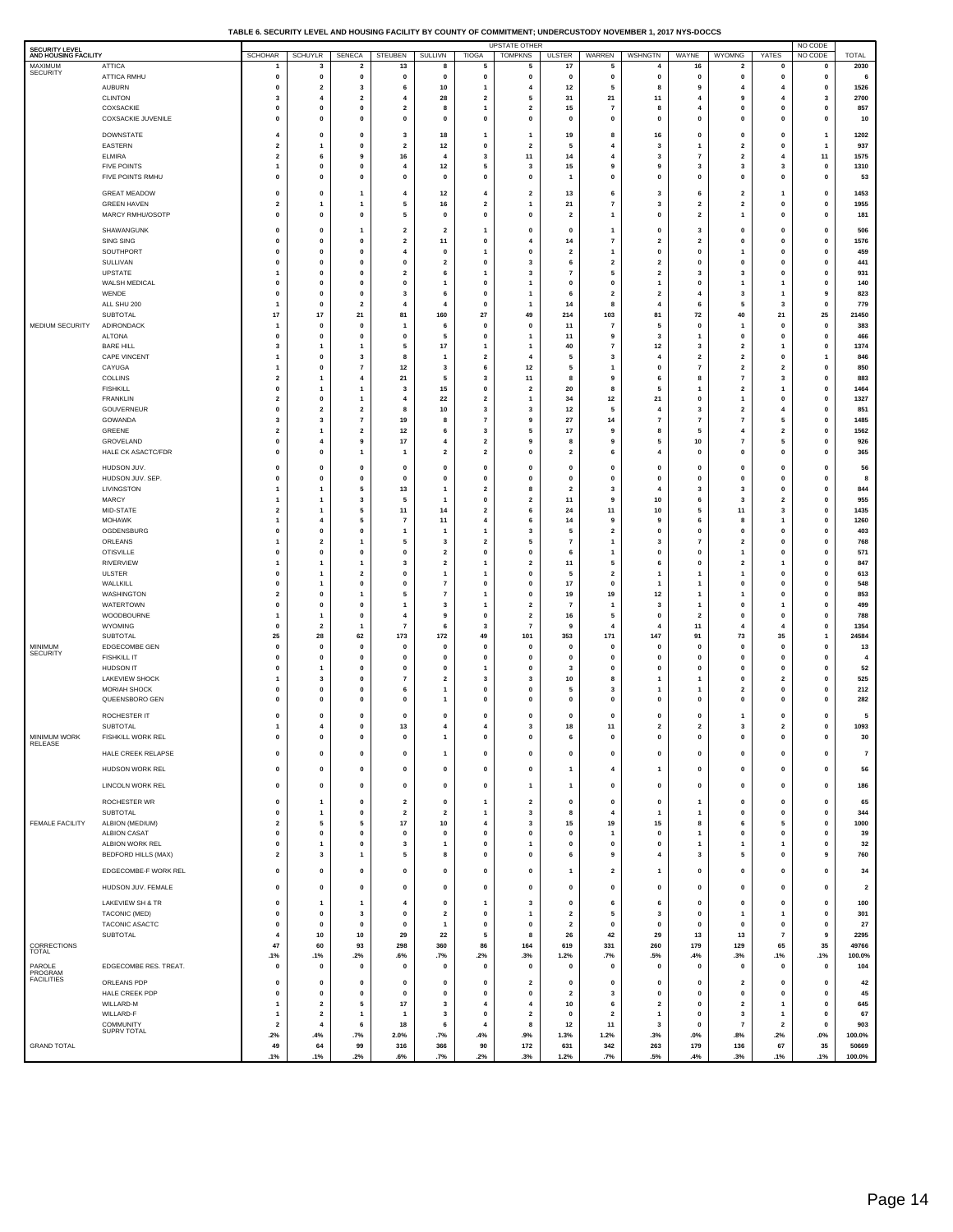| TABLE 6. SECURITY LEVEL AND HOUSING FACILITY BY COUNTY OF COMMITMENT: UNDERCUSTODY NOVEMBER 1. 2017 NYS-DOCCS |  |
|---------------------------------------------------------------------------------------------------------------|--|

| <b>SECURITY LEVEL</b><br>AND HOUSING FACILITY |                                               | <b>SCHOHAR</b>                            | <b>SCHUYLR</b>                          | SENECA                                 | STEUBEN                      | SULLIVN                                | <b>TIOGA</b>                                       | UPSTATE OTHER<br><b>TOMPKNS</b>                    | <b>ULSTER</b>                | WARREN                                  | WSHNGTN                                 | WAYNE                        | <b>WYOMNG</b>                             | YATES                         | NO CODE<br>NO CODE           | <b>TOTAL</b>            |
|-----------------------------------------------|-----------------------------------------------|-------------------------------------------|-----------------------------------------|----------------------------------------|------------------------------|----------------------------------------|----------------------------------------------------|----------------------------------------------------|------------------------------|-----------------------------------------|-----------------------------------------|------------------------------|-------------------------------------------|-------------------------------|------------------------------|-------------------------|
| MAXIMUM                                       | <b>ATTICA</b>                                 |                                           | 3                                       | $\overline{\mathbf{2}}$                | 13                           | 8                                      | 5                                                  | 5                                                  | 17                           | 5                                       | $\overline{4}$                          | 16                           | $\overline{\mathbf{2}}$                   | 0                             | 0                            | 2030                    |
| SECURITY                                      | ATTICA RMHU                                   | $\mathbf 0$<br>$\mathbf 0$                | $\mathbf 0$<br>$\overline{\mathbf{2}}$  | $\mathbf 0$<br>3                       | $\mathbf 0$<br>6             | $\mathbf{0}$                           | $\mathbf 0$                                        | $\mathbf 0$                                        | $\mathbf{0}$                 | $\mathbf 0$                             | $\mathbf{0}$                            | 0                            | 0<br>4                                    | $\mathbf 0$<br>$\overline{4}$ | $\mathbf{0}$                 | 6                       |
|                                               | <b>AUBURN</b><br><b>CLINTON</b>               | 3                                         | $\overline{4}$                          | $\overline{2}$                         |                              | 10<br>28                               | $\overline{2}$                                     | 4<br>5                                             | 12<br>31                     | 5<br>21                                 | 8<br>11                                 | 9                            | 9                                         | $\overline{4}$                | 0<br>3                       | 1526<br>2700            |
|                                               | COXSACKIE                                     | $\mathbf 0$                               | 0                                       | 0                                      | $\overline{\mathbf{2}}$      | 8                                      | $\overline{\mathbf{1}}$                            | $\overline{\mathbf{2}}$                            | 15                           | 7                                       | 8                                       |                              | 0                                         | 0                             | 0                            | 857                     |
|                                               | COXSACKIE JUVENILE                            | $\mathbf 0$                               | $\mathbf 0$                             | $\mathbf 0$                            | $\mathbf 0$                  | $\mathbf 0$                            | $\pmb{0}$                                          | $\pmb{0}$                                          | $\mathbf{0}$                 | $\mathbf 0$                             | $\mathbf{0}$                            | $\mathbf 0$                  | $\mathbf 0$                               | $\pmb{0}$                     | $\mathbf 0$                  | 10                      |
|                                               | <b>DOWNSTATE</b><br>EASTERN                   | $\overline{4}$<br>$\overline{\mathbf{2}}$ | $\mathbf 0$<br>1                        | $\mathbf 0$<br>0                       | 3<br>$\overline{\mathbf{2}}$ | 18<br>12                               | -1<br>0                                            | $\mathbf{1}$<br>$\overline{\mathbf{2}}$            | 19<br>5                      | 8<br>$\overline{4}$                     | 16<br>3                                 | $\mathbf 0$                  | $\mathbf 0$<br>$\overline{\mathbf{2}}$    | $\mathbf 0$<br>0              | -1<br>1                      | 1202<br>937             |
|                                               | <b>ELMIRA</b>                                 | $\overline{\mathbf{2}}$                   | 6                                       | 9                                      | 16                           | 4                                      | $\overline{\mathbf{3}}$                            | 11                                                 | 14                           | 4                                       | 3                                       | $\overline{7}$               | $\mathbf 2$                               | $\overline{4}$                | 11                           | 1575                    |
|                                               | <b>FIVE POINTS</b>                            | $\mathbf{1}$                              | 0                                       | 0                                      | $\overline{4}$               | 12                                     | 5                                                  | 3                                                  | 15                           | 9                                       | 9                                       | 3                            | 3                                         | 3                             | 0                            | 1310                    |
|                                               | FIVE POINTS RMHU                              | $\mathbf 0$                               | $\mathbf 0$                             | $\mathbf 0$                            | $\mathbf 0$                  | $\mathbf 0$                            | $\mathbf 0$                                        | $\mathbf 0$                                        | -1                           | $\mathbf 0$                             | $\mathbf{0}$                            | 0                            | $\mathbf 0$                               | $\pmb{0}$                     | $\mathbf 0$                  | 53                      |
|                                               | <b>GREAT MEADOW</b><br><b>GREEN HAVEN</b>     | $\mathbf 0$<br>$\overline{\mathbf{2}}$    | $\mathbf 0$<br>1                        | 1<br>1                                 | 4<br>5                       | 12<br>16                               | $\overline{4}$<br>$\overline{\mathbf{2}}$          | $\overline{2}$<br>$\mathbf{1}$                     | 13<br>21                     | 6<br>7                                  | 3<br>3                                  | 6<br>$\overline{\mathbf{2}}$ | $\overline{2}$<br>$\overline{\mathbf{2}}$ | -1<br>0                       | $\mathbf{0}$<br>0            | 1453<br>1955            |
|                                               | MARCY RMHU/OSOTP                              | $\mathbf 0$                               | $\mathbf 0$                             | $\mathbf 0$                            | 5                            | $\mathbf 0$                            | $\mathbf 0$                                        | $\mathbf 0$                                        | $\overline{2}$               | $\mathbf{1}$                            | $\mathbf{0}$                            | $\overline{\mathbf{2}}$      | 1                                         | $\pmb{0}$                     | $\mathbf{0}$                 | 181                     |
|                                               | SHAWANGUNK                                    | $\mathbf 0$                               | $\mathbf 0$                             | 1                                      | $\overline{2}$               | $\overline{2}$                         | -1                                                 | $\mathbf 0$                                        | $\mathbf{0}$                 | $\mathbf{1}$                            | $\mathbf{0}$                            | -3                           | $\mathbf 0$                               | $\mathbf 0$                   | $\mathbf 0$                  | 506                     |
|                                               | <b>SING SING</b>                              | $\mathbf 0$                               | 0                                       | 0                                      | $\overline{\mathbf{2}}$      | 11                                     | 0                                                  | $\overline{\mathbf{4}}$                            | 14                           | $\overline{7}$                          | $\overline{\mathbf{2}}$                 | $\overline{2}$               | 0                                         | 0                             | 0                            | 1576                    |
|                                               | SOUTHPORT<br>SULLIVAN                         | $\mathbf 0$<br>$\mathbf 0$                | $\mathbf 0$<br>0                        | $\mathbf 0$<br>0                       | 4<br>$\mathbf 0$             | $\mathbf 0$<br>$\overline{\mathbf{2}}$ | 1<br>0                                             | $\mathbf 0$<br>3                                   | $\overline{2}$<br>6          | $\mathbf{1}$<br>$\overline{\mathbf{2}}$ | $\mathbf{0}$<br>$\overline{\mathbf{2}}$ | $\mathbf 0$<br>O             | 1<br>0                                    | $\pmb{0}$<br>0                | $\mathbf 0$<br>0             | 459<br>441              |
|                                               | UPSTATE                                       | -1                                        | $\mathbf 0$                             | $\mathbf 0$                            | $\overline{\mathbf{2}}$      | 6                                      | 1                                                  | 3                                                  | $\overline{7}$               | 5                                       | $\overline{2}$                          | 3                            | 3                                         | $\mathbf 0$                   | $\mathbf 0$                  | 931                     |
|                                               | WALSH MEDICAL<br>WENDE                        | $\mathbf 0$<br>$\mathbf 0$                | 0<br>$\mathbf 0$                        | 0<br>$\mathbf 0$                       | 0                            | $\mathbf{1}$                           | $\mathbf 0$<br>$\mathbf 0$                         | $\mathbf{1}$                                       | 0<br>6                       | 0<br>$\overline{2}$                     | 1                                       | $\mathbf 0$                  | 1                                         | 1                             | 0<br>9                       | 140<br>823              |
|                                               | ALL SHU 200                                   | $\mathbf{1}$                              | 0                                       | $\overline{\mathbf{2}}$                | 3<br>4                       | 6<br>$\overline{\mathbf{4}}$           | $\mathbf 0$                                        | $\mathbf{1}$                                       | 14                           | 8                                       | $\overline{2}$<br>$\overline{4}$        | 4<br>6                       | 3<br>5                                    | $\overline{1}$<br>3           | 0                            | 779                     |
|                                               | <b>SUBTOTAL</b>                               | 17                                        | 17                                      | 21                                     | 81                           | 160                                    | 27                                                 | 49                                                 | 214                          | 103                                     | 81                                      | 72                           | 40                                        | 21                            | 25                           | 21450                   |
| MEDIUM SECURITY                               | ADIRONDACK<br><b>ALTONA</b>                   | $\mathbf{1}$<br>$\mathbf 0$               | 0<br>$\mathbf 0$                        | 0<br>$\mathbf 0$                       | 1<br>$\mathbf 0$             | 6<br>5                                 | 0<br>$\mathbf 0$                                   | 0<br>$\mathbf{1}$                                  | 11<br>11                     | 7<br>9                                  | 5<br>3                                  | 0<br>1                       | 1<br>$\mathbf 0$                          | 0<br>$\pmb{0}$                | 0<br>$\mathbf 0$             | 383<br>466              |
|                                               | <b>BARE HILL</b>                              | $\overline{\mathbf{3}}$                   | 1                                       | 1                                      | 5                            | 17                                     | 1                                                  | $\mathbf{1}$                                       | 40                           | $\overline{\phantom{a}}$                | 12                                      | 3                            | $\overline{\mathbf{2}}$                   | 1                             | 0                            | 1374                    |
|                                               | <b>CAPE VINCENT</b>                           | -1                                        | $\mathbf 0$                             | 3                                      | 8                            | -1                                     | $\overline{2}$                                     | $\overline{4}$                                     | 5                            | 3                                       | 4                                       | $\overline{2}$<br>7          | $\overline{2}$                            | $\mathbf 0$                   | 1                            | 846                     |
|                                               | CAYUGA<br><b>COLLINS</b>                      | $\mathbf{1}$<br>$\overline{\mathbf{2}}$   | 0<br>1                                  | $\overline{7}$<br>4                    | 12<br>21                     | 3<br>5                                 | 6<br>3                                             | $12$<br>11                                         | 5<br>8                       | 1<br>9                                  | $\mathbf 0$<br>6                        | 8                            | $\overline{\mathbf{2}}$<br>$\overline{7}$ | $\overline{\mathbf{2}}$<br>3  | 0<br>$\mathbf{0}$            | 850<br>883              |
|                                               | <b>FISHKILL</b>                               | $\mathbf 0$                               | 1                                       | 1                                      | 3                            | 15                                     | 0                                                  | $\overline{\mathbf{2}}$                            | 20                           | 8                                       | 5                                       |                              | $\overline{\mathbf{2}}$                   | $\mathbf{1}$                  | 0                            | 1464                    |
|                                               | <b>FRANKLIN</b><br>GOUVERNEUR                 | $\overline{\mathbf{2}}$<br>$\mathbf 0$    | 0<br>$\overline{\mathbf{2}}$            | 1<br>$\mathbf 2$                       | 4<br>8                       | 22<br>10                               | $\overline{\mathbf{2}}$<br>3                       | $\mathbf{1}$<br>3                                  | 34<br>12                     | 12<br>5                                 | 21<br>$\overline{4}$                    | $\mathbf 0$<br>3             | 1<br>$\overline{\mathbf{2}}$              | 0<br>$\overline{4}$           | 0<br>0                       | 1327<br>851             |
|                                               | GOWANDA                                       | 3                                         | 3                                       | $\overline{7}$                         | 19                           | 8                                      | $\overline{7}$                                     | 9                                                  | 27                           | 14                                      | $\overline{7}$                          | $\overline{7}$               | $\overline{7}$                            | 5                             | $\mathbf{0}$                 | 1485                    |
|                                               | GREENE                                        | $\overline{\mathbf{2}}$                   | 1                                       | $\overline{\mathbf{2}}$                | 12                           | 6                                      | 3                                                  | 5                                                  | 17                           | 9                                       | 8                                       | 5                            | 4                                         | $\overline{\mathbf{2}}$       | 0                            | 1562                    |
|                                               | GROVELAND<br>HALE CK ASACTC/FDR               | $\mathbf{o}$<br>$\mathbf 0$               | 4<br>0                                  | 9<br>1                                 | 17<br>$\mathbf{1}$           | 4<br>$\overline{\mathbf{2}}$           | $\overline{\mathbf{2}}$<br>$\overline{\mathbf{2}}$ | 9<br>0                                             | 8<br>$\overline{\mathbf{2}}$ | 9<br>6                                  | 5<br>$\overline{4}$                     | 10<br>$\mathbf 0$            | $\overline{7}$<br>0                       | 5<br>0                        | $\mathbf{0}$<br>0            | 926<br>365              |
|                                               | HUDSON JUV.                                   | $\mathbf 0$                               | 0                                       | 0                                      | $\mathbf 0$                  | 0                                      | $\mathbf 0$                                        | 0                                                  | $\mathbf{0}$                 | 0                                       | $\mathbf{0}$                            | $\mathbf 0$                  | 0                                         | 0                             | 0                            | 56                      |
|                                               | HUDSON JUV. SEP.                              | $\mathbf{o}$                              | 0                                       | $\mathbf 0$                            | $\mathbf 0$                  | $\mathbf 0$                            | $\mathbf{0}$                                       | $\mathbf{o}$                                       | 0                            | $\mathbf 0$                             | $\mathbf 0$                             | $\mathbf 0$                  | 0                                         | 0                             | $\mathbf{0}$                 | 8                       |
|                                               | LIVINGSTON                                    | $\mathbf{1}$                              | 1                                       | 5                                      | 13                           | -1<br>$\mathbf{1}$                     | $\overline{2}$                                     | 8                                                  | $\overline{\mathbf{2}}$      | 3                                       |                                         | 6                            | 3                                         | 0                             | 0                            | 844                     |
|                                               | MARCY<br>MID-STATE                            | $\mathbf{1}$<br>$\overline{2}$            | 1<br>1                                  | 3<br>5                                 | 5<br>11                      | 14                                     | $\mathbf{0}$<br>$\overline{\mathbf{2}}$            | $\overline{\mathbf{2}}$<br>6                       | 11<br>24                     | 9<br>11                                 | 10<br>10                                | 5                            | 3<br>11                                   | $\overline{\mathbf{2}}$<br>3  | $\mathbf{0}$<br>0            | 955<br>1435             |
|                                               | <b>MOHAWK</b>                                 | $\mathbf{1}$                              | 4                                       | 5                                      | $\overline{\phantom{a}}$     | 11                                     | 4                                                  | 6                                                  | 14                           | 9                                       | 9                                       | 6                            | 8                                         | $\mathbf{1}$                  | 0                            | 1260                    |
|                                               | OGDENSBURG<br>ORLEANS                         | $\mathbf 0$<br>$\mathbf{1}$               | 0<br>$\overline{\mathbf{2}}$            | 0<br>1                                 | $\mathbf{1}$<br>5            | -1<br>3                                | 1<br>$\overline{\mathbf{2}}$                       | 3<br>5                                             | 5<br>$\overline{7}$          | $\overline{\mathbf{2}}$<br>$\mathbf{1}$ | 0<br>3                                  | 0<br>7                       | 0<br>$\overline{\mathbf{2}}$              | 0<br>0                        | 0<br>$\mathbf{0}$            | 403<br>768              |
|                                               | <b>OTISVILLE</b>                              | $\mathbf 0$                               | 0                                       | 0                                      | $\mathbf 0$                  | $\overline{2}$                         | $\pmb{0}$                                          | 0                                                  | 6                            | 1                                       | 0                                       | 0                            | 1                                         | 0                             | 0                            | 571                     |
|                                               | <b>RIVERVIEW</b>                              | -1<br>$\mathbf 0$                         | 1                                       | 1                                      | 3                            | $\overline{\mathbf{2}}$                | $\mathbf{1}$                                       | $\overline{\mathbf{2}}$                            | 11<br>5                      | 5                                       | 6                                       | $\mathbf 0$                  | $\overline{\mathbf{2}}$                   | 1                             | $\mathbf{0}$                 | 847                     |
|                                               | ULSTER<br>WALLKILL                            | $\mathbf 0$                               | 1<br>1                                  | $\overline{\mathbf{2}}$<br>$\mathbf 0$ | $\mathbf 0$<br>$\Omega$      | -1<br>$\overline{7}$                   | 1<br>$\mathbf{0}$                                  | 0<br>$\mathbf{o}$                                  | 17                           | $\overline{\mathbf{2}}$<br>0            | -1<br>-1                                | 1                            | 1<br>0                                    | $\mathbf 0$<br>0              | 0<br>$\mathbf{0}$            | 613<br>548              |
|                                               | WASHINGTON                                    | $\overline{\mathbf{2}}$                   | 0                                       | 1                                      | 5                            | $\overline{7}$                         | 1                                                  | 0                                                  | 19                           | 19                                      | 12                                      |                              | 1                                         | 0                             | 0                            | 853                     |
|                                               | WATERTOWN<br>WOODBOURNE                       | 0<br>$\overline{1}$                       | 0<br>1                                  | $\mathbf 0$<br>0                       | 1<br>4                       | 3<br>9                                 | $\overline{\mathbf{1}}$<br>0                       | $\overline{\mathbf{2}}$<br>$\overline{\mathbf{2}}$ | $\overline{7}$<br>16         | 1<br>5                                  | 3<br>$\mathbf 0$                        | 1<br>$\overline{\mathbf{2}}$ | 0<br>0                                    | $\mathbf{1}$<br>0             | $\mathbf{0}$<br>0            | 499<br>788              |
|                                               | WYOMING                                       | $\mathbf{o}$                              | $\overline{\mathbf{2}}$                 | 1                                      | $\overline{7}$               | 6                                      | 3                                                  | $\overline{7}$                                     | 9                            | 4                                       | $\overline{4}$                          | 11                           | 4                                         | $\overline{4}$                | $\mathbf{0}$                 | 1354                    |
| <b>MINIMUM</b>                                | SUBTOTAL                                      | 25<br>$\mathbf{o}$                        | 28                                      | 62<br>$\mathbf 0$                      | 173<br>$\mathbf 0$           | 172<br>$\mathbf 0$                     | 49<br>$\mathbf{0}$                                 | 101<br>$\mathbf{o}$                                | 353                          | 171<br>$\mathbf 0$                      | 147<br>$\mathbf 0$                      | 91<br>$\mathbf 0$            | 73                                        | 35                            | $\mathbf{1}$<br>$\mathbf{0}$ | 24584                   |
| <b>SECURITY</b>                               | EDGECOMBE GEN<br><b>FISHKILL IT</b>           | $\mathbf 0$                               | 0<br>$\mathbf 0$                        | $\mathbf 0$                            | $\mathbf 0$                  | $\mathbf 0$                            | $\mathbf 0$                                        | $\mathbf 0$                                        | 0<br>$\mathbf{0}$            | $\mathbf 0$                             | $\mathbf 0$                             | o                            | 0<br>$\mathbf 0$                          | 0<br>$\mathbf 0$              | $\mathbf{0}$                 | 13<br>$\overline{4}$    |
|                                               | <b>HUDSON IT</b>                              | $\mathbf 0$                               | 1                                       | 0                                      | $\mathbf 0$                  | 0                                      | 1                                                  | 0                                                  | 3                            | 0                                       | $\mathbf{0}$                            | O                            | 0                                         | 0                             | 0                            | 52                      |
|                                               | LAKEVIEW SHOCK<br><b>MORIAH SHOCK</b>         | -1<br>$\mathbf 0$                         | 3<br>0                                  | $\mathbf 0$<br>0                       | $\overline{7}$<br>6          | $\overline{2}$<br>$\mathbf{1}$         | 3<br>0                                             | 3<br>0                                             | 10<br>5                      | 8<br>3                                  | -1<br>1                                 |                              | $\mathbf 0$<br>$\overline{\mathbf{2}}$    | $\overline{\mathbf{2}}$<br>0  | $\mathbf{0}$<br>0            | 525<br>212              |
|                                               | QUEENSBORO GEN                                | $\mathbf 0$                               | $\mathbf 0$                             | $\mathbf 0$                            | $\mathbf 0$                  | -1                                     | $\mathbf 0$                                        | $\mathbf 0$                                        | $\mathbf{0}$                 | $\mathbf 0$                             | $\mathbf{0}$                            | o                            | $\mathbf 0$                               | $\mathbf 0$                   | $\mathbf 0$                  | 282                     |
|                                               | ROCHESTER IT                                  | $\mathbf 0$                               | $\mathbf 0$                             | $\mathbf 0$                            | $\mathbf 0$                  | $\mathbf 0$                            | $\mathbf 0$                                        | $\mathbf 0$                                        | $\mathbf{0}$                 | $\mathbf 0$                             | $\mathbf{0}$                            | 0                            | 1                                         | $\mathbf 0$                   | $\mathbf{0}$                 | 5                       |
|                                               | <b>SUBTOTAL</b><br><b>FISHKILL WORK REL</b>   | $\mathbf{1}$                              | 4                                       | 0                                      | 13                           | $\overline{4}$                         | 4                                                  | 3                                                  | 18                           | 11                                      | $\overline{\mathbf{2}}$                 | $\overline{2}$               | 3                                         | $\overline{\mathbf{2}}$       | $\pmb{0}$                    | 1093                    |
| <b>MINIMUM WORK</b><br>RELEASE                |                                               |                                           | o                                       | o                                      |                              |                                        | o                                                  | o                                                  | 6                            |                                         | o                                       |                              |                                           | o                             |                              | 30                      |
|                                               | HALE CREEK RELAPSE                            | 0                                         | 0                                       | $\pmb{0}$                              | 0                            | 1                                      | $\pmb{0}$                                          | $\pmb{0}$                                          | $\pmb{0}$                    | $\pmb{0}$                               | $\pmb{0}$                               | $\mathbf 0$                  | 0                                         | $\pmb{0}$                     | $\pmb{0}$                    | $\scriptstyle\rm 7$     |
|                                               | HUDSON WORK REL                               | $\pmb{0}$                                 | $\mathbf 0$                             | $\pmb{0}$                              | 0                            | $\pmb{0}$                              | $\pmb{0}$                                          | $\pmb{0}$                                          | $\mathbf{1}$                 | 4                                       | $\mathbf{1}$                            | $\mathbf 0$                  | $\pmb{0}$                                 | $\pmb{0}$                     | $\pmb{0}$                    | 56                      |
|                                               | LINCOLN WORK REL                              | $\pmb{0}$                                 | 0                                       | 0                                      | 0                            | 0                                      | $\pmb{0}$                                          | $\mathbf{1}$                                       | $\mathbf{1}$                 | 0                                       | 0                                       | $\mathbf 0$                  | 0                                         | $\pmb{0}$                     | $\pmb{0}$                    | 186                     |
|                                               | ROCHESTER WR                                  | $\pmb{0}$                                 | 1                                       | $\pmb{0}$                              | $\overline{\mathbf{2}}$      | $\pmb{0}$                              | $\mathbf{1}$                                       | $\overline{\mathbf{2}}$                            | $\pmb{0}$                    | $\pmb{0}$                               | $\pmb{0}$                               | $\overline{\mathbf{1}}$      | $\pmb{0}$                                 | $\pmb{0}$                     | $\pmb{0}$                    | 65                      |
| FEMALE FACILITY                               | SUBTOTAL<br>ALBION (MEDIUM)                   | $\pmb{0}$<br>$\overline{\mathbf{2}}$      | 1<br>5                                  | $\mathbf 0$<br>5                       | $\overline{2}$<br>$17\,$     | $\overline{2}$<br>10                   | $\mathbf{1}$<br>$\pmb{4}$                          | 3<br>3                                             | 8<br>15                      | 4<br>19                                 | $\overline{1}$<br>15                    | $\mathbf{1}$<br>8            | $\mathbf 0$<br>6                          | 0<br>5                        | $\mathbf 0$<br>0             | 344<br>1000             |
|                                               | <b>ALBION CASAT</b>                           | $\mathbf 0$                               | 0                                       | 0                                      | 0                            | 0                                      | 0                                                  | 0                                                  | 0                            | 1                                       | $\mathbf 0$                             | 1                            | 0                                         | 0                             | $\mathbf{0}$                 | 39                      |
|                                               | ALBION WORK REL<br><b>BEDFORD HILLS (MAX)</b> | $\pmb{0}$<br>$\overline{\mathbf{2}}$      | 1<br>3                                  | 0<br>1                                 | 3<br>5                       | 1<br>8                                 | $\pmb{0}$<br>0                                     | $\mathbf{1}$<br>0                                  | $\pmb{0}$<br>6               | 0<br>9                                  | $\mathbf 0$<br>$\overline{4}$           | $\mathbf{1}$<br>-3           | 1<br>5                                    | $\mathbf{1}$<br>0             | 0<br>9                       | 32<br>760               |
|                                               |                                               |                                           |                                         |                                        |                              |                                        |                                                    |                                                    |                              |                                         |                                         |                              |                                           |                               |                              |                         |
|                                               | EDGECOMBE-F WORK REL                          | 0                                         | 0                                       | 0                                      | $\mathbf{o}$                 | $\mathbf{0}$                           | $\mathbf 0$                                        | 0                                                  | $\mathbf{1}$                 | $\mathbf{2}$                            | $\mathbf{1}$                            | 0                            | 0                                         | 0                             | $\pmb{0}$                    | 34                      |
|                                               | HUDSON JUV. FEMALE                            | $\mathbf 0$                               | 0                                       | 0                                      | $\mathbf{o}$                 | 0                                      | 0                                                  | 0                                                  | $\mathbf{0}$                 | 0                                       | $\mathbf{0}$                            | $\mathbf{0}$                 | 0                                         | 0                             | $\pmb{0}$                    | $\overline{\mathbf{2}}$ |
|                                               | LAKEVIEW SH & TR<br>TACONIC (MED)             | $\mathbf 0$<br>$\pmb{0}$                  | 1<br>0                                  | 1<br>3                                 | 4<br>0                       | 0<br>$\mathbf 2$                       | $\mathbf{1}$<br>$\pmb{0}$                          | 3<br>$\mathbf{1}$                                  | 0<br>$\mathbf 2$             | 6<br>5                                  | 6<br>3                                  | 0<br>$\mathbf 0$             | 0<br>1                                    | 0<br>$\mathbf{1}$             | $\pmb{0}$<br>$\pmb{0}$       | 100<br>301              |
|                                               | TACONIC ASACTC                                | $\mathbf 0$                               | $\mathbf 0$                             | $\mathbf 0$                            | $\mathbf 0$                  | $\mathbf{1}$                           | $\mathbf 0$                                        | $\mathbf 0$                                        | $\overline{2}$               | $\mathbf 0$                             | $\mathbf{0}$                            | 0                            | $\mathbf 0$                               | 0                             | $\mathbf 0$                  | 27                      |
|                                               | <b>SUBTOTAL</b>                               | $\overline{4}$                            | 10                                      | 10                                     | 29                           | 22                                     | 5                                                  | 8                                                  | 26                           | 42                                      | 29                                      | 13                           | 13                                        | $\overline{\mathbf{r}}$       | 9                            | 2295                    |
| CORRECTIONS<br><b>TOTAL</b>                   |                                               | 47<br>.1%                                 | 60<br>.1%                               | 93<br>.2%                              | 298<br>.6%                   | 360<br>.7%                             | 86<br>.2%                                          | 164<br>.3%                                         | 619<br>1.2%                  | 331<br>.7%                              | 260<br>.5%                              | 179<br>.4%                   | 129<br>.3%                                | 65<br>.1%                     | 35<br>.1%                    | 49766<br>100.0%         |
| PAROLE<br>PROGRAM                             | EDGECOMBE RES. TREAT.                         | $\mathbf 0$                               | 0                                       | $\pmb{0}$                              | 0                            | 0                                      | 0                                                  | 0                                                  | $\mathbf{0}$                 | 0                                       | $\mathbf{0}$                            | $\mathbf 0$                  | 0                                         | 0                             | $\pmb{0}$                    | 104                     |
| <b>FACILITIES</b>                             | ORLEANS PDP                                   | $\mathbf{o}$                              | 0                                       | 0                                      | $\mathbf 0$                  | $\mathbf{0}$                           | $\mathbf 0$                                        | $\overline{2}$                                     | 0                            | 0                                       | $\mathbf 0$                             | 0                            | $\overline{\mathbf{2}}$                   | 0                             | $\mathbf{0}$                 | 42                      |
|                                               | HALE CREEK PDP                                | 0                                         | $\pmb{0}$                               | 0                                      | 0                            | $\pmb{0}$                              | $\pmb{0}$                                          | $\pmb{0}$                                          | $\mathbf{2}$                 | 3                                       | $\mathbf 0$                             | $\mathbf 0$                  | $\pmb{0}$                                 | $\pmb{0}$                     | 0                            | 45                      |
|                                               | WILLARD-M<br>WILLARD-F                        | $\overline{\mathbf{1}}$<br>$\overline{1}$ | $\overline{\mathbf{2}}$<br>$\mathbf{2}$ | 5<br>1                                 | $17\,$<br>$\mathbf{1}$       | 3<br>3                                 | $\overline{4}$<br>$\pmb{0}$                        | $\overline{4}$<br>$\overline{\mathbf{2}}$          | 10<br>0                      | 6<br>$\overline{\mathbf{2}}$            | $\overline{2}$<br>$\mathbf{1}$          | 0<br>$\mathbf 0$             | 2<br>3                                    | $\mathbf{1}$<br>1             | $\mathbf 0$<br>0             | 645<br>67               |
|                                               | COMMUNITY<br>SUPRV TOTAL                      | $\overline{\mathbf{2}}$                   | $\overline{4}$                          | 6                                      | 18                           | 6                                      | $\overline{4}$                                     | 8                                                  | $12$                         | 11                                      | 3                                       | 0                            | $\scriptstyle\rm 7$                       | $\overline{\mathbf{2}}$       | $\mathbf 0$                  | 903                     |
| <b>GRAND TOTAL</b>                            |                                               | .2%<br>49                                 | .4%<br>64                               | .7%<br>99                              | 2.0%<br>316                  | .7%<br>366                             | .4%<br>90                                          | .9%<br>172                                         | 1.3%<br>631                  | 1.2%<br>342                             | .3%<br>263                              | $.0\%$<br>179                | .8%<br>136                                | .2%<br>67                     | $.0\%$<br>35                 | 100.0%<br>50669         |
|                                               |                                               | .1%                                       | .1%                                     | .2%                                    | .6%                          | .7%                                    | .2%                                                | .3%                                                | 1.2%                         | .7%                                     | .5%                                     | .4%                          | .3%                                       | .1%                           | .1%                          | 100.0%                  |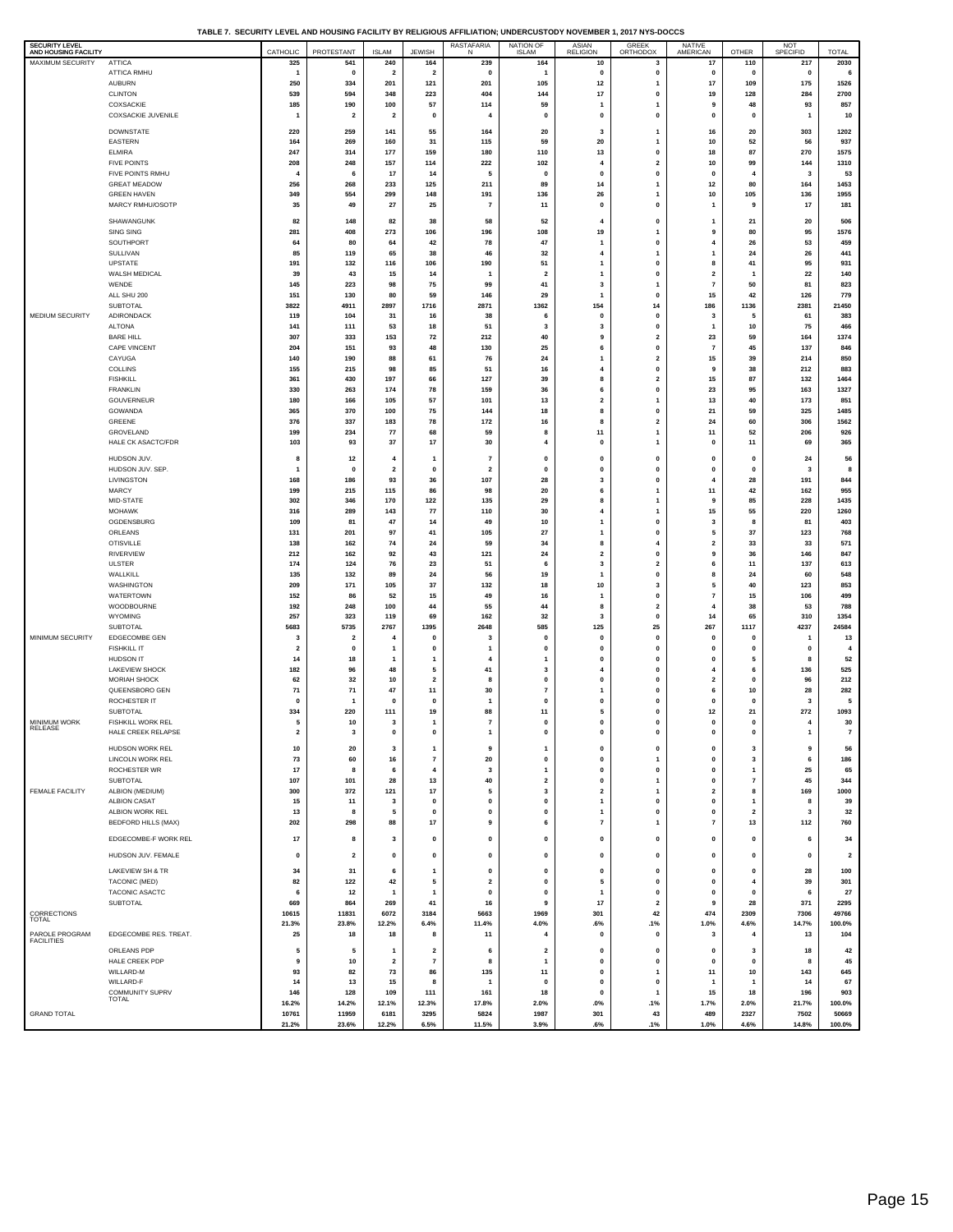**TABLE 7. SECURITY LEVEL AND HOUSING FACILITY BY RELIGIOUS AFFILIATION; UNDERCUSTODY NOVEMBER 1, 2017 NYS-DOCCS**

| SECURITY LEVEL<br>AND HOUSING FACILITY |                                           | CATHOLIC                | PROTESTANT              | <b>ISLAM</b>            | <b>JEWISH</b>           | RASTAFARIA<br>N          | NATION OF<br>ISLAM            | ASIAN<br>RELIGION                       | GREEK<br>ORTHODOX                       | NATIVE<br>AMERICAN                        | OTHER                                   | NOT<br>SPECIFID | <b>TOTAL</b>            |
|----------------------------------------|-------------------------------------------|-------------------------|-------------------------|-------------------------|-------------------------|--------------------------|-------------------------------|-----------------------------------------|-----------------------------------------|-------------------------------------------|-----------------------------------------|-----------------|-------------------------|
| MAXIMUM SECURITY                       | <b>ATTICA</b>                             | 325                     | 541                     | 240                     | 164                     | 239                      | 164                           | 10                                      | 3                                       | 17                                        | 110                                     | 217             | 2030                    |
|                                        | ATTICA RMHU                               | 1                       | $\mathbf 0$             | $\overline{\mathbf{2}}$ | $\overline{\mathbf{2}}$ | 0                        | $\mathbf{1}$                  | $\mathbf 0$                             | 0                                       | $\mathbf 0$                               | 0                                       | 0               | 6                       |
|                                        | <b>AUBURN</b>                             | 250                     | 334                     | 201                     | 121                     | 201                      | 105                           | 12                                      | $\mathbf{1}$                            | 17                                        | 109                                     | 175             | 1526                    |
|                                        | <b>CLINTON</b><br>COXSACKIE               | 539<br>185              | 594<br>190              | 348<br>100              | 223<br>57               | 404<br>114               | 144<br>59                     | 17<br>$\mathbf{1}$                      | $\mathbf 0$<br>$\mathbf{1}$             | 19<br>9                                   | 128<br>48                               | 284<br>93       | 2700<br>857             |
|                                        | COXSACKIE JUVENILE                        |                         | $\overline{\mathbf{2}}$ | $\overline{\mathbf{2}}$ | 0                       | 4                        | 0                             | 0                                       | 0                                       | $\mathbf 0$                               | 0                                       | $\overline{1}$  | 10                      |
|                                        |                                           |                         |                         |                         |                         |                          |                               |                                         |                                         |                                           |                                         |                 |                         |
|                                        | DOWNSTATE<br>EASTERN                      | 220<br>164              | 259<br>269              | 141<br>160              | 55<br>31                | 164<br>115               | 20<br>59                      | 3<br>20                                 | 1<br>$\mathbf{1}$                       | 16<br>10                                  | 20<br>52                                | 303<br>56       | 1202<br>937             |
|                                        | <b>ELMIRA</b>                             | 247                     | 314                     | 177                     | 159                     | 180                      | 110                           | 13                                      | 0                                       | 18                                        | 87                                      | 270             | 1575                    |
|                                        | <b>FIVE POINTS</b>                        | 208                     | 248                     | 157                     | 114                     | 222                      | 102                           | $\overline{4}$                          | $\overline{2}$                          | 10                                        | 99                                      | 144             | 1310                    |
|                                        | FIVE POINTS RMHU                          | $\overline{a}$          | 6                       | 17                      | 14                      | 5                        | 0                             | 0                                       | 0                                       | $\mathbf 0$                               | $\overline{4}$                          | 3               | 53                      |
|                                        | <b>GREAT MEADOW</b><br><b>GREEN HAVEN</b> | 256<br>349              | 268<br>554              | 233<br>299              | 125<br>148              | 211<br>191               | 89<br>136                     | 14<br>26                                | $\mathbf{1}$<br>$\overline{1}$          | $12$<br>10                                | 80<br>105                               | 164<br>136      | 1453<br>1955            |
|                                        | MARCY RMHU/OSOTP                          | 35                      | 49                      | 27                      | 25                      | $\overline{7}$           | 11                            | $\mathbf 0$                             | $\mathbf{0}$                            | $\overline{1}$                            | 9                                       | 17              | 181                     |
|                                        | SHAWANGUNK                                | 82                      | 148                     | 82                      | 38                      | 58                       | 52                            |                                         | $\mathbf{0}$                            |                                           |                                         | 20              | 506                     |
|                                        | SING SING                                 | 281                     | 408                     | 273                     | 106                     | 196                      | 108                           | $\overline{4}$<br>19                    | 1                                       | -1<br>9                                   | 21<br>80                                | 95              | 1576                    |
|                                        | SOUTHPORT                                 | 64                      | 80                      | 64                      | 42                      | 78                       | 47                            | $\mathbf{1}$                            | $\mathbf{0}$                            | $\overline{4}$                            | 26                                      | 53              | 459                     |
|                                        | SULLIVAN                                  | 85                      | 119                     | 65                      | 38                      | 46                       | 32                            | 4                                       | $\mathbf{1}$                            | 1                                         | 24                                      | 26              | 441                     |
|                                        | UPSTATE                                   | 191                     | 132                     | 116                     | 106                     | 190                      | 51                            | $\overline{1}$                          | $\mathbf{0}$                            | 8                                         | 41                                      | 95              | 931                     |
|                                        | WALSH MEDICAL<br>WENDE                    | 39<br>145               | 43<br>223               | 15<br>98                | 14<br>75                | 1<br>99                  | $\overline{\mathbf{2}}$<br>41 | $\mathbf{1}$<br>$\overline{\mathbf{3}}$ | 0<br>$\mathbf{1}$                       | $\overline{\mathbf{2}}$<br>$\overline{7}$ | $\overline{\mathbf{1}}$<br>50           | 22<br>81        | 140<br>823              |
|                                        | ALL SHU 200                               | 151                     | 130                     | 80                      | 59                      | 146                      | 29                            | $\mathbf{1}$                            | 0                                       | 15                                        | 42                                      | 126             | 779                     |
|                                        | <b>SUBTOTAL</b>                           | 3822                    | 4911                    | 2897                    | 1716                    | 2871                     | 1362                          | 154                                     | 14                                      | 186                                       | 1136                                    | 2381            | 21450                   |
| MEDIUM SECURITY                        | ADIRONDACK                                | 119                     | 104                     | 31                      | 16                      | 38                       | 6                             | 0                                       | $\mathbf 0$                             | 3                                         | 5                                       | 61              | 383                     |
|                                        | <b>ALTONA</b>                             | 141                     | 111                     | 53                      | 18                      | 51                       | 3                             | $\overline{\mathbf{3}}$<br>9            | $\mathbf{0}$<br>$\overline{\mathbf{2}}$ | $\overline{1}$                            | 10                                      | 75              | 466<br>1374             |
|                                        | <b>BARE HILL</b><br>CAPE VINCENT          | 307<br>204              | 333<br>151              | 153<br>93               | 72<br>48                | 212<br>130               | 40<br>25                      | 6                                       | $\mathbf{0}$                            | 23<br>$\overline{7}$                      | 59<br>45                                | 164<br>137      | 846                     |
|                                        | CAYUGA                                    | 140                     | 190                     | 88                      | 61                      | 76                       | 24                            | $\overline{1}$                          | $\overline{\mathbf{2}}$                 | 15                                        | 39                                      | 214             | 850                     |
|                                        | COLLINS                                   | 155                     | 215                     | 98                      | 85                      | 51                       | 16                            | $\overline{4}$                          | $\mathbf 0$                             | 9                                         | 38                                      | 212             | 883                     |
|                                        | <b>FISHKILL</b>                           | 361                     | 430                     | 197                     | 66                      | 127                      | 39                            | 8                                       | $\overline{\mathbf{2}}$                 | 15                                        | 87                                      | 132             | 1464                    |
|                                        | <b>FRANKLIN</b><br>GOUVERNEUR             | 330<br>180              | 263<br>166              | 174<br>105              | 78<br>57                | 159<br>101               | 36<br>13                      | 6<br>$\mathbf 2$                        | 0<br>$\mathbf{1}$                       | 23<br>13                                  | 95<br>40                                | 163<br>173      | 1327<br>851             |
|                                        | GOWANDA                                   | 365                     | 370                     | 100                     | 75                      | 144                      | 18                            | 8                                       | $\mathbf 0$                             | 21                                        | 59                                      | 325             | 1485                    |
|                                        | GREENE                                    | 376                     | 337                     | 183                     | 78                      | 172                      | 16                            | 8                                       | $\overline{\mathbf{2}}$                 | 24                                        | 60                                      | 306             | 1562                    |
|                                        | GROVELAND                                 | 199                     | 234                     | ${\bf 77}$              | 68                      | 59                       | 8                             | 11                                      | 1                                       | 11                                        | 52                                      | 206             | 926                     |
|                                        | HALE CK ASACTC/FDR                        | 103                     | 93                      | 37                      | 17                      | 30                       | 4                             | 0                                       | $\mathbf{1}$                            | $\mathbf 0$                               | 11                                      | 69              | 365                     |
|                                        | HUDSON JUV.                               | 8                       | 12                      | $\overline{4}$          | -1                      | $\overline{7}$           | 0                             | 0                                       | $\mathbf 0$                             | $\mathbf 0$                               | $\mathbf 0$                             | 24              | 56                      |
|                                        | HUDSON JUV. SEP.                          | 1                       | 0                       | $\overline{2}$          | $\mathbf 0$             | $\overline{\mathbf{2}}$  | $\mathbf{0}$                  | 0                                       | 0                                       | $\mathbf 0$                               | $\mathbf 0$                             | 3               | 8                       |
|                                        | LIVINGSTON<br>MARCY                       | 168<br>199              | 186<br>215              | 93<br>115               | 36<br>86                | 107<br>98                | 28<br>20                      | 3<br>6                                  | $\mathbf 0$<br>$\mathbf{1}$             | $\overline{4}$<br>11                      | 28<br>42                                | 191<br>162      | 844<br>955              |
|                                        | MID-STATE                                 | 302                     | 346                     | 170                     | 122                     | 135                      | 29                            | 8                                       | $\mathbf{1}$                            | 9                                         | 85                                      | 228             | 1435                    |
|                                        | <b>MOHAWK</b>                             | 316                     | 289                     | 143                     | 77                      | 110                      | 30                            | 4                                       | 1                                       | 15                                        | 55                                      | 220             | 1260                    |
|                                        | OGDENSBURG                                | 109                     | 81                      | 47                      | 14                      | 49                       | 10                            | $\overline{1}$                          | $\mathbf 0$                             | 3                                         | 8                                       | 81              | 403                     |
|                                        | ORLEANS                                   | 131                     | 201                     | 97                      | 41                      | 105                      | 27                            | $\mathbf{1}$                            | $\mathbf 0$                             | 5                                         | 37                                      | 123             | 768                     |
|                                        | <b>OTISVILLE</b><br>RIVERVIEW             | 138<br>212              | 162<br>162              | 74<br>92                | 24<br>43                | 59<br>121                | 34<br>24                      | 8<br>$\overline{\mathbf{2}}$            | $\overline{4}$<br>0                     | $\overline{\mathbf{2}}$<br>9              | 33<br>36                                | 33<br>146       | 571<br>847              |
|                                        | <b>ULSTER</b>                             | 174                     | 124                     | 76                      | 23                      | 51                       | 6                             | 3                                       | $\overline{\mathbf{2}}$                 | 6                                         | 11                                      | 137             | 613                     |
|                                        | WALLKILL                                  | 135                     | 132                     | 89                      | 24                      | 56                       | 19                            | $\mathbf{1}$                            | $\mathbf{0}$                            | 8                                         | 24                                      | 60              | 548                     |
|                                        | WASHINGTON                                | 209                     | 171                     | 105                     | 37                      | 132                      | 18                            | 10                                      | 3                                       | 5                                         | 40                                      | 123             | 853                     |
|                                        | WATERTOWN<br>WOODBOURNE                   | 152<br>192              | 86<br>248               | 52<br>100               | 15<br>44                | 49<br>55                 | 16<br>44                      | $\mathbf{1}$<br>8                       | 0<br>$\overline{\mathbf{2}}$            | $\overline{7}$<br>$\overline{4}$          | 15<br>38                                | 106<br>53       | 499<br>788              |
|                                        | <b>WYOMING</b>                            | 257                     | 323                     | 119                     | 69                      | 162                      | 32                            | 3                                       | 0                                       | 14                                        | 65                                      | 310             | 1354                    |
|                                        | <b>SUBTOTAL</b>                           | 5683                    | 5735                    | 2767                    | 1395                    | 2648                     | 585                           | 125                                     | 25                                      | 267                                       | 1117                                    | 4237            | 24584                   |
| MINIMUM SECURITY                       | EDGECOMBE GEN                             | 3                       | $\overline{\mathbf{2}}$ | 4                       | 0                       | 3                        | 0                             | 0                                       | $\mathbf 0$                             | 0                                         | 0                                       | 1               | 13                      |
|                                        | <b>FISHKILL IT</b>                        | $\overline{2}$          | $\mathbf 0$             | $\mathbf{1}$            | $\mathbf{0}$            | 1                        | $\mathbf{0}$                  | $\mathbf{0}$                            | $\mathbf{0}$                            | $\mathbf 0$                               | $\mathbf 0$                             | $\mathbf{0}$    | $\overline{4}$          |
|                                        | HUDSON IT<br>LAKEVIEW SHOCK               | 14<br>182               | 18<br>96                | 1<br>48                 | $\mathbf{1}$<br>5       | $\overline{4}$<br>41     | 1<br>3                        | 0<br>$\overline{4}$                     | $\mathbf 0$<br>$\mathbf{0}$             | 0<br>$\overline{4}$                       | 5<br>6                                  | 8<br>136        | 52<br>525               |
|                                        | <b>MORIAH SHOCK</b>                       | 62                      | 32                      | 10                      | $\overline{\mathbf{2}}$ | 8                        | 0                             | 0                                       | 0                                       | $\overline{\mathbf{2}}$                   | 0                                       | 96              | 212                     |
|                                        | QUEENSBORO GEN                            | 71                      | 71                      | 47                      | 11                      | 30                       | $\overline{7}$                | $\overline{1}$                          | $\mathbf{0}$                            | 6                                         | 10                                      | 28              | 282                     |
|                                        | ROCHESTER IT                              | 0                       | $\mathbf{1}$            | $\mathbf 0$             | $\mathbf 0$             | 1                        | 0                             | 0                                       | 0                                       | 0                                         | $\mathbf 0$                             | 3               | 5                       |
| MINIMUM WORK                           | SUBTOTAL<br>FISHKILL WORK REL             | 334<br>5                | 220<br>10               | 111<br>3                | 19<br>$\mathbf{1}$      | 88<br>$\overline{7}$     | 11<br>0                       | 5<br>0                                  | $\mathbf{0}$<br>$\pmb{0}$               | 12<br>0                                   | 21<br>0                                 | 272<br>4        | 1093<br>30              |
| RELEASE                                | HALE CREEK RELAPSE                        | $\overline{\mathbf{2}}$ | 3                       | $\mathbf{0}$            | $\mathbf{0}$            | 1                        | $\mathbf 0$                   | $\Omega$                                | $\mathbf{0}$                            | $\mathbf{0}$                              | $\mathbf{0}$                            | $\mathbf{1}$    | $\overline{7}$          |
|                                        | HUDSON WORK REL                           | 10                      | 20                      | 3                       | $\mathbf{1}$            | 9                        | $\mathbf{1}$                  | $\mathbf{0}$                            | $\pmb{0}$                               | 0                                         | 3                                       | 9               | 56                      |
|                                        | LINCOLN WORK REL                          | 73                      | 60                      | 16                      | $\bf 7$                 | 20                       | 0                             | 0                                       | $\overline{1}$                          | 0                                         | 3                                       | 6               | 186                     |
|                                        | ROCHESTER WR                              | 17                      | 8                       | 6                       | $\overline{\mathbf{4}}$ | $\overline{\mathbf{3}}$  | $\mathbf{1}$                  | $\mathbf 0$                             | $\mathbf 0$                             | $\mathbf{0}$                              | $\mathbf{1}$                            | 25              | 65                      |
|                                        | <b>SUBTOTAL</b>                           | 107                     | 101                     | 28                      | 13                      | 40                       | $\overline{\mathbf{2}}$       | 0                                       | $\mathbf{1}$                            | 0                                         | $\overline{\phantom{a}}$                | 45              | 344                     |
| <b>FEMALE FACILITY</b>                 | ALBION (MEDIUM)                           | 300                     | 372                     | 121                     | 17                      | 5                        | 3                             | $\overline{\mathbf{2}}$                 | $\mathbf{1}$                            | $\mathbf 2$                               | 8                                       | 169             | 1000                    |
|                                        | <b>ALBION CASAT</b><br>ALBION WORK REL    | 15<br>13                | 11<br>8                 | 3<br>5                  | 0<br>$\pmb{0}$          | $\mathbf 0$<br>$\pmb{0}$ | 0<br>$\mathbf 0$              | $\overline{1}$<br>$\overline{1}$        | 0<br>$\mathbf{0}$                       | $\mathbf 0$<br>$\mathbf 0$                | $\mathbf{1}$<br>$\overline{\mathbf{2}}$ | 8<br>3          | 39<br>32                |
|                                        | BEDFORD HILLS (MAX)                       | 202                     | 298                     | 88                      | 17                      | 9                        | 6                             | $\overline{7}$                          | $\mathbf{1}$                            | $\overline{7}$                            | 13                                      | 112             | 760                     |
|                                        | EDGECOMBE-F WORK REL                      | 17                      | 8                       | 3                       | 0                       | $\mathbf 0$              | 0                             | 0                                       | $\pmb{0}$                               | 0                                         | 0                                       | 6               | 34                      |
|                                        |                                           |                         |                         |                         |                         |                          |                               |                                         |                                         |                                           |                                         |                 |                         |
|                                        | HUDSON JUV. FEMALE                        | 0                       | $\overline{\mathbf{2}}$ | 0                       | 0                       | $\mathbf 0$              | 0                             | 0                                       | $\pmb{0}$                               | 0                                         | 0                                       | 0               | $\overline{\mathbf{2}}$ |
|                                        | LAKEVIEW SH & TR                          | 34                      | 31                      | 6                       | $\mathbf{1}$            | $\mathbf 0$              | 0                             | 0                                       | $\pmb{0}$                               | 0                                         | 0                                       | 28              | 100                     |
|                                        | TACONIC (MED)                             | 82                      | 122                     | 42                      | 5                       | $\overline{\mathbf{2}}$  | $\mathbf 0$                   | 5                                       | $\mathbf{0}$                            | $\mathbf 0$                               | $\overline{4}$                          | 39              | 301                     |
|                                        | TACONIC ASACTC<br><b>SUBTOTAL</b>         | 6<br>669                | 12<br>864               | $\overline{1}$<br>269   | $\mathbf{1}$<br>41      | 0<br>16                  | $\mathbf{0}$<br>9             | $\mathbf{1}$<br>17                      | $\mathbf 0$<br>$\overline{\mathbf{2}}$  | $\mathbf 0$<br>9                          | $\mathbf 0$<br>28                       | 6<br>371        | 27<br>2295              |
| CORRECTIONS                            |                                           | 10615                   | 11831                   | 6072                    | 3184                    | 5663                     | 1969                          | 301                                     | 42                                      | 474                                       | 2309                                    | 7306            | 49766                   |
| <b>TOTAL</b>                           |                                           | 21.3%                   | 23.8%                   | 12.2%                   | 6.4%                    | 11.4%                    | 4.0%                          | .6%                                     | .1%                                     | 1.0%                                      | 4.6%                                    | 14.7%           | 100.0%                  |
| PAROLE PROGRAM<br><b>FACILITIES</b>    | EDGECOMBE RES. TREAT.                     | 25                      | 18                      | 18                      | 8                       | 11                       | $\overline{4}$                | $\mathbf{0}$                            | 0                                       | 3                                         | $\overline{4}$                          | 13              | 104                     |
|                                        | ORLEANS PDP                               | 5                       | 5                       | $\overline{1}$          | $\overline{\mathbf{2}}$ | 6                        | $\overline{\mathbf{2}}$       | 0                                       | 0                                       | $\mathbf 0$                               | 3                                       | 18              | 42                      |
|                                        | HALE CREEK PDP                            | 9                       | 10                      | $\overline{\mathbf{2}}$ | $\overline{7}$          | 8                        | $\mathbf{1}$                  | $\mathbf{0}$                            | $\mathbf{0}$                            | $\mathbf 0$                               | $\mathbf 0$                             | 8               | 45                      |
|                                        | WILLARD-M                                 | 93                      | 82                      | 73                      | 86                      | 135                      | 11                            | $\mathbf 0$                             | $\mathbf{1}$                            | 11                                        | 10                                      | 143             | 645                     |
|                                        | WILLARD-F<br>COMMUNITY SUPRV              | 14<br>146               | 13<br>128               | 15<br>109               | 8<br>111                | $\overline{1}$<br>161    | $\mathbf 0$<br>18             | $\mathbf 0$<br>0                        | $\mathbf{0}$<br>$\mathbf{1}$            | 1<br>15                                   | $\mathbf{1}$<br>18                      | 14<br>196       | 67<br>903               |
|                                        | <b>TOTAL</b>                              | 16.2%                   | 14.2%                   | 12.1%                   | 12.3%                   | 17.8%                    | 2.0%                          | $.0\%$                                  | .1%                                     | 1.7%                                      | 2.0%                                    | 21.7%           | 100.0%                  |
| <b>GRAND TOTAL</b>                     |                                           | 10761                   | 11959                   | 6181                    | 3295                    | 5824                     | 1987                          | 301                                     | 43                                      | 489                                       | 2327                                    | 7502            | 50669                   |
|                                        |                                           | 21.2%                   | 23.6%                   | 12.2%                   | 6.5%                    | 11.5%                    | 3.9%                          | .6%                                     | .1%                                     | 1.0%                                      | 4.6%                                    | 14.8%           | 100.0%                  |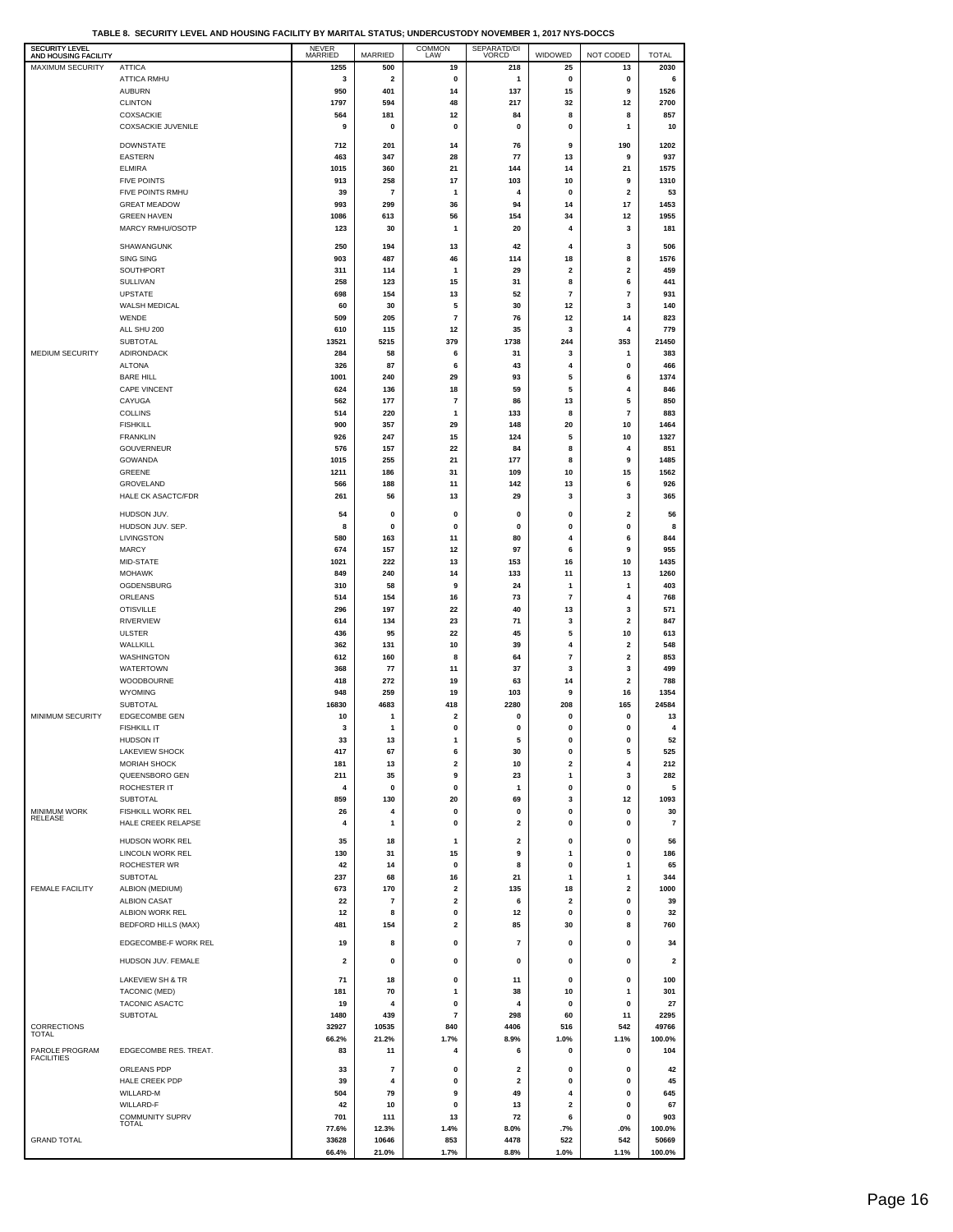**TABLE 8. SECURITY LEVEL AND HOUSING FACILITY BY MARITAL STATUS; UNDERCUSTODY NOVEMBER 1, 2017 NYS-DOCCS**

| <b>SECURITY LEVEL</b><br>AND HOUSING FACILITY |                                           | <b>NEVER</b><br>MARRIED | MARRIED                 | COMMON<br>LAW                  | SEPARATD/DI<br>VORCD    | WIDOWED                 | NOT CODED      | <b>TOTAL</b>            |
|-----------------------------------------------|-------------------------------------------|-------------------------|-------------------------|--------------------------------|-------------------------|-------------------------|----------------|-------------------------|
| <b>MAXIMUM SECURITY</b>                       | <b>ATTICA</b>                             | 1255                    | 500                     | 19                             | 218                     | 25                      | 13             | 2030                    |
|                                               | ATTICA RMHU                               | 3                       | $\overline{\mathbf{2}}$ | $\pmb{0}$                      | 1                       | $\pmb{0}$               | 0              | 6                       |
|                                               | <b>AUBURN</b>                             | 950<br>1797             | 401<br>594              | 14<br>48                       | 137<br>217              | 15                      | 9              | 1526<br>2700            |
|                                               | <b>CLINTON</b><br><b>COXSACKIE</b>        | 564                     | 181                     | 12                             | 84                      | 32<br>8                 | 12<br>8        | 857                     |
|                                               | <b>COXSACKIE JUVENILE</b>                 | 9                       | 0                       | 0                              | 0                       | 0                       | 1              | 10                      |
|                                               | <b>DOWNSTATE</b>                          | 712                     | 201                     | 14                             | 76                      | 9                       | 190            | 1202                    |
|                                               | EASTERN                                   | 463                     | 347                     | 28                             | 77                      | 13                      | 9              | 937                     |
|                                               | <b>ELMIRA</b>                             | 1015                    | 360                     | 21                             | 144                     | 14                      | 21             | 1575                    |
|                                               | <b>FIVE POINTS</b>                        | 913                     | 258                     | 17                             | 103                     | 10                      | 9              | 1310                    |
|                                               | FIVE POINTS RMHU                          | 39                      | $\overline{7}$          | $\mathbf{1}$                   | 4                       | 0                       | 2              | 53                      |
|                                               | <b>GREAT MEADOW</b><br><b>GREEN HAVEN</b> | 993<br>1086             | 299<br>613              | 36<br>56                       | 94<br>154               | 14<br>34                | 17<br>12       | 1453<br>1955            |
|                                               | MARCY RMHU/OSOTP                          | 123                     | 30                      | $\mathbf{1}$                   | 20                      | 4                       | 3              | 181                     |
|                                               |                                           |                         |                         |                                |                         | 4                       |                |                         |
|                                               | SHAWANGUNK<br><b>SING SING</b>            | 250<br>903              | 194<br>487              | 13<br>46                       | 42<br>114               | 18                      | 3<br>8         | 506<br>1576             |
|                                               | SOUTHPORT                                 | 311                     | 114                     | $\mathbf{1}$                   | 29                      | $\overline{\mathbf{2}}$ | 2              | 459                     |
|                                               | SULLIVAN                                  | 258                     | 123                     | 15                             | 31                      | 8                       | 6              | 441                     |
|                                               | <b>UPSTATE</b>                            | 698                     | 154                     | 13                             | 52                      | $\overline{\mathbf{r}}$ | $\overline{7}$ | 931                     |
|                                               | WALSH MEDICAL<br>WENDE                    | 60                      | 30                      | 5<br>$\overline{\mathbf{r}}$   | 30                      | 12                      | 3              | 140<br>823              |
|                                               | ALL SHU 200                               | 509<br>610              | 205<br>115              | 12                             | 76<br>35                | 12<br>3                 | 14<br>4        | 779                     |
|                                               | SUBTOTAL                                  | 13521                   | 5215                    | 379                            | 1738                    | 244                     | 353            | 21450                   |
| MEDIUM SECURITY                               | ADIRONDACK                                | 284                     | 58                      | 6                              | 31                      | 3                       | 1              | 383                     |
|                                               | <b>ALTONA</b>                             | 326                     | 87                      | 6                              | 43                      | 4                       | 0              | 466                     |
|                                               | <b>BARE HILL</b>                          | 1001                    | 240                     | 29                             | 93                      | 5                       | 6              | 1374                    |
|                                               | <b>CAPE VINCENT</b><br>CAYUGA             | 624<br>562              | 136<br>177              | 18<br>$\overline{7}$           | 59<br>86                | 5<br>13                 | 4<br>5         | 846<br>850              |
|                                               | <b>COLLINS</b>                            | 514                     | 220                     | $\mathbf{1}$                   | 133                     | 8                       | $\overline{7}$ | 883                     |
|                                               | <b>FISHKILL</b>                           | 900                     | 357                     | 29                             | 148                     | 20                      | 10             | 1464                    |
|                                               | <b>FRANKLIN</b>                           | 926                     | 247                     | 15                             | 124                     | 5                       | 10             | 1327                    |
|                                               | <b>GOUVERNEUR</b><br>GOWANDA              | 576<br>1015             | 157<br>255              | 22<br>21                       | 84<br>177               | 8<br>8                  | 4<br>9         | 851<br>1485             |
|                                               | GREENE                                    | 1211                    | 186                     | 31                             | 109                     | 10                      | 15             | 1562                    |
|                                               | GROVELAND                                 | 566                     | 188                     | 11                             | 142                     | 13                      | 6              | 926                     |
|                                               | HALE CK ASACTC/FDR                        | 261                     | 56                      | 13                             | 29                      | 3                       | 3              | 365                     |
|                                               | HUDSON JUV.                               | 54                      | 0                       | 0                              | 0                       | 0                       | 2              | 56                      |
|                                               | HUDSON JUV. SEP.                          | 8                       | 0                       | 0                              | 0                       | 0                       | 0              | 8                       |
|                                               | LIVINGSTON                                | 580                     | 163                     | 11                             | 80                      | 4                       | 6              | 844                     |
|                                               | <b>MARCY</b>                              | 674                     | 157                     | 12                             | 97                      | 6                       | 9              | 955                     |
|                                               | MID-STATE<br><b>MOHAWK</b>                | 1021<br>849             | 222<br>240              | 13<br>14                       | 153<br>133              | 16<br>11                | 10<br>13       | 1435<br>1260            |
|                                               | OGDENSBURG                                | 310                     | 58                      | 9                              | 24                      | $\mathbf{1}$            | $\mathbf{1}$   | 403                     |
|                                               | ORLEANS                                   | 514                     | 154                     | 16                             | 73                      | $\overline{\mathbf{r}}$ | 4              | 768                     |
|                                               | <b>OTISVILLE</b>                          | 296                     | 197                     | 22                             | 40                      | 13                      | 3              | 571                     |
|                                               | <b>RIVERVIEW</b>                          | 614                     | 134                     | 23                             | 71                      | 3                       | 2              | 847                     |
|                                               | <b>ULSTER</b>                             | 436                     | 95                      | 22                             | 45                      | 5<br>4                  | 10<br>2        | 613<br>548              |
|                                               | WALLKILL<br><b>WASHINGTON</b>             | 362<br>612              | 131<br>160              | 10<br>8                        | 39<br>64                | $\overline{\textbf{7}}$ | 2              | 853                     |
|                                               | <b>WATERTOWN</b>                          | 368                     | 77                      | 11                             | 37                      | 3                       | 3              | 499                     |
|                                               | WOODBOURNE                                | 418                     | 272                     | 19                             | 63                      | 14                      | 2              | 788                     |
|                                               | <b>WYOMING</b>                            | 948                     | 259                     | 19                             | 103                     | 9                       | 16             | 1354                    |
| MINIMUM SECURITY                              | <b>SUBTOTAL</b><br>EDGECOMBE GEN          | 16830<br>10             | 4683<br>$\mathbf{1}$    | 418<br>$\overline{\mathbf{2}}$ | 2280<br>0               | 208<br>$\pmb{0}$        | 165<br>0       | 24584<br>13             |
|                                               | <b>FISHKILL IT</b>                        | 3                       | $\mathbf{1}$            | $\mathbf 0$                    | $\bf{0}$                | $\pmb{0}$               | $\bf{0}$       | $\overline{4}$          |
|                                               | HI IDSON IT                               | 33                      | 13                      |                                |                         |                         |                | 52                      |
|                                               | <b>LAKEVIEW SHOCK</b>                     | 417                     | 67                      | 6                              | 30                      | 0                       | 5              | 525                     |
|                                               | <b>MORIAH SHOCK</b>                       | 181                     | 13                      | $\overline{\mathbf{2}}$        | 10                      | $\mathbf 2$             | 4              | 212                     |
|                                               | QUEENSBORO GEN<br>ROCHESTER IT            | 211<br>4                | 35<br>$\pmb{0}$         | 9<br>0                         | 23<br>1                 | 1<br>0                  | 3<br>0         | 282<br>5                |
|                                               | SUBTOTAL                                  | 859                     | 130                     | 20                             | 69                      | 3                       | 12             | 1093                    |
| MINIMUM WORK                                  | FISHKILL WORK REL                         | 26                      | 4                       | 0                              | 0                       | 0                       | 0              | 30                      |
| RELEASE                                       | HALE CREEK RELAPSE                        | 4                       | 1                       | 0                              | $\overline{\mathbf{2}}$ | $\pmb{0}$               | 0              | $\overline{7}$          |
|                                               | HUDSON WORK REL                           | 35                      | 18                      | $\mathbf{1}$                   | 2                       | 0                       | 0              | 56                      |
|                                               | LINCOLN WORK REL                          | 130                     | 31                      | 15                             | 9                       | $\mathbf{1}$            | 0              | 186                     |
|                                               | ROCHESTER WR                              | 42                      | 14                      | 0                              | 8                       | $\pmb{0}$               | 1              | 65                      |
| <b>FEMALE FACILITY</b>                        | <b>SUBTOTAL</b>                           | 237<br>673              | 68<br>170               | 16<br>$\overline{\mathbf{2}}$  | 21<br>135               | $\mathbf{1}$<br>18      | 1<br>2         | 344<br>1000             |
|                                               | ALBION (MEDIUM)<br><b>ALBION CASAT</b>    | 22                      | $\overline{7}$          | $\overline{\mathbf{2}}$        | 6                       | $\overline{\mathbf{2}}$ | $\pmb{0}$      | 39                      |
|                                               | ALBION WORK REL                           | 12                      | 8                       | 0                              | 12                      | 0                       | 0              | 32                      |
|                                               | <b>BEDFORD HILLS (MAX)</b>                | 481                     | 154                     | $\overline{\mathbf{2}}$        | 85                      | 30                      | 8              | 760                     |
|                                               | EDGECOMBE-F WORK REL                      | 19                      | 8                       | 0                              | $\overline{7}$          | 0                       | $\mathbf 0$    | 34                      |
|                                               |                                           |                         |                         |                                |                         |                         |                |                         |
|                                               | HUDSON JUV. FEMALE                        | $\overline{\mathbf{2}}$ | $\mathbf 0$             | 0                              | 0                       | 0                       | 0              | $\overline{\mathbf{2}}$ |
|                                               | LAKEVIEW SH & TR                          | 71                      | 18                      | 0                              | 11                      | 0                       | 0              | 100                     |
|                                               | TACONIC (MED)<br>TACONIC ASACTC           | 181<br>19               | 70<br>4                 | $\mathbf{1}$<br>0              | 38<br>4                 | 10<br>$\mathbf 0$       | 1<br>0         | 301<br>27               |
|                                               | SUBTOTAL                                  | 1480                    | 439                     | $\overline{7}$                 | 298                     | 60                      | 11             | 2295                    |
| CORRECTIONS                                   |                                           | 32927                   | 10535                   | 840                            | 4406                    | 516                     | 542            | 49766                   |
| TOTAL                                         |                                           | 66.2%                   | 21.2%                   | 1.7%                           | 8.9%                    | 1.0%                    | 1.1%           | 100.0%                  |
| PAROLE PROGRAM<br><b>FACILITIES</b>           | EDGECOMBE RES. TREAT.                     | 83                      | 11                      | 4                              | 6                       | 0                       | 0              | 104                     |
|                                               | ORLEANS PDP                               | 33                      | 7                       | 0                              | $\overline{\mathbf{2}}$ | 0                       | 0              | 42                      |
|                                               | <b>HALE CREEK PDP</b>                     | 39                      | 4                       | 0                              | 2                       | 0                       | 0              | 45                      |
|                                               | WILLARD-M                                 | 504                     | 79                      | 9                              | 49                      | 4                       | 0              | 645                     |
|                                               | WILLARD-F<br>COMMUNITY SUPRV              | 42<br>701               | 10<br>111               | 0<br>13                        | 13<br>72                | 2<br>6                  | 0<br>0         | 67<br>903               |
|                                               | TOTAL                                     | 77.6%                   | 12.3%                   | 1.4%                           | 8.0%                    | .7%                     | .0%            | 100.0%                  |
| <b>GRAND TOTAL</b>                            |                                           | 33628                   | 10646                   | 853                            | 4478                    | 522                     | 542            | 50669                   |
|                                               |                                           | 66.4%                   | 21.0%                   | 1.7%                           | 8.8%                    | 1.0%                    | 1.1%           | 100.0%                  |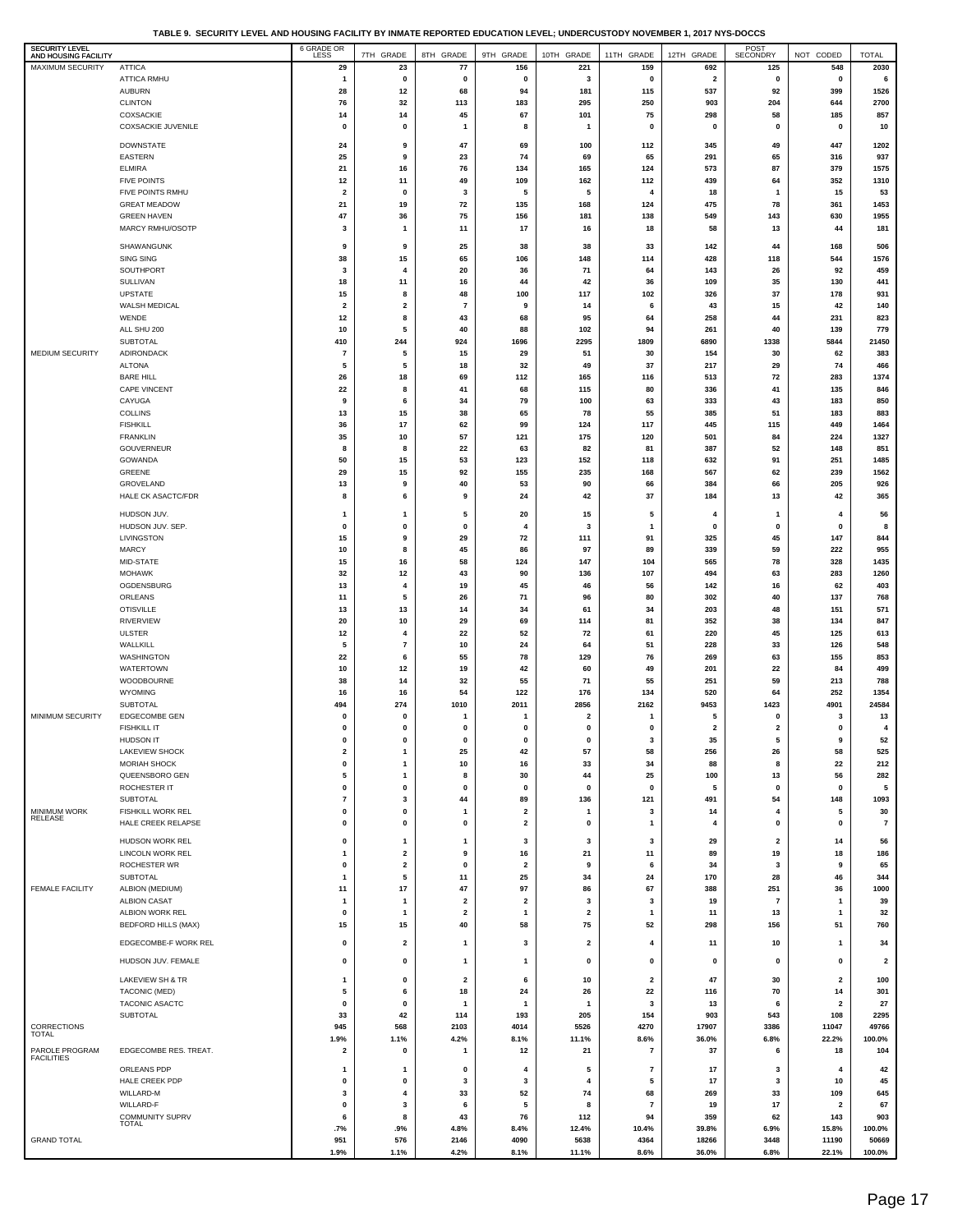**TABLE 9. SECURITY LEVEL AND HOUSING FACILITY BY INMATE REPORTED EDUCATION LEVEL; UNDERCUSTODY NOVEMBER 1, 2017 NYS-DOCCS**

| <b>SECURITY LEVEL</b><br>AND HOUSING FACILITY |                                        | 6 GRADE OR           | 7TH GRADE                    | 8TH GRADE               | 9TH GRADE                     | 10TH GRADE              | 11TH GRADE              | 12TH GRADE                     | POST<br>SECONDRY        | NOT CODED                      | <b>TOTAL</b>            |
|-----------------------------------------------|----------------------------------------|----------------------|------------------------------|-------------------------|-------------------------------|-------------------------|-------------------------|--------------------------------|-------------------------|--------------------------------|-------------------------|
| <b>MAXIMUM SECURITY</b>                       | <b>ATTICA</b>                          | 29                   | 23                           | 77                      | 156                           | 221                     | 159                     | 692                            | 125                     | 548                            | 2030                    |
|                                               | <b>ATTICA RMHU</b><br><b>AUBURN</b>    | $\overline{1}$<br>28 | $\mathbf 0$<br>12            | 0<br>68                 | $\mathbf 0$<br>94             | 3<br>181                | 0<br>115                | $\overline{\mathbf{2}}$<br>537 | 0<br>92                 | 0<br>399                       | 6<br>1526               |
|                                               | <b>CLINTON</b>                         | 76                   | 32                           | 113                     | 183                           | 295                     | 250                     | 903                            | 204                     | 644                            | 2700                    |
|                                               | COXSACKIE                              | 14                   | 14                           | 45                      | 67                            | 101                     | 75                      | 298                            | 58                      | 185                            | 857                     |
|                                               | COXSACKIE JUVENILE                     | 0                    | $\mathbf 0$                  | -1                      | 8                             | $\mathbf{1}$            | $\mathbf 0$             | $\mathbf{0}$                   | 0                       | 0                              | 10                      |
|                                               | <b>DOWNSTATE</b>                       | 24                   | 9                            | 47                      | 69                            | 100                     | 112                     | 345                            | 49                      | 447                            | 1202                    |
|                                               | EASTERN<br><b>ELMIRA</b>               | 25<br>21             | 9<br>16                      | 23<br>76                | 74<br>134                     | 69<br>165               | 65<br>124               | 291<br>573                     | 65<br>87                | 316<br>379                     | 937<br>1575             |
|                                               | <b>FIVE POINTS</b>                     | 12                   | 11                           | 49                      | 109                           | 162                     | 112                     | 439                            | 64                      | 352                            | 1310                    |
|                                               | FIVE POINTS RMHU                       | 2                    | $\mathbf 0$                  | 3                       | 5                             | 5                       | 4                       | 18                             | $\overline{\mathbf{1}}$ | 15                             | 53                      |
|                                               | <b>GREAT MEADOW</b>                    | 21                   | 19                           | 72                      | 135                           | 168                     | 124                     | 475                            | 78                      | 361                            | 1453                    |
|                                               | <b>GREEN HAVEN</b><br>MARCY RMHU/OSOTP | 47<br>3              | 36<br>$\mathbf{1}$           | 75<br>11                | 156<br>17                     | 181<br>16               | 138<br>18               | 549<br>58                      | 143<br>13               | 630<br>44                      | 1955<br>181             |
|                                               |                                        |                      |                              |                         |                               |                         |                         |                                |                         |                                |                         |
|                                               | SHAWANGUNK<br><b>SING SING</b>         | 9<br>38              | 9<br>15                      | 25<br>65                | 38<br>106                     | 38<br>148               | 33<br>114               | 142<br>428                     | 44<br>118               | 168<br>544                     | 506<br>1576             |
|                                               | SOUTHPORT                              | 3                    | $\overline{4}$               | 20                      | 36                            | 71                      | 64                      | 143                            | 26                      | 92                             | 459                     |
|                                               | SULLIVAN                               | 18                   | 11                           | 16                      | 44                            | 42                      | 36                      | 109                            | 35                      | 130                            | 441                     |
|                                               | <b>UPSTATE</b><br>WALSH MEDICAL        | 15<br>2              | 8<br>$\overline{2}$          | 48<br>$\overline{7}$    | 100<br>9                      | 117<br>14               | 102<br>6                | 326<br>43                      | 37<br>15                | 178<br>42                      | 931<br>140              |
|                                               | WENDE                                  | 12                   | 8                            | 43                      | 68                            | 95                      | 64                      | 258                            | 44                      | 231                            | 823                     |
|                                               | ALL SHU 200                            | 10                   | 5                            | 40                      | 88                            | 102                     | 94                      | 261                            | 40                      | 139                            | 779                     |
|                                               | SUBTOTAL                               | 410                  | 244                          | 924                     | 1696                          | 2295                    | 1809                    | 6890                           | 1338                    | 5844                           | 21450                   |
| MEDIUM SECURITY                               | ADIRONDACK<br><b>ALTONA</b>            | $\overline{7}$<br>5  | 5<br>5                       | 15<br>18                | 29<br>32                      | 51<br>49                | 30<br>37                | 154<br>217                     | 30<br>29                | 62<br>74                       | 383<br>466              |
|                                               | <b>BARE HILL</b>                       | 26                   | 18                           | 69                      | 112                           | 165                     | 116                     | 513                            | 72                      | 283                            | 1374                    |
|                                               | CAPE VINCENT                           | 22                   | 8                            | 41                      | 68                            | 115                     | 80                      | 336                            | 41                      | 135                            | 846                     |
|                                               | CAYUGA                                 | 9                    | 6                            | 34                      | 79                            | 100                     | 63                      | 333                            | 43                      | 183                            | 850                     |
|                                               | <b>COLLINS</b><br><b>FISHKILL</b>      | 13<br>36             | 15<br>17                     | 38<br>62                | 65<br>99                      | 78<br>124               | 55<br>117               | 385<br>445                     | 51<br>115               | 183<br>449                     | 883<br>1464             |
|                                               | <b>FRANKLIN</b>                        | 35                   | 10                           | 57                      | 121                           | 175                     | 120                     | 501                            | 84                      | 224                            | 1327                    |
|                                               | GOUVERNEUR                             | 8                    | 8                            | 22                      | 63                            | 82                      | 81                      | 387                            | 52                      | 148                            | 851                     |
|                                               | GOWANDA<br>GREENE                      | 50<br>29             | 15<br>15                     | 53<br>92                | 123<br>155                    | 152<br>235              | 118<br>168              | 632<br>567                     | 91<br>62                | 251<br>239                     | 1485<br>1562            |
|                                               | GROVELAND                              | 13                   | 9                            | 40                      | 53                            | 90                      | 66                      | 384                            | 66                      | 205                            | 926                     |
|                                               | HALE CK ASACTC/FDR                     | 8                    | 6                            | 9                       | 24                            | 42                      | 37                      | 184                            | 13                      | 42                             | 365                     |
|                                               | HUDSON JUV.                            | 1                    | $\mathbf{1}$                 | 5                       | 20                            | 15                      | 5                       | 4                              | 1                       | 4                              | 56                      |
|                                               | HUDSON JUV. SEP.                       | 0                    | $\mathbf 0$                  | 0                       | 4                             | 3                       | 1                       | $\mathbf 0$                    | 0                       | 0                              | 8                       |
|                                               | LIVINGSTON                             | 15                   | 9                            | 29                      | 72                            | 111                     | 91                      | 325                            | 45                      | 147                            | 844                     |
|                                               | <b>MARCY</b><br>MID-STATE              | 10<br>15             | 8<br>16                      | 45<br>58                | 86<br>124                     | 97<br>147               | 89<br>104               | 339<br>565                     | 59<br>78                | 222<br>328                     | 955<br>1435             |
|                                               | <b>MOHAWK</b>                          | 32                   | 12                           | 43                      | 90                            | 136                     | 107                     | 494                            | 63                      | 283                            | 1260                    |
|                                               | OGDENSBURG                             | 13                   | $\overline{\mathbf{4}}$      | 19                      | 45                            | 46                      | 56                      | 142                            | 16                      | 62                             | 403                     |
|                                               | ORLEANS<br><b>OTISVILLE</b>            | 11<br>13             | 5<br>13                      | 26<br>14                | 71<br>34                      | 96<br>61                | 80<br>34                | 302<br>203                     | 40<br>48                | 137<br>151                     | 768<br>571              |
|                                               | RIVERVIEW                              | 20                   | 10                           | 29                      | 69                            | 114                     | 81                      | 352                            | 38                      | 134                            | 847                     |
|                                               | <b>ULSTER</b>                          | 12                   | $\overline{\mathbf{4}}$      | 22                      | 52                            | 72                      | 61                      | 220                            | 45                      | 125                            | 613                     |
|                                               | WALLKILL<br>WASHINGTON                 | 5<br>22              | $\overline{7}$<br>6          | 10<br>55                | 24<br>78                      | 64<br>129               | 51<br>76                | 228<br>269                     | 33<br>63                | 126<br>155                     | 548<br>853              |
|                                               | WATERTOWN                              | 10                   | 12                           | 19                      | 42                            | 60                      | 49                      | 201                            | 22                      | 84                             | 499                     |
|                                               | WOODBOURNE                             | 38                   | 14                           | 32                      | 55                            | 71                      | 55                      | 251                            | 59                      | 213                            | 788                     |
|                                               | <b>WYOMING</b><br>SUBTOTAL             | 16<br>494            | 16<br>274                    | 54<br>1010              | 122<br>2011                   | 176<br>2856             | 134<br>2162             | 520<br>9453                    | 64<br>1423              | 252<br>4901                    | 1354<br>24584           |
| MINIMUM SECURITY                              | <b>EDGECOMBE GEN</b>                   | 0                    | $\mathbf 0$                  | -1                      | 1                             | $\overline{\mathbf{2}}$ | 1                       | 5                              | 0                       | 3                              | 13                      |
|                                               | <b>FISHKILL IT</b>                     | 0                    | $\mathbf 0$                  | 0                       | $\mathbf 0$                   | 0                       | 0                       | $\overline{\mathbf{2}}$        | $\overline{\mathbf{2}}$ | 0                              | 4                       |
|                                               | <b>HUDSON IT</b><br>LAKEVIEW SHOCK     | $\bf{0}$<br>2        | $\mathbf 0$<br>$\mathbf{1}$  | 25                      | $\mathbf 0$<br>42             | O<br>57                 | 58                      | 35<br>256                      | 5<br>26                 | 9<br>58                        | 52<br>525               |
|                                               | <b>MORIAH SHOCK</b>                    | 0                    | $\mathbf{1}$                 | 10                      | 16                            | 33                      | 34                      | 88                             | 8                       | 22                             | 212                     |
|                                               | QUEENSBORO GEN                         | 5                    | $\mathbf{1}$                 | 8                       | 30                            | 44                      | 25                      | 100                            | 13                      | 56                             | 282                     |
|                                               | ROCHESTER IT<br>SUBTOTAL               | 0<br>7               | $\mathbf 0$<br>3             | 0<br>44                 | 0<br>89                       | 0<br>136                | $\mathbf 0$<br>121      | 5<br>491                       | 0<br>54                 | 0<br>148                       | 5<br>1093               |
| <b>MINIMUM WORK</b>                           | FISHKILL WORK REL                      | 0                    | $\mathbf 0$                  | $\mathbf{1}$            | $\overline{\mathbf{2}}$       | $\mathbf{1}$            | 3                       | 14                             | 4                       | 5                              | 30                      |
| RELEASE                                       | HALE CREEK RELAPSE                     | 0                    | $\mathbf 0$                  | $\mathbf{0}$            | 2                             | 0                       | $\overline{\mathbf{1}}$ | 4                              | 0                       | 0                              | $\overline{7}$          |
|                                               | HUDSON WORK REL                        | 0                    | $\mathbf{1}$                 | 1                       | 3                             | 3                       | 3                       | 29                             | $\mathbf{2}$            | 14                             | 56                      |
|                                               | LINCOLN WORK REL                       | 1                    | $\overline{\mathbf{2}}$      | 9                       | 16                            | 21                      | 11                      | 89                             | 19                      | 18                             | 186                     |
|                                               | ROCHESTER WR<br>SUBTOTAL               | 0<br>1               | $\overline{\mathbf{2}}$<br>5 | 0<br>11                 | $\overline{\mathbf{2}}$<br>25 | 9<br>34                 | 6<br>24                 | 34<br>170                      | 3<br>28                 | 9<br>46                        | 65<br>344               |
| <b>FEMALE FACILITY</b>                        | ALBION (MEDIUM)                        | 11                   | 17                           | 47                      | 97                            | 86                      | 67                      | 388                            | 251                     | 36                             | 1000                    |
|                                               | <b>ALBION CASAT</b>                    | 1                    | $\overline{1}$               | $\overline{\mathbf{2}}$ | $\overline{\mathbf{2}}$       | 3                       | 3                       | 19                             | $\overline{7}$          | $\mathbf{1}$                   | 39                      |
|                                               | ALBION WORK REL                        | 0                    | $\mathbf{1}$                 | $\mathbf{2}$            | 1                             | $\overline{\mathbf{2}}$ | $\overline{\mathbf{1}}$ | 11                             | 13                      | $\mathbf{1}$                   | 32                      |
|                                               | <b>BEDFORD HILLS (MAX)</b>             | 15                   | 15                           | 40                      | 58                            | 75                      | 52                      | 298                            | 156                     | 51                             | 760                     |
|                                               | EDGECOMBE-F WORK REL                   | 0                    | $\overline{\mathbf{2}}$      | $\mathbf{1}$            | 3                             | $\mathbf{2}$            | 4                       | 11                             | 10                      | $\mathbf{1}$                   | 34                      |
|                                               | HUDSON JUV. FEMALE                     | 0                    | $\mathbf 0$                  | $\mathbf{1}$            | 1                             | 0                       | 0                       | 0                              | 0                       | 0                              | $\overline{\mathbf{2}}$ |
|                                               | LAKEVIEW SH & TR                       | 1                    | $\mathbf 0$                  | $\overline{\mathbf{2}}$ | 6                             | 10                      | $\overline{\mathbf{2}}$ | 47                             | 30                      | $\overline{\mathbf{2}}$        | 100                     |
|                                               | TACONIC (MED)                          | 5                    | 6                            | 18                      | 24                            | 26                      | 22                      | 116                            | 70                      | 14                             | 301                     |
|                                               | TACONIC ASACTC<br>SUBTOTAL             | 0<br>33              | $\mathbf 0$<br>42            | $\mathbf{1}$<br>114     | $\mathbf{1}$<br>193           | -1<br>205               | 3<br>154                | 13<br>903                      | 6<br>543                | $\overline{\mathbf{2}}$<br>108 | 27<br>2295              |
| CORRECTIONS                                   |                                        | 945                  | 568                          | 2103                    | 4014                          | 5526                    | 4270                    | 17907                          | 3386                    | 11047                          | 49766                   |
| <b>TOTAL</b>                                  |                                        | 1.9%                 | 1.1%                         | 4.2%                    | 8.1%                          | 11.1%                   | 8.6%                    | 36.0%                          | 6.8%                    | 22.2%                          | 100.0%                  |
| PAROLE PROGRAM<br><b>FACILITIES</b>           | EDGECOMBE RES. TREAT.                  | $\mathbf{2}$         | $\mathbf 0$                  | $\mathbf{1}$            | 12                            | 21                      | $\overline{7}$          | 37                             | 6                       | 18                             | 104                     |
|                                               | ORLEANS PDP                            | 1                    | -1                           | 0                       | 4                             | 5<br>4                  | $\overline{7}$          | 17<br>17                       | 3                       | $\overline{4}$                 | 42                      |
|                                               | HALE CREEK PDP<br>WILLARD-M            | 0<br>3               | $\mathbf 0$<br>4             | 3<br>33                 | 3<br>52                       | 74                      | 5<br>68                 | 269                            | 3<br>33                 | 10<br>109                      | 45<br>645               |
|                                               | WILLARD-F                              | 0                    | 3                            | 6                       | 5                             | 8                       | $\overline{7}$          | 19                             | 17                      | 2                              | 67                      |
|                                               | COMMUNITY SUPRV<br>TOTAL               | 6                    | 8                            | 43                      | 76                            | 112                     | 94                      | 359                            | 62                      | 143                            | 903                     |
| <b>GRAND TOTAL</b>                            |                                        | .7%<br>951           | .9%<br>576                   | 4.8%<br>2146            | 8.4%<br>4090                  | 12.4%<br>5638           | 10.4%<br>4364           | 39.8%<br>18266                 | 6.9%<br>3448            | 15.8%<br>11190                 | 100.0%<br>50669         |
|                                               |                                        | 1.9%                 | 1.1%                         | 4.2%                    | 8.1%                          | 11.1%                   | 8.6%                    | 36.0%                          | 6.8%                    | 22.1%                          | 100.0%                  |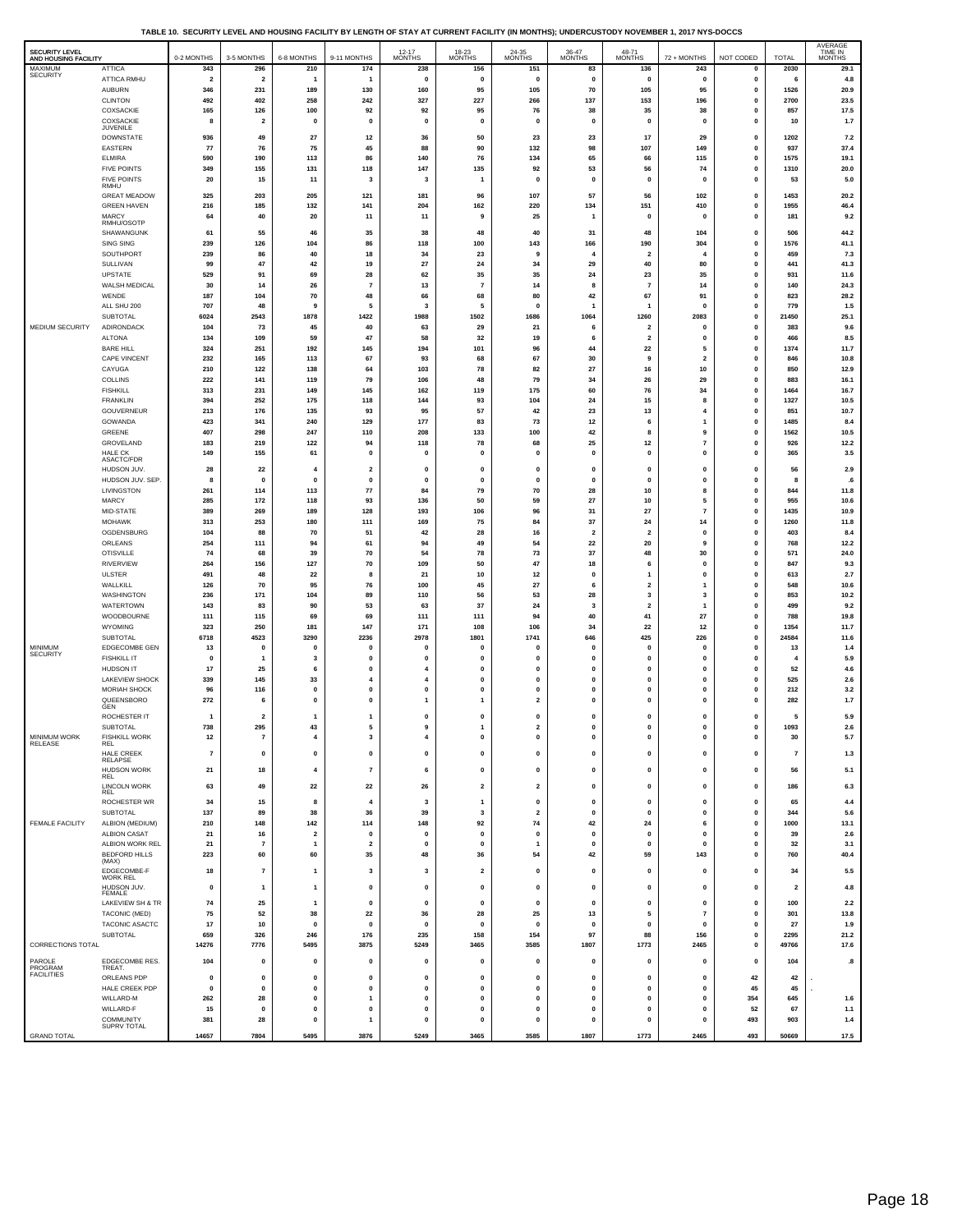| TABLE 10. SECURITY LEVEL AND HOUSING FACILITY BY LENGTH OF STAY AT CURRENT FACILITY (IN MONTHS); UNDERCUSTODY NOVEMBER 1, 2017 NYS-DOCCS |  |  |
|------------------------------------------------------------------------------------------------------------------------------------------|--|--|
|                                                                                                                                          |  |  |

| SECURITY LEVEL<br>AND HOUSING FACILITY |                                           | 0-2 MONTHS            | 3-5 MONTHS                     | 6-8 MONTHS                          | 9-11 MONTHS                  | $12 - 17$<br><b>MONTHS</b>     | 18-23<br>MONTHS              | 24-35<br><b>MONTHS</b>       | 36-47<br>MONTHS               | 48-71<br><b>MONTHS</b>        | 72 + MONTHS                   | NOT CODED                    | <b>TOTAL</b>            | AVERAGE<br>TIME IN<br><b>MONTHS</b> |
|----------------------------------------|-------------------------------------------|-----------------------|--------------------------------|-------------------------------------|------------------------------|--------------------------------|------------------------------|------------------------------|-------------------------------|-------------------------------|-------------------------------|------------------------------|-------------------------|-------------------------------------|
| MAXIMUM<br>SECURITY                    | <b>ATTICA</b>                             | 343                   | 296                            | 210                                 | 174                          | 238                            | 156                          | 151                          | 83                            | 136                           | 243                           | 0                            | 2030                    | 29.1                                |
|                                        | ATTICA RMHU<br><b>AUBURN</b>              | $\overline{2}$<br>346 | $\overline{2}$<br>231          | $\mathbf{1}$<br>189                 | $\overline{1}$<br>130        | $\mathbf 0$<br>160             | $\mathbf{0}$<br>95           | $\pmb{0}$<br>105             | $\mathbf 0$<br>70             | $\mathbf{0}$<br>105           | $\mathbf 0$<br>95             | $\mathbf 0$<br>$\mathbf 0$   | 6<br>1526               | $4.8\,$                             |
|                                        | <b>CLINTON</b>                            | 492                   | 402                            | 258                                 | 242                          | 327                            | 227                          | 266                          | 137                           | 153                           | 196                           | $\mathbf 0$                  | 2700                    | 20.9<br>23.5                        |
|                                        | COXSACKIE                                 | 165                   | 126                            | 100                                 | 92                           | 92                             | 95                           | 76                           | 38                            | 35                            | 38                            | 0                            | 857                     | 17.5                                |
|                                        | COXSACKIE<br>JUVENILE                     | 8                     | $\overline{2}$                 | $\mathbf{0}$                        | $\mathbf{0}$                 | $\mathbf{0}$                   | $\mathbf{0}$                 | $\mathbf 0$                  | $\mathbf{0}$                  | $\mathbf{0}$                  | $\mathbf 0$                   | $\mathbf 0$                  | 10                      | $1.7$                               |
|                                        | <b>DOWNSTATE</b>                          | 936                   | 49                             | 27                                  | 12                           | 36                             | 50                           | 23                           | 23                            | 17                            | 29                            | $\mathbf 0$                  | 1202                    | $7.2\,$                             |
|                                        | <b>EASTERN</b>                            | 77                    | 76                             | 75                                  | 45                           | 88                             | 90                           | 132                          | 98                            | 107                           | 149                           | 0                            | 937                     | 37.4                                |
|                                        | <b>ELMIRA</b>                             | 590                   | 190                            | 113                                 | 86                           | 140                            | 76                           | 134                          | 65                            | 66                            | 115                           | $\mathbf 0$                  | 1575                    | 19.1                                |
|                                        | <b>FIVE POINTS</b><br><b>FIVE POINTS</b>  | 349<br>20             | 155<br>15                      | 131<br>11                           | 118<br>3                     | 147<br>$\overline{\mathbf{3}}$ | 135<br>$\mathbf{1}$          | 92<br>$\pmb{0}$              | 53<br>$\mathbf{0}$            | 56<br>$\pmb{0}$               | 74<br>$\mathbf 0$             | $\mathbf 0$<br>$\mathbf 0$   | 1310<br>53              | 20.0<br>5.0                         |
|                                        | RMHU                                      |                       |                                |                                     |                              |                                |                              |                              |                               |                               |                               |                              |                         |                                     |
|                                        | <b>GREAT MEADOW</b><br><b>GREEN HAVEN</b> | 325<br>216            | 203<br>185                     | 205<br>132                          | 121<br>141                   | 181<br>204                     | 96<br>162                    | 107<br>220                   | 57<br>134                     | 56<br>151                     | 102<br>410                    | $\mathbf 0$<br>$\mathbf 0$   | 1453<br>1955            | 20.2<br>46.4                        |
|                                        | <b>MARCY</b>                              | 64                    | 40                             | 20                                  | 11                           | 11                             | 9                            | 25                           | $\mathbf{1}$                  | $\mathbf{0}$                  | $\mathbf 0$                   | $\mathbf 0$                  | 181                     | 9.2                                 |
|                                        | RMHU/OSOTP<br>SHAWANGUNK                  |                       |                                |                                     |                              | 38                             | 48                           | 40                           | 31                            | 48                            |                               | $\mathbf 0$                  | 506                     | 44.2                                |
|                                        | SING SING                                 | 61<br>239             | 55<br>126                      | 46<br>104                           | 35<br>86                     | 118                            | 100                          | 143                          | 166                           | 190                           | 104<br>304                    | $\mathbf 0$                  | 1576                    | 41.1                                |
|                                        | SOUTHPORT                                 | 239                   | 86                             | 40                                  | 18                           | 34                             | 23                           | 9                            | 4                             | $\overline{2}$                |                               | $\mathbf 0$                  | 459                     | 7.3                                 |
|                                        | SULLIVAN                                  | 99                    | 47                             | 42                                  | 19                           | 27                             | 24                           | 34                           | 29                            | 40                            | 80                            | $\mathbf 0$                  | 441                     | 41.3                                |
|                                        | UPSTATE                                   | 529<br>30             | 91                             | 69                                  | 28<br>$\overline{7}$         | 62                             | 35<br>$\overline{7}$         | 35<br>14                     | 24                            | 23<br>-7                      | 35                            | $\mathbf 0$<br>$\mathbf 0$   | 931<br>140              | 11.6<br>24.3                        |
|                                        | WALSH MEDICAL<br>WENDE                    | 187                   | 14<br>104                      | 26<br>70                            | 48                           | 13<br>66                       | 68                           | 80                           | 8<br>42                       | 67                            | 14<br>91                      | $\mathbf 0$                  | 823                     | 28.2                                |
|                                        | ALL SHU 200                               | 707                   | 48                             | 9                                   | 5                            | 3                              | 5                            | 0                            | $\mathbf{1}$                  | $\overline{1}$                | $\mathbf 0$                   | $\mathbf 0$                  | 779                     | $1.5$                               |
|                                        | SUBTOTAL                                  | 6024                  | 2543                           | 1878                                | 1422                         | 1988                           | 1502                         | 1686                         | 1064                          | 1260                          | 2083                          | $\mathbf 0$                  | 21450                   | 25.1                                |
| MEDIUM SECURITY                        | ADIRONDACK                                | 104                   | 73                             | 45                                  | 40                           | 63                             | 29                           | 21                           | 6                             | $\overline{2}$                | $\mathbf 0$                   | $\mathbf 0$                  | 383                     | 9.6                                 |
|                                        | <b>ALTONA</b><br><b>BARE HILL</b>         | 134<br>324            | 109<br>251                     | 59<br>192                           | 47<br>145                    | 58<br>194                      | 32<br>101                    | 19<br>96                     | 6<br>44                       | $\overline{\mathbf{2}}$<br>22 | $\mathbf 0$<br>5              | $\mathbf 0$<br>$\mathbf 0$   | 466<br>1374             | 8.5<br>11.7                         |
|                                        | CAPE VINCENT                              | 232                   | 165                            | 113                                 | 67                           | 93                             | 68                           | 67                           | 30                            | 9                             | $\overline{\mathbf{2}}$       | $\mathbf 0$                  | 846                     | 10.8                                |
|                                        | CAYUGA                                    | 210                   | 122                            | 138                                 | 64                           | 103                            | 78                           | 82                           | 27                            | 16                            | 10                            | $\mathbf 0$                  | 850                     | 12.9                                |
|                                        | COLLINS                                   | 222                   | 141                            | 119                                 | 79                           | 106                            | 48                           | 79                           | 34                            | 26                            | 29                            | $\mathbf 0$                  | 883                     | 16.1                                |
|                                        | <b>FISHKILL</b><br><b>FRANKLIN</b>        | 313<br>394            | 231<br>252                     | 149<br>175                          | 145<br>118                   | 162<br>144                     | 119<br>93                    | 175<br>104                   | 60<br>24                      | 76<br>15                      | 34<br>8                       | $\mathbf 0$<br>$\mathbf 0$   | 1464<br>1327            | 16.7<br>10.5                        |
|                                        | GOUVERNEUR                                | 213                   | 176                            | 135                                 | 93                           | 95                             | 57                           | 42                           | 23                            | 13                            | 4                             | $\mathbf 0$                  | 851                     | 10.7                                |
|                                        | GOWANDA                                   | 423                   | 341                            | 240                                 | 129                          | 177                            | 83                           | 73                           | 12                            | 6                             | $\mathbf{1}$                  | $\mathbf 0$                  | 1485                    | 8.4                                 |
|                                        | GREENE                                    | 407                   | 298                            | 247                                 | 110                          | 208                            | 133                          | 100                          | 42                            | 8                             | 9                             | $\mathbf 0$                  | 1562                    | 10.5                                |
|                                        | GROVELAND<br>HAI F CK                     | 183<br>149            | 219<br>155                     | 122<br>61                           | 94<br>$\mathbf 0$            | 118<br>$\Omega$                | 78<br>$\mathbf 0$            | 68<br>$\mathbf 0$            | 25<br>$\mathbf 0$             | $12$<br>$\mathbf{0}$          | $\overline{7}$<br>$\mathbf 0$ | $\mathbf 0$<br>$\mathbf 0$   | 926<br>365              | 12.2<br>$3.5\,$                     |
|                                        | ASACTC/FDR                                |                       |                                |                                     |                              |                                |                              |                              |                               |                               |                               |                              |                         |                                     |
|                                        | HUDSON JUV.<br>HUDSON JUV. SEP.           | 28<br>8               | 22<br>0                        | $\overline{\bf{4}}$<br>$\mathbf{0}$ | $\overline{\mathbf{2}}$<br>0 | 0<br>$\mathbf 0$               | 0<br>0                       | 0<br>0                       | 0<br>0                        | $\pmb{0}$<br>$\pmb{0}$        | 0<br>0                        | $\mathbf 0$<br>$\mathbf 0$   | 56<br>8                 | 2.9<br>.6                           |
|                                        | LIVINGSTON                                | 261                   | 114                            | 113                                 | 77                           | 84                             | 79                           | 70                           | 28                            | 10                            | 8                             | $\mathbf 0$                  | 844                     | 11.8                                |
|                                        | MARCY                                     | 285                   | 172                            | 118                                 | 93                           | 136                            | 50                           | 59                           | 27                            | 10                            | 5                             | $\mathbf 0$                  | 955                     | 10.6                                |
|                                        | MID-STATE                                 | 389                   | 269                            | 189                                 | 128                          | 193                            | 106                          | 96                           | 31                            | 27                            | $\overline{7}$                | $\mathbf 0$                  | 1435                    | 10.9                                |
|                                        | <b>MOHAWK</b>                             | 313                   | 253<br>88                      | 180                                 | 111                          | 169                            | 75                           | 84                           | 37                            | ${\bf 24}$                    | 14<br>$\mathbf 0$             | $\mathbf 0$<br>$\mathbf 0$   | 1260                    | 11.8                                |
|                                        | OGDENSBURG<br>ORLEANS                     | 104<br>254            | 111                            | 70<br>94                            | 51<br>61                     | 42<br>94                       | 28<br>49                     | 16<br>54                     | $\overline{\mathbf{2}}$<br>22 | $\overline{\mathbf{2}}$<br>20 | 9                             | $\mathbf 0$                  | 403<br>768              | 8.4<br>12.2                         |
|                                        | <b>OTISVILLE</b>                          | 74                    | 68                             | 39                                  | 70                           | 54                             | 78                           | 73                           | 37                            | 48                            | 30                            | $\mathbf 0$                  | 571                     | 24.0                                |
|                                        | <b>RIVERVIEW</b>                          | 264                   | 156                            | 127                                 | 70                           | 109                            | 50                           | 47                           | 18                            | 6                             | 0                             | $\mathbf 0$                  | 847                     | 9.3                                 |
|                                        | <b>ULSTER</b>                             | 491                   | 48                             | 22                                  | 8                            | 21                             | 10                           | 12                           | $\mathbf 0$                   | $\overline{1}$                | $\mathbf 0$                   | $\mathbf 0$<br>$\mathbf 0$   | 613                     | 2.7                                 |
|                                        | WALLKILL<br>WASHINGTON                    | 126<br>236            | 70<br>171                      | 95<br>104                           | 76<br>89                     | 100<br>110                     | 45<br>56                     | $\bf 27$<br>53               | 6<br>28                       | $\mathbf{2}$<br>3             | $\mathbf{1}$<br>3             | $\mathbf 0$                  | 548<br>853              | 10.6<br>10.2                        |
|                                        | WATERTOWN                                 | 143                   | 83                             | 90                                  | 53                           | 63                             | 37                           | ${\bf 24}$                   | 3                             | $\mathbf{2}$                  | $\mathbf{1}$                  | $\mathbf{0}$                 | 499                     | 9.2                                 |
|                                        | WOODBOURNE                                | 111                   | 115                            | 69                                  | 69                           | 111                            | 111                          | 94                           | 40                            | 41                            | 27                            | $\mathbf 0$                  | 788                     | 19.8                                |
|                                        | WYOMING                                   | 323                   | 250                            | 181                                 | 147                          | 171                            | 108                          | 106<br>1741                  | 34                            | 22                            | $12$                          | $\mathbf{0}$                 | 1354                    | 11.7                                |
| MINIMUM                                | SUBTOTAL<br>EDGECOMBE GEN                 | 6718<br>13            | 4523<br>0                      | 3290<br>$\mathbf{0}$                | 2236<br>0                    | 2978<br>$\mathbf 0$            | 1801<br>0                    | $\mathbf 0$                  | 646<br>0                      | 425<br>$\mathbf{0}$           | 226<br>$\mathbf 0$            | $\mathbf{o}$<br>$\mathbf{0}$ | 24584<br>13             | 11.6<br>1.4                         |
| <b>SECURITY</b>                        | <b>FISHKILL IT</b>                        | $\mathbf 0$           | $\mathbf{1}$                   | 3                                   | $\mathbf 0$                  | $\mathbf 0$                    | $\mathbf 0$                  | 0                            | $\mathbf 0$                   | $\mathbf{0}$                  | $\mathbf 0$                   | $\Omega$                     | $\overline{\mathbf{4}}$ | 5.9                                 |
|                                        | HUDSON IT                                 | 17                    | 25                             | 6                                   | $\mathbf 0$                  | 4                              | $\mathbf{0}$                 | $\mathbf 0$                  | 0                             | $\pmb{0}$                     | $\mathbf 0$                   | $\mathbf{0}$                 | 52                      | 4.6                                 |
|                                        | LAKEVIEW SHOCK<br>MORIAH SHOCK            | 339<br>96             | 145                            | 33<br>$\mathbf{0}$                  | 4<br>$\mathbf 0$             | $\overline{4}$<br>0            | $\mathbf 0$<br>$\mathbf{0}$  | 0<br>$\pmb{0}$               | 0<br>0                        | $\pmb{0}$<br>$\bf{0}$         | $\mathbf 0$<br>$\mathbf 0$    | $\Omega$<br>$\mathbf 0$      | 525                     | 2.6                                 |
|                                        | QUEENSBORO                                | 272                   | 116<br>6                       | $\mathbf{0}$                        | $\mathbf 0$                  | $\mathbf{1}$                   | $\mathbf{1}$                 | $\overline{\mathbf{2}}$      | 0                             | $\mathbf 0$                   | $\mathbf 0$                   | $\mathbf 0$                  | 212<br>282              | 3.2<br>1.7                          |
|                                        | GEN                                       |                       |                                | -1                                  |                              |                                |                              |                              |                               |                               |                               | $\mathbf 0$                  | 5                       |                                     |
|                                        | ROCHESTER IT<br>SUBTOTAL                  | -1<br>738             | $\overline{\mathbf{2}}$<br>295 | 43                                  | 1<br>5                       | 0<br>9                         | 0<br>$\overline{1}$          | 0<br>$\overline{\mathbf{2}}$ | 0<br>0                        | $\mathbf 0$<br>0              | 0<br>$\mathbf 0$              | $\mathbf{0}$                 | 1093                    | 5.9<br>2.6                          |
| <b>MINIMUM WORK</b><br>RELEASE         | <b>FISHKILL WORK</b><br><b>REL</b>        | 12                    | $\overline{7}$                 |                                     | 3                            | 4                              | $\Omega$                     | $\Omega$                     | $\Omega$                      | $\Omega$                      | $\Omega$                      | $\Omega$                     | 30                      | $5.7\,$                             |
|                                        | HALE CREEK                                | $\overline{7}$        | $\mathbf{0}$                   | $\mathbf{0}$                        | $\mathbf{0}$                 | 0                              | 0                            | 0                            | 0                             | $\pmb{0}$                     | $\mathbf 0$                   | $\mathbf{0}$                 | $\overline{7}$          | 1.3                                 |
|                                        | RELAPSE<br><b>HUDSON WORK</b>             | 21                    | 18                             | $\overline{4}$                      | $\overline{7}$               | 6                              | $\mathbf{0}$                 | $\pmb{0}$                    | $\mathbf 0$                   | $\pmb{0}$                     | $\mathbf 0$                   | $\mathbf{o}$                 | 56                      | 5.1                                 |
|                                        | REL                                       |                       |                                |                                     |                              |                                |                              |                              |                               |                               |                               |                              |                         |                                     |
|                                        | <b>LINCOLN WORK</b><br>REL                | 63                    | 49                             | 22                                  | 22                           | 26                             | $\overline{2}$               | $\overline{\mathbf{2}}$      | $\bf{0}$                      | $\pmb{0}$                     | $\mathbf 0$                   | $\mathbf 0$                  | 186                     | $6.3\,$                             |
|                                        | ROCHESTER WR                              | 34                    | 15                             | 8                                   | $\overline{4}$               | 3                              | $\mathbf{1}$                 | $\pmb{0}$                    | $\mathbf{0}$                  | $\pmb{0}$                     | $\mathbf 0$                   | $\mathbf 0$                  | 65                      | 4.4                                 |
|                                        | SUBTOTAL                                  | 137                   | 89                             | 38                                  | 36                           | 39                             | 3                            | $\overline{\mathbf{2}}$      | 0                             | $\pmb{0}$                     | $\mathbf 0$                   | $\mathbf 0$                  | 344                     | 5.6                                 |
| <b>FEMALE FACILITY</b>                 | ALBION (MEDIUM)<br><b>ALBION CASAT</b>    | 210<br>21             | 148<br>16                      | 142<br>$\overline{\mathbf{2}}$      | 114<br>0                     | 148<br>$\mathbf 0$             | 92<br>0                      | 74<br>0                      | 42<br>0                       | 24<br>$\pmb{0}$               | 6<br>0                        | $\mathbf 0$<br>0             | 1000<br>39              | 13.1<br>2.6                         |
|                                        | ALBION WORK REL                           | 21                    | $\overline{7}$                 | -1                                  | $\overline{2}$               | $\mathbf 0$                    | $\mathbf{0}$                 | $\overline{1}$               | $\mathbf{0}$                  | $\pmb{0}$                     | $\mathbf 0$                   | $\mathbf 0$                  | 32                      | 3.1                                 |
|                                        | <b>BEDFORD HILLS</b><br>(MAX)             | 223                   | 60                             | 60                                  | 35                           | 48                             | 36                           | 54                           | 42                            | 59                            | 143                           | 0                            | 760                     | 40.4                                |
|                                        | EDGECOMBE-F                               | 18                    | $\overline{7}$                 | $\mathbf{1}$                        | 3                            | 3                              | $\overline{2}$               | 0                            | 0                             | $\pmb{0}$                     | 0                             | $\mathbf{0}$                 | 34                      | $5.5\,$                             |
|                                        | <b>WORK REL</b><br>HUDSON JUV.            | $\mathbf{0}$          | $\mathbf{1}$                   | $\overline{1}$                      | $\mathbf{0}$                 | $\mathbf 0$                    | $\mathbf{0}$                 | 0                            | 0                             | $\pmb{0}$                     | $\mathbf 0$                   | $\mathbf 0$                  | $\overline{\mathbf{z}}$ | 4.8                                 |
|                                        | <b>FEMALE</b>                             |                       |                                |                                     |                              |                                |                              |                              |                               |                               |                               |                              |                         |                                     |
|                                        | LAKEVIEW SH & TR<br>TACONIC (MED)         | 74<br>75              | 25<br>52                       | $\mathbf{1}$<br>38                  | $\mathbf{0}$<br>22           | $\mathbf 0$<br>36              | $\mathbf{0}$<br>28           | $\mathbf 0$<br>25            | 0<br>13                       | $\pmb{0}$<br>5                | $\mathbf 0$<br>$\overline{7}$ | $\mathbf{0}$<br>$\mathbf 0$  | 100<br>301              | 2.2<br>13.8                         |
|                                        | TACONIC ASACTC                            | 17                    | 10                             | $\Omega$                            | $\mathbf 0$                  | $\mathbf{0}$                   | $\mathbf 0$                  | $\mathbf 0$                  | $\mathbf{0}$                  | $\mathbf{0}$                  | $\Omega$                      | $\mathbf{o}$                 | 27                      | 1.9                                 |
|                                        | SUBTOTAL                                  | 659                   | 326                            | 246                                 | 176                          | 235                            | 158                          | 154                          | 97                            | 88                            | 156                           | 0                            | 2295                    | 21.2                                |
| CORRECTIONS TOTAL                      |                                           | 14276                 | 7776                           | 5495                                | 3875                         | 5249                           | 3465                         | 3585                         | 1807                          | 1773                          | 2465                          | $\mathbf{0}$                 | 49766                   | 17.6                                |
| PAROLE                                 | EDGECOMBE RES.                            | 104                   | $\mathbf{0}$                   | 0                                   | $\mathbf{0}$                 | $\mathbf{0}$                   | $\mathbf{0}$                 | $\pmb{0}$                    | $\mathbf{0}$                  | $\mathbf{0}$                  | $\mathbf 0$                   | $\mathbf{0}$                 | 104                     | $\boldsymbol{.8}$                   |
| PROGRAM<br><b>FACILITIES</b>           | TREAT.<br>ORLEANS PDP                     | $\mathbf{0}$          | $\mathbf{0}$                   | $\mathbf{0}$                        | $\mathbf 0$                  | $\mathbf{0}$                   | $\mathbf 0$                  | $\mathbf 0$                  | $\mathbf{0}$                  | $\mathbf{0}$                  | $\mathbf 0$                   | 42                           | 42                      |                                     |
|                                        | HALE CREEK PDP                            | $\mathbf{0}$          | $\mathbf{0}$                   | $\mathbf{0}$                        | $\mathbf{0}$                 | $\mathbf 0$                    | $\mathbf 0$                  | 0                            | 0                             | $\pmb{0}$                     | $\mathbf 0$                   | 45                           | 45                      |                                     |
|                                        | WILLARD-M                                 | 262                   | 28                             | $\mathbf{0}$                        | $\mathbf{1}$                 | $\mathbf 0$                    | $\mathbf{0}$                 | $\pmb{0}$                    | $\mathbf{0}$                  | $\pmb{0}$                     | $\mathbf 0$                   | 354                          | 645                     | 1.6                                 |
|                                        | WILLARD-F<br>COMMUNITY                    | 15<br>381             | 0<br>28                        | 0<br>$\mathbf 0$                    | 0<br>$\overline{1}$          | $\mathbf 0$<br>$\mathbf{0}$    | $\mathbf{0}$<br>$\mathbf{0}$ | 0<br>$\pmb{0}$               | 0<br>$\mathbf 0$              | $\pmb{0}$<br>$\pmb{0}$        | $\mathbf 0$<br>$\mathbf 0$    | 52<br>493                    | 67<br>903               | 1.1                                 |
|                                        | SUPRV TOTAL                               |                       |                                |                                     |                              |                                |                              |                              |                               |                               |                               |                              |                         | 1.4                                 |
| <b>GRAND TOTAL</b>                     |                                           | 14657                 | 7804                           | 5495                                | 3876                         | 5249                           | 3465                         | 3585                         | 1807                          | 1773                          | 2465                          | 493                          | 50669                   | 17.5                                |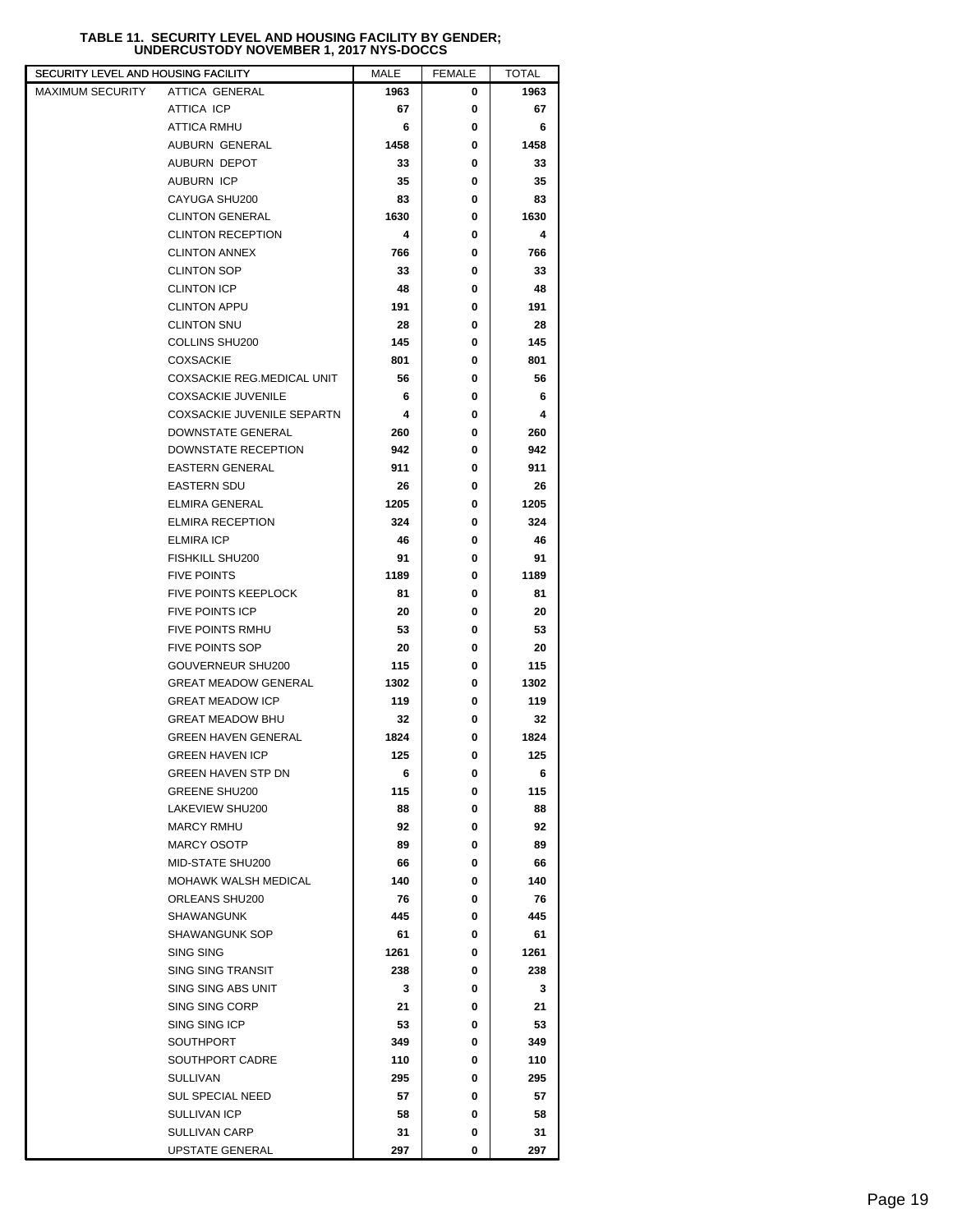# **TABLE 11. SECURITY LEVEL AND HOUSING FACILITY BY GENDER; UNDERCUSTODY NOVEMBER 1, 2017 NYS-DOCCS**

| SECURITY LEVEL AND HOUSING FACILITY |                                    | MALE       | <b>FEMALE</b> | <b>TOTAL</b> |  |
|-------------------------------------|------------------------------------|------------|---------------|--------------|--|
| MAXIMUM SECURITY                    | ATTICA GENERAL                     | 1963       | 0             | 1963         |  |
|                                     | ATTICA ICP                         | 67         | 0             | 67           |  |
|                                     | ATTICA RMHU                        | 6          | 0             | 6            |  |
|                                     | AUBURN GENERAL                     | 1458       | 0             | 1458         |  |
|                                     | AUBURN DEPOT                       | 33         | 0             | 33           |  |
|                                     | <b>AUBURN ICP</b>                  | 35         | 0             | 35           |  |
|                                     | CAYUGA SHU200                      | 83         | 0             | 83           |  |
|                                     | <b>CLINTON GENERAL</b>             | 1630       | 0             | 1630         |  |
|                                     | <b>CLINTON RECEPTION</b>           | 4          | 0             | 4            |  |
|                                     | <b>CLINTON ANNEX</b>               | 766        | 0             | 766          |  |
|                                     | <b>CLINTON SOP</b>                 | 33         | 0             | 33           |  |
|                                     | <b>CLINTON ICP</b>                 | 48         | 0             | 48           |  |
|                                     | <b>CLINTON APPU</b>                | 191        | 0             | 191          |  |
|                                     | <b>CLINTON SNU</b>                 | 28         | 0             | 28           |  |
|                                     | COLLINS SHU200                     | 145        | 0             | 145          |  |
|                                     | <b>COXSACKIE</b>                   | 801        | 0             | 801          |  |
|                                     | COXSACKIE REG.MEDICAL UNIT         | 56         | 0             | 56           |  |
|                                     | <b>COXSACKIE JUVENILE</b>          | 6          | 0             | 6            |  |
|                                     | <b>COXSACKIE JUVENILE SEPARTN</b>  | 4          | 0             | 4            |  |
|                                     | DOWNSTATE GENERAL                  | 260        | 0             | 260          |  |
|                                     | DOWNSTATE RECEPTION                | 942        | 0             | 942          |  |
|                                     | <b>EASTERN GENERAL</b>             | 911        | 0             | 911          |  |
|                                     | <b>EASTERN SDU</b>                 | 26         | 0             | 26           |  |
|                                     | <b>ELMIRA GENERAL</b>              | 1205       | 0             | 1205         |  |
|                                     | <b>ELMIRA RECEPTION</b>            | 324        | 0             | 324          |  |
|                                     | <b>ELMIRA ICP</b>                  | 46         | 0             | 46           |  |
|                                     | FISHKILL SHU200                    | 91         | 0             | 91           |  |
|                                     | <b>FIVE POINTS</b>                 | 1189       | 0             | 1189         |  |
|                                     | <b>FIVE POINTS KEEPLOCK</b>        | 81         | 0             | 81           |  |
|                                     | <b>FIVE POINTS ICP</b>             | 20         | 0             | 20           |  |
|                                     | <b>FIVE POINTS RMHU</b>            | 53         | 0             | 53           |  |
|                                     | <b>FIVE POINTS SOP</b>             | 20         | 0             | 20           |  |
|                                     | GOUVERNEUR SHU200                  | 115        | 0             | 115          |  |
|                                     | <b>GREAT MEADOW GENERAL</b>        | 1302       | 0             | 1302         |  |
|                                     | <b>GREAT MEADOW ICP</b>            | 119        | 0             | 119          |  |
|                                     | <b>GREAT MEADOW BHU</b>            | 32         | 0             | 32           |  |
|                                     | <b>GREEN HAVEN GENERAL</b>         | 1824       | 0             | 1824         |  |
|                                     | <b>GREEN HAVEN ICP</b>             | 125        | 0             | 125          |  |
|                                     | GREEN HAVEN STP DN                 | 6          | 0             | 6            |  |
|                                     | <b>GREENE SHU200</b>               | 115        | 0             | 115          |  |
|                                     | LAKEVIEW SHU200                    | 88         | 0             | 88           |  |
|                                     | <b>MARCY RMHU</b>                  | 92         | 0             | 92           |  |
|                                     | <b>MARCY OSOTP</b>                 | 89         | 0             | 89           |  |
|                                     | MID-STATE SHU200                   | 66         | 0             | 66           |  |
|                                     | MOHAWK WALSH MEDICAL               | 140        | 0             | 140          |  |
|                                     | ORLEANS SHU200                     | 76         | 0             | 76           |  |
|                                     | SHAWANGUNK                         | 445        | 0             | 445          |  |
|                                     | <b>SHAWANGUNK SOP</b>              | 61         | 0             | 61           |  |
|                                     | SING SING                          | 1261       | 0             | 1261         |  |
|                                     | <b>SING SING TRANSIT</b>           | 238        | 0             | 238          |  |
|                                     | SING SING ABS UNIT                 | 3          | 0             | 3            |  |
|                                     | SING SING CORP                     | 21         | 0             | 21           |  |
|                                     | SING SING ICP                      | 53         | 0             | 53           |  |
|                                     | SOUTHPORT                          | 349<br>110 | 0<br>0        | 349          |  |
|                                     | SOUTHPORT CADRE<br><b>SULLIVAN</b> | 295        | 0             | 110<br>295   |  |
|                                     | <b>SUL SPECIAL NEED</b>            | 57         | 0             | 57           |  |
|                                     | SULLIVAN ICP                       | 58         | 0             | 58           |  |
|                                     | SULLIVAN CARP                      | 31         | 0             | 31           |  |
|                                     | <b>UPSTATE GENERAL</b>             | 297        | 0             | 297          |  |
|                                     |                                    |            |               |              |  |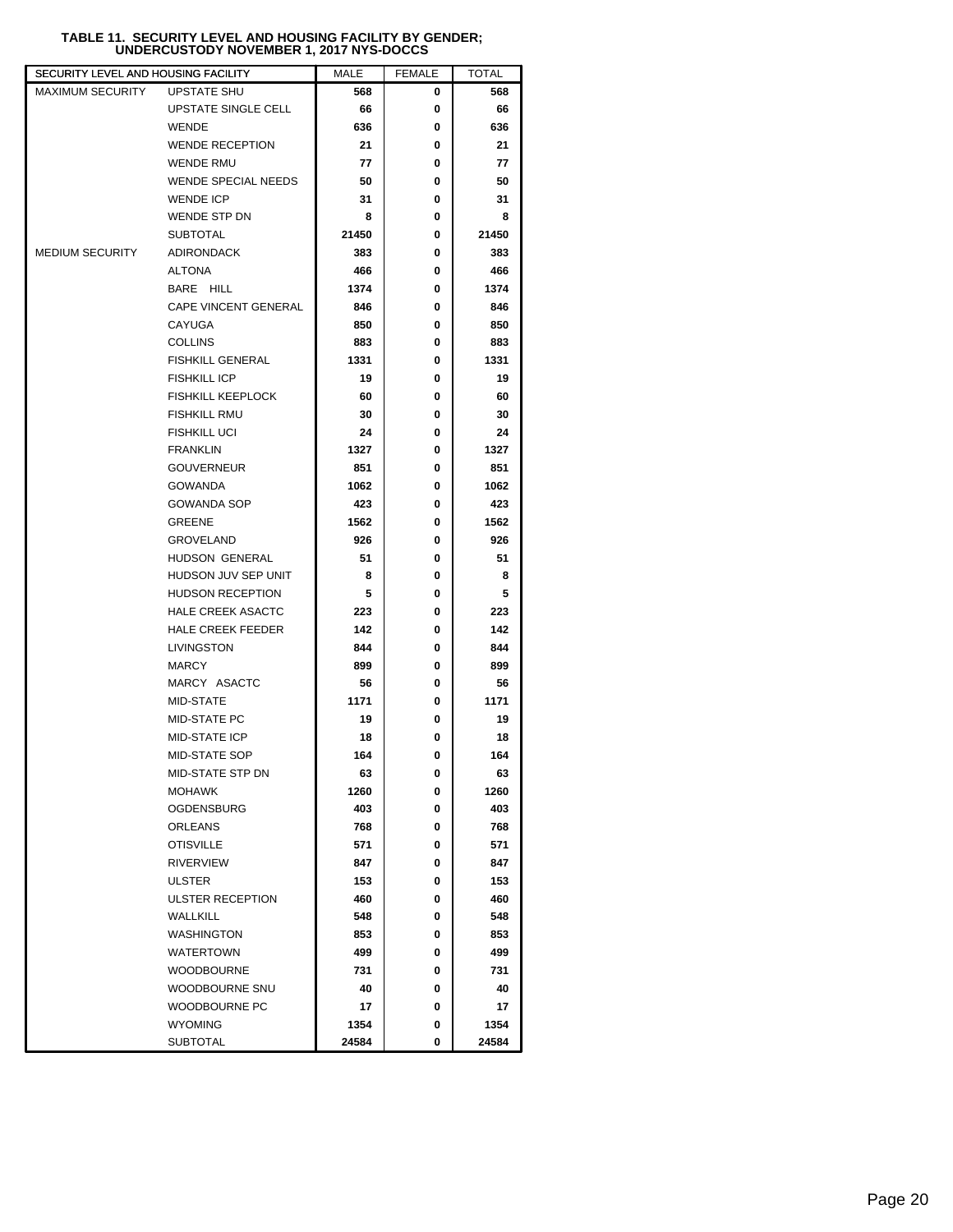# **TABLE 11. SECURITY LEVEL AND HOUSING FACILITY BY GENDER; UNDERCUSTODY NOVEMBER 1, 2017 NYS-DOCCS**

| SECURITY LEVEL AND HOUSING FACILITY |                                                     | MALE  | <b>FEMALE</b> | <b>TOTAL</b> |  |
|-------------------------------------|-----------------------------------------------------|-------|---------------|--------------|--|
| <b>MAXIMUM SECURITY</b>             | <b>UPSTATE SHU</b>                                  | 568   | 0             | 568          |  |
|                                     | UPSTATE SINGLE CELL                                 | 66    | 0             | 66           |  |
|                                     | <b>WENDE</b>                                        | 636   | 0             | 636          |  |
|                                     | <b>WENDE RECEPTION</b>                              | 21    | 0             | 21           |  |
|                                     | <b>WENDE RMU</b>                                    | 77    | 0             | 77           |  |
|                                     | WENDE SPECIAL NEEDS                                 | 50    | 0             | 50           |  |
|                                     | <b>WENDE ICP</b>                                    | 31    | 0             | 31           |  |
|                                     | WENDE STP DN                                        | 8     | 0             | 8            |  |
|                                     | <b>SUBTOTAL</b>                                     | 21450 | 0             | 21450        |  |
| <b>MEDIUM SECURITY</b>              | <b>ADIRONDACK</b>                                   | 383   | 0             | 383          |  |
|                                     | ALTONA                                              | 466   | 0             | 466          |  |
|                                     | BARE HILL                                           | 1374  | 0             | 1374         |  |
|                                     | CAPE VINCENT GENERAL                                | 846   | 0             | 846          |  |
|                                     | CAYUGA                                              | 850   | 0             | 850          |  |
|                                     | <b>COLLINS</b>                                      | 883   | 0             | 883          |  |
|                                     | <b>FISHKILL GENERAL</b>                             | 1331  | 0             | 1331         |  |
|                                     | <b>FISHKILL ICP</b>                                 | 19    | 0             | 19           |  |
|                                     | <b>FISHKILL KEEPLOCK</b>                            | 60    | 0             | 60           |  |
|                                     | <b>FISHKILL RMU</b>                                 | 30    | 0             | 30           |  |
|                                     | <b>FISHKILL UCI</b>                                 | 24    | 0             | 24           |  |
|                                     | <b>FRANKLIN</b>                                     | 1327  | 0             | 1327         |  |
|                                     | <b>GOUVERNEUR</b>                                   | 851   | 0             | 851          |  |
|                                     | <b>GOWANDA</b>                                      | 1062  | 0             | 1062         |  |
|                                     | <b>GOWANDA SOP</b>                                  | 423   | 0             | 423          |  |
|                                     | <b>GREENE</b>                                       | 1562  | 0             | 1562         |  |
|                                     | <b>GROVELAND</b>                                    | 926   | 0             | 926          |  |
|                                     | HUDSON GENERAL                                      | 51    | 0             | 51           |  |
|                                     |                                                     |       |               |              |  |
|                                     | HUDSON JUV SEP UNIT                                 | 8     | 0             | 8            |  |
|                                     | <b>HUDSON RECEPTION</b><br><b>HALE CREEK ASACTC</b> | 5     | 0<br>0        | 5            |  |
|                                     |                                                     | 223   |               | 223          |  |
|                                     | <b>HALE CREEK FEEDER</b>                            | 142   | 0             | 142          |  |
|                                     | LIVINGSTON                                          | 844   | 0             | 844          |  |
|                                     | <b>MARCY</b>                                        | 899   | 0             | 899          |  |
|                                     | MARCY ASACTC                                        | 56    | 0             | 56           |  |
|                                     | MID-STATE                                           | 1171  | 0             | 1171         |  |
|                                     | MID-STATE PC                                        | 19    | 0             | 19           |  |
|                                     | <b>MID-STATE ICP</b>                                | 18    | 0             | 18           |  |
|                                     | <b>MID-STATE SOP</b>                                | 164   | 0             | 164          |  |
|                                     | MID-STATE STP DN                                    | 63    | 0             | 63           |  |
|                                     | MOHAWK                                              | 1260  | 0             | 1260         |  |
|                                     | <b>OGDENSBURG</b>                                   | 403   | 0             | 403          |  |
|                                     | ORLEANS                                             | 768   | 0             | 768          |  |
|                                     | <b>OTISVILLE</b>                                    | 571   | 0             | 571          |  |
|                                     | <b>RIVERVIEW</b>                                    | 847   | 0             | 847          |  |
|                                     | <b>ULSTER</b>                                       | 153   | 0             | 153          |  |
|                                     | <b>ULSTER RECEPTION</b>                             | 460   | 0             | 460          |  |
|                                     | <b>WALLKILL</b>                                     | 548   | 0             | 548          |  |
|                                     | <b>WASHINGTON</b>                                   | 853   | 0             | 853          |  |
|                                     | WATERTOWN                                           | 499   | 0             | 499          |  |
|                                     | <b>WOODBOURNE</b>                                   | 731   | 0             | 731          |  |
|                                     | WOODBOURNE SNU                                      | 40    | 0             | 40           |  |
|                                     | WOODBOURNE PC                                       | 17    | 0             | 17           |  |
|                                     | <b>WYOMING</b>                                      | 1354  | 0             | 1354         |  |
|                                     | <b>SUBTOTAL</b>                                     | 24584 | 0             | 24584        |  |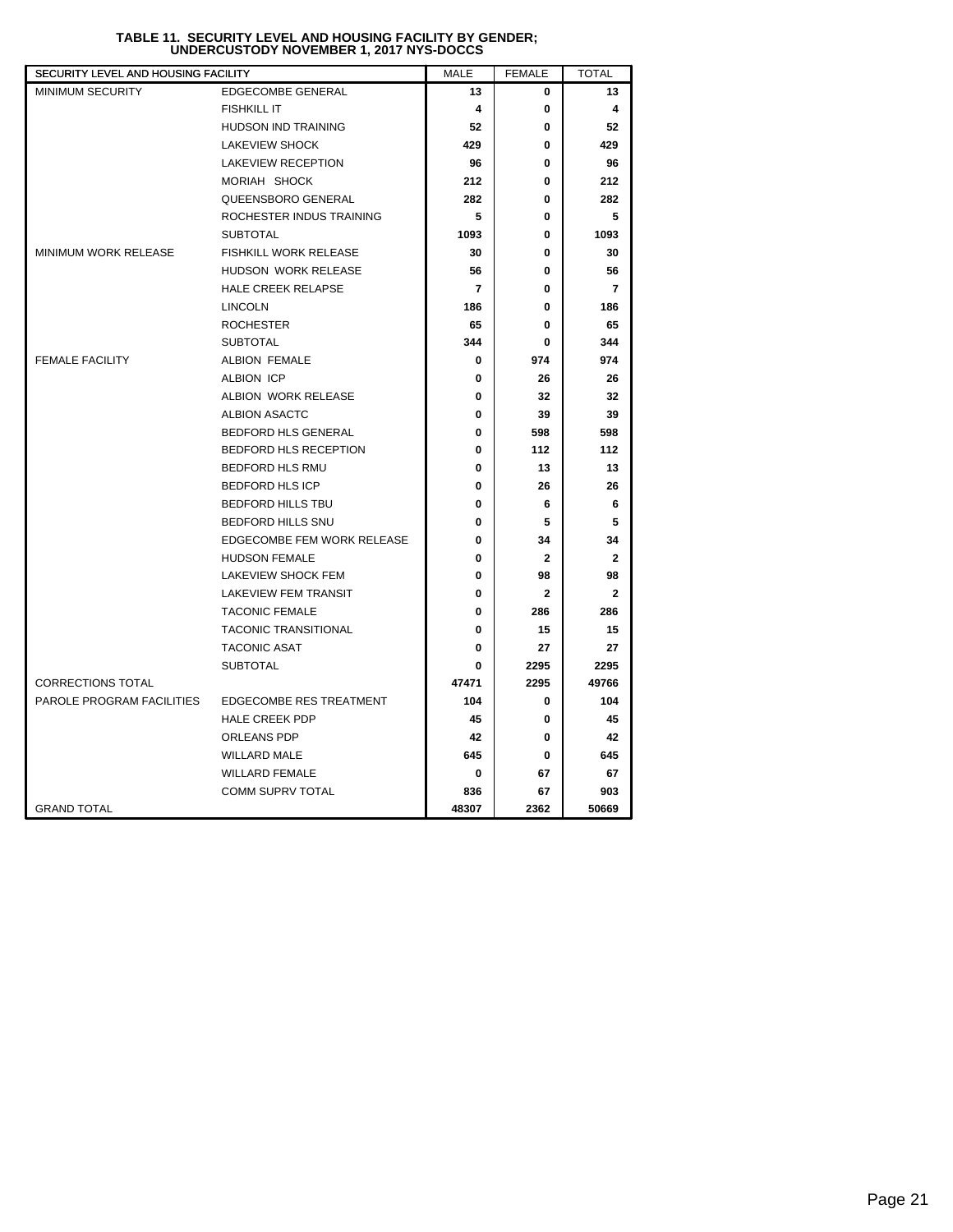| SECURITY LEVEL AND HOUSING FACILITY |                              | MALE                     | <b>FEMALE</b>           | <b>TOTAL</b>   |
|-------------------------------------|------------------------------|--------------------------|-------------------------|----------------|
| <b>MINIMUM SECURITY</b>             | <b>EDGECOMBE GENERAL</b>     | 13                       | 0                       | 13             |
|                                     | <b>FISHKILL IT</b>           | 4                        | 0                       | 4              |
|                                     | <b>HUDSON IND TRAINING</b>   | 52                       | 0                       | 52             |
|                                     | <b>LAKEVIEW SHOCK</b>        | 429                      | 0                       | 429            |
|                                     | <b>LAKEVIEW RECEPTION</b>    | 96                       | 0                       | 96             |
|                                     | MORIAH SHOCK                 | 212                      | 0                       | 212            |
|                                     | QUEENSBORO GENERAL           | 282                      | 0                       | 282            |
|                                     | ROCHESTER INDUS TRAINING     | 5                        | 0                       | 5              |
|                                     | <b>SUBTOTAL</b>              | 1093                     | 0                       | 1093           |
| <b>MINIMUM WORK RELEASE</b>         | <b>FISHKILL WORK RELEASE</b> | 30                       | 0                       | 30             |
|                                     | HUDSON WORK RELEASE          | 56                       | 0                       | 56             |
|                                     | <b>HALE CREEK RELAPSE</b>    | $\overline{\phantom{a}}$ | 0                       | $\overline{7}$ |
|                                     | <b>LINCOLN</b>               | 186                      | 0                       | 186            |
|                                     | <b>ROCHESTER</b>             | 65                       | 0                       | 65             |
|                                     | <b>SUBTOTAL</b>              | 344                      | 0                       | 344            |
| <b>FEMALE FACILITY</b>              | <b>ALBION FEMALE</b>         | 0                        | 974                     | 974            |
|                                     | <b>ALBION ICP</b>            | 0                        | 26                      | 26             |
|                                     | ALBION WORK RELEASE          | 0                        | 32                      | 32             |
|                                     | <b>ALBION ASACTC</b>         | 0                        | 39                      | 39             |
|                                     | BEDFORD HLS GENERAL          | 0                        | 598                     | 598            |
|                                     | BEDFORD HLS RECEPTION        | 0                        | 112                     | 112            |
|                                     | <b>BEDFORD HLS RMU</b>       | 0                        | 13                      | 13             |
|                                     | <b>BEDFORD HLS ICP</b>       | 0                        | 26                      | 26             |
|                                     | <b>BEDFORD HILLS TBU</b>     | $\mathbf{0}$             | 6                       | 6              |
|                                     | BEDFORD HILLS SNU            | 0                        | 5                       | 5              |
|                                     | EDGECOMBE FEM WORK RELEASE   | 0                        | 34                      | 34             |
|                                     | <b>HUDSON FEMALE</b>         | 0                        | $\mathbf{2}$            | $\mathbf{2}$   |
|                                     | LAKEVIEW SHOCK FEM           | $\bf{0}$                 | 98                      | 98             |
|                                     | <b>LAKEVIEW FEM TRANSIT</b>  | 0                        | $\overline{\mathbf{2}}$ | $\mathbf{2}$   |
|                                     | <b>TACONIC FEMALE</b>        | 0                        | 286                     | 286            |
|                                     | <b>TACONIC TRANSITIONAL</b>  | $\bf{0}$                 | 15                      | 15             |
|                                     | <b>TACONIC ASAT</b>          | $\bf{0}$                 | 27                      | 27             |
|                                     | <b>SUBTOTAL</b>              | 0                        | 2295                    | 2295           |
| <b>CORRECTIONS TOTAL</b>            |                              | 47471                    | 2295                    | 49766          |
| PAROLE PROGRAM FACILITIES           | EDGECOMBE RES TREATMENT      | 104                      | 0                       | 104            |
|                                     | <b>HALE CREEK PDP</b>        | 45                       | 0                       | 45             |
|                                     | <b>ORLEANS PDP</b>           | 42                       | 0                       | 42             |
|                                     | <b>WILLARD MALE</b>          | 645                      | 0                       | 645            |
|                                     | <b>WILLARD FEMALE</b>        | 0                        | 67                      | 67             |
|                                     | <b>COMM SUPRV TOTAL</b>      | 836                      | 67                      | 903            |
| <b>GRAND TOTAL</b>                  |                              | 48307                    | 2362                    | 50669          |

# **TABLE 11. SECURITY LEVEL AND HOUSING FACILITY BY GENDER; UNDERCUSTODY NOVEMBER 1, 2017 NYS-DOCCS**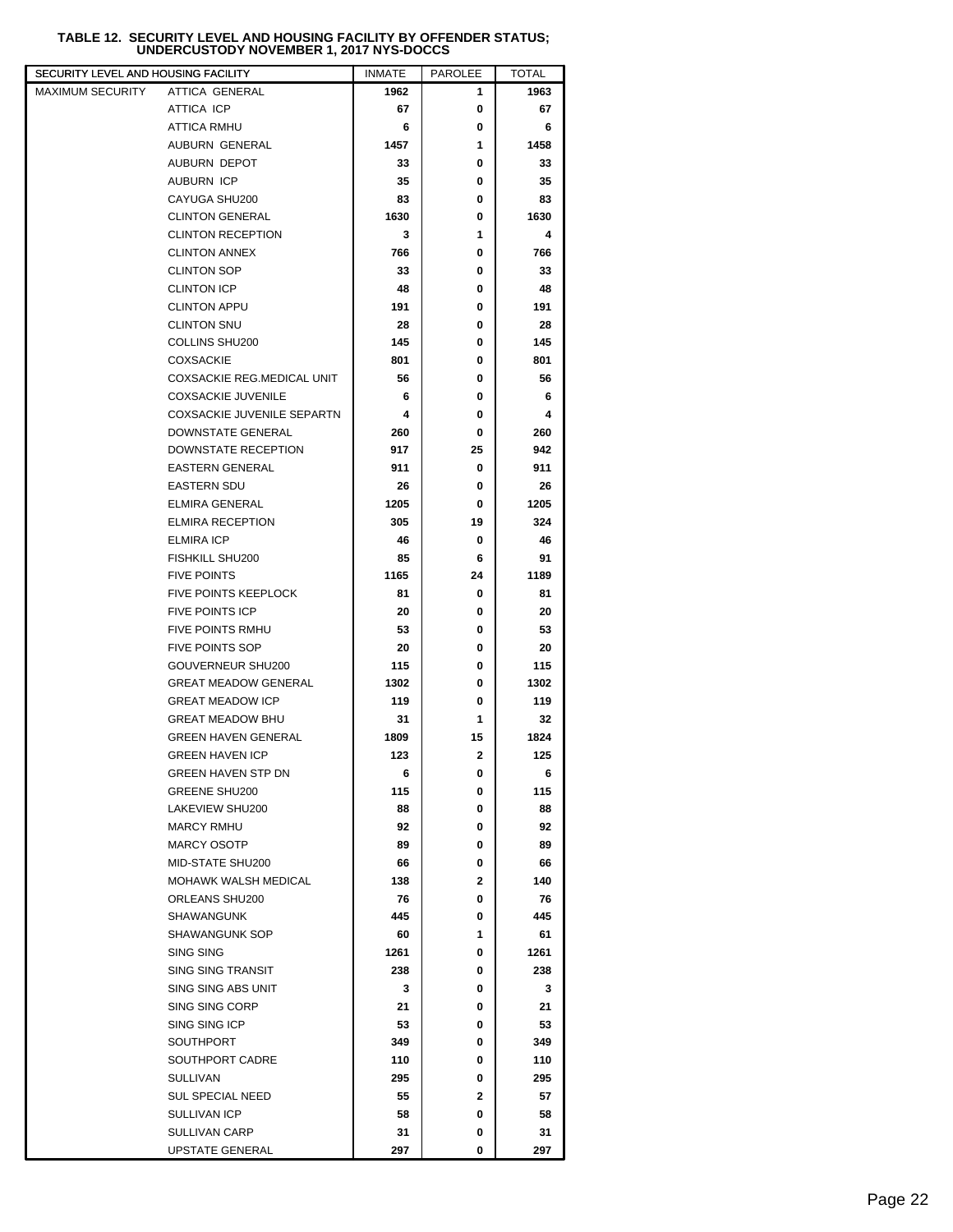# **TABLE 12. SECURITY LEVEL AND HOUSING FACILITY BY OFFENDER STATUS; UNDERCUSTODY NOVEMBER 1, 2017 NYS-DOCCS**

| ATTICA GENERAL<br>1962<br>1963<br>1<br><b>ATTICA ICP</b><br>67<br>0<br>67<br>ATTICA RMHU<br>6<br>0<br>6<br>AUBURN GENERAL<br>1457<br>1<br>1458<br>AUBURN DEPOT<br>0<br>33<br>33<br><b>AUBURN ICP</b><br>35<br>35<br>0<br>CAYUGA SHU200<br>83<br>0<br>83<br><b>CLINTON GENERAL</b><br>1630<br>0<br>1630<br><b>CLINTON RECEPTION</b><br>3<br>1<br>4<br><b>CLINTON ANNEX</b><br>0<br>766<br>766<br><b>CLINTON SOP</b><br>33<br>0<br>33<br><b>CLINTON ICP</b><br>48<br>0<br>48<br><b>CLINTON APPU</b><br>191<br>0<br>191<br><b>CLINTON SNU</b><br>28<br>0<br>28<br>COLLINS SHU200<br>145<br>0<br>145<br><b>COXSACKIE</b><br>801<br>801<br>0<br>COXSACKIE REG.MEDICAL UNIT<br>0<br>56<br>56<br><b>COXSACKIE JUVENILE</b><br>0<br>6<br>6<br>COXSACKIE JUVENILE SEPARTN<br>4<br>0<br>4<br>DOWNSTATE GENERAL<br>0<br>260<br>260<br>DOWNSTATE RECEPTION<br>917<br>25<br>942<br><b>EASTERN GENERAL</b><br>911<br>0<br>911<br><b>EASTERN SDU</b><br>0<br>26<br>26<br><b>ELMIRA GENERAL</b><br>1205<br>0<br>1205<br><b>ELMIRA RECEPTION</b><br>305<br>19<br>324<br><b>ELMIRA ICP</b><br>46<br>0<br>46<br><b>FISHKILL SHU200</b><br>91<br>85<br>6<br><b>FIVE POINTS</b><br>1165<br>24<br>1189<br><b>FIVE POINTS KEEPLOCK</b><br>81<br>81<br>0<br><b>FIVE POINTS ICP</b><br>20<br>20<br>0<br><b>FIVE POINTS RMHU</b><br>53<br>0<br>53<br><b>FIVE POINTS SOP</b><br>20<br>0<br>20<br>GOUVERNEUR SHU200<br>115<br>0<br>115<br><b>GREAT MEADOW GENERAL</b><br>1302<br>0<br>1302<br><b>GREAT MEADOW ICP</b><br>119<br>0<br>119<br><b>GREAT MEADOW BHU</b><br>1<br>31<br>32<br>15<br><b>GREEN HAVEN GENERAL</b><br>1809<br>1824<br>$\mathbf 2$<br><b>GREEN HAVEN ICP</b><br>123<br>125<br><b>GREEN HAVEN STP DN</b><br>0<br>6<br>6<br><b>GREENE SHU200</b><br>115<br>0<br>115<br>LAKEVIEW SHU200<br>88<br>0<br>88<br><b>MARCY RMHU</b><br>92<br>92<br>0<br><b>MARCY OSOTP</b><br>89<br>0<br>89<br>MID-STATE SHU200<br>66<br>66<br>0<br>MOHAWK WALSH MEDICAL<br>$\mathbf{2}$<br>140<br>138<br>ORLEANS SHU200<br>0<br>76<br>76<br><b>SHAWANGUNK</b><br>445<br>445<br>0<br><b>SHAWANGUNK SOP</b><br>1<br>61<br>60<br>SING SING<br>0<br>1261<br>1261<br><b>SING SING TRANSIT</b><br>238<br>0<br>238<br>SING SING ABS UNIT<br>3<br>0<br>3<br>SING SING CORP<br>21<br>21<br>0<br>SING SING ICP<br>53<br>53<br>0<br><b>SOUTHPORT</b><br>349<br>349<br>0<br>SOUTHPORT CADRE<br>110<br>0<br>110<br><b>SULLIVAN</b><br>295<br>0<br>295<br><b>SUL SPECIAL NEED</b><br>55<br>2<br>57<br>SULLIVAN ICP<br>58<br>0<br>58<br><b>SULLIVAN CARP</b><br>31<br>31<br>0<br>UPSTATE GENERAL<br>297<br>0<br>297 | SECURITY LEVEL AND HOUSING FACILITY | <b>INMATE</b> | <b>PAROLEE</b> | TOTAL |  |
|-----------------------------------------------------------------------------------------------------------------------------------------------------------------------------------------------------------------------------------------------------------------------------------------------------------------------------------------------------------------------------------------------------------------------------------------------------------------------------------------------------------------------------------------------------------------------------------------------------------------------------------------------------------------------------------------------------------------------------------------------------------------------------------------------------------------------------------------------------------------------------------------------------------------------------------------------------------------------------------------------------------------------------------------------------------------------------------------------------------------------------------------------------------------------------------------------------------------------------------------------------------------------------------------------------------------------------------------------------------------------------------------------------------------------------------------------------------------------------------------------------------------------------------------------------------------------------------------------------------------------------------------------------------------------------------------------------------------------------------------------------------------------------------------------------------------------------------------------------------------------------------------------------------------------------------------------------------------------------------------------------------------------------------------------------------------------------------------------------------------------------------------------------------------------------------------------------------------------------------------------------------------------------------------------------------------------------------------------------------------------------------------------------------------------------------------------------------------------------------------------------------------------------------------------------------------------|-------------------------------------|---------------|----------------|-------|--|
|                                                                                                                                                                                                                                                                                                                                                                                                                                                                                                                                                                                                                                                                                                                                                                                                                                                                                                                                                                                                                                                                                                                                                                                                                                                                                                                                                                                                                                                                                                                                                                                                                                                                                                                                                                                                                                                                                                                                                                                                                                                                                                                                                                                                                                                                                                                                                                                                                                                                                                                                                                       | MAXIMUM SECURITY                    |               |                |       |  |
|                                                                                                                                                                                                                                                                                                                                                                                                                                                                                                                                                                                                                                                                                                                                                                                                                                                                                                                                                                                                                                                                                                                                                                                                                                                                                                                                                                                                                                                                                                                                                                                                                                                                                                                                                                                                                                                                                                                                                                                                                                                                                                                                                                                                                                                                                                                                                                                                                                                                                                                                                                       |                                     |               |                |       |  |
|                                                                                                                                                                                                                                                                                                                                                                                                                                                                                                                                                                                                                                                                                                                                                                                                                                                                                                                                                                                                                                                                                                                                                                                                                                                                                                                                                                                                                                                                                                                                                                                                                                                                                                                                                                                                                                                                                                                                                                                                                                                                                                                                                                                                                                                                                                                                                                                                                                                                                                                                                                       |                                     |               |                |       |  |
|                                                                                                                                                                                                                                                                                                                                                                                                                                                                                                                                                                                                                                                                                                                                                                                                                                                                                                                                                                                                                                                                                                                                                                                                                                                                                                                                                                                                                                                                                                                                                                                                                                                                                                                                                                                                                                                                                                                                                                                                                                                                                                                                                                                                                                                                                                                                                                                                                                                                                                                                                                       |                                     |               |                |       |  |
|                                                                                                                                                                                                                                                                                                                                                                                                                                                                                                                                                                                                                                                                                                                                                                                                                                                                                                                                                                                                                                                                                                                                                                                                                                                                                                                                                                                                                                                                                                                                                                                                                                                                                                                                                                                                                                                                                                                                                                                                                                                                                                                                                                                                                                                                                                                                                                                                                                                                                                                                                                       |                                     |               |                |       |  |
|                                                                                                                                                                                                                                                                                                                                                                                                                                                                                                                                                                                                                                                                                                                                                                                                                                                                                                                                                                                                                                                                                                                                                                                                                                                                                                                                                                                                                                                                                                                                                                                                                                                                                                                                                                                                                                                                                                                                                                                                                                                                                                                                                                                                                                                                                                                                                                                                                                                                                                                                                                       |                                     |               |                |       |  |
|                                                                                                                                                                                                                                                                                                                                                                                                                                                                                                                                                                                                                                                                                                                                                                                                                                                                                                                                                                                                                                                                                                                                                                                                                                                                                                                                                                                                                                                                                                                                                                                                                                                                                                                                                                                                                                                                                                                                                                                                                                                                                                                                                                                                                                                                                                                                                                                                                                                                                                                                                                       |                                     |               |                |       |  |
|                                                                                                                                                                                                                                                                                                                                                                                                                                                                                                                                                                                                                                                                                                                                                                                                                                                                                                                                                                                                                                                                                                                                                                                                                                                                                                                                                                                                                                                                                                                                                                                                                                                                                                                                                                                                                                                                                                                                                                                                                                                                                                                                                                                                                                                                                                                                                                                                                                                                                                                                                                       |                                     |               |                |       |  |
|                                                                                                                                                                                                                                                                                                                                                                                                                                                                                                                                                                                                                                                                                                                                                                                                                                                                                                                                                                                                                                                                                                                                                                                                                                                                                                                                                                                                                                                                                                                                                                                                                                                                                                                                                                                                                                                                                                                                                                                                                                                                                                                                                                                                                                                                                                                                                                                                                                                                                                                                                                       |                                     |               |                |       |  |
|                                                                                                                                                                                                                                                                                                                                                                                                                                                                                                                                                                                                                                                                                                                                                                                                                                                                                                                                                                                                                                                                                                                                                                                                                                                                                                                                                                                                                                                                                                                                                                                                                                                                                                                                                                                                                                                                                                                                                                                                                                                                                                                                                                                                                                                                                                                                                                                                                                                                                                                                                                       |                                     |               |                |       |  |
|                                                                                                                                                                                                                                                                                                                                                                                                                                                                                                                                                                                                                                                                                                                                                                                                                                                                                                                                                                                                                                                                                                                                                                                                                                                                                                                                                                                                                                                                                                                                                                                                                                                                                                                                                                                                                                                                                                                                                                                                                                                                                                                                                                                                                                                                                                                                                                                                                                                                                                                                                                       |                                     |               |                |       |  |
|                                                                                                                                                                                                                                                                                                                                                                                                                                                                                                                                                                                                                                                                                                                                                                                                                                                                                                                                                                                                                                                                                                                                                                                                                                                                                                                                                                                                                                                                                                                                                                                                                                                                                                                                                                                                                                                                                                                                                                                                                                                                                                                                                                                                                                                                                                                                                                                                                                                                                                                                                                       |                                     |               |                |       |  |
|                                                                                                                                                                                                                                                                                                                                                                                                                                                                                                                                                                                                                                                                                                                                                                                                                                                                                                                                                                                                                                                                                                                                                                                                                                                                                                                                                                                                                                                                                                                                                                                                                                                                                                                                                                                                                                                                                                                                                                                                                                                                                                                                                                                                                                                                                                                                                                                                                                                                                                                                                                       |                                     |               |                |       |  |
|                                                                                                                                                                                                                                                                                                                                                                                                                                                                                                                                                                                                                                                                                                                                                                                                                                                                                                                                                                                                                                                                                                                                                                                                                                                                                                                                                                                                                                                                                                                                                                                                                                                                                                                                                                                                                                                                                                                                                                                                                                                                                                                                                                                                                                                                                                                                                                                                                                                                                                                                                                       |                                     |               |                |       |  |
|                                                                                                                                                                                                                                                                                                                                                                                                                                                                                                                                                                                                                                                                                                                                                                                                                                                                                                                                                                                                                                                                                                                                                                                                                                                                                                                                                                                                                                                                                                                                                                                                                                                                                                                                                                                                                                                                                                                                                                                                                                                                                                                                                                                                                                                                                                                                                                                                                                                                                                                                                                       |                                     |               |                |       |  |
|                                                                                                                                                                                                                                                                                                                                                                                                                                                                                                                                                                                                                                                                                                                                                                                                                                                                                                                                                                                                                                                                                                                                                                                                                                                                                                                                                                                                                                                                                                                                                                                                                                                                                                                                                                                                                                                                                                                                                                                                                                                                                                                                                                                                                                                                                                                                                                                                                                                                                                                                                                       |                                     |               |                |       |  |
|                                                                                                                                                                                                                                                                                                                                                                                                                                                                                                                                                                                                                                                                                                                                                                                                                                                                                                                                                                                                                                                                                                                                                                                                                                                                                                                                                                                                                                                                                                                                                                                                                                                                                                                                                                                                                                                                                                                                                                                                                                                                                                                                                                                                                                                                                                                                                                                                                                                                                                                                                                       |                                     |               |                |       |  |
|                                                                                                                                                                                                                                                                                                                                                                                                                                                                                                                                                                                                                                                                                                                                                                                                                                                                                                                                                                                                                                                                                                                                                                                                                                                                                                                                                                                                                                                                                                                                                                                                                                                                                                                                                                                                                                                                                                                                                                                                                                                                                                                                                                                                                                                                                                                                                                                                                                                                                                                                                                       |                                     |               |                |       |  |
|                                                                                                                                                                                                                                                                                                                                                                                                                                                                                                                                                                                                                                                                                                                                                                                                                                                                                                                                                                                                                                                                                                                                                                                                                                                                                                                                                                                                                                                                                                                                                                                                                                                                                                                                                                                                                                                                                                                                                                                                                                                                                                                                                                                                                                                                                                                                                                                                                                                                                                                                                                       |                                     |               |                |       |  |
|                                                                                                                                                                                                                                                                                                                                                                                                                                                                                                                                                                                                                                                                                                                                                                                                                                                                                                                                                                                                                                                                                                                                                                                                                                                                                                                                                                                                                                                                                                                                                                                                                                                                                                                                                                                                                                                                                                                                                                                                                                                                                                                                                                                                                                                                                                                                                                                                                                                                                                                                                                       |                                     |               |                |       |  |
|                                                                                                                                                                                                                                                                                                                                                                                                                                                                                                                                                                                                                                                                                                                                                                                                                                                                                                                                                                                                                                                                                                                                                                                                                                                                                                                                                                                                                                                                                                                                                                                                                                                                                                                                                                                                                                                                                                                                                                                                                                                                                                                                                                                                                                                                                                                                                                                                                                                                                                                                                                       |                                     |               |                |       |  |
|                                                                                                                                                                                                                                                                                                                                                                                                                                                                                                                                                                                                                                                                                                                                                                                                                                                                                                                                                                                                                                                                                                                                                                                                                                                                                                                                                                                                                                                                                                                                                                                                                                                                                                                                                                                                                                                                                                                                                                                                                                                                                                                                                                                                                                                                                                                                                                                                                                                                                                                                                                       |                                     |               |                |       |  |
|                                                                                                                                                                                                                                                                                                                                                                                                                                                                                                                                                                                                                                                                                                                                                                                                                                                                                                                                                                                                                                                                                                                                                                                                                                                                                                                                                                                                                                                                                                                                                                                                                                                                                                                                                                                                                                                                                                                                                                                                                                                                                                                                                                                                                                                                                                                                                                                                                                                                                                                                                                       |                                     |               |                |       |  |
|                                                                                                                                                                                                                                                                                                                                                                                                                                                                                                                                                                                                                                                                                                                                                                                                                                                                                                                                                                                                                                                                                                                                                                                                                                                                                                                                                                                                                                                                                                                                                                                                                                                                                                                                                                                                                                                                                                                                                                                                                                                                                                                                                                                                                                                                                                                                                                                                                                                                                                                                                                       |                                     |               |                |       |  |
|                                                                                                                                                                                                                                                                                                                                                                                                                                                                                                                                                                                                                                                                                                                                                                                                                                                                                                                                                                                                                                                                                                                                                                                                                                                                                                                                                                                                                                                                                                                                                                                                                                                                                                                                                                                                                                                                                                                                                                                                                                                                                                                                                                                                                                                                                                                                                                                                                                                                                                                                                                       |                                     |               |                |       |  |
|                                                                                                                                                                                                                                                                                                                                                                                                                                                                                                                                                                                                                                                                                                                                                                                                                                                                                                                                                                                                                                                                                                                                                                                                                                                                                                                                                                                                                                                                                                                                                                                                                                                                                                                                                                                                                                                                                                                                                                                                                                                                                                                                                                                                                                                                                                                                                                                                                                                                                                                                                                       |                                     |               |                |       |  |
|                                                                                                                                                                                                                                                                                                                                                                                                                                                                                                                                                                                                                                                                                                                                                                                                                                                                                                                                                                                                                                                                                                                                                                                                                                                                                                                                                                                                                                                                                                                                                                                                                                                                                                                                                                                                                                                                                                                                                                                                                                                                                                                                                                                                                                                                                                                                                                                                                                                                                                                                                                       |                                     |               |                |       |  |
|                                                                                                                                                                                                                                                                                                                                                                                                                                                                                                                                                                                                                                                                                                                                                                                                                                                                                                                                                                                                                                                                                                                                                                                                                                                                                                                                                                                                                                                                                                                                                                                                                                                                                                                                                                                                                                                                                                                                                                                                                                                                                                                                                                                                                                                                                                                                                                                                                                                                                                                                                                       |                                     |               |                |       |  |
|                                                                                                                                                                                                                                                                                                                                                                                                                                                                                                                                                                                                                                                                                                                                                                                                                                                                                                                                                                                                                                                                                                                                                                                                                                                                                                                                                                                                                                                                                                                                                                                                                                                                                                                                                                                                                                                                                                                                                                                                                                                                                                                                                                                                                                                                                                                                                                                                                                                                                                                                                                       |                                     |               |                |       |  |
|                                                                                                                                                                                                                                                                                                                                                                                                                                                                                                                                                                                                                                                                                                                                                                                                                                                                                                                                                                                                                                                                                                                                                                                                                                                                                                                                                                                                                                                                                                                                                                                                                                                                                                                                                                                                                                                                                                                                                                                                                                                                                                                                                                                                                                                                                                                                                                                                                                                                                                                                                                       |                                     |               |                |       |  |
|                                                                                                                                                                                                                                                                                                                                                                                                                                                                                                                                                                                                                                                                                                                                                                                                                                                                                                                                                                                                                                                                                                                                                                                                                                                                                                                                                                                                                                                                                                                                                                                                                                                                                                                                                                                                                                                                                                                                                                                                                                                                                                                                                                                                                                                                                                                                                                                                                                                                                                                                                                       |                                     |               |                |       |  |
|                                                                                                                                                                                                                                                                                                                                                                                                                                                                                                                                                                                                                                                                                                                                                                                                                                                                                                                                                                                                                                                                                                                                                                                                                                                                                                                                                                                                                                                                                                                                                                                                                                                                                                                                                                                                                                                                                                                                                                                                                                                                                                                                                                                                                                                                                                                                                                                                                                                                                                                                                                       |                                     |               |                |       |  |
|                                                                                                                                                                                                                                                                                                                                                                                                                                                                                                                                                                                                                                                                                                                                                                                                                                                                                                                                                                                                                                                                                                                                                                                                                                                                                                                                                                                                                                                                                                                                                                                                                                                                                                                                                                                                                                                                                                                                                                                                                                                                                                                                                                                                                                                                                                                                                                                                                                                                                                                                                                       |                                     |               |                |       |  |
|                                                                                                                                                                                                                                                                                                                                                                                                                                                                                                                                                                                                                                                                                                                                                                                                                                                                                                                                                                                                                                                                                                                                                                                                                                                                                                                                                                                                                                                                                                                                                                                                                                                                                                                                                                                                                                                                                                                                                                                                                                                                                                                                                                                                                                                                                                                                                                                                                                                                                                                                                                       |                                     |               |                |       |  |
|                                                                                                                                                                                                                                                                                                                                                                                                                                                                                                                                                                                                                                                                                                                                                                                                                                                                                                                                                                                                                                                                                                                                                                                                                                                                                                                                                                                                                                                                                                                                                                                                                                                                                                                                                                                                                                                                                                                                                                                                                                                                                                                                                                                                                                                                                                                                                                                                                                                                                                                                                                       |                                     |               |                |       |  |
|                                                                                                                                                                                                                                                                                                                                                                                                                                                                                                                                                                                                                                                                                                                                                                                                                                                                                                                                                                                                                                                                                                                                                                                                                                                                                                                                                                                                                                                                                                                                                                                                                                                                                                                                                                                                                                                                                                                                                                                                                                                                                                                                                                                                                                                                                                                                                                                                                                                                                                                                                                       |                                     |               |                |       |  |
|                                                                                                                                                                                                                                                                                                                                                                                                                                                                                                                                                                                                                                                                                                                                                                                                                                                                                                                                                                                                                                                                                                                                                                                                                                                                                                                                                                                                                                                                                                                                                                                                                                                                                                                                                                                                                                                                                                                                                                                                                                                                                                                                                                                                                                                                                                                                                                                                                                                                                                                                                                       |                                     |               |                |       |  |
|                                                                                                                                                                                                                                                                                                                                                                                                                                                                                                                                                                                                                                                                                                                                                                                                                                                                                                                                                                                                                                                                                                                                                                                                                                                                                                                                                                                                                                                                                                                                                                                                                                                                                                                                                                                                                                                                                                                                                                                                                                                                                                                                                                                                                                                                                                                                                                                                                                                                                                                                                                       |                                     |               |                |       |  |
|                                                                                                                                                                                                                                                                                                                                                                                                                                                                                                                                                                                                                                                                                                                                                                                                                                                                                                                                                                                                                                                                                                                                                                                                                                                                                                                                                                                                                                                                                                                                                                                                                                                                                                                                                                                                                                                                                                                                                                                                                                                                                                                                                                                                                                                                                                                                                                                                                                                                                                                                                                       |                                     |               |                |       |  |
|                                                                                                                                                                                                                                                                                                                                                                                                                                                                                                                                                                                                                                                                                                                                                                                                                                                                                                                                                                                                                                                                                                                                                                                                                                                                                                                                                                                                                                                                                                                                                                                                                                                                                                                                                                                                                                                                                                                                                                                                                                                                                                                                                                                                                                                                                                                                                                                                                                                                                                                                                                       |                                     |               |                |       |  |
|                                                                                                                                                                                                                                                                                                                                                                                                                                                                                                                                                                                                                                                                                                                                                                                                                                                                                                                                                                                                                                                                                                                                                                                                                                                                                                                                                                                                                                                                                                                                                                                                                                                                                                                                                                                                                                                                                                                                                                                                                                                                                                                                                                                                                                                                                                                                                                                                                                                                                                                                                                       |                                     |               |                |       |  |
|                                                                                                                                                                                                                                                                                                                                                                                                                                                                                                                                                                                                                                                                                                                                                                                                                                                                                                                                                                                                                                                                                                                                                                                                                                                                                                                                                                                                                                                                                                                                                                                                                                                                                                                                                                                                                                                                                                                                                                                                                                                                                                                                                                                                                                                                                                                                                                                                                                                                                                                                                                       |                                     |               |                |       |  |
|                                                                                                                                                                                                                                                                                                                                                                                                                                                                                                                                                                                                                                                                                                                                                                                                                                                                                                                                                                                                                                                                                                                                                                                                                                                                                                                                                                                                                                                                                                                                                                                                                                                                                                                                                                                                                                                                                                                                                                                                                                                                                                                                                                                                                                                                                                                                                                                                                                                                                                                                                                       |                                     |               |                |       |  |
|                                                                                                                                                                                                                                                                                                                                                                                                                                                                                                                                                                                                                                                                                                                                                                                                                                                                                                                                                                                                                                                                                                                                                                                                                                                                                                                                                                                                                                                                                                                                                                                                                                                                                                                                                                                                                                                                                                                                                                                                                                                                                                                                                                                                                                                                                                                                                                                                                                                                                                                                                                       |                                     |               |                |       |  |
|                                                                                                                                                                                                                                                                                                                                                                                                                                                                                                                                                                                                                                                                                                                                                                                                                                                                                                                                                                                                                                                                                                                                                                                                                                                                                                                                                                                                                                                                                                                                                                                                                                                                                                                                                                                                                                                                                                                                                                                                                                                                                                                                                                                                                                                                                                                                                                                                                                                                                                                                                                       |                                     |               |                |       |  |
|                                                                                                                                                                                                                                                                                                                                                                                                                                                                                                                                                                                                                                                                                                                                                                                                                                                                                                                                                                                                                                                                                                                                                                                                                                                                                                                                                                                                                                                                                                                                                                                                                                                                                                                                                                                                                                                                                                                                                                                                                                                                                                                                                                                                                                                                                                                                                                                                                                                                                                                                                                       |                                     |               |                |       |  |
|                                                                                                                                                                                                                                                                                                                                                                                                                                                                                                                                                                                                                                                                                                                                                                                                                                                                                                                                                                                                                                                                                                                                                                                                                                                                                                                                                                                                                                                                                                                                                                                                                                                                                                                                                                                                                                                                                                                                                                                                                                                                                                                                                                                                                                                                                                                                                                                                                                                                                                                                                                       |                                     |               |                |       |  |
|                                                                                                                                                                                                                                                                                                                                                                                                                                                                                                                                                                                                                                                                                                                                                                                                                                                                                                                                                                                                                                                                                                                                                                                                                                                                                                                                                                                                                                                                                                                                                                                                                                                                                                                                                                                                                                                                                                                                                                                                                                                                                                                                                                                                                                                                                                                                                                                                                                                                                                                                                                       |                                     |               |                |       |  |
|                                                                                                                                                                                                                                                                                                                                                                                                                                                                                                                                                                                                                                                                                                                                                                                                                                                                                                                                                                                                                                                                                                                                                                                                                                                                                                                                                                                                                                                                                                                                                                                                                                                                                                                                                                                                                                                                                                                                                                                                                                                                                                                                                                                                                                                                                                                                                                                                                                                                                                                                                                       |                                     |               |                |       |  |
|                                                                                                                                                                                                                                                                                                                                                                                                                                                                                                                                                                                                                                                                                                                                                                                                                                                                                                                                                                                                                                                                                                                                                                                                                                                                                                                                                                                                                                                                                                                                                                                                                                                                                                                                                                                                                                                                                                                                                                                                                                                                                                                                                                                                                                                                                                                                                                                                                                                                                                                                                                       |                                     |               |                |       |  |
|                                                                                                                                                                                                                                                                                                                                                                                                                                                                                                                                                                                                                                                                                                                                                                                                                                                                                                                                                                                                                                                                                                                                                                                                                                                                                                                                                                                                                                                                                                                                                                                                                                                                                                                                                                                                                                                                                                                                                                                                                                                                                                                                                                                                                                                                                                                                                                                                                                                                                                                                                                       |                                     |               |                |       |  |
|                                                                                                                                                                                                                                                                                                                                                                                                                                                                                                                                                                                                                                                                                                                                                                                                                                                                                                                                                                                                                                                                                                                                                                                                                                                                                                                                                                                                                                                                                                                                                                                                                                                                                                                                                                                                                                                                                                                                                                                                                                                                                                                                                                                                                                                                                                                                                                                                                                                                                                                                                                       |                                     |               |                |       |  |
|                                                                                                                                                                                                                                                                                                                                                                                                                                                                                                                                                                                                                                                                                                                                                                                                                                                                                                                                                                                                                                                                                                                                                                                                                                                                                                                                                                                                                                                                                                                                                                                                                                                                                                                                                                                                                                                                                                                                                                                                                                                                                                                                                                                                                                                                                                                                                                                                                                                                                                                                                                       |                                     |               |                |       |  |
|                                                                                                                                                                                                                                                                                                                                                                                                                                                                                                                                                                                                                                                                                                                                                                                                                                                                                                                                                                                                                                                                                                                                                                                                                                                                                                                                                                                                                                                                                                                                                                                                                                                                                                                                                                                                                                                                                                                                                                                                                                                                                                                                                                                                                                                                                                                                                                                                                                                                                                                                                                       |                                     |               |                |       |  |
|                                                                                                                                                                                                                                                                                                                                                                                                                                                                                                                                                                                                                                                                                                                                                                                                                                                                                                                                                                                                                                                                                                                                                                                                                                                                                                                                                                                                                                                                                                                                                                                                                                                                                                                                                                                                                                                                                                                                                                                                                                                                                                                                                                                                                                                                                                                                                                                                                                                                                                                                                                       |                                     |               |                |       |  |
|                                                                                                                                                                                                                                                                                                                                                                                                                                                                                                                                                                                                                                                                                                                                                                                                                                                                                                                                                                                                                                                                                                                                                                                                                                                                                                                                                                                                                                                                                                                                                                                                                                                                                                                                                                                                                                                                                                                                                                                                                                                                                                                                                                                                                                                                                                                                                                                                                                                                                                                                                                       |                                     |               |                |       |  |
|                                                                                                                                                                                                                                                                                                                                                                                                                                                                                                                                                                                                                                                                                                                                                                                                                                                                                                                                                                                                                                                                                                                                                                                                                                                                                                                                                                                                                                                                                                                                                                                                                                                                                                                                                                                                                                                                                                                                                                                                                                                                                                                                                                                                                                                                                                                                                                                                                                                                                                                                                                       |                                     |               |                |       |  |
|                                                                                                                                                                                                                                                                                                                                                                                                                                                                                                                                                                                                                                                                                                                                                                                                                                                                                                                                                                                                                                                                                                                                                                                                                                                                                                                                                                                                                                                                                                                                                                                                                                                                                                                                                                                                                                                                                                                                                                                                                                                                                                                                                                                                                                                                                                                                                                                                                                                                                                                                                                       |                                     |               |                |       |  |
|                                                                                                                                                                                                                                                                                                                                                                                                                                                                                                                                                                                                                                                                                                                                                                                                                                                                                                                                                                                                                                                                                                                                                                                                                                                                                                                                                                                                                                                                                                                                                                                                                                                                                                                                                                                                                                                                                                                                                                                                                                                                                                                                                                                                                                                                                                                                                                                                                                                                                                                                                                       |                                     |               |                |       |  |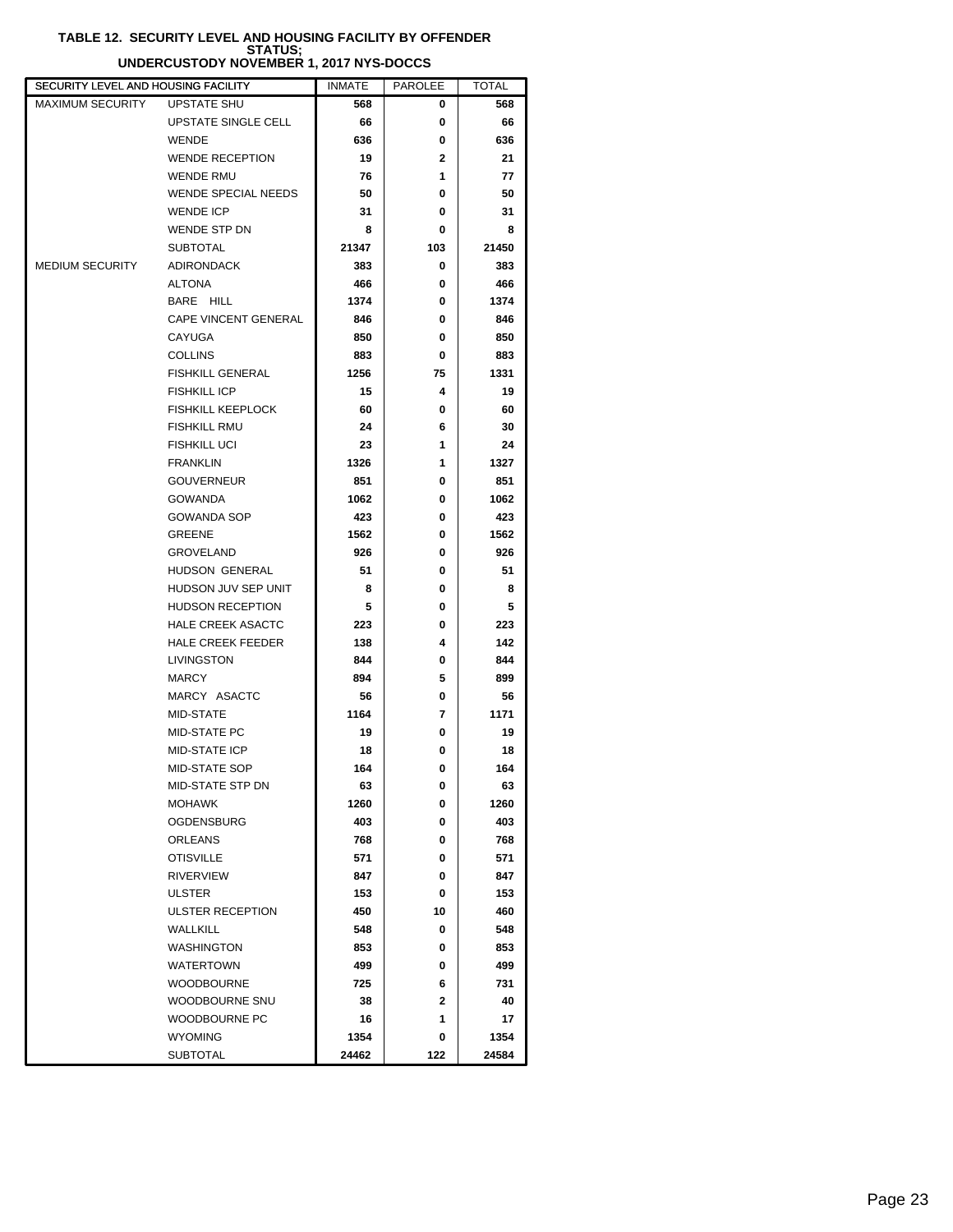#### **TABLE 12. SECURITY LEVEL AND HOUSING FACILITY BY OFFENDER STATUS; UNDERCUSTODY NOVEMBER 1, 2017 NYS-DOCCS**

| SECURITY LEVEL AND HOUSING FACILITY |                            | <b>INMATE</b> | <b>PAROLEE</b> | <b>TOTAL</b> |
|-------------------------------------|----------------------------|---------------|----------------|--------------|
| <b>MAXIMUM SECURITY</b>             | UPSTATE SHU                | 568           | 0              | 568          |
|                                     | UPSTATE SINGLE CELL        | 66            | 0              | 66           |
|                                     | <b>WENDE</b>               | 636           | 0              | 636          |
|                                     | <b>WENDE RECEPTION</b>     | 19            | $\mathbf{2}$   | 21           |
|                                     | <b>WENDE RMU</b>           | 76            | 1              | 77           |
|                                     | <b>WENDE SPECIAL NEEDS</b> | 50            | 0              | 50           |
|                                     | <b>WENDE ICP</b>           | 31            | 0              | 31           |
|                                     | WENDE STP DN               | 8             | 0              | 8            |
|                                     | <b>SUBTOTAL</b>            | 21347         | 103            | 21450        |
| <b>MEDIUM SECURITY</b>              | <b>ADIRONDACK</b>          | 383           | 0              | 383          |
|                                     | <b>ALTONA</b>              | 466           | 0              | 466          |
|                                     | BARE HILL                  | 1374          | 0              | 1374         |
|                                     | CAPE VINCENT GENERAL       | 846           | 0              | 846          |
|                                     | CAYUGA                     | 850           | 0              | 850          |
|                                     | <b>COLLINS</b>             | 883           | 0              | 883          |
|                                     | <b>FISHKILL GENERAL</b>    | 1256          | 75             | 1331         |
|                                     | <b>FISHKILL ICP</b>        | 15            | 4              | 19           |
|                                     | <b>FISHKILL KEEPLOCK</b>   | 60            | 0              | 60           |
|                                     | <b>FISHKILL RMU</b>        | 24            | 6              | 30           |
|                                     | <b>FISHKILL UCI</b>        | 23            | 1              | 24           |
|                                     | <b>FRANKLIN</b>            | 1326          | 1              | 1327         |
|                                     | <b>GOUVERNEUR</b>          | 851           | 0              | 851          |
|                                     | <b>GOWANDA</b>             | 1062          | 0              | 1062         |
|                                     | <b>GOWANDA SOP</b>         | 423           | 0              | 423          |
|                                     | <b>GREENE</b>              | 1562          | 0              | 1562         |
|                                     | GROVELAND                  | 926           | 0              | 926          |
|                                     | HUDSON GENERAL             | 51            | 0              | 51           |
|                                     | HUDSON JUV SEP UNIT        | 8             | 0              | 8            |
|                                     | <b>HUDSON RECEPTION</b>    | 5             | 0              | 5            |
|                                     | <b>HALE CREEK ASACTC</b>   | 223           | 0              | 223          |
|                                     | <b>HALE CREEK FEEDER</b>   | 138           | 4              | 142          |
|                                     | LIVINGSTON                 | 844           | 0              | 844          |
|                                     | <b>MARCY</b>               | 894           | 5              | 899          |
|                                     | MARCY ASACTC               | 56            | 0              | 56           |
|                                     | MID-STATE                  | 1164          | 7              | 1171         |
|                                     | MID-STATE PC               | 19            | 0              | 19           |
|                                     | MID-STATE ICP              | 18            | 0              | 18           |
|                                     | <b>MID-STATE SOP</b>       | 164           | 0              | 164          |
|                                     | MID-STATE STP DN           | 63            | 0              | 63           |
|                                     | <b>MOHAWK</b>              | 1260          | 0              | 1260         |
|                                     | <b>OGDENSBURG</b>          | 403           | 0              | 403          |
|                                     | ORLEANS                    | 768           | 0              | 768          |
|                                     | <b>OTISVILLE</b>           | 571           | 0              | 571          |
|                                     | <b>RIVERVIEW</b>           | 847           | 0              | 847          |
|                                     | <b>ULSTER</b>              | 153           | 0              | 153          |
|                                     | ULSTER RECEPTION           | 450           | 10             | 460          |
|                                     | <b>WALLKILL</b>            | 548           | 0              | 548          |
|                                     | <b>WASHINGTON</b>          | 853           | 0              | 853          |
|                                     | <b>WATERTOWN</b>           | 499           | 0              | 499          |
|                                     | <b>WOODBOURNE</b>          | 725           | 6              | 731          |
|                                     | WOODBOURNE SNU             | 38            | $\mathbf{2}$   | 40           |
|                                     | WOODBOURNE PC              | 16            | 1              | 17           |
|                                     | <b>WYOMING</b>             | 1354          | 0              | 1354         |
|                                     | <b>SUBTOTAL</b>            | 24462         | 122            | 24584        |
|                                     |                            |               |                |              |